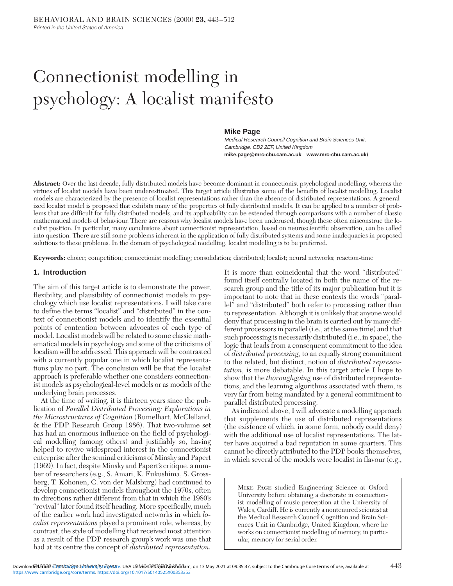# Connectionist modelling in psychology: A localist manifesto

**Mike Page**

Medical Research Council Cognition and Brain Sciences Unit, Cambridge, CB2 2EF, United Kingdom **mike.page@mrc-cbu.cam.ac.uk www.mrc-cbu.cam.ac.uk/**

**Abstract:** Over the last decade, fully distributed models have become dominant in connectionist psychological modelling, whereas the virtues of localist models have been underestimated. This target article illustrates some of the benefits of localist modelling. Localist models are characterized by the presence of localist representations rather than the absence of distributed representations. A generalized localist model is proposed that exhibits many of the properties of fully distributed models. It can be applied to a number of problems that are difficult for fully distributed models, and its applicability can be extended through comparisons with a number of classic mathematical models of behaviour. There are reasons why localist models have been underused, though these often misconstrue the localist position. In particular, many conclusions about connectionist representation, based on neuroscientific observation, can be called into question. There are still some problems inherent in the application of fully distributed systems and some inadequacies in proposed solutions to these problems. In the domain of psychological modelling, localist modelling is to be preferred.

**Keywords:** choice; competition; connectionist modelling; consolidation; distributed; localist; neural networks; reaction-time

## **1. Introduction**

The aim of this target article is to demonstrate the power, flexibility, and plausibility of connectionist models in psychology which use localist representations. I will take care to define the terms "localist" and "distributed" in the context of connectionist models and to identify the essential points of contention between advocates of each type of model. Localist models will be related to some classic mathematical models in psychology and some of the criticisms of localism will be addressed. This approach will be contrasted with a currently popular one in which localist representations play no part. The conclusion will be that the localist approach is preferable whether one considers connectionist models as psychological-level models or as models of the underlying brain processes.

At the time of writing, it is thirteen years since the publication of *Parallel Distributed Processing: Explorations in the Microstructures of Cognition* (Rumelhart, McClelland, & the PDP Research Group 1986). That two-volume set has had an enormous influence on the field of psychological modelling (among others) and justifiably so, having helped to revive widespread interest in the connectionist enterprise after the seminal criticisms of Minsky and Papert (1969). In fact, despite Minsky and Papert's critique, a number of researchers (e.g., S. Amari, K. Fukushima, S. Grossberg, T. Kohonen, C. von der Malsburg) had continued to develop connectionist models throughout the 1970s, often in directions rather different from that in which the 1980's "revival" later found itself heading. More specifically, much of the earlier work had investigated networks in which *localist representations* played a prominent role, whereas, by contrast, the style of modelling that received most attention as a result of the PDP research group's work was one that had at its centre the concept of *distributed representation.*

It is more than coincidental that the word "distributed" found itself centrally located in both the name of the research group and the title of its major publication but it is important to note that in these contexts the words "parallel" and "distributed" both refer to processing rather than to representation. Although it is unlikely that anyone would deny that processing in the brain is carried out by many different processors in parallel (i.e., at the same time) and that such processing is necessarily distributed (i.e., in space), the logic that leads from a consequent commitment to the idea of *distributed processing,* to an equally strong commitment to the related, but distinct, notion of *distributed representation,* is more debatable. In this target article I hope to show that the *thoroughgoing* use of distributed representations, and the learning algorithms associated with them, is very far from being mandated by a general commitment to parallel distributed processing.

As indicated above, I will advocate a modelling approach that supplements the use of distributed representations (the existence of which, in some form, nobody could deny) with the additional use of localist representations. The latter have acquired a bad reputation in some quarters. This cannot be directly attributed to the PDP books themselves, in which several of the models were localist in flavour (e.g.,

MIKE PAGE studied Engineering Science at Oxford University before obtaining a doctorate in connectionist modelling of music perception at the University of Wales, Cardiff. He is currently a nontenured scientist at the Medical Research Council Cognition and Brain Sciences Unit in Cambridge, United Kingdom, where he works on connectionist modelling of memory, in particular, memory for serial order.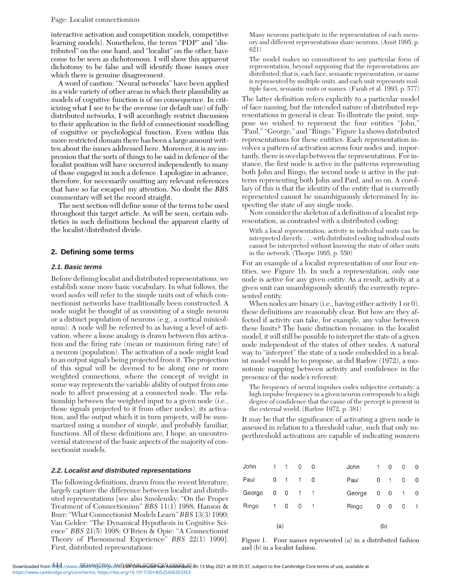## Page: Localist connectionism

interactive activation and competition models, competitive learning models). Nonetheless, the terms "PDP" and "distributed" on the one hand, and "localist" on the other, have come to be seen as dichotomous. I will show this apparent dichotomy to be false and will identify those issues over which there is genuine disagreement.

A word of caution: "Neural networks" have been applied in a wide variety of other areas in which their plausibility as models of cognitive function is of no consequence. In criticizing what I see to be the overuse (or default use) of fully distributed networks, I will accordingly restrict discussion to their application in the field of connectionist modelling of cognitive or psychological function. Even within this more restricted domain there has been a large amount written about the issues addressed here. Moreover, it is my impression that the sorts of things to be said in defence of the localist position will have occurred independently to many of those engaged in such a defence. I apologize in advance, therefore, for necessarily omitting any relevant references that have so far escaped my attention. No doubt the *BBS* commentary will set the record straight.

The next section will define some of the terms to be used throughout this target article. As will be seen, certain subtleties in such definitions becloud the apparent clarity of the localist/distributed divide.

## **2. Defining some terms**

## **2.1. Basic terms**

Before defining localist and distributed representations, we establish some more basic vocabulary. In what follows, the word *nodes* will refer to the simple units out of which connectionist networks have traditionally been constructed. A node might be thought of as consisting of a single neuron or a distinct population of neurons (e.g., a cortical minicolumn). A node will be referred to as having a level of activation, where a loose analogy is drawn between this activation and the firing rate (mean or maximum firing rate) of a neuron (population). The activation of a node might lead to an output signal's being projected from it. The projection of this signal will be deemed to be along one or more weighted connections, where the concept of weight in some way represents the variable ability of output from one node to affect processing at a connected node. The relationship between the weighted input to a given node (i.e., those signals projected to it from other nodes), its activation, and the output which it in turn projects, will be summarized using a number of simple, and probably familiar, functions. All of these definitions are, I hope, an uncontroversial statement of the basic aspects of the majority of connectionist models.

## **2.2. Localist and distributed representations**

The following definitions, drawn from the recent literature, largely capture the difference between localist and distributed representations [see also Smolensky: "On the Proper Treatment of Connectionism" *BBS* 11(1) 1988; Hanson & Burr: "What Connectionist Models Learn" *BBS* 13(3) 1990; Van Gelder: "The Dynamical Hypothesis in Cognitive Science" *BBS* 21(5) 1998; O'Brien & Opie: "A Connectionist Theory of Phenomenal Experience" *BBS* 22(1) 1999]. First, distributed representations:

Many neurons participate in the representation of each memory and different representations share neurons. (Amit 1995, p. 621)

The model makes no commitment to any particular form of representation, beyond supposing that the representations are distributed; that is, each face, semantic representation, or name is represented by multiple units, and each unit represents multiple faces, semantic units or names. (Farah et al. 1993, p. 577)

The latter definition refers explicitly to a particular model of face naming, but the intended nature of distributed representations in general is clear. To illustrate the point, suppose we wished to represent the four entities "John," "Paul," "George," and "Ringo." Figure 1a shows distributed representations for these entities. Each representation involves a pattern of activation across four nodes and, importantly, there is overlap between the representations. For instance, the first node is active in the patterns representing both John and Ringo, the second node is active in the patterns representing both John and Paul, and so on. A corollary of this is that the identity of the entity that is currently represented cannot be unambiguously determined by inspecting the state of any single node.

Now consider the skeleton of a definition of a localist representation, as contrasted with a distributed coding:

With a local representation, activity in individual units can be interpreted directly . . . with distributed coding individual units cannot be interpreted without knowing the state of other units in the network. (Thorpe 1995, p. 550)

For an example of a localist representation of our four entities, see Figure 1b. In such a representation, only one node is active for any given entity. As a result, activity at a given unit can unambiguously identify the currently represented entity.

When nodes are binary (i.e., having either activity 1 or 0), these definitions are reasonably clear. But how are they affected if activity can take, for example, any value between these limits? The basic distinction remains: in the localist model, it will still be possible to interpret the state of a given node independent of the states of other nodes. A natural way to "interpret" the state of a node embedded in a localist model would be to propose, as did Barlow (1972), a monotonic mapping between activity and confidence in the presence of the node's referent:

The frequency of neural impulses codes subjective certainty: a high impulse frequency in a given neuron corresponds to a high degree of confidence that the cause of the percept is present in the external world. (Barlow 1972, p. 381)

It may be that the significance of activating a given node is assessed in relation to a threshold value, such that only superthreshold activations are capable of indicating nonzero

| John 1 1 0 0   |  |  |         |  | John       |            | $1 \quad 0$ | $\overline{0}$ | $\Omega$     |
|----------------|--|--|---------|--|------------|------------|-------------|----------------|--------------|
| Paul           |  |  | 0 1 1 0 |  | Paul       |            | $0 \quad 1$ | $\overline{0}$ | 0            |
| George 0 0 1 1 |  |  |         |  | George 0 0 |            |             | $\mathbf{1}$   | 0            |
| Ringo          |  |  | 1 0 0 1 |  | Ringo      | $0\quad 0$ |             | $\sim$ 0       | $\mathbf{1}$ |
|                |  |  |         |  |            |            |             |                |              |
| (a)            |  |  |         |  | (b)        |            |             |                |              |

Figure 1. Four names represented (a) in a distributed fashion and (b) in a localist fashion.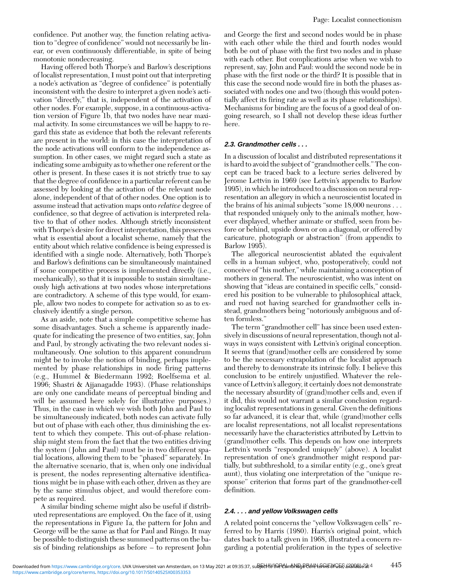confidence. Put another way, the function relating activation to "degree of confidence" would not necessarily be linear, or even continuously differentiable, in spite of being monotonic nondecreasing.

Having offered both Thorpe's and Barlow's descriptions of localist representation, I must point out that interpreting a node's activation as "degree of confidence" is potentially inconsistent with the desire to interpret a given node's activation "directly," that is, independent of the activation of other nodes. For example, suppose, in a continuous-activation version of Figure 1b, that two nodes have near maximal activity. In some circumstances we will be happy to regard this state as evidence that both the relevant referents are present in the world: in this case the interpretation of the node activations will conform to the independence assumption. In other cases, we might regard such a state as indicating some ambiguity as to whether one referent or the other is present. In these cases it is not strictly true to say that the degree of confidence in a particular referent can be assessed by looking at the activation of the relevant node alone, independent of that of other nodes. One option is to assume instead that activation maps onto *relative* degree of confidence, so that degree of activation is interpreted relative to that of other nodes. Although strictly inconsistent with Thorpe's desire for direct interpretation, this preserves what is essential about a localist scheme, namely that the entity about which relative confidence is being expressed is identified with a single node. Alternatively, both Thorpe's and Barlow's definitions can be simultaneously maintained if some competitive process is implemented directly (i.e., mechanically), so that it is impossible to sustain simultaneously high activations at two nodes whose interpretations are contradictory. A scheme of this type would, for example, allow two nodes to compete for activation so as to exclusively identify a single person.

As an aside, note that a simple competitive scheme has some disadvantages. Such a scheme is apparently inadequate for indicating the presence of two entities, say, John and Paul, by strongly activating the two relevant nodes simultaneously. One solution to this apparent conundrum might be to invoke the notion of binding, perhaps implemented by phase relationships in node firing patterns (e.g., Hummel & Biedermann 1992; Roelfsema et al. 1996; Shastri & Ajjanagadde 1993). (Phase relationships are only one candidate means of perceptual binding and will be assumed here solely for illustrative purposes.) Thus, in the case in which we wish both John and Paul to be simultaneously indicated, both nodes can activate fully but out of phase with each other, thus diminishing the extent to which they compete. This out-of-phase relationship might stem from the fact that the two entities driving the system (John and Paul) must be in two different spatial locations, allowing them to be "phased" separately. In the alternative scenario, that is, when only one individual is present, the nodes representing alternative identifications might be in phase with each other, driven as they are by the same stimulus object, and would therefore compete as required.

A similar binding scheme might also be useful if distributed representations are employed. On the face of it, using the representations in Figure 1a, the pattern for John and George will be the same as that for Paul and Ringo. It may be possible to distinguish these summed patterns on the basis of binding relationships as before – to represent John

and George the first and second nodes would be in phase with each other while the third and fourth nodes would both be out of phase with the first two nodes and in phase with each other. But complications arise when we wish to represent, say, John and Paul: would the second node be in phase with the first node or the third? It is possible that in this case the second node would fire in both the phases associated with nodes one and two (though this would potentially affect its firing rate as well as its phase relationships). Mechanisms for binding are the focus of a good deal of ongoing research, so I shall not develop these ideas further here.

## **2.3. Grandmother cells . . .**

In a discussion of localist and distributed representations it is hard to avoid the subject of "grandmother cells." The concept can be traced back to a lecture series delivered by Jerome Lettvin in 1969 (see Lettvin's appendix to Barlow 1995), in which he introduced to a discussion on neural representation an allegory in which a neuroscientist located in the brains of his animal subjects "some 18,000 neurons . . . that responded uniquely only to the animal's mother, however displayed, whether animate or stuffed, seen from before or behind, upside down or on a diagonal, or offered by caricature, photograph or abstraction" (from appendix to Barlow 1995).

The allegorical neuroscientist ablated the equivalent cells in a human subject, who, postoperatively, could not conceive of "his mother," while maintaining a conception of mothers in general. The neuroscientist, who was intent on showing that "ideas are contained in specific cells," considered his position to be vulnerable to philosophical attack, and rued not having searched for grandmother cells instead, grandmothers being "notoriously ambiguous and often formless."

The term "grandmother cell" has since been used extensively in discussions of neural representation, though not always in ways consistent with Lettvin's original conception. It seems that (grand)mother cells are considered by some to be the necessary extrapolation of the localist approach and thereby to demonstrate its intrinsic folly. I believe this conclusion to be entirely unjustified. Whatever the relevance of Lettvin's allegory, it certainly does not demonstrate the necessary absurdity of (grand)mother cells and, even if it did, this would not warrant a similar conclusion regarding localist representations in general. Given the definitions so far advanced, it is clear that, while (grand)mother cells are localist representations, not all localist representations necessarily have the characteristics attributed by Lettvin to (grand)mother cells. This depends on how one interprets Lettvin's words "responded uniquely" (above). A localist representation of one's grandmother might respond partially, but subthreshold, to a similar entity (e.g., one's great aunt), thus violating one interpretation of the "unique response" criterion that forms part of the grandmother-cell definition.

## **2.4. . . . and yellow Volkswagen cells**

A related point concerns the "yellow Volkswagen cells" referred to by Harris (1980). Harris's original point, which dates back to a talk given in 1968, illustrated a concern regarding a potential proliferation in the types of selective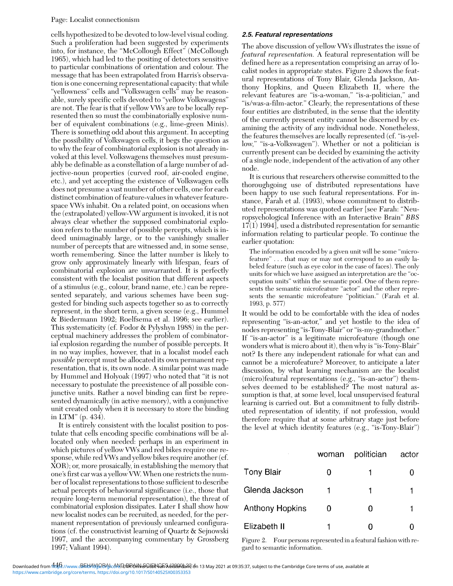cells hypothesized to be devoted to low-level visual coding. Such a proliferation had been suggested by experiments into, for instance, the "McCollough Effect" (McCollough 1965), which had led to the positing of detectors sensitive to particular combinations of orientation and colour. The message that has been extrapolated from Harris's observation is one concerning representational capacity: that while "yellowness" cells and "Volkswagen cells" may be reasonable, surely specific cells devoted to "yellow Volkswagens" are not. The fear is that if yellow VWs are to be locally represented then so must the combinatorially explosive number of equivalent combinations (e.g., lime-green Minis). There is something odd about this argument. In accepting the possibility of Volkswagen cells, it begs the question as to why the fear of combinatorial explosion is not already invoked at this level. Volkswagens themselves must presumably be definable as a constellation of a large number of adjective-noun properties (curved roof, air-cooled engine, etc.), and yet accepting the existence of Volkswagen cells does not presume a vast number of other cells, one for each distinct combination of feature-values in whatever featurespace VWs inhabit. On a related point, on occasions when the (extrapolated) yellow-VW argument is invoked, it is not always clear whether the supposed combinatorial explosion refers to the number of possible percepts, which is indeed unimaginably large, or to the vanishingly smaller number of percepts that are witnessed and, in some sense, worth remembering. Since the latter number is likely to grow only approximately linearly with lifespan, fears of combinatorial explosion are unwarranted. It is perfectly consistent with the localist position that different aspects of a stimulus (e.g., colour, brand name, etc.) can be represented separately, and various schemes have been suggested for binding such aspects together so as to correctly represent, in the short term, a given scene (e.g., Hummel & Biedermann 1992; Roelfsema et al. 1996; see earlier). This systematicity (cf. Fodor & Pylyshyn 1988) in the perceptual machinery addresses the problem of combinatorial explosion regarding the number of possible percepts. It in no way implies, however, that in a localist model each *possible* percept must be allocated its own permanent representation, that is, its own node. A similar point was made by Hummel and Holyoak (1997) who noted that "it is not necessary to postulate the preexistence of all possible conjunctive units. Rather a novel binding can first be represented dynamically (in active memory), with a conjunctive unit created only when it is necessary to store the binding in LTM" (p. 434).

It is entirely consistent with the localist position to postulate that cells encoding specific combinations will be allocated only when needed: perhaps in an experiment in which pictures of yellow VWs and red bikes require one response, while red VWs and yellow bikes require another (cf. XOR); or, more prosaically, in establishing the memory that one's first car was a yellow VW. When one restricts the number of localist representations to those sufficient to describe actual percepts of behavioural significance (i.e., those that require long-term memorial representation), the threat of combinatorial explosion dissipates. Later I shall show how new localist nodes can be recruited, as needed, for the permanent representation of previously unlearned configurations (cf. the constructivist learning of Quartz & Sejnowski 1997, and the accompanying commentary by Grossberg 1997; Valiant 1994).

## **2.5. Featural representations**

The above discussion of yellow VWs illustrates the issue of *featural representation.* A featural representation will be defined here as a representation comprising an array of localist nodes in appropriate states. Figure 2 shows the featural representations of Tony Blair, Glenda Jackson, Anthony Hopkins, and Queen Elizabeth II, where the relevant features are "is-a-woman," "is-a-politician," and "is/was-a-film-actor." Clearly, the representations of these four entities are distributed, in the sense that the identity of the currently present entity cannot be discerned by examining the activity of any individual node. Nonetheless, the features themselves are locally represented (cf. "is-yellow," "is-a-Volkswagen"). Whether or not a politician is currently present can be decided by examining the activity of a single node, independent of the activation of any other node.

It is curious that researchers otherwise committed to the thoroughgoing use of distributed representations have been happy to use such featural representations. For instance, Farah et al. (1993), whose commitment to distributed representations was quoted earlier [see Farah: "Neuropsychological Inference with an Interactive Brain" *BBS* 17(1) 1994], used a distributed representation for semantic information relating to particular people. To continue the earlier quotation:

The information encoded by a given unit will be some "microfeature" . . . that may or may not correspond to an easily labeled feature (such as eye color in the case of faces). The only units for which we have assigned an interpretation are the "occupation units" within the semantic pool. One of them represents the semantic microfeature "actor" and the other represents the semantic microfeature "politician." (Farah et al. 1993, p. 577)

It would be odd to be comfortable with the idea of nodes representing "is-an-actor," and yet hostile to the idea of nodes representing "is-Tony-Blair" or "is-my-grandmother." If "is-an-actor" is a legitimate microfeature (though one wonders what is micro about it), then why is "is-Tony-Blair" not? Is there any independent rationale for what can and cannot be a microfeature? Moreover, to anticipate a later discussion, by what learning mechanism are the localist (micro)featural representations (e.g., "is-an-actor") themselves deemed to be established? The most natural assumption is that, at some level, local unsupervised featural learning is carried out. But a commitment to fully distributed representation of identity, if not profession, would therefore require that at some arbitrary stage just before the level at which identity features (e.g., "is-Tony-Blair")

|                        | woman | politician | actor |
|------------------------|-------|------------|-------|
| Tony Blair             | n     |            |       |
| Glenda Jackson         | 1     |            |       |
| <b>Anthony Hopkins</b> | O     | 0          |       |
| Elizabeth II           |       |            |       |

Figure 2. Four persons represented in a featural fashion with regard to semantic information.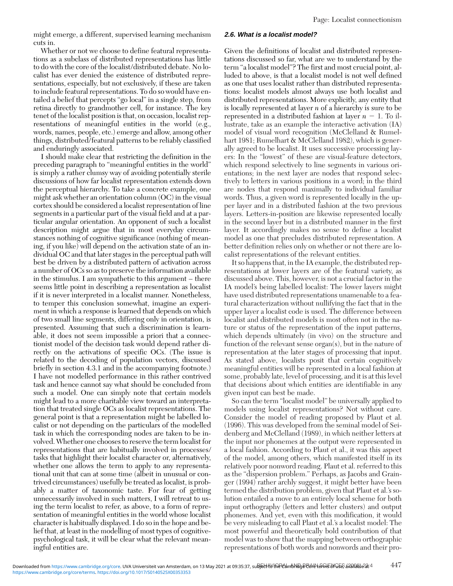might emerge, a different, supervised learning mechanism cuts in.

Whether or not we choose to define featural representations as a subclass of distributed representations has little to do with the core of the localist/distributed debate. No localist has ever denied the existence of distributed representations, especially, but not exclusively, if these are taken to include featural representations. To do so would have entailed a belief that percepts "go local" in a single step, from retina directly to grandmother cell, for instance. The key tenet of the localist position is that, on occasion, localist representations of meaningful entities in the world (e.g., words, names, people, etc.) emerge and allow, among other things, distributed/featural patterns to be reliably classified and enduringly associated.

I should make clear that restricting the definition in the preceding paragraph to "meaningful entities in the world" is simply a rather clumsy way of avoiding potentially sterile discussions of how far localist representation extends down the perceptual hierarchy. To take a concrete example, one might ask whether an orientation column (OC) in the visual cortex should be considered a localist representation of line segments in a particular part of the visual field and at a particular angular orientation. An opponent of such a localist description might argue that in most everyday circumstances nothing of cognitive significance (nothing of meaning, if you like) will depend on the activation state of an individual OC and that later stages in the perceptual path will best be driven by a distributed pattern of activation across a number of OCs so as to preserve the information available in the stimulus. I am sympathetic to this argument – there seems little point in describing a representation as localist if it is never interpreted in a localist manner. Nonetheless, to temper this conclusion somewhat, imagine an experiment in which a response is learned that depends on which of two small line segments, differing only in orientation, is presented. Assuming that such a discrimination is learnable, it does not seem impossible a priori that a connectionist model of the decision task would depend rather directly on the activations of specific OCs. (The issue is related to the decoding of population vectors, discussed briefly in section 4.3.1 and in the accompanying footnote.) I have not modelled performance in this rather contrived task and hence cannot say what should be concluded from such a model. One can simply note that certain models might lead to a more charitable view toward an interpretation that treated single OCs as localist representations. The general point is that a representation might be labelled localist or not depending on the particulars of the modelled task in which the corresponding nodes are taken to be involved. Whether one chooses to reserve the term localist for representations that are habitually involved in processes/ tasks that highlight their localist character or, alternatively, whether one allows the term to apply to any representational unit that can at some time (albeit in unusual or contrived circumstances) usefully be treated as localist, is probably a matter of taxonomic taste. For fear of getting unnecessarily involved in such matters, I will retreat to using the term localist to refer, as above, to a form of representation of meaningful entities in the world whose localist character is habitually displayed. I do so in the hope and belief that, at least in the modelling of most types of cognitivepsychological task, it will be clear what the relevant meaningful entities are.

## **2.6. What is a localist model?**

Given the definitions of localist and distributed representations discussed so far, what are we to understand by the term "a localist model"? The first and most crucial point, alluded to above, is that a localist model is not well defined as one that uses localist rather than distributed representations: localist models almost always use both localist and distributed representations. More explicitly, any entity that is locally represented at layer *n* of a hierarchy is sure to be represented in a distributed fashion at layer  $n - 1$ . To illustrate, take as an example the interactive activation (IA) model of visual word recognition (McClelland & Rumelhart 1981; Rumelhart & McClelland 1982), which is generally agreed to be localist. It uses successive processing layers: In the "lowest" of these are visual-feature detectors, which respond selectively to line segments in various orientations; in the next layer are nodes that respond selectively to letters in various positions in a word; in the third are nodes that respond maximally to individual familiar words. Thus, a given word is represented locally in the upper layer and in a distributed fashion at the two previous layers. Letters-in-position are likewise represented locally in the second layer but in a distributed manner in the first layer. It accordingly makes no sense to define a localist model as one that precludes distributed representation. A better definition relies only on whether or not there are localist representations of the relevant entities.

It so happens that, in the IA example, the distributed representations at lower layers are of the featural variety, as discussed above. This, however, is not a crucial factor in the IA model's being labelled localist: The lower layers might have used distributed representations unamenable to a featural characterization without nullifying the fact that in the upper layer a localist code is used. The difference between localist and distributed models is most often not in the nature or status of the representation of the input patterns, which depends ultimately (in vivo) on the structure and function of the relevant sense organ(s), but in the nature of representation at the later stages of processing that input. As stated above, localists posit that certain cognitively meaningful entities will be represented in a local fashion at some, probably late, level of processing, and it is at this level that decisions about which entities are identifiable in any given input can best be made.

So can the term "localist model" be universally applied to models using localist representations? Not without care. Consider the model of reading proposed by Plaut et al. (1996). This was developed from the seminal model of Seidenberg and McClelland (1989), in which neither letters at the input nor phonemes at the output were represented in a local fashion. According to Plaut et al., it was this aspect of the model, among others, which manifested itself in its relatively poor nonword reading. Plaut et al. referred to this as the "dispersion problem." Perhaps, as Jacobs and Grainger (1994) rather archly suggest, it might better have been termed the distribution problem, given that Plaut et al.'s solution entailed a move to an entirely local scheme for both input orthography (letters and letter clusters) and output phonemes. And yet, even with this modification, it would be very misleading to call Plaut et al.'s a localist model: The most powerful and theoretically bold contribution of that model was to show that the mapping between orthographic representations of both words and nonwords and their pro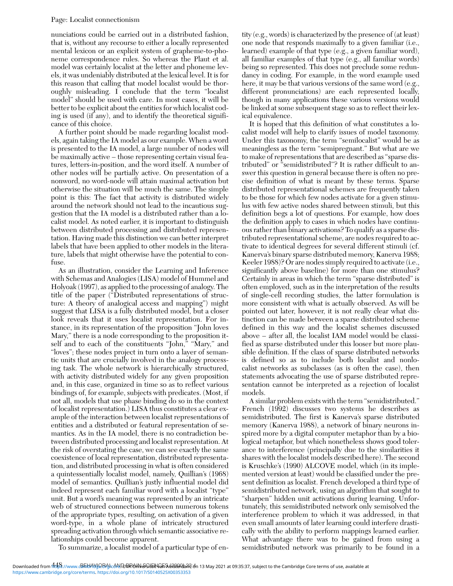nunciations could be carried out in a distributed fashion, that is, without any recourse to either a locally represented mental lexicon or an explicit system of grapheme-to-phoneme correspondence rules. So whereas the Plaut et al. model was certainly localist at the letter and phoneme levels, it was undeniably distributed at the lexical level. It is for this reason that calling that model localist would be thoroughly misleading. I conclude that the term "localist model" should be used with care. In most cases, it will be better to be explicit about the entities for which localist coding is used (if any), and to identify the theoretical significance of this choice.

A further point should be made regarding localist models, again taking the IA model as our example. When a word is presented to the IA model, a large number of nodes will be maximally active – those representing certain visual features, letters-in-position, and the word itself. A number of other nodes will be partially active. On presentation of a nonword, no word-node will attain maximal activation but otherwise the situation will be much the same. The simple point is this: The fact that activity is distributed widely around the network should not lead to the incautious suggestion that the IA model is a distributed rather than a localist model. As noted earlier, it is important to distinguish between distributed processing and distributed representation. Having made this distinction we can better interpret labels that have been applied to other models in the literature, labels that might otherwise have the potential to confuse.

As an illustration, consider the Learning and Inference with Schemas and Analogies (LISA) model of Hummel and Holyoak (1997), as applied to the processing of analogy. The title of the paper ("Distributed representations of structure: A theory of analogical access and mapping") might suggest that LISA is a fully distributed model, but a closer look reveals that it uses localist representation. For instance, in its representation of the proposition "John loves Mary," there is a node corresponding to the proposition itself and to each of the constituents "John," "Mary," and "loves"; these nodes project in turn onto a layer of semantic units that are crucially involved in the analogy processing task. The whole network is hierarchically structured, with activity distributed widely for any given proposition and, in this case, organized in time so as to reflect various bindings of, for example, subjects with predicates. (Most, if not all, models that use phase binding do so in the context of localist representation.) LISA thus constitutes a clear example of the interaction between localist representations of entities and a distributed or featural representation of semantics. As in the IA model, there is no contradiction between distributed processing and localist representation. At the risk of overstating the case, we can see exactly the same coexistence of local representation, distributed representation, and distributed processing in what is often considered a quintessentially localist model, namely, Quillian's (1968) model of semantics. Quillian's justly influential model did indeed represent each familiar word with a localist "type" unit. But a word's meaning was represented by an intricate web of structured connections between numerous tokens of the appropriate types, resulting, on activation of a given word-type, in a whole plane of intricately structured spreading activation through which semantic associative relationships could become apparent.

tity (e.g., words) is characterized by the presence of (at least) one node that responds maximally to a given familiar (i.e., learned) example of that type (e.g., a given familiar word), all familiar examples of that type (e.g., all familiar words) being so represented. This does not preclude some redundancy in coding. For example, in the word example used here, it may be that various versions of the same word (e.g., different pronunciations) are each represented locally, though in many applications these various versions would be linked at some subsequent stage so as to reflect their lexical equivalence.

It is hoped that this definition of what constitutes a localist model will help to clarify issues of model taxonomy. Under this taxonomy, the term "semilocalist" would be as meaningless as the term "semipregnant." But what are we to make of representations that are described as "sparse distributed" or "semidistributed"? It is rather difficult to answer this question in general because there is often no precise definition of what is meant by these terms. Sparse distributed representational schemes are frequently taken to be those for which few nodes activate for a given stimulus with few active nodes shared between stimuli, but this definition begs a lot of questions. For example, how does the definition apply to cases in which nodes have continuous rather than binary activations? To qualify as a sparse distributed representational scheme, are nodes required to activate to identical degrees for several different stimuli (cf. Kanerva's binary sparse distributed memory, Kanerva 1988; Keeler 1988)? Or are nodes simply required to activate (i.e., significantly above baseline) for more than one stimulus? Certainly in areas in which the term "sparse distributed" is often employed, such as in the interpretation of the results of single-cell recording studies, the latter formulation is more consistent with what is actually observed. As will be pointed out later, however, it is not really clear what distinction can be made between a sparse distributed scheme defined in this way and the localist schemes discussed above – after all, the localist IAM model would be classified as sparse distributed under this looser but more plausible definition. If the class of sparse distributed networks is defined so as to include both localist and nonlocalist networks as subclasses (as is often the case), then statements advocating the use of sparse distributed representation cannot be interpreted as a rejection of localist models.

A similar problem exists with the term "semidistributed." French (1992) discusses two systems he describes as semidistributed. The first is Kanerva's sparse distributed memory (Kanerva 1988), a network of binary neurons inspired more by a digital computer metaphor than by a biological metaphor, but which nonetheless shows good tolerance to interference (principally due to the similarities it shares with the localist models described here). The second is Kruschke's (1990) ALCOVE model, which (in its implemented version at least) would be classified under the present definition as localist. French developed a third type of semidistributed network, using an algorithm that sought to "sharpen" hidden unit activations during learning. Unfortunately, this semidistributed network only semisolved the interference problem to which it was addressed, in that even small amounts of later learning could interfere drastically with the ability to perform mappings learned earlier. What advantage there was to be gained from using a semidistributed network was primarily to be found in a

To summarize, a localist model of a particular type of en-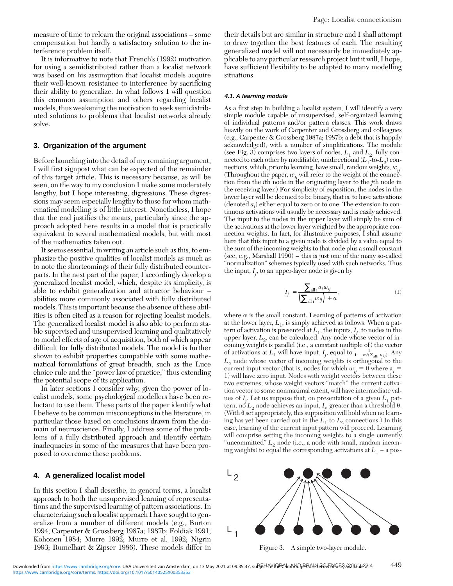measure of time to relearn the original associations – some compensation but hardly a satisfactory solution to the interference problem itself.

It is informative to note that French's (1992) motivation for using a semidistributed rather than a localist network was based on his assumption that localist models acquire their well-known resistance to interference by sacrificing their ability to generalize. In what follows I will question this common assumption and others regarding localist models, thus weakening the motivation to seek semidistributed solutions to problems that localist networks already solve.

## **3. Organization of the argument**

Before launching into the detail of my remaining argument, I will first signpost what can be expected of the remainder of this target article. This is necessary because, as will be seen, on the way to my conclusion I make some moderately lengthy, but I hope interesting, digressions. These digressions may seem especially lengthy to those for whom mathematical modelling is of little interest. Nonetheless, I hope that the end justifies the means, particularly since the approach adopted here results in a model that is practically equivalent to several mathematical models, but with most of the mathematics taken out.

It seems essential, in writing an article such as this, to emphasize the positive qualities of localist models as much as to note the shortcomings of their fully distributed counterparts. In the next part of the paper, I accordingly develop a generalized localist model, which, despite its simplicity, is able to exhibit generalization and attractor behaviour – abilities more commonly associated with fully distributed models. This is important because the absence of these abilities is often cited as a reason for rejecting localist models. The generalized localist model is also able to perform stable supervised and unsupervised learning and qualitatively to model effects of age of acquisition, both of which appear difficult for fully distributed models. The model is further shown to exhibit properties compatible with some mathematical formulations of great breadth, such as the Luce choice rule and the "power law of practice," thus extending the potential scope of its application.

In later sections I consider why, given the power of localist models, some psychological modellers have been reluctant to use them. These parts of the paper identify what I believe to be common misconceptions in the literature, in particular those based on conclusions drawn from the domain of neuroscience. Finally, I address some of the problems of a fully distributed approach and identify certain inadequacies in some of the measures that have been proposed to overcome these problems.

## **4. A generalized localist model**

In this section I shall describe, in general terms, a localist approach to both the unsupervised learning of representations and the supervised learning of pattern associations. In characterizing such a localist approach I have sought to generalize from a number of different models (e.g., Burton 1994; Carpenter & Grossberg 1987a; 1987b; Foldiak 1991; Kohonen 1984; Murre 1992; Murre et al. 1992; Nigrin 1993; Rumelhart & Zipser 1986). These models differ in

their details but are similar in structure and I shall attempt to draw together the best features of each. The resulting generalized model will not necessarily be immediately applicable to any particular research project but it will, I hope, have sufficient flexibility to be adapted to many modelling situations.

#### **4.1. A learning module**

As a first step in building a localist system, I will identify a very simple module capable of unsupervised, self-organized learning of individual patterns and/or pattern classes. This work draws heavily on the work of Carpenter and Grossberg and colleagues (e.g., Carpenter & Grossberg 1987a; 1987b; a debt that is happily acknowledged), with a number of simplifications. The module (see Fig. 3) comprises two layers of nodes,  $L_1$  and  $L_2$ , fully connected to each other by modifiable, unidirectional ( $L_1$ -to- $L_2$ ) connections, which, prior to learning, have small, random weights,  $w_{ij}$ . (Throughout the paper, *wij* will refer to the weight of the connec-tion from the *i*th node in the originating layer to the *j*th node in the receiving layer.) For simplicity of exposition, the nodes in the lower layer will be deemed to be binary, that is, to have activations  $(\text{denoted } a_i)$  either equal to zero or to one. The extension to continuous activations will usually be necessary and is easily achieved. The input to the nodes in the upper layer will simply be sum of the activations at the lower layer weighted by the appropriate connection weights. In fact, for illustrative purposes, I shall assume here that this input to a given node is divided by a value equal to the sum of the incoming weights to that node plus a small constant (see, e.g., Marshall 1990) – this is just one of the many so-called "normalization" schemes typically used with such networks. Thus the input,  $I_j$ , to an upper-layer node is given by

$$
I_j = \frac{\sum_{\text{all i}} a_i w_{ij}}{\left(\sum_{\text{all i}} w_{ij}\right) + \alpha},\tag{1}
$$

where  $\alpha$  is the small constant. Learning of patterns of activation at the lower layer,  $L_1$ , is simply achieved as follows. When a pattern of activation is presented at  $L_1$ , the inputs,  $I_j$ , to nodes in the upper layer,  $L_2$ , can be calculated. Any node whose vector of incoming weights is parallel (i.e., a constant multiple of) the vector of activations at  $L_1$  will have input,  $I_j$ , equal to  $\frac{1}{1 + \alpha / (\Sigma_{\text{alli}} w_{ij})}$ . Any  $L_2$  node whose vector of incoming weights is orthogonal to the current input vector (that is, nodes for which  $w_{ii} = 0$  where  $a_i =$ 1) will have zero input. Nodes with weight vectors between these two extremes, whose weight vectors "match" the current activation vector to some nonmaximal extent, will have intermediate values of *Ij* . Let us suppose that, on presentation of a given *L*<sup>1</sup> pattern, no  $L_2$  node achieves an input,  $I_j$ , greater than a threshold  $\theta$ . (With  $\theta$  set appropriately, this supposition will hold when no learning has yet been carried out in the  $L_1$ -to- $L_2$  connections.) In this case, learning of the current input pattern will proceed. Learning will comprise setting the incoming weights to a single currently "uncommitted"  $L_2$  node (i.e., a node with small, random incoming weights) to equal the corresponding activations at  $L_1$  – a pos-



Figure 3. A simple two-layer module.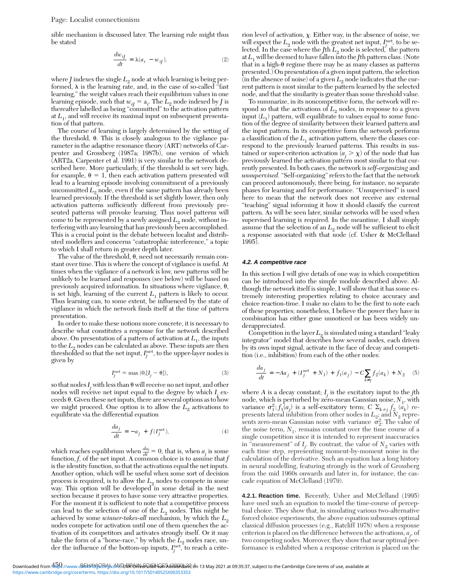sible mechanism is discussed later. The learning rule might thus be stated

$$
\frac{dw_{ij}}{dt} = \lambda(a_i - w_{ij}),\tag{2}
$$

where  $J$  indexes the single  $L<sub>2</sub>$  node at which learning is being performed,  $\lambda$  is the learning rate, and, in the case of so-called "fast" learning," the weight values reach their equilibrium values in one learning episode, such that  $w_{iJ} = a_i$ . The  $L_2$  node indexed by *J* is thereafter labelled as being "committed" to the activation pattern at  $L_1$ , and will receive its maximal input on subsequent presentation of that pattern.

The course of learning is largely determined by the setting of the threshold,  $\theta$ . This is closely analogous to the vigilance parameter in the adaptive resonance theory (ART) networks of Carpenter and Grossberg (1987a; 1987b), one version of which (ART2a, Carpenter et al. 1991) is very similar to the network described here. More particularly, if the threshold is set very high, for example,  $\theta = 1$ , then each activation pattern presented will lead to a learning episode involving commitment of a previously uncommitted  $L_2$  node, even if the same pattern has already been learned previously. If the threshold is set slightly lower, then only activation patterns sufficiently different from previously presented patterns will provoke learning. Thus novel patterns will come to be represented by a newly assigned  $L<sub>2</sub>$  node, without interfering with any learning that has previously been accomplished. This is a crucial point in the debate between localist and distributed modellers and concerns "catastrophic interference," a topic to which I shall return in greater depth later.

The value of the threshold,  $\theta$ , need not necessarily remain constant over time. This is where the concept of vigilance is useful. At times when the vigilance of a network is low, new patterns will be unlikely to be learned and responses (see below) will be based on previously acquired information. In situations where vigilance,  $\theta$ , is set high, learning of the current  $L_1$  pattern is likely to occur. Thus learning can, to some extent, be influenced by the state of vigilance in which the network finds itself at the time of pattern presentation.

In order to make these notions more concrete, it is necessary to describe what constitutes a response for the network described above. On presentation of a pattern of activation at  $L_1$ , the inputs to the  $L_2$  nodes can be calculated as above. These inputs are then thresholded so that the net input,  $I_j^{\text{net}}$ , to the upper-layer nodes is given by

$$
I_j^{\text{net}} = \max(0, [I_j - \theta]), \tag{3}
$$

so that nodes  $I_j$  with less than  $\theta$  will receive no net input, and other nodes will receive net input equal to the degree by which *I<sub>i</sub>* exceeds  $\theta$ . Given these net inputs, there are several options as to how we might proceed. One option is to allow the  $L<sub>2</sub>$  activations to equilibrate via the differential equation

$$
\frac{da_j}{dt} = -a_j + f(I_j^{\text{net}}),\tag{4}
$$

which reaches equilibrium when  $\frac{dq_j}{dt} = 0$ , that is, when  $a_j$  is some function, *f,* of the net input. A common choice is to assume that *f* is the identity function, so that the activations equal the net inputs. Another option, which will be useful when some sort of decision process is required, is to allow the  $L_2$  nodes to compete in some way. This option will be developed in some detail in the next section because it proves to have some very attractive properties. For the moment it is sufficient to note that a competitive process can lead to the selection of one of the  $L<sub>2</sub>$  nodes. This might be achieved by some *winner-takes-all* mechanism, by which the  $L<sub>2</sub>$ nodes compete for activation until one of them quenches the activation of its competitors and activates strongly itself. Or it may take the form of a "horse-race," by which the  $L<sub>2</sub>$  nodes race, under the influence of the bottom-up inputs,  $I_j^{\text{net}}$  to reach a criterion level of activation,  $\chi.$  Either way, in the absence of noise, we will expect the  $L_2$  node with the greatest net input,  $I_{j}^{\text{net}}$ , to be selected. In the case where the *J*th  $L_2$  node is selected, the pattern at  $L_1$  will be deemed to have fallen into the *J*th pattern class. (Note that in a high- $\theta$  regime there may be as many classes as patterns presented.) On presentation of a given input pattern, the selection (in the absence of noise) of a given  $L<sub>2</sub>$  node indicates that the current pattern is most similar to the pattern learned by the selected node, and that the similarity is greater than some threshold value.

To summarize, in its noncompetitive form, the network will respond so that the activations of  $L_2$  nodes, in response to a given input (*L*<sup>1</sup> ) pattern, will equilibrate to values equal to some function of the degree of similarity between their learned pattern and the input pattern. In its competitive form the network performs a classification of the  $L_1$  activation pattern, where the classes correspond to the previously learned patterns. This results in sustained or super-criterion activation  $(a_i > \chi)$  of the node that has previously learned the activation pattern most similar to that currently presented. In both cases, the network is *self-organizing* and *unsupervised.* "Self-organizing" refers to the fact that the network can proceed autonomously, there being, for instance, no separate phases for learning and for performance. "Unsupervised" is used here to mean that the network does not receive any external "teaching" signal informing it how it should classify the current pattern. As will be seen later, similar networks will be used when supervised learning is required. In the meantime, I shall simply assume that the selection of an  $L_2$  node will be sufficient to elicit a response associated with that node (cf. Usher & McClelland 1995).

#### **4.2. A competitive race**

In this section I will give details of one way in which competition can be introduced into the simple module described above. Although the network itself is simple, I will show that it has some extremely interesting properties relating to choice accuracy and choice reaction-time. I make no claim to be the first to note each of these properties; nonetheless, I believe the power they have in combination has either gone unnoticed or has been widely underappreciated.

Competition in the layer  $L_2$  is simulated using a standard "leaky" integrator" model that describes how several nodes, each driven by its own input signal, activate in the face of decay and competition (i.e., inhibition) from each of the other nodes:

$$
\frac{da_j}{dt} = -Aa_j + (I_j^{\text{net}} + N_1) + f_1(a_j) - C \sum_{k \neq j} f_2(a_k) + N_2 \quad (5)
$$

where  $A$  is a decay constant;  $I<sub>i</sub>$  is the excitatory input to the *j*th node, which is perturbed by zero-mean Gaussian noise,  $N_1$ , with variance  $\sigma_1^2$ ;  $f_1(a_j)$  is a self-excitatory term;  $C \sum_{k \neq j} \sum_{i \neq j} (a_k)$  represents lateral inhibition from other nodes in  $L_2$ ; and  $N_2$  represents zero-mean Gaussian noise with variance  $\sigma_2^2$ . The value of the noise term,  $N_1$ , remains constant over the time course of a single competition since it is intended to represent inaccuracies in "measurement" of  $I_j$ . By contrast, the value of  $N_2$  varies with each time step, representing moment-by-moment noise in the calculation of the derivative. Such an equation has a long history in neural modelling, featuring strongly in the work of Grossberg from the mid 1960s onwards and later in, for instance, the cascade equation of McClelland (1979).

**4.2.1. Reaction time.** Recently, Usher and McClelland (1995) have used such an equation to model the time-course of perceptual choice. They show that, in simulating various two-alternative forced choice experiments, the above equation subsumes optimal classical diffusion processes (e.g., Ratcliff 1978) when a response criterion is placed on the difference between the activations, *aj* , of two competing nodes. Moreover, they show that near optimal performance is exhibited when a response criterion is placed on the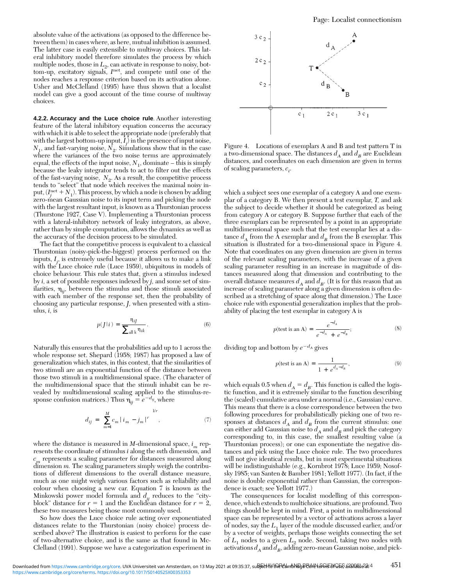absolute value of the activations (as opposed to the difference between them) in cases where, as here, mutual inhibition is assumed. The latter case is easily extensible to multiway choices. This lateral inhibitory model therefore simulates the process by which multiple nodes, those in  $L_2$ , can activate in response to noisy, bottom-up, excitatory signals, *I*net, and compete until one of the nodes reaches a response criterion based on its activation alone. Usher and McClelland (1995) have thus shown that a localist model can give a good account of the time course of multiway choices.

**4.2.2. Accuracy and the Luce choice rule**. Another interesting feature of the lateral inhibitory equation concerns the accuracy with which it is able to select the appropriate node (preferably that with the largest bottom-up input,  $I_j$  in the presence of input noise,  $N_{1}$ , and fast-varying noise,  $N_{2}$ . Simulations show that in the case where the variances of the two noise terms are approximately equal, the effects of the input noise,  $N_1$ , dominate – this is simply because the leaky integrator tends to act to filter out the effects of the fast-varying noise,  $\,N_{2}.$  As a result, the competitive process tends to "select" that node which receives the maximal noisy input,  $(I_j^{\text{net}} + N_1)$ . This process, by which a node is chosen by adding zero-mean Gaussian noise to its input term and picking the node with the largest resultant input, is known as a Thurstonian process (Thurstone 1927, Case V). Implementing a Thurstonian process with a lateral-inhibitory network of leaky integrators, as above, rather than by simple computation, allows the dynamics as well as the accuracy of the decision process to be simulated.

The fact that the competitive process is equivalent to a classical Thurstonian (noisy-pick-the-biggest) process performed on the inputs,  $I_j$ , is extremely useful because it allows us to make a link with the Luce choice rule (Luce 1959), ubiquitous in models of choice behaviour. This rule states that, given a stimulus indexed by *i,* a set of possible responses indexed by *j,* and some set of similarities,  $\eta_{ii}$ , between the stimulus and those stimuli associated with each member of the response set, then the probability of choosing any particular response, *J,* when presented with a stimulus, *i,* is

$$
p(J|i) = \frac{\eta_{ij}}{\sum_{\text{all }k} \eta_{ik}}.\tag{6}
$$

Naturally this ensures that the probabilities add up to 1 across the whole response set. Shepard (1958; 1987) has proposed a law of generalization which states, in this context, that the similarities of two stimuli are an exponential function of the distance between those two stimuli in a multidimensional space. (The character of the multidimensional space that the stimuli inhabit can be revealed by multidimensional scaling applied to the stimulus-response confusion matrices.) Thus  $\eta_{ij} = e^{-d_{ij}}$ , where

$$
d_{ij} = \left[\sum_{m=1}^{M} c_m \mid i_m - j_m\mid^r\right]^{Vr},\tag{7}
$$

where the distance is measured in *M*-dimensional space,  $i_m$  represents the coordinate of stimulus *i* along the *m*th dimension, and *cm* represents a scaling parameter for distances measured along dimension *m*. The scaling parameters simply weigh the contributions of different dimensions to the overall distance measure, much as one might weigh various factors such as reliability and colour when choosing a new car. Equation 7 is known as the Minkowski power model formula and  $d_{ij}$  reduces to the "cityblock" distance for  $r = 1$  and the Euclidean distance for  $r = 2$ , these two measures being those most commonly used.

So how does the Luce choice rule acting over exponentiated distances relate to the Thurstonian (noisy choice) process described above? The illustration is easiest to perform for the case of two-alternative choice, and is the same as that found in Mc-Clelland (1991). Suppose we have a categorization experiment in



Figure 4. Locations of exemplars A and B and test pattern T in a two-dimensional space. The distances  $d_A$  and  $d_B$  are Euclidean distances, and coordinates on each dimension are given in terms of scaling parameters,  $c_i$ .

which a subject sees one exemplar of a category A and one exemplar of a category B. We then present a test exemplar, *T,* and ask the subject to decide whether it should be categorized as being from category A or category B. Suppose further that each of the three exemplars can be represented by a point in an appropriate multidimensional space such that the test exemplar lies at a distance  $d_A$  from the  $\tilde{A}$  exemplar and  $d_B$  from the  $\tilde{B}$  exemplar. This situation is illustrated for a two-dimensional space in Figure 4. Note that coordinates on any given dimension are given in terms of the relevant scaling parameters, with the increase of a given scaling parameter resulting in an increase in magnitude of distances measured along that dimension and contributing to the overall distance measures  $d_A$  and  $d_B$ . (It is for this reason that an increase of scaling parameter along a given dimension is often described as a stretching of space along that dimension.) The Luce choice rule with exponential generalization implies that the probability of placing the test exemplar in category A is

$$
p(\text{test is an A}) = \frac{e^{-d_A}}{e^{-d_A} + e^{-d_B}};
$$
\n(8)

dividing top and bottom by  $e^{-d_A}$  gives

$$
p(\text{test is an A}) = \frac{1}{1 + e^{d_A - d_B}},\tag{9}
$$

which equals 0.5 when  $d_A = d_B$ . This function is called the logistic function, and it is extremely similar to the function describing the (scaled) cumulative area under a normal (i.e., Gaussian) curve. This means that there is a close correspondence between the two following procedures for probabilistically picking one of two responses at distances  $d_A$  and  $d_B$  from the current stimulus: one can either add Gaussian noise to  $d_A$  and  $d_B$  and pick the category corresponding to, in this case, the smallest resulting value (a Thurstonian process); or one can exponentiate the negative distances and pick using the Luce choice rule. The two procedures will not give identical results, but in most experimental situations will be indistinguishable (e.g., Kornbrot 1978; Luce 1959; Nosofsky 1985; van Santen & Bamber 1981; Yellott 1977). (In fact, if the noise is double exponential rather than Gaussian, the correspondence is exact; see Yellott 1977.)

The consequences for localist modelling of this correspondence, which extends to multichoice situations, are profound. Two things should be kept in mind. First, a point in multidimensional space can be represented by a vector of activations across a layer of nodes, say the  $L_1$  layer of the module discussed earlier, and/or by a vector of weights, perhaps those weights connecting the set of *L*<sup>1</sup> nodes to a given *L*<sup>2</sup> node. Second, taking two nodes with activations  $d_A$  and  $\tilde{d}_B$ , adding zero-mean Gaussian noise, and pick-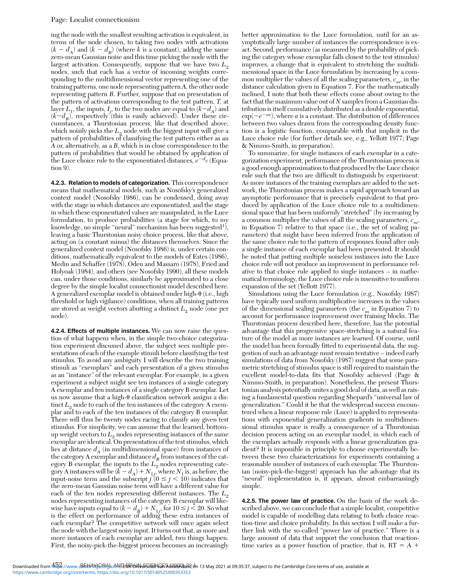ing the node with the smallest resulting activation is equivalent, in terms of the node chosen, to taking two nodes with activations  $(k - d_A)$  and  $(k - d_B)$  (where *k* is a constant), adding the same zero-mean Gaussian noise and this time picking the node with the largest activation. Consequently, suppose that we have two  $L_2$ nodes, such that each has a vector of incoming weights corresponding to the multidimensional vector representing one of the training patterns, one node representing pattern *A,* the other node representing pattern *B.* Further, suppose that on presentation of the pattern of activations corresponding to the test pattern, *T,* at layer  $L_1$ , the inputs,  $I_j$ , to the two nodes are equal to  $(k-d_A)$  and  $(k-d_B)$ , respectively (this is easily achieved). Under these circumstances, a Thurstonian process, like that described above, which noisily picks the  $L_{\scriptscriptstyle 2}$  node with the biggest input will give a pattern of probabilities of classifying the test pattern either as an *A* or, alternatively, as a *B,* which is in close correspondence to the pattern of probabilities that would be obtained by application of the Luce choice rule to the exponentiated distances,  $e^{-d_{ij}}$  (Equation 9).

**4.2.3. Relation to models of categorization.** This correspondence means that mathematical models, such as Nosofsky's generalized context model (Nosofsky 1986), can be condensed, doing away with the stage in which distances are exponentiated, and the stage in which these exponentiated values are manipulated, in the Luce formulation, to produce probabilities (a stage for which, to my knowledge, no simple "neural" mechanism has been suggested<sup>1</sup>), leaving a basic Thurstonian noisy choice process, like that above, acting on (a constant minus) the distances themselves. Since the generalized context model (Nosofsky 1986) is, under certain conditions, mathematically equivalent to the models of Estes (1986), Medin and Schaffer (1978), Oden and Massaro (1978), Fried and Holyoak (1984), and others (see Nosofsky 1990), all these models can, under those conditions, similarly be approximated to a close degree by the simple localist connectionist model described here. A generalized exemplar model is obtained under high- $\theta$  (i.e., high threshold or high vigilance) conditions, when all training patterns are stored as weight vectors abutting a distinct  $L_2$  node (one per node).

**4.2.4. Effects of multiple instances.** We can now raise the question of what happens when, in the simple two-choice categorization experiment discussed above, the subject sees multiple presentations of each of the example stimuli before classifying the test stimulus. To avoid any ambiguity I will describe the two training stimuli as "exemplars" and each presentation of a given stimulus as an "instance" of the relevant exemplar. For example, in a given experiment a subject might see ten instances of a single category A exemplar and ten instances of a single category B exemplar. Let us now assume that a high- $\theta$  classification network assigns a distinct  $L_2$  node to each of the ten instances of the category A exemplar and to each of the ten instances of the category B exemplar. There will thus be twenty nodes racing to classify any given test stimulus. For simplicity, we can assume that the learned, bottomup weight vectors to  $L_2$  nodes representing instances of the same exemplar are identical. On presentation of the test stimulus, which lies at distance  $d_A$  (in multidimensional space) from instances of the category A exemplar and distance  $d_B$  from instances of the category B exemplar, the inputs to the *L*<sup>2</sup> nodes representing category A instances will be  $(k - d_A) + N_{1j}$ , where  $N_1$  is, as before, the input-noise term and the subscript  $j'(0 \le j < 10)$  indicates that the zero-mean Gaussian noise term will have a different value for each of the ten nodes representing different instances. The  $L<sub>2</sub>$ nodes representing instances of the category B exemplar will likewise have inputs equal to  $(k - d_B) + N_{1j}$ , for  $10 \le j < 20$ . So what is the effect on performance of adding these extra instances of each exemplar? The competitive network will once again select the node with the largest noisy input. It turns out that, as more and more instances of each exemplar are added, two things happen. First, the noisy-pick-the-biggest process becomes an increasingly

better approximation to the Luce formulation, until for an asymptotically large number of instances the correspondence is exact. Second, performance (as measured by the probability of picking the category whose exemplar falls closest to the test stimulus) improves, a change that is equivalent to stretching the multidimensional space in the Luce formulation by increasing by a common multiplier the values of all the scaling parameters,  $c_m$ , in the distance calculation given in Equation 7. For the mathematically inclined, I note that both these effects come about owing to the fact that the maximum value out of *N* samples from a Gaussian distribution is itself cumulatively distributed as a double exponential,  $\exp(-e^{-ax})$ , where *a* is a constant. The distribution of differences between two values drawn from the corresponding density function is a logistic function, comparable with that implicit in the Luce choice rule (for further details see, e.g., Yellott 1977; Page & Nimmo-Smith, in preparation).

To summarize, for single instances of each exemplar in a categorization experiment, performance of the Thurstonian process is a good enough approximation to that produced by the Luce choice rule such that the two are difficult to distinguish by experiment. As more instances of the training exemplars are added to the network, the Thurstonian process makes a rapid approach toward an asymptotic performance that is precisely equivalent to that produced by application of the Luce choice rule to a multidimensional space that has been uniformly "stretched" (by increasing by a common multiplier the values of all the scaling parameters,  $c_m$ , in Equation 7) relative to that space (i.e., the set of scaling parameters) that might have been inferred from the application of the same choice rule to the pattern of responses found after only a single instance of each exemplar had been presented. It should be noted that putting multiple noiseless instances into the Luce choice rule will not produce an improvement in performance relative to that choice rule applied to single instances – in mathematical terminology, the Luce choice rule is insensitive to uniform expansion of the set (Yellott 1977).

Simulations using the Luce formulation (e.g., Nosofsky 1987) have typically used uniform multiplicative increases in the values of the dimensional scaling parameters (the  $c_m$  in Equation 7) to account for performance improvement over training blocks. The Thurstonian process described here, therefore, has the potential advantage that this progressive space-stretching is a natural feature of the model as more instances are learned. Of course, until the model has been formally fitted to experimental data, the suggestion of such an advantage must remain tentative – indeed early simulations of data from Nosofsky (1987) suggest that some parametric stretching of stimulus space is still required to maintain the excellent model-to-data fits that Nosofsky achieved (Page & Nimmo-Smith, in preparation). Nonetheless, the present Thurstonian analysis potentially unites a good deal of data, as well as raising a fundamental question regarding Shepard's "universal law of generalization." Could it be that the widespread success encountered when a linear response rule (Luce) is applied to representations with exponential generalization gradients in multidimensional stimulus space is really a consequence of a Thurstonian decision process acting on an exemplar model, in which each of the exemplars actually responds with a linear generalization gradient? It is impossible in principle to choose experimentally between these two characterizations for experiments containing a reasonable number of instances of each exemplar. The Thurstonian (noisy-pick-the-biggest) approach has the advantage that its "neural" implementation is, it appears, almost embarrassingly simple.

**4.2.5. The power law of practice.** On the basis of the work described above, we can conclude that a simple localist, competitive model is capable of modelling data relating to both choice reaction-time and choice probability. In this section I will make a further link with the so-called "power law of practice." There is a large amount of data that support the conclusion that reactiontime varies as a power function of practice, that is,  $RT = A +$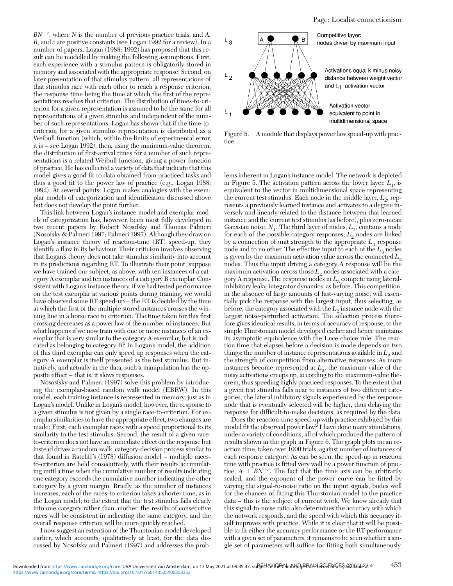$BN^{-c}$ , where *N* is the number of previous practice trials, and *A*, *B,* and *c* are positive constants (see Logan 1992 for a review). In a number of papers, Logan (1988; 1992) has proposed that this result can be modelled by making the following assumptions. First, each experience with a stimulus pattern is obligatorily stored in memory and associated with the appropriate response. Second, on later presentation of that stimulus pattern, all representations of that stimulus race with each other to reach a response criterion, the response time being the time at which the first of the representations reaches that criterion. The distribution of times-to-criterion for a given representation is assumed to be the same for all representations of a given stimulus and independent of the number of such representations. Logan has shown that if the time-tocriterion for a given stimulus representation is distributed as a Weibull function (which, within the limits of experimental error, it is – see Logan 1992), then, using the minimum-value theorem, the distribution of first-arrival times for a number of such representations is a related Weibull function, giving a power function of practice. He has collected a variety of data that indicate that this model gives a good fit to data obtained from practiced tasks and thus a good fit to the power law of practice (e.g., Logan 1988; 1992). At several points, Logan makes analogies with the exemplar models of categorization and identification discussed above but does not develop the point further.

This link between Logan's instance model and exemplar models of categorization has, however, been most fully developed in two recent papers by Robert Nosofsky and Thomas Palmeri (Nosofsky & Palmeri 1997; Palmeri 1997). Although they draw on Logan's instance theory of reaction-time (RT) speed-up, they identify a flaw in its behaviour. Their criticism involves observing that Logan's theory does not take stimulus similarity into account in its predictions regarding RT. To illustrate their point, suppose we have trained our subject, as above, with ten instances of a category A exemplar and ten instances of a category B exemplar. Consistent with Logan's instance theory, if we had tested performance on the test exemplar at various points during training, we would have observed some RT speed-up – the RT is decided by the time at which the first of the multiple stored instances crosses the winning line in a horse race to criterion. The time taken for this first crossing decreases as a power law of the number of instances. But what happens if we now train with one or more instances of an exemplar that is very similar to the category A exemplar, but is indicated as belonging to category B? In Logan's model, the addition of this third exemplar can only speed up responses when the category A exemplar is itself presented as the test stimulus. But intuitively, and actually in the data, such a manipulation has the opposite effect – that is, it slows responses.

Nososfsky and Palmeri (1997) solve this problem by introducing the exemplar-based random walk model (EBRW). In this model, each training instance is represented in memory, just as in Logan's model. Unlike in Logan's model, however, the response to a given stimulus is not given by a single race-to-criterion. For exemplar similarities to have the appropriate effect, two changes are made: First, each exemplar races with a speed proportional to its similarity to the test stimulus. Second, the result of a given raceto-criterion does not have an immediate effect on the response but instead drives a random-walk, category-decision process similar to that found in Ratcliff's (1978) diffusion model – multiple racesto-criterion are held consecutively, with their results accumulating until a time when the cumulative number of results indicating one category exceeds the cumulative number indicating the other category by a given margin. Briefly, as the number of instances increases, each of the races-to-criterion takes a shorter time, as in the Logan model; to the extent that the test stimulus falls clearly into one category rather than another, the results of consecutive races will be consistent in indicating the same category, and the overall response criterion will be more quickly reached.

I now suggest an extension of the Thurstonian model developed earlier, which accounts, qualitatively at least, for the data discussed by Nosofsky and Palmeri (1997) and addresses the prob-



Figure 5. A module that displays power law speed-up with practice.

lems inherent in Logan's instance model. The network is depicted in Figure 5. The activation pattern across the lower layer,  $L_1$ , is equivalent to the vector in multidimensional space representing the current test stimulus. Each node in the middle layer,  $L_2$ , represents a previously learned instance and activates to a degree inversely and linearly related to the distance between that learned instance and the current test stimulus (as before), plus zero-mean Gaussian noise,  $N_1$ . The third layer of nodes,  $L_3$ , contains a node for each of the possible category responses;  $L_2$  nodes are linked by a connection of unit strength to the appropriate  $L_3$  response node and to no other. The effective input to each of the  $L_3$  nodes is given by the maximum activation value across the connected  $L<sub>2</sub>$ nodes. Thus the input driving a category A response will be the maximum activation across those  $L_2$  nodes associated with a category A response. The response nodes in  $L_3$  compete using lateralinhibitory leaky-integrator dynamics, as before. This competition, in the absence of large amounts of fast-varying noise, will essentially pick the response with the largest input, thus selecting, as before, the category associated with the  $L_2$  instance node with the largest noise-perturbed activation. The selection process therefore gives identical results, in terms of accuracy of response, to the simple Thurstonian model developed earlier and hence maintains its asymptotic equivalence with the Luce choice rule. The reaction time that elapses before a decision is made depends on two things: the number of instance representations available in  $L<sub>2</sub>$  and the strength of competition from alternative responses. As more instances become represented at  $L_2$ , the maximum value of the noisy activations creeps up, according to the maximum-value theorem, thus speeding highly practiced responses. To the extent that a given test stimulus falls near to instances of two different categories, the lateral inhibitory signals experienced by the response node that is eventually selected will be higher, thus delaying the response for difficult-to-make decisions, as required by the data.

Does the reaction-time speed-up with practice exhibited by this model fit the observed power law? I have done many simulations, under a variety of conditions, all of which produced the pattern of results shown in the graph in Figure 6. The graph plots mean reaction time, taken over 1000 trials, against number of instances of each response category. As can be seen, the speed-up in reaction time with practice is fitted very well by a power function of practice,  $A + B N^{-c}$ . The fact that the time axis can be arbitrarily scaled, and the exponent of the power curve can be fitted by varying the signal-to-noise ratio on the input signals, bodes well for the chances of fitting this Thurstonian model to the practice data – this is the subject of current work. We know already that this signal-to-noise ratio also determines the accuracy with which the network responds, and the speed with which this accuracy itself improves with practice. While it is clear that it will be possible to fit either the accuracy performance or the RT performance with a given set of parameters, it remains to be seen whether a single set of parameters will suffice for fitting both simultaneously.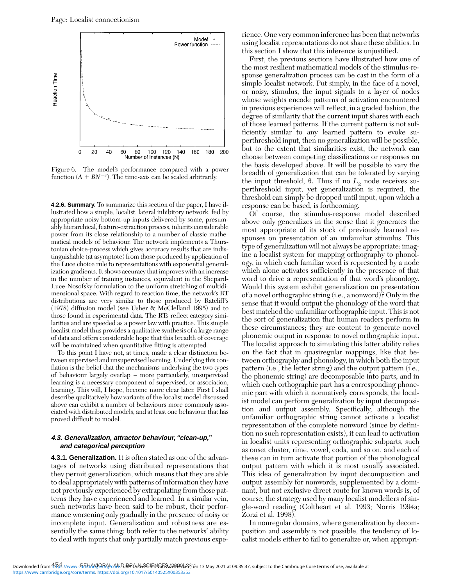

Figure 6. The model's performance compared with a power function  $(A + BN^{-c})$ . The time-axis can be scaled arbitrarily.

**4.2.6. Summary.** To summarize this section of the paper, I have illustrated how a simple, localist, lateral inhibitory network, fed by appropriate noisy bottom-up inputs delivered by some, presumably hierarchical, feature-extraction process, inherits considerable power from its close relationship to a number of classic mathematical models of behaviour. The network implements a Thurstonian choice-process which gives accuracy results that are indistinguishable (at asymptote) from those produced by application of the Luce choice rule to representations with exponential generalization gradients. It shows accuracy that improves with an increase in the number of training instances, equivalent in the Shepard-Luce-Nosofsky formulation to the uniform stretching of multidimensional space. With regard to reaction time, the network's RT distributions are very similar to those produced by Ratcliff's (1978) diffusion model (see Usher & McClelland 1995) and to those found in experimental data. The RTs reflect category similarities and are speeded as a power law with practice. This simple localist model thus provides a qualitative synthesis of a large range of data and offers considerable hope that this breadth of coverage will be maintained when quantitative fitting is attempted.

To this point I have not, at times, made a clear distinction between supervised and unsupervised learning. Underlying this conflation is the belief that the mechanisms underlying the two types of behaviour largely overlap – more particularly, unsupervised learning is a necessary component of supervised, or association, learning. This will, I hope, become more clear later. First I shall describe qualitatively how variants of the localist model discussed above can exhibit a number of behaviours more commonly associated with distributed models, and at least one behaviour that has proved difficult to model.

## **4.3. Generalization, attractor behaviour, "clean-up," and categorical perception**

**4.3.1. Generalization.** It is often stated as one of the advantages of networks using distributed representations that they permit generalization, which means that they are able to deal appropriately with patterns of information they have not previously experienced by extrapolating from those patterns they have experienced and learned. In a similar vein, such networks have been said to be robust, their performance worsening only gradually in the presence of noisy or incomplete input. Generalization and robustness are essentially the same thing: both refer to the networks' ability to deal with inputs that only partially match previous experience. One very common inference has been that networks using localist representations do not share these abilities. In this section I show that this inference is unjustified.

First, the previous sections have illustrated how one of the most resilient mathematical models of the stimulus-response generalization process can be cast in the form of a simple localist network. Put simply, in the face of a novel, or noisy, stimulus, the input signals to a layer of nodes whose weights encode patterns of activation encountered in previous experiences will reflect, in a graded fashion, the degree of similarity that the current input shares with each of those learned patterns. If the current pattern is not sufficiently similar to any learned pattern to evoke superthreshold input, then no generalization will be possible, but to the extent that similarities exist, the network can choose between competing classifications or responses on the basis developed above. It will be possible to vary the breadth of generalization that can be tolerated by varying the input threshold,  $\theta$ . Thus if no  $L_2$  node receives superthreshold input, yet generalization is required, the threshold can simply be dropped until input, upon which a response can be based, is forthcoming.

Of course, the stimulus-response model described above only generalizes in the sense that it generates the most appropriate of its stock of previously learned responses on presentation of an unfamiliar stimulus. This type of generalization will not always be appropriate: imagine a localist system for mapping orthography to phonology, in which each familiar word is represented by a node which alone activates sufficiently in the presence of that word to drive a representation of that word's phonology. Would this system exhibit generalization on presentation of a novel orthographic string (i.e., a nonword)? Only in the sense that it would output the phonology of the word that best matched the unfamiliar orthographic input. This is not the sort of generalization that human readers perform in these circumstances; they are content to generate novel phonemic output in response to novel orthographic input. The localist approach to simulating this latter ability relies on the fact that in quasiregular mappings, like that between orthography and phonology, in which both the input pattern (i.e., the letter string) and the output pattern (i.e., the phonemic string) are decomposable into parts, and in which each orthographic part has a corresponding phonemic part with which it normatively corresponds, the localist model can perform generalization by input decomposition and output assembly. Specifically, although the unfamiliar orthographic string cannot activate a localist representation of the complete nonword (since by definition no such representation exists), it can lead to activation in localist units representing orthographic subparts, such as onset cluster, rime, vowel, coda, and so on, and each of these can in turn activate that portion of the phonological output pattern with which it is most usually associated. This idea of generalization by input decomposition and output assembly for nonwords, supplemented by a dominant, but not exclusive direct route for known words is, of course, the strategy used by many localist modellers of single-word reading (Coltheart et al. 1993; Norris 1994a; Zorzi et al. 1998).

In nonregular domains, where generalization by decomposition and assembly is not possible, the tendency of localist models either to fail to generalize or, when appropri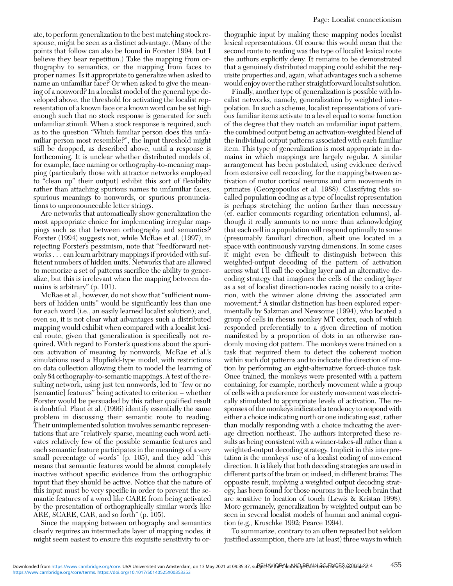ate, to perform generalization to the best matching stock response, might be seen as a distinct advantage. (Many of the points that follow can also be found in Forster 1994, but I believe they bear repetition.) Take the mapping from orthography to semantics, or the mapping from faces to proper names: Is it appropriate to generalize when asked to name an unfamiliar face? Or when asked to give the meaning of a nonword? In a localist model of the general type developed above, the threshold for activating the localist representation of a known face or a known word can be set high enough such that no stock response is generated for such unfamiliar stimuli. When a stock response is required, such as to the question "Which familiar person does this unfamiliar person most resemble?", the input threshold might still be dropped, as described above, until a response is forthcoming. It is unclear whether distributed models of, for example, face naming or orthography-to-meaning mapping (particularly those with attractor networks employed to "clean up" their output) exhibit this sort of flexibility rather than attaching spurious names to unfamiliar faces, spurious meanings to nonwords, or spurious pronunciations to unpronounceable letter strings.

Are networks that automatically show generalization the most appropriate choice for implementing irregular mappings such as that between orthography and semantics? Forster (1994) suggests not, while McRae et al. (1997), in rejecting Forster's pessimism, note that "feedforward networks . . . can learn arbitrary mappings if provided with sufficient numbers of hidden units. Networks that are allowed to memorize a set of patterns sacrifice the ability to generalize, but this is irrelevant when the mapping between domains is arbitrary" (p. 101).

McRae et al., however, do not show that "sufficient numbers of hidden units" would be significantly less than one for each word (i.e., an easily learned localist solution); and, even so, it is not clear what advantages such a distributed mapping would exhibit when compared with a localist lexical route, given that generalization is specifically not required. With regard to Forster's questions about the spurious activation of meaning by nonwords, McRae et al.'s simulations used a Hopfield-type model, with restrictions on data collection allowing them to model the learning of only 84 orthography-to-semantic mappings. A test of the resulting network, using just ten nonwords, led to "few or no [semantic] features" being activated to criterion – whether Forster would be persuaded by this rather qualified result is doubtful. Plaut et al. (1996) identify essentially the same problem in discussing their semantic route to reading. Their unimplemented solution involves semantic representations that are "relatively sparse, meaning each word activates relatively few of the possible semantic features and each semantic feature participates in the meanings of a very small percentage of words" (p. 105), and they add "this means that semantic features would be almost completely inactive without specific evidence from the orthographic input that they should be active. Notice that the nature of this input must be very specific in order to prevent the semantic features of a word like CARE from being activated by the presentation of orthographically similar words like ARE, SCARE, CAR, and so forth" (p. 105).

Since the mapping between orthography and semantics clearly requires an intermediate layer of mapping nodes, it might seem easiest to ensure this exquisite sensitivity to or-

thographic input by making these mapping nodes localist lexical representations. Of course this would mean that the second route to reading was the type of localist lexical route the authors explicitly deny. It remains to be demonstrated that a genuinely distributed mapping could exhibit the requisite properties and, again, what advantages such a scheme would enjoy over the rather straightforward localist solution.

Finally, another type of generalization is possible with localist networks, namely, generalization by weighted interpolation. In such a scheme, localist representations of various familiar items activate to a level equal to some function of the degree that they match an unfamiliar input pattern, the combined output being an activation-weighted blend of the individual output patterns associated with each familiar item. This type of generalization is most appropriate in domains in which mappings are largely regular. A similar arrangement has been postulated, using evidence derived from extensive cell recording, for the mapping between activation of motor cortical neurons and arm movements in primates (Georgopoulos et al. 1988). Classifying this socalled population coding as a type of localist representation is perhaps stretching the notion farther than necessary (cf. earlier comments regarding orientation columns), although it really amounts to no more than acknowledging that each cell in a population will respond optimally to some (presumably familiar) direction, albeit one located in a space with continuously varying dimensions. In some cases it might even be difficult to distinguish between this weighted-output decoding of the pattern of activation across what I'll call the coding layer and an alternative decoding strategy that imagines the cells of the coding layer as a set of localist direction-nodes racing noisily to a criterion, with the winner alone driving the associated arm movement.<sup>2</sup> A similar distinction has been explored experimentally by Salzman and Newsome (1994), who located a group of cells in rhesus monkey MT cortex, each of which responded preferentially to a given direction of motion manifested by a proportion of dots in an otherwise randomly moving dot pattern. The monkeys were trained on a task that required them to detect the coherent motion within such dot patterns and to indicate the direction of motion by performing an eight-alternative forced-choice task. Once trained, the monkeys were presented with a pattern containing, for example, northerly movement while a group of cells with a preference for easterly movement was electrically stimulated to appropriate levels of activation. The responses of the monkeys indicated a tendency to respond with either a choice indicating north or one indicating east, rather than modally responding with a choice indicating the average direction northeast. The authors interpreted these results as being consistent with a winner-takes-all rather than a weighted-output decoding strategy. Implicit in this interpretation is the monkeys' use of a localist coding of movement direction. It is likely that both decoding strategies are used in different parts of the brain or, indeed, in different brains: The opposite result, implying a weighted output decoding strategy, has been found for those neurons in the leech brain that are sensitive to location of touch (Lewis & Kristan 1998). More germanely, generalization by weighted output can be seen in several localist models of human and animal cognition (e.g., Kruschke 1992; Pearce 1994).

To summarize, contrary to an often repeated but seldom justified assumption, there are (at least) three ways in which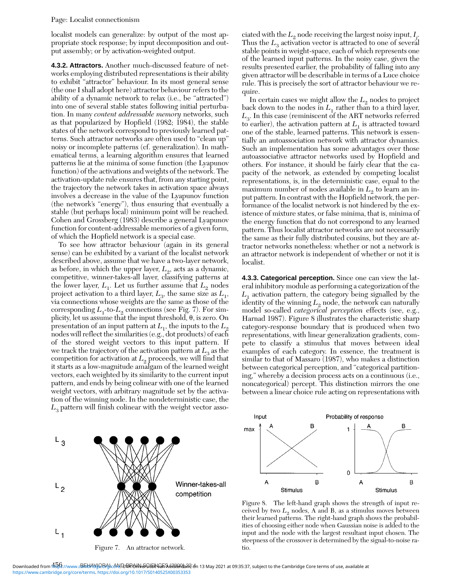#### Page: Localist connectionism

localist models can generalize: by output of the most appropriate stock response; by input decomposition and output assembly; or by activation-weighted output.

**4.3.2. Attractors.** Another much-discussed feature of networks employing distributed representations is their ability to exhibit "attractor" behaviour. In its most general sense (the one I shall adopt here) attractor behaviour refers to the ability of a dynamic network to relax (i.e., be "attracted") into one of several stable states following initial perturbation. In many *content addressable memory* networks, such as that popularized by Hopfield (1982; 1984), the stable states of the network correspond to previously learned patterns. Such attractor networks are often used to "clean up" noisy or incomplete patterns (cf. generalization). In mathematical terms, a learning algorithm ensures that learned patterns lie at the minima of some function (the Lyapunov function) of the activations and weights of the network. The activation-update rule ensures that, from any starting point, the trajectory the network takes in activation space always involves a decrease in the value of the Lyapunov function (the network's "energy"), thus ensuring that eventually a stable (but perhaps local) minimum point will be reached. Cohen and Grossberg (1983) describe a general Lyapunov function for content-addressable memories of a given form, of which the Hopfield network is a special case.

To see how attractor behaviour (again in its general sense) can be exhibited by a variant of the localist network described above, assume that we have a two-layer network, as before, in which the upper layer,  $L_2$ , acts as a dynamic, competitive, winner-takes-all layer, classifying patterns at the lower layer,  $L_1$ . Let us further assume that  $L_2$  nodes project activation to a third layer,  $L_3$ , the same size as  $L_1$ , via connections whose weights are the same as those of the corresponding  $L_1$ -to- $L_2$  connections (see Fig. 7). For simplicity, let us assume that the input threshold,  $\theta$ , is zero. On presentation of an input pattern at *L*<sub>1</sub>, the inputs to the *L*<sub>2</sub> nodes will reflect the similarities (e.g., dot products) of each of the stored weight vectors to this input pattern. If we track the trajectory of the activation pattern at  $L_3$  as the competition for activation at  $L_2$  proceeds, we will find that it starts as a low-magnitude amalgam of the learned weight vectors, each weighted by its similarity to the current input pattern, and ends by being colinear with one of the learned weight vectors, with arbitrary magnitude set by the activation of the winning node. In the nondeterministic case, the  $L<sub>3</sub>$  pattern will finish colinear with the weight vector asso-

 $L_{3}$ Winner-takes-all  $L_{2}$ competition  $L_{1}$ 

Figure 7. An attractor network.

ciated with the  $L_2$  node receiving the largest noisy input,  $I_j$ Thus the  $L_3$  activation vector is attracted to one of several stable points in weight-space, each of which represents one of the learned input patterns. In the noisy case, given the results presented earlier, the probability of falling into any given attractor will be describable in terms of a Luce choice rule. This is precisely the sort of attractor behaviour we require.

In certain cases we might allow the  $L_2$  nodes to project back down to the nodes in  $L_1$  rather than to a third layer, *L*3. In this case (reminiscent of the ART networks referred to earlier), the activation pattern at  $L_1$  is attracted toward one of the stable, learned patterns. This network is essentially an autoassociation network with attractor dynamics. Such an implementation has some advantages over those autoassociative attractor networks used by Hopfield and others. For instance, it should be fairly clear that the capacity of the network, as extended by competing localist representations, is, in the deterministic case, equal to the maximum number of nodes available in  $L<sub>2</sub>$  to learn an input pattern. In contrast with the Hopfield network, the performance of the localist network is not hindered by the existence of mixture states, or false minima, that is, minima of the energy function that do not correspond to any learned pattern. Thus localist attractor networks are not necessarily the same as their fully distributed cousins, but they are attractor networks nonetheless: whether or not a network is an attractor network is independent of whether or not it is localist.

**4.3.3. Categorical perception.** Since one can view the lateral inhibitory module as performing a categorization of the  $L<sub>1</sub>$  activation pattern, the category being signalled by the identity of the winning  $L_2$  node, the network can naturally model so-called *categorical perception* effects (see, e.g., Harnad 1987). Figure 8 illustrates the characteristic sharp category-response boundary that is produced when two representations, with linear generalization gradients, compete to classify a stimulus that moves between ideal examples of each category. In essence, the treatment is similar to that of Massaro (1987), who makes a distinction between categorical perception, and "categorical partitioning," whereby a decision process acts on a continuous (i.e., noncategorical) percept. This distinction mirrors the one between a linear choice rule acting on representations with



Figure 8. The left-hand graph shows the strength of input received by two  $L_2$  nodes, A and B, as a stimulus moves between their learned patterns. The right-hand graph shows the probabilities of choosing either node when Gaussian noise is added to the input and the node with the largest resultant input chosen. The steepness of the crossover is determined by the signal-to-noise ratio.

Downloaded from 1સ્ત્રિ9://www.cB튜터AWJQBAJk.cANDURROHNeFSHENG듀SAff39eRdaନନି:dn 13 May 2021 at 09:35:37, subject to the Cambridge Core terms of use, available at [https://www.cambridge.org/core/terms.](https://www.cambridge.org/core/terms) <https://doi.org/10.1017/S0140525X00353353>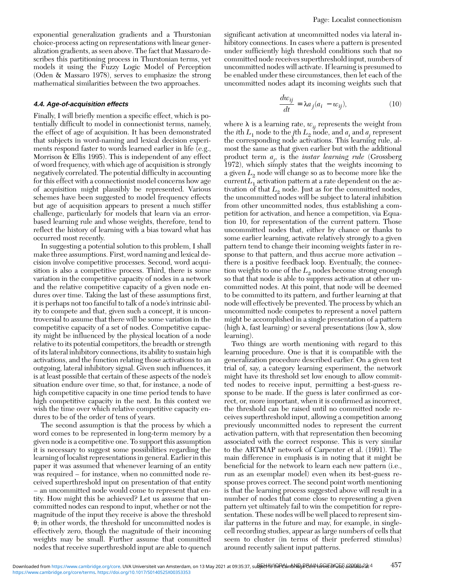exponential generalization gradients and a Thurstonian choice-process acting on representations with linear generalization gradients, as seen above. The fact that Massaro describes this partitioning process in Thurstonian terms, yet models it using the Fuzzy Logic Model of Perception (Oden & Massaro 1978), serves to emphasize the strong mathematical similarities between the two approaches.

#### **4.4. Age-of-acquisition effects**

Finally, I will briefly mention a specific effect, which is potentially difficult to model in connectionist terms, namely, the effect of age of acquisition. It has been demonstrated that subjects in word-naming and lexical decision experiments respond faster to words learned earlier in life (e.g., Morrison & Ellis 1995). This is independent of any effect of word frequency, with which age of acquisition is strongly negatively correlated. The potential difficulty in accounting for this effect with a connectionist model concerns how age of acquisition might plausibly be represented. Various schemes have been suggested to model frequency effects but age of acquisition appears to present a much stiffer challenge, particularly for models that learn via an errorbased learning rule and whose weights, therefore, tend to reflect the history of learning with a bias toward what has occurred most recently.

In suggesting a potential solution to this problem, I shall make three assumptions. First, word naming and lexical decision involve competitive processes. Second, word acquisition is also a competitive process. Third, there is some variation in the competitive capacity of nodes in a network and the relative competitive capacity of a given node endures over time. Taking the last of these assumptions first, it is perhaps not too fanciful to talk of a node's intrinsic ability to compete and that, given such a concept, it is uncontroversial to assume that there will be some variation in the competitive capacity of a set of nodes. Competitive capacity might be influenced by the physical location of a node relative to its potential competitors, the breadth or strength of its lateral inhibitory connections, its ability to sustain high activations, and the function relating those activations to an outgoing, lateral inhibitory signal. Given such influences, it is at least possible that certain of these aspects of the node's situation endure over time, so that, for instance, a node of high competitive capacity in one time period tends to have high competitive capacity in the next. In this context we wish the time over which relative competitive capacity endures to be of the order of tens of years.

The second assumption is that the process by which a word comes to be represented in long-term memory by a given node is a competitive one. To support this assumption it is necessary to suggest some possibilities regarding the learning of localist representations in general. Earlier in this paper it was assumed that whenever learning of an entity was required – for instance, when no committed node received superthreshold input on presentation of that entity – an uncommitted node would come to represent that entity. How might this be achieved? Let us assume that uncommitted nodes can respond to input, whether or not the magnitude of the input they receive is above the threshold  $\theta$ ; in other words, the threshold for uncommitted nodes is effectively zero, though the magnitude of their incoming weights may be small. Further assume that committed nodes that receive superthreshold input are able to quench

significant activation at uncommitted nodes via lateral inhibitory connections. In cases where a pattern is presented under sufficiently high threshold conditions such that no committed node receives superthreshold input, numbers of uncommitted nodes will activate. If learning is presumed to be enabled under these circumstances, then let each of the uncommitted nodes adapt its incoming weights such that

$$
\frac{dw_{ij}}{dt} = \lambda a_j (a_i - w_{ij}),\tag{10}
$$

where  $\lambda$  is a learning rate,  $w_{ij}$  represents the weight from the *i*th  $L_1$  node to the *j*th  $L_2$  node, and  $a_i$  and  $a_j$  represent the corresponding node activations. This learning rule, almost the same as that given earlier but with the additional product term *aj* , is the *instar learning rule* (Grossberg 1972), which simply states that the weights incoming to a given  $L_2$  node will change so as to become more like the current $L_1$  activation pattern at a rate dependent on the activation of that  $L_2$  node. Just as for the committed nodes, the uncommitted nodes will be subject to lateral inhibition from other uncommitted nodes, thus establishing a competition for activation, and hence a competition, via Equation 10, for representation of the current pattern. Those uncommitted nodes that, either by chance or thanks to some earlier learning, activate relatively strongly to a given pattern tend to change their incoming weights faster in response to that pattern, and thus accrue more activation – there is a positive feedback loop. Eventually, the connection weights to one of the  $L<sub>2</sub>$  nodes become strong enough so that that node is able to suppress activation at other uncommitted nodes. At this point, that node will be deemed to be committed to its pattern, and further learning at that node will effectively be prevented. The process by which an uncommitted node competes to represent a novel pattern might be accomplished in a single presentation of a pattern (high  $\lambda$ , fast learning) or several presentations (low  $\lambda$ , slow learning).

Two things are worth mentioning with regard to this learning procedure. One is that it is compatible with the generalization procedure described earlier. On a given test trial of, say, a category learning experiment, the network might have its threshold set low enough to allow committed nodes to receive input, permitting a best-guess response to be made. If the guess is later confirmed as correct, or, more important, when it is confirmed as incorrect, the threshold can be raised until no committed node receives superthreshold input, allowing a competition among previously uncommitted nodes to represent the current activation pattern, with that representation then becoming associated with the correct response. This is very similar to the ARTMAP network of Carpenter et al. (1991). The main difference in emphasis is in noting that it might be beneficial for the network to learn each new pattern (i.e., run as an exemplar model) even when its best-guess response proves correct. The second point worth mentioning is that the learning process suggested above will result in a number of nodes that come close to representing a given pattern yet ultimately fail to win the competition for representation. These nodes will be well placed to represent similar patterns in the future and may, for example, in singlecell recording studies, appear as large numbers of cells that seem to cluster (in terms of their preferred stimulus) around recently salient input patterns.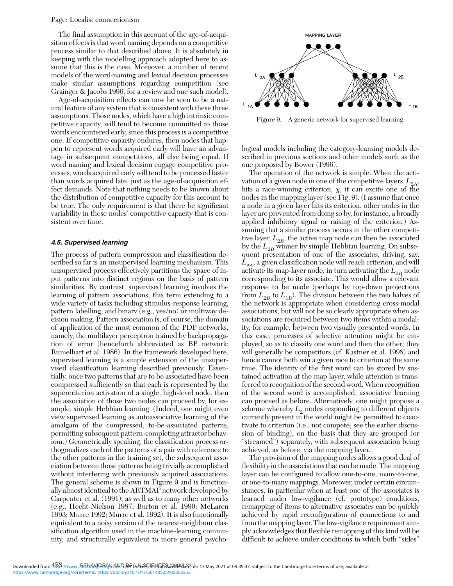## Page: Localist connectionism

The final assumption in this account of the age-of-acquisition effects is that word naming depends on a competitive process similar to that described above. It is absolutely in keeping with the modelling approach adopted here to assume that this is the case. Moreover, a number of recent models of the word-naming and lexical decision processes make similar assumptions regarding competition (see Grainger & Jacobs 1996, for a review and one such model).

Age-of-acquisition effects can now be seen to be a natural feature of any system that is consistent with these three assumptions. Those nodes, which have a high intrinsic competitive capacity, will tend to become committed to those words encountered early, since this process is a competitive one. If competitive capacity endures, then nodes that happen to represent words acquired early will have an advantage in subsequent competitions, all else being equal. If word naming and lexical decision engage competitive processes, words acquired early will tend to be processed faster than words acquired late, just as the age-of-acquisition effect demands. Note that nothing needs to be known about the distribution of competitive capacity for this account to be true. The only requirement is that there be significant variability in these nodes' competitive capacity that is consistent over time.

## **4.5. Supervised learning**

The process of pattern compression and classification described so far is an unsupervised learning mechanism. This unsupervised process effectively partitions the space of input patterns into distinct regions on the basis of pattern similarities. By contrast, supervised learning involves the learning of pattern associations, this term extending to a wide variety of tasks including stimulus-response learning, pattern labelling, and binary (e.g., yes/no) or multiway decision making. Pattern association is, of course, the domain of application of the most common of the PDP networks, namely, the multilayer perceptron trained by backpropagation of error (henceforth abbreviated as BP network; Rumelhart et al. 1986). In the framework developed here, supervised learning is a simple extension of the unsupervised classification learning described previously. Essentially, once two patterns that are to be associated have been compressed sufficiently so that each is represented by the supercriterion activation of a single, high-level node, then the association of those two nodes can proceed by, for example, simple Hebbian learning. (Indeed, one might even view supervised learning as autoassociative learning of the amalgam of the compressed, to-be-associated patterns, permitting subsequent pattern-completing attractor behaviour.) Geometrically speaking, the classification process orthogonalizes each of the patterns of a pair with reference to the other patterns in the training set, the subsequent association between those patterns being trivially accomplished without interfering with previously acquired associations. The general scheme is shown in Figure 9 and is functionally almost identical to the ARTMAP network developed by Carpenter et al. (1991), as well as to many other networks (e.g., Hecht-Nielson 1987; Burton et al. 1990; McLaren 1993; Murre 1992; Murre et al. 1992). It is also functionally equivalent to a noisy version of the nearest-neighbour classification algorithm used in the machine-learning community, and structurally equivalent to more general psycho-



Figure 9. A generic network for supervised learning.

logical models including the category-learning models described in previous sections and other models such as the one proposed by Bower (1996).

The operation of the network is simple. When the activation of a given node in one of the competitive layers,  $L_{2A}$ , hits a race-winning criterion,  $\chi$ , it can excite one of the nodes in the mapping layer (see Fig. 9). (I assume that once a node in a given layer hits its criterion, other nodes in the layer are prevented from doing so by, for instance, a broadly applied inhibitory signal or raising of the criterion.) Assuming that a similar process occurs in the other competitive layer,  $L_{2B}$ , the active map node can then be associated by the  $L_{2B}$  winner by simple Hebbian learning. On subsequent presentation of one of the associates, driving, say, *L*2*A*, a given classification node will reach criterion, and will activate its map-layer node, in turn activating the  $L_{2B}$  node corresponding to its associate. This would allow a relevant response to be made (perhaps by top-down projections from  $L_{2B}$  to  $L_{1B}$ ). The division between the two halves of the network is appropriate when considering cross-modal associations, but will not be so clearly appropriate when associations are required between two items within a modality, for example, between two visually presented words. In this case, processes of selective attention might be employed, so as to classify one word and then the other; they will generally be competitors (cf. Kastner et al. 1998) and hence cannot both win a given race to criterion at the same time. The identity of the first word can be stored by sustained activation at the map layer, while attention is transferred to recognition of the second word. When recognition of the second word is accomplished, associative learning can proceed as before. Alternatively, one might propose a scheme whereby  $L_2$  nodes responding to different objects currently present in the world might be permitted to coactivate to criterion (i.e., not compete; see the earlier discussion of binding), on the basis that they are grouped (or "streamed") separately, with subsequent association being achieved, as before, via the mapping layer.

The provision of the mapping nodes allows a good deal of flexibility in the associations that can be made. The mapping layer can be configured to allow one-to-one, many-to-one, or one-to-many mappings. Moreover, under certain circumstances, in particular when at least one of the associates is learned under low-vigilance (cf. prototype) conditions, remapping of items to alternative associates can be quickly achieved by rapid reconfiguration of connections to and from the mapping layer. The low-vigilance requirement simply acknowledges that flexible remapping of this kind will be difficult to achieve under conditions in which both "sides"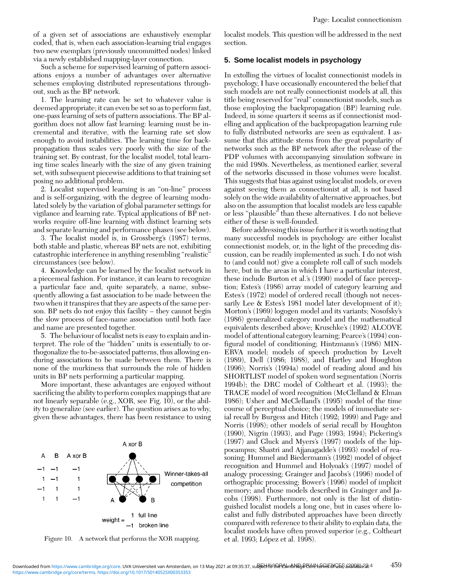of a given set of associations are exhaustively exemplar coded, that is, when each association-learning trial engages two new exemplars (previously uncommitted nodes) linked via a newly established mapping-layer connection.

Such a scheme for supervised learning of pattern associations enjoys a number of advantages over alternative schemes employing distributed representations throughout, such as the BP network.

1. The learning rate can be set to whatever value is deemed appropriate; it can even be set so as to perform fast, one-pass learning of sets of pattern associations. The BP algorithm does not allow fast learning: learning must be incremental and iterative, with the learning rate set slow enough to avoid instabilities. The learning time for backpropagation thus scales very poorly with the size of the training set. By contrast, for the localist model, total learning time scales linearly with the size of any given training set, with subsequent piecewise additions to that training set posing no additional problem.

2. Localist supervised learning is an "on-line" process and is self-organizing, with the degree of learning modulated solely by the variation of global parameter settings for vigilance and learning rate. Typical applications of BP networks require off-line learning with distinct learning sets and separate learning and performance phases (see below).

3. The localist model is, in Grossberg's (1987) terms, both stable and plastic, whereas BP nets are not, exhibiting catastrophic interference in anything resembling "realistic" circumstances (see below).

4. Knowledge can be learned by the localist network in a piecemeal fashion. For instance, it can learn to recognize a particular face and, quite separately, a name, subsequently allowing a fast association to be made between the two when it transpires that they are aspects of the same person. BP nets do not enjoy this facility – they cannot begin the slow process of face-name association until both face and name are presented together.

5. The behaviour of localist nets is easy to explain and interpret. The role of the "hidden" units is essentially to orthogonalize the to-be-associated patterns, thus allowing enduring associations to be made between them. There is none of the murkiness that surrounds the role of hidden units in BP nets performing a particular mapping.

More important, these advantages are enjoyed without sacrificing the ability to perform complex mappings that are not linearly separable (e.g., XOR, see Fig. 10), or the ability to generalize (see earlier). The question arises as to why, given these advantages, there has been resistance to using



Figure 10. A network that performs the XOR mapping.

localist models. This question will be addressed in the next section.

## **5. Some localist models in psychology**

In extolling the virtues of localist connectionist models in psychology, I have occasionally encountered the belief that such models are not really connectionist models at all, this title being reserved for "real" connectionist models, such as those employing the backpropagation (BP) learning rule. Indeed, in some quarters it seems as if connectionist modelling and application of the backpropagation learning rule to fully distributed networks are seen as equivalent. I assume that this attitude stems from the great popularity of networks such as the BP network after the release of the PDP volumes with accompanying simulation software in the mid 1980s. Nevertheless, as mentioned earlier, several of the networks discussed in those volumes were localist. This suggests that bias against using localist models, or even against seeing them as connectionist at all, is not based solely on the wide availability of alternative approaches, but also on the assumption that localist models are less capable or less "plausible" than these alternatives. I do not believe either of these is well-founded.

Before addressing this issue further it is worth noting that many successful models in psychology are either localist connectionist models, or, in the light of the preceding discussion, can be readily implemented as such. I do not wish to (and could not) give a complete roll call of such models here, but in the areas in which I have a particular interest, these include Burton et al.'s (1990) model of face perception; Estes's (1986) array model of category learning and Estes's (1972) model of ordered recall (though not necessarily Lee & Estes's 1981 model later development of it); Morton's (1969) logogen model and its variants; Nosofsky's (1986) generalized category model and the mathematical equivalents described above; Kruschke's (1992) ALCOVE model of attentional category learning; Pearce's (1994) configural model of conditioning; Hintzmann's (1986) MIN-ERVA model; models of speech production by Levelt (1989), Dell (1986; 1988), and Hartley and Houghton (1996); Norris's (1994a) model of reading aloud and his SHORTLIST model of spoken word segmentation (Norris 1994b); the DRC model of Coltheart et al. (1993); the TRACE model of word recognition (McClelland & Elman 1986); Usher and McClelland's (1995) model of the time course of perceptual choice; the models of immediate serial recall by Burgess and Hitch (1992; 1999) and Page and Norris (1998); other models of serial recall by Houghton (1990), Nigrin (1993), and Page (1993; 1994); Pickering's (1997) and Gluck and Myers's (1997) models of the hippocampus; Shastri and Ajjanagadde's (1993) model of reasoning; Hummel and Biedermann's (1992) model of object recognition and Hummel and Holyoak's (1997) model of analogy processing; Grainger and Jacobs's (1996) model of orthographic processing; Bower's (1996) model of implicit memory; and those models described in Grainger and Jacobs (1998). Furthermore, not only is the list of distinguished localist models a long one, but in cases where localist and fully distributed approaches have been directly compared with reference to their ability to explain data, the localist models have often proved superior (e.g., Coltheart et al. 1993; López et al. 1998).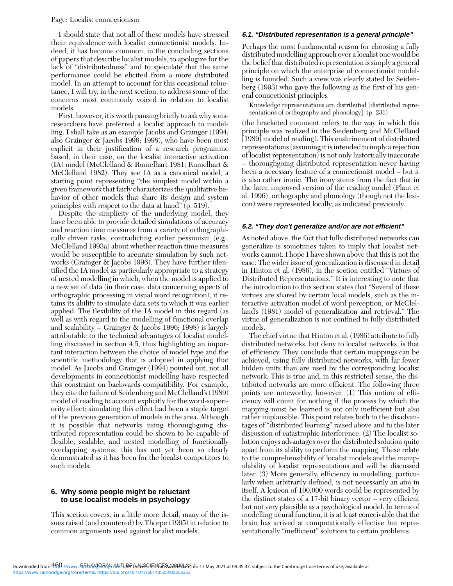I should state that not all of these models have stressed their equivalence with localist connectionist models. Indeed, it has become common, in the concluding sections of papers that describe localist models, to apologize for the lack of "distributedness" and to speculate that the same performance could be elicited from a more distributed model. In an attempt to account for this occasional reluctance, I will try, in the next section, to address some of the concerns most commonly voiced in relation to localist models.

First, however, it is worth pausing briefly to ask why some researchers have preferred a localist approach to modelling. I shall take as an example Jacobs and Grainger (1994; also Grainger & Jacobs 1996; 1998), who have been most explicit in their justification of a research programme based, in their case, on the localist interactive activation (IA) model (McClelland & Rumelhart 1981; Rumelhart & McClelland 1982). They see IA as a canonical model, a starting point representing "the simplest model within a given framework that fairly characterizes the qualitative behavior of other models that share its design and system principles with respect to the data at hand" (p. 519).

Despite the simplicity of the underlying model, they have been able to provide detailed simulations of accuracy and reaction time measures from a variety of orthographically driven tasks, contradicting earlier pessimism (e.g., McClelland 1993a) about whether reaction time measures would be susceptible to accurate simulation by such networks (Grainger & Jacobs 1996). They have further identified the IA model as particularly appropriate to a strategy of nested modelling in which, when the model is applied to a new set of data (in their case, data concerning aspects of orthographic processing in visual word recognition), it retains its ability to simulate data sets to which it was earlier applied. The flexibility of the IA model in this regard (as well as with regard to the modelling of functional overlap and scalability – Grainger & Jacobs 1996; 1998) is largely attributable to the technical advantages of localist modelling discussed in section 4.5, thus highlighting an important interaction between the choice of model type and the scientific methodology that is adopted in applying that model. As Jacobs and Grainger (1994) pointed out, not all developments in connectionist modelling have respected this constraint on backwards compatibility. For example, they cite the failure of Seidenberg and McClelland's (1989) model of reading to account explicitly for the word-superiority effect; simulating this effect had been a staple target of the previous generation of models in the area. Although it is possible that networks using thoroughgoing distributed representation could be shown to be capable of flexible, scalable, and nested modelling of functionally overlapping systems, this has not yet been so clearly demonstrated as it has been for the localist competitors to such models.

## **6. Why some people might be reluctant to use localist models in psychology**

This section covers, in a little more detail, many of the issues raised (and countered) by Thorpe (1995) in relation to common arguments used against localist models.

## **6.1. "Distributed representation is a general principle"**

Perhaps the most fundamental reason for choosing a fully distributed modelling approach over a localist one would be the belief that distributed representation is simply a general principle on which the enterprise of connectionist modelling is founded. Such a view was clearly stated by Seidenberg (1993) who gave the following as the first of his general connectionist principles

Knowledge representations are distributed [distributed representations of orthography and phonology]. (p. 231)

(the bracketed comment refers to the way in which this principle was realized in the Seidenberg and McClelland [1989] model of reading). This enshrinement of distributed representations (assuming it is intended to imply a rejection of localist representation) is not only historically inaccurate – thoroughgoing distributed representation never having been a necessary feature of a connectionist model – but it is also rather ironic. The irony stems from the fact that in the later, improved version of the reading model (Plaut et al. 1996), orthography and phonology (though not the lexicon) were represented locally, as indicated previously.

## **6.2. "They don't generalize and/or are not efficient"**

As noted above, the fact that fully distributed networks can generalize is sometimes taken to imply that localist networks cannot. I hope I have shown above that this is not the case. The wider issue of generalization is discussed in detail in Hinton et al. (1986), in the section entitled "Virtues of Distributed Representations." It is interesting to note that the introduction to this section states that "Several of these virtues are shared by certain local models, such as the interactive activation model of word perception, or McClelland's (1981) model of generalization and retrieval." The virtue of generalization is not confined to fully distributed models.

The chief virtue that Hinton et al. (1986) attribute to fully distributed networks, but deny to localist networks, is that of efficiency. They conclude that certain mappings can be achieved, using fully distributed networks, with far fewer hidden units than are used by the corresponding localist network. This is true and, in this restricted sense, the distributed networks are more efficient. The following three points are noteworthy, however. (1) This notion of efficiency will count for nothing if the process by which the mapping must be learned is not only inefficient but also rather implausible. This point relates both to the disadvantages of "distributed learning" raised above and to the later discussion of catastrophic interference. (2) The localist solution enjoys advantages over the distributed solution quite apart from its ability to perform the mapping. These relate to the comprehensibility of localist models and the manipulability of localist representations and will be discussed later. (3) More generally, efficiency in modelling, particularly when arbitrarily defined, is not necessarily an aim in itself. A lexicon of 100,000 words could be represented by the distinct states of a 17-bit binary vector – very efficient but not very plausible as a psychological model. In terms of modelling neural function, it is at least conceivable that the brain has arrived at computationally effective but representationally "inefficient" solutions to certain problems.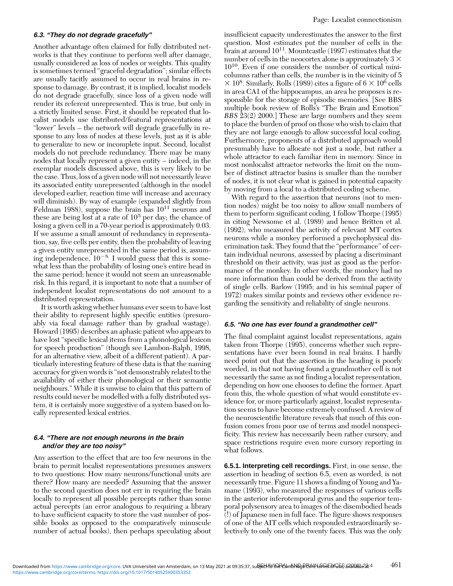## **6.3. "They do not degrade gracefully"**

Another advantage often claimed for fully distributed networks is that they continue to perform well after damage, usually considered as loss of nodes or weights. This quality is sometimes termed "graceful degradation"; similar effects are usually tacitly assumed to occur in real brains in response to damage. By contrast, it is implied, localist models do not degrade gracefully, since loss of a given node will render its referent unrepresented. This is true, but only in a strictly limited sense. First, it should be repeated that localist models use distributed/featural representations at "lower" levels – the network will degrade gracefully in response to any loss of nodes at these levels, just as it is able to generalize to new or incomplete input. Second, localist models do not preclude redundancy. There may be many nodes that locally represent a given entity – indeed, in the exemplar models discussed above, this is very likely to be the case. Thus, loss of a given node will not necessarily leave its associated entity unrepresented (although in the model developed earlier, reaction time will increase and accuracy will diminish). By way of example (expanded slightly from Feldman 1988), suppose the brain has  $10^{11}$  neurons and these are being lost at a rate of  $10^5$  per day; the chance of losing a given cell in a 70-year period is approximately 0.03. If we assume a small amount of redundancy in representation, say, five cells per entity, then the probability of leaving a given entity unrepresented in the same period is, assuming independence,  $10^{-8}$ . I would guess that this is somewhat less than the probability of losing one's entire head in the same period; hence it would not seem an unreasonable risk. In this regard, it is important to note that a number of independent localist representations do not amount to a distributed representation.

It is worth asking whether humans ever seem to have lost their ability to represent highly specific entities (presumably via focal damage rather than by gradual wastage). Howard (1995) describes an aphasic patient who appears to have lost "specific lexical items from a phonological lexicon for speech production" (though see Lambon-Ralph, 1998, for an alternative view, albeit of a different patient). A particularly interesting feature of these data is that the naming accuracy for given words is "not demonstrably related to the availability of either their phonological or their semantic neighbours." While it is unwise to claim that this pattern of results could never be modelled with a fully distributed system, it is certainly more suggestive of a system based on locally represented lexical entries.

## **6.4. "There are not enough neurons in the brain and/or they are too noisy"**

Any assertion to the effect that are too few neurons in the brain to permit localist representations presumes answers to two questions: How many neurons/functional units are there? How many are needed? Assuming that the answer to the second question does not err in requiring the brain locally to represent all possible percepts rather than some actual percepts (an error analogous to requiring a library to have sufficient capacity to store the vast number of possible books as opposed to the comparatively minuscule number of actual books), then perhaps speculating about insufficient capacity underestimates the answer to the first question. Most estimates put the number of cells in the brain at around  $10^{11}$ . Mountcastle (1997) estimates that the number of cells in the neocortex alone is approximately  $3 \times$ 1010. Even if one considers the number of cortical minicolumns rather than cells, the number is in the vicinity of 5  $\times$  10<sup>8</sup>. Similarly, Rolls (1989) cites a figure of 6  $\times$  10<sup>6</sup> cells in area CA1 of the hippocampus, an area he proposes is responsible for the storage of episodic memories. [See BBS multiple book review of Rolls's "The Brain and Emotion" *BBS* 23(2) 2000.] These are large numbers and they seem to place the burden of proof on those who wish to claim that they are not large enough to allow successful local coding. Furthermore, proponents of a distributed approach would presumably have to allocate not just a node, but rather a whole attractor to each familiar item in memory. Since in most nonlocalist attractor networks the limit on the number of distinct attractor basins is smaller than the number of nodes, it is not clear what is gained in potential capacity by moving from a local to a distributed coding scheme.

With regard to the assertion that neurons (not to mention nodes) might be too noisy to allow small numbers of them to perform significant coding, I follow Thorpe (1995) in citing Newsome et al. (1989) and hence Britten et al. (1992), who measured the activity of relevant MT cortex neurons while a monkey performed a psychophysical discrimination task. They found that the "performance" of certain individual neurons, assessed by placing a discriminant threshold on their activity, was just as good as the performance of the monkey. In other words, the monkey had no more information than could be derived from the activity of single cells. Barlow (1995; and in his seminal paper of 1972) makes similar points and reviews other evidence regarding the sensitivity and reliability of single neurons.

## **6.5. "No one has ever found a grandmother cell"**

The final complaint against localist representations, again taken from Thorpe (1995), concerns whether such representations have ever been found in real brains. I hardly need point out that the assertion in the heading is poorly worded, in that not having found a grandmother cell is not necessarily the same as not finding a localist representation, depending on how one chooses to define the former. Apart from this, the whole question of what would constitute evidence for, or more particularly against, localist representation seems to have become extremely confused. A review of the neuroscientific literature reveals that much of this confusion comes from poor use of terms and model nonspecificity. This review has necessarily been rather cursory, and space restrictions require even more cursory reporting in what follows.

**6.5.1. Interpreting cell recordings.** First, in one sense, the assertion in heading of section 6.5, even as worded, is not necessarily true. Figure 11 shows a finding of Young and Yamane (1993), who measured the responses of various cells in the anterior inferotemporal gyrus and the superior temporal polysensory area to images of the disembodied heads (!) of Japanese men in full face. The figure shows responses of one of the AIT cells which responded extraordinarily selectively to only one of the twenty faces. This was the only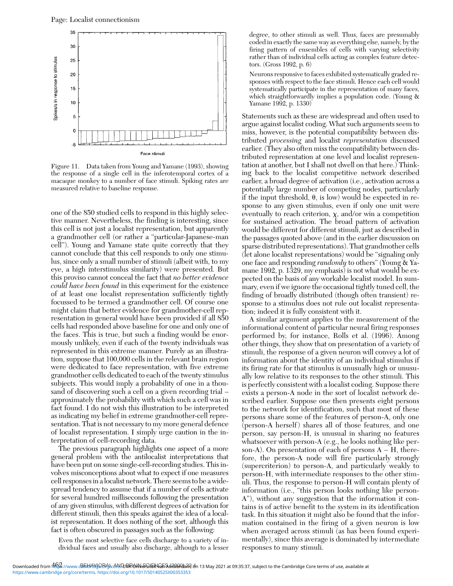

Figure 11. Data taken from Young and Yamane (1993), showing the response of a single cell in the inferotemporal cortex of a macaque monkey to a number of face stimuli. Spiking rates are measured relative to baseline response.

one of the 850 studied cells to respond in this highly selective manner. Nevertheless, the finding is interesting, since this cell is not just a localist representation, but apparently a grandmother cell (or rather a "particular-Japanese-man cell"). Young and Yamane state quite correctly that they cannot conclude that this cell responds to only one stimulus, since only a small number of stimuli (albeit with, to my eye, a high interstimulus similarity) were presented. But this proviso cannot conceal the fact that *no better evidence could have been found* in this experiment for the existence of at least one localist representation sufficiently tightly focussed to be termed a grandmother cell. Of course one might claim that better evidence for grandmother-cell representation in general would have been provided if all 850 cells had responded above baseline for one and only one of the faces. This is true, but such a finding would be enormously unlikely, even if each of the twenty individuals was represented in this extreme manner. Purely as an illustration, suppose that 100,000 cells in the relevant brain region were dedicated to face representation, with five extreme grandmother cells dedicated to each of the twenty stimulus subjects. This would imply a probability of one in a thousand of discovering such a cell on a given recording trial – approximately the probability with which such a cell was in fact found. I do not wish this illustration to be interpreted as indicating my belief in extreme grandmother-cell representation. That is not necessary to my more general defence of localist representation. I simply urge caution in the interpretation of cell-recording data.

The previous paragraph highlights one aspect of a more general problem with the antilocalist interpretations that have been put on some single-cell-recording studies. This involves misconceptions about what to expect if one measures cell responses in a localist network. There seems to be a widespread tendency to assume that if a number of cells activate for several hundred milliseconds following the presentation of any given stimulus, with different degrees of activation for different stimuli, then this speaks against the idea of a localist representation. It does nothing of the sort, although this fact is often obscured in passages such as the following:

Even the most selective face cells discharge to a variety of individual faces and usually also discharge, although to a lesser

degree, to other stimuli as well. Thus, faces are presumably coded in exactly the same way as everything else, namely, by the firing pattern of ensembles of cells with varying selectivity rather than of individual cells acting as complex feature detectors. (Gross 1992, p. 6)

Neurons responsive to faces exhibited systematically graded responses with respect to the face stimuli. Hence each cell would systematically participate in the representation of many faces, which straightforwardly implies a population code. (Young & Yamane 1992, p. 1330)

Statements such as these are widespread and often used to argue against localist coding. What such arguments seem to miss, however, is the potential compatibility between distributed *processing* and localist *representation* discussed earlier. (They also often miss the compatibility between distributed representation at one level and localist representation at another, but I shall not dwell on that here.) Thinking back to the localist competitive network described earlier, a broad degree of activation (i.e., activation across a potentially large number of competing nodes, particularly if the input threshold,  $\theta$ , is low) would be expected in response to any given stimulus, even if only one unit were eventually to reach criterion,  $\chi$ , and/or win a competition for sustained activation. The broad pattern of activation would be different for different stimuli, just as described in the passages quoted above (and in the earlier discussion on sparse distributed representations). That grandmother cells (let alone localist representations) would be "signaling only one face and responding *randomly* to others" (Young & Yamane 1992, p. 1329, my emphasis) is not what would be expected on the basis of any workable localist model. In summary, even if we ignore the occasional tightly tuned cell, the finding of broadly distributed (though often transient) response to a stimulus does not rule out localist representation; indeed it is fully consistent with it.

A similar argument applies to the measurement of the informational content of particular neural firing responses performed by, for instance, Rolls et al. (1996). Among other things, they show that on presentation of a variety of stimuli, the response of a given neuron will convey a lot of information about the identity of an individual stimulus if its firing rate for that stimulus is unusually high or unusually low relative to its responses to the other stimuli. This is perfectly consistent with a localist coding. Suppose there exists a person-A node in the sort of localist network described earlier. Suppose one then presents eight persons to the network for identification, such that most of these persons share some of the features of person-A, only one (person-A herself) shares all of those features, and one person, say person-H, is unusual in sharing no features whatsoever with person-A (e.g., he looks nothing like person-A). On presentation of each of persons  $A - H$ , therefore, the person-A node will fire particularly strongly (supercriterion) to person-A, and particularly weakly to person-H, with intermediate responses to the other stimuli. Thus, the response to person-H will contain plenty of information (i.e., "this person looks nothing like person-A"), without any suggestion that the information it contains is of active benefit to the system in its identification task. In this situation it might also be found that the information contained in the firing of a given neuron is low when averaged across stimuli (as has been found experimentally), since this average is dominated by intermediate responses to many stimuli.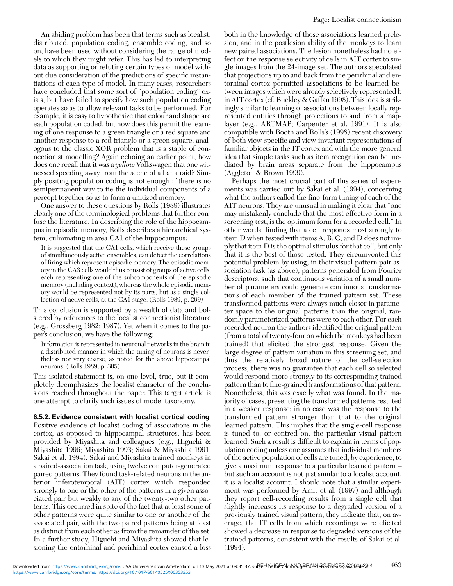An abiding problem has been that terms such as localist, distributed, population coding, ensemble coding, and so on, have been used without considering the range of models to which they might refer. This has led to interpreting data as supporting or refuting certain types of model without due consideration of the predictions of specific instantiations of each type of model. In many cases, researchers have concluded that some sort of "population coding" exists, but have failed to specify how such population coding operates so as to allow relevant tasks to be performed. For example, it is easy to hypothesize that colour and shape are each population coded, but how does this permit the learning of one response to a green triangle or a red square and another response to a red triangle or a green square, analogous to the classic XOR problem that is a staple of connectionist modelling? Again echoing an earlier point, how does one recall that it was a *yellow* Volkswagen that one witnessed speeding away from the scene of a bank raid? Simply positing population coding is not enough if there is no semipermanent way to tie the individual components of a percept together so as to form a unitized memory.

One answer to these questions by Rolls (1989) illustrates clearly one of the terminological problems that further confuse the literature. In describing the role of the hippocampus in episodic memory, Rolls describes a hierarchical system, culminating in area CA1 of the hippocampus:

It is suggested that the CA1 cells, which receive these groups of simultaneously active ensembles, can detect the correlations of firing which represent episodic memory. The episodic memory in the CA3 cells would thus consist of groups of active cells, each representing one of the subcomponents of the episodic memory (including context), whereas the whole episodic memory would be represented not by its parts, but as a single collection of active cells, at the CA1 stage. (Rolls 1989, p. 299)

This conclusion is supported by a wealth of data and bolstered by references to the localist connectionist literature (e.g., Grossberg 1982; 1987). Yet when it comes to the paper's conclusion, we have the following:

Information is represented in neuronal networks in the brain in a distributed manner in which the tuning of neurons is nevertheless not very coarse, as noted for the above hippocampal neurons. (Rolls 1989, p. 305)

This isolated statement is, on one level, true, but it completely deemphasizes the localist character of the conclusions reached throughout the paper. This target article is one attempt to clarify such issues of model taxonomy.

## **6.5.2. Evidence consistent with localist cortical coding**.

Positive evidence of localist coding of associations in the cortex, as opposed to hippocampal structures, has been provided by Miyashita and colleagues (e.g., Higuchi & Miyashita 1996; Miyashita 1993; Sakai & Miyashita 1991; Sakai et al. 1994). Sakai and Miyashita trained monkeys in a paired-association task, using twelve computer-generated paired patterns. They found task-related neurons in the anterior inferotemporal (AIT) cortex which responded strongly to one or the other of the patterns in a given associated pair but weakly to any of the twenty-two other patterns. This occurred in spite of the fact that at least some of other patterns were quite similar to one or another of the associated pair, with the two paired patterns being at least as distinct from each other as from the remainder of the set. In a further study, Higuchi and Miyashita showed that lesioning the entorhinal and perirhinal cortex caused a loss

both in the knowledge of those associations learned prelesion, and in the postlesion ability of the monkeys to learn new paired associations. The lesion nonetheless had no effect on the response selectivity of cells in AIT cortex to single images from the 24-image set. The authors speculated that projections up to and back from the perirhinal and entorhinal cortex permitted associations to be learned between images which were already selectively represented b in AIT cortex (cf. Buckley & Gaffan 1998). This idea is strikingly similar to learning of associations between locally represented entities through projections to and from a maplayer (e.g., ARTMAP; Carpenter et al. 1991). It is also compatible with Booth and Rolls's (1998) recent discovery of both view-specific and view-invariant representations of familiar objects in the IT cortex and with the more general idea that simple tasks such as item recognition can be mediated by brain areas separate from the hippocampus (Aggleton & Brown 1999).

Perhaps the most crucial part of this series of experiments was carried out by Sakai et al. (1994), concerning what the authors called the fine-form tuning of each of the AIT neurons. They are unusual in making it clear that "one may mistakenly conclude that the most effective form in a screening test, is the optimum form for a recorded cell." In other words, finding that a cell responds most strongly to item D when tested with items A, B, C, and D does not imply that item D is the optimal stimulus for that cell, but only that it is the best of those tested. They circumvented this potential problem by using, in their visual-pattern pair-association task (as above), patterns generated from Fourier descriptors, such that continuous variation of a small number of parameters could generate continuous transformations of each member of the trained pattern set. These transformed patterns were always much closer in parameter space to the original patterns than the original, randomly parameterized patterns were to each other. For each recorded neuron the authors identified the original pattern (from a total of twenty-four on which the monkeys had been trained) that elicited the strongest response. Given the large degree of pattern variation in this screening set, and thus the relatively broad nature of the cell-selection process, there was no guarantee that each cell so selected would respond more strongly to its corresponding trained pattern than to fine-grained transformations of that pattern. Nonetheless, this was exactly what was found. In the majority of cases, presenting the transformed patterns resulted in a weaker response; in no case was the response to the transformed pattern stronger than that to the original learned pattern. This implies that the single-cell response is tuned to, or centred on, the particular visual pattern learned. Such a result is difficult to explain in terms of population coding unless one assumes that individual members of the active population of cells are tuned, by experience, to give a maximum response to a particular learned pattern – but such an account is not just similar to a localist account, it *is* a localist account. I should note that a similar experiment was performed by Amit et al. (1997) and although they report cell-recording results from a single cell that slightly increases its response to a degraded version of a previously trained visual pattern, they indicate that, on average, the IT cells from which recordings were elicited showed a decrease in response to degraded versions of the trained patterns, consistent with the results of Sakai et al. (1994).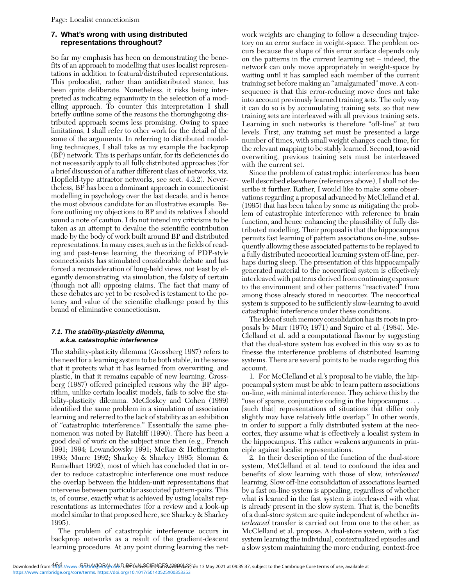## **7. What's wrong with using distributed representations throughout?**

So far my emphasis has been on demonstrating the benefits of an approach to modelling that uses localist representations in addition to featural/distributed representations. This prolocalist, rather than antidistributed stance, has been quite deliberate. Nonetheless, it risks being interpreted as indicating equanimity in the selection of a modelling approach. To counter this interpretation I shall briefly outline some of the reasons the thoroughgoing distributed approach seems less promising. Owing to space limitations, I shall refer to other work for the detail of the some of the arguments. In referring to distributed modelling techniques, I shall take as my example the backprop (BP) network. This is perhaps unfair, for its deficiencies do not necessarily apply to all fully distributed approaches (for a brief discussion of a rather different class of networks, viz. Hopfield-type attractor networks, see sect. 4.3.2). Nevertheless, BP has been a dominant approach in connectionist modelling in psychology over the last decade, and is hence the most obvious candidate for an illustrative example. Before outlining my objections to BP and its relatives I should sound a note of caution. I do not intend my criticisms to be taken as an attempt to devalue the scientific contribution made by the body of work built around BP and distributed representations. In many cases, such as in the fields of reading and past-tense learning, the theorizing of PDP-style connectionists has stimulated considerable debate and has forced a reconsideration of long-held views, not least by elegantly demonstrating, via simulation, the falsity of certain (though not all) opposing claims. The fact that many of these debates are yet to be resolved is testament to the potency and value of the scientific challenge posed by this brand of eliminative connectionism.

## **7.1. The stability-plasticity dilemma, a.k.a. catastrophic interference**

The stability-plasticity dilemma (Grossberg 1987) refers to the need for a learning system to be both stable, in the sense that it protects what it has learned from overwriting, and plastic, in that it remains capable of new learning. Grossberg (1987) offered principled reasons why the BP algorithm, unlike certain localist models, fails to solve the stability-plasticity dilemma. McCloskey and Cohen (1989) identified the same problem in a simulation of association learning and referred to the lack of stability as an exhibition of "catastrophic interference." Essentially the same phenomenon was noted by Ratcliff (1990). There has been a good deal of work on the subject since then (e.g., French 1991; 1994; Lewandowsky 1991; McRae & Hetherington 1993; Murre 1992; Sharkey & Sharkey 1995; Sloman & Rumelhart 1992), most of which has concluded that in order to reduce catastrophic interference one must reduce the overlap between the hidden-unit representations that intervene between particular associated pattern-pairs. This is, of course, exactly what is achieved by using localist representations as intermediates (for a review and a look-up model similar to that proposed here, see Sharkey & Sharkey 1995).

The problem of catastrophic interference occurs in backprop networks as a result of the gradient-descent learning procedure. At any point during learning the network weights are changing to follow a descending trajectory on an error surface in weight-space. The problem occurs because the shape of this error surface depends only on the patterns in the current learning set – indeed, the network can only move appropriately in weight-space by waiting until it has sampled each member of the current training set before making an "amalgamated" move. A consequence is that this error-reducing move does not take into account previously learned training sets. The only way it can do so is by accumulating training sets, so that new training sets are interleaved with all previous training sets. Learning in such networks is therefore "off-line" at two levels. First, any training set must be presented a large number of times, with small weight changes each time, for the relevant mapping to be stably learned. Second, to avoid overwriting, previous training sets must be interleaved with the current set.

Since the problem of catastrophic interference has been well described elsewhere (references above), I shall not describe it further. Rather, I would like to make some observations regarding a proposal advanced by McClelland et al. (1995) that has been taken by some as mitigating the problem of catastrophic interference with reference to brain function, and hence enhancing the plausibility of fully distributed modelling. Their proposal is that the hippocampus permits fast learning of pattern associations on-line, subsequently allowing these associated patterns to be replayed to a fully distributed neocortical learning system off-line, perhaps during sleep. The presentation of this hippocampally generated material to the neocortical system is effectively interleaved with patterns derived from continuing exposure to the environment and other patterns "reactivated" from among those already stored in neocortex. The neocortical system is supposed to be sufficiently slow-learning to avoid catastrophic interference under these conditions.

The idea of such memory consolidation has its roots in proposals by Marr (1970; 1971) and Squire et al. (1984). Mc-Clelland et al. add a computational flavour by suggesting that the dual-store system has evolved in this way so as to finesse the interference problems of distributed learning systems. There are several points to be made regarding this account.

1. For McClelland et al.'s proposal to be viable, the hippocampal system must be able to learn pattern associations on-line, with minimal interference. They achieve this by the "use of sparse, conjunctive coding in the hippocampus . . . [such that] representations of situations that differ only slightly may have relatively little overlap." In other words, in order to support a fully distributed system at the neocortex, they assume what is effectively a localist system in the hippocampus. This rather weakens arguments in principle against localist representations.

2. In their description of the function of the dual-store system, McClelland et al. tend to confound the idea and benefits of slow learning with those of slow, *interleaved* learning. Slow off-line consolidation of associations learned by a fast on-line system is appealing, regardless of whether what is learned in the fast system is interleaved with what is already present in the slow system. That is, the benefits of a dual-store system are quite independent of whether *interleaved* transfer is carried out from one to the other, as McClelland et al. propose. A dual-store system, with a fast system learning the individual, contextualized episodes and a slow system maintaining the more enduring, context-free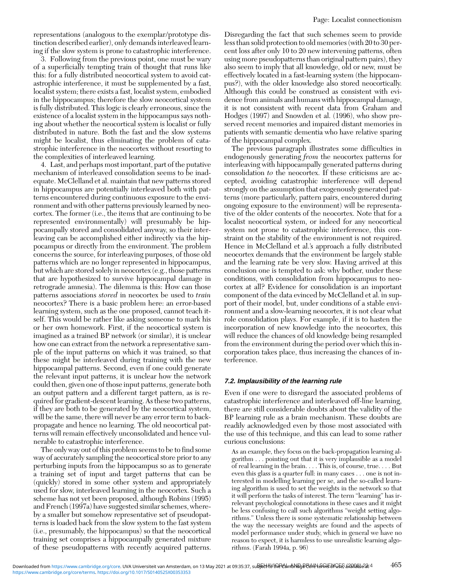representations (analogous to the exemplar/prototype distinction described earlier), only demands interleaved learning if the slow system is prone to catastrophic interference.

3. Following from the previous point, one must be wary of a superficially tempting train of thought that runs like this: for a fully distributed neocortical system to avoid catastrophic interference, it must be supplemented by a fast, localist system; there exists a fast, localist system, embodied in the hippocampus; therefore the slow neocortical system is fully distributed. This logic is clearly erroneous, since the existence of a localist system in the hippocampus says nothing about whether the neocortical system is localist or fully distributed in nature. Both the fast and the slow systems might be localist, thus eliminating the problem of catastrophic interference in the neocortex without resorting to the complexities of interleaved learning.

4. Last, and perhaps most important, part of the putative mechanism of interleaved consolidation seems to be inadequate. McClelland et al. maintain that new patterns stored in hippocampus are potentially interleaved both with patterns encountered during continuous exposure to the environment and with other patterns previously learned by neocortex. The former (i.e., the items that are continuing to be represented environmentally) will presumably be hippocampally stored and consolidated anyway, so their interleaving can be accomplished either indirectly via the hippocampus or directly from the environment. The problem concerns the source, for interleaving purposes, of those old patterns which are no longer represented in hippocampus, but which are stored solely in neocortex (e.g., those patterns that are hypothesized to survive hippocampal damage in retrograde amnesia). The dilemma is this: How can those patterns associations *stored* in neocortex be used to *train* neocortex? There is a basic problem here: an error-based learning system, such as the one proposed, cannot teach itself. This would be rather like asking someone to mark his or her own homework. First, if the neocortical system is imagined as a trained BP network (or similar), it is unclear how one can extract from the network a representative sample of the input patterns on which it was trained, so that these might be interleaved during training with the new hippocampal patterns. Second, even if one could generate the relevant input patterns, it is unclear how the network could then, given one of those input patterns, generate both an output pattern and a different target pattern, as is required for gradient-descent learning. As these two patterns, if they are both to be generated by the neocortical system, will be the same, there will never be any error term to backpropagate and hence no learning. The old neocortical patterns will remain effectively unconsolidated and hence vulnerable to catastrophic interference.

The only way out of this problem seems to be to find some way of accurately sampling the neocortical store prior to any perturbing inputs from the hippocampus so as to generate a training set of input and target patterns that can be (quickly) stored in some other system and appropriately used for slow, interleaved learning in the neocortex. Such a scheme has not yet been proposed, although Robins (1995) and French (1997a) have suggested similar schemes, whereby a smaller but somehow representative set of pseudopatterns is loaded back from the slow system to the fast system (i.e., presumably, the hippocampus) so that the neocortical training set comprises a hippocampally generated mixture of these pseudopatterns with recently acquired patterns.

Disregarding the fact that such schemes seem to provide less than solid protection to old memories (with 20 to 30 percent loss after only 10 to 20 new intervening patterns, often using more pseudopatterns than original pattern pairs), they also seem to imply that all knowledge, old or new, must be effectively located in a fast-learning system (the hippocampus?), with the older knowledge also stored neocortically. Although this could be construed as consistent with evidence from animals and humans with hippocampal damage, it is not consistent with recent data from Graham and Hodges (1997) and Snowden et al. (1996), who show preserved recent memories and impaired distant memories in patients with semantic dementia who have relative sparing of the hippocampal complex.

The previous paragraph illustrates some difficulties in endogenously generating *from* the neocortex patterns for interleaving with hippocampally generated patterns during consolidation *to* the neocortex. If these criticisms are accepted, avoiding catastrophic interference will depend strongly on the assumption that exogenously generated patterns (more particularly, pattern pairs, encountered during ongoing exposure to the environment) will be representative of the older contents of the neocortex. Note that for a localist neocortical system, or indeed for any neocortical system not prone to catastrophic interference, this constraint on the stability of the environment is not required. Hence in McClelland et al.'s approach a fully distributed neocortex demands that the environment be largely stable and the learning rate be very slow. Having arrived at this conclusion one is tempted to ask: why bother, under these conditions, with consolidation from hippocampus to neocortex at all? Evidence for consolidation is an important component of the data evinced by McClelland et al. in support of their model, but, under conditions of a stable environment and a slow-learning neocortex, it is not clear what role consolidation plays. For example, if it is to hasten the incorporation of new knowledge into the neocortex, this will reduce the chances of old knowledge being resampled from the environment during the period over which this incorporation takes place, thus increasing the chances of interference.

## **7.2. Implausibility of the learning rule**

Even if one were to disregard the associated problems of catastrophic interference and interleaved off-line learning, there are still considerable doubts about the validity of the BP learning rule as a brain mechanism. These doubts are readily acknowledged even by those most associated with the use of this technique, and this can lead to some rather curious conclusions:

As an example, they focus on the back-propagation learning algorithm . . . pointing out that it is very implausible as a model of real learning in the brain. . . . This is, of course, true. . . . But even this glass is a quarter full: in many cases . . . one is not interested in modelling learning per se, and the so-called learning algorithm is used to set the weights in the network so that it will perform the tasks of interest. The term "learning" has irrelevant psychological connotations in these cases and it might be less confusing to call such algorithms "weight setting algorithms." Unless there is some systematic relationship between the way the necessary weights are found and the aspects of model performance under study, which in general we have no reason to expect, it is harmless to use unrealistic learning algorithms. (Farah 1994a, p. 96)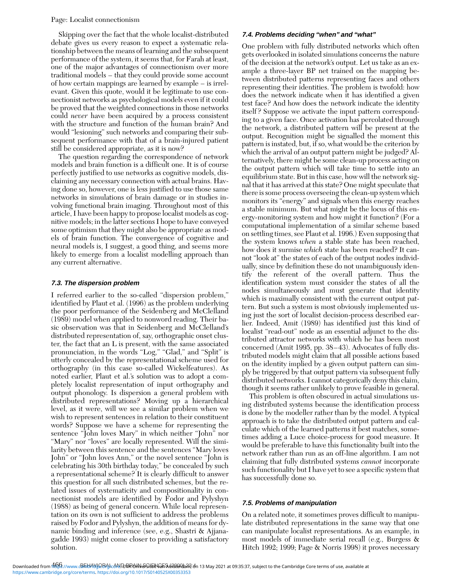Skipping over the fact that the whole localist-distributed debate gives us every reason to expect a systematic relationship between the means of learning and the subsequent performance of the system, it seems that, for Farah at least, one of the major advantages of connectionism over more traditional models – that they could provide some account of how certain mappings are learned by example – is irrelevant. Given this quote, would it be legitimate to use connectionist networks as psychological models even if it could be proved that the weighted connections in those networks could *never* have been acquired by a process consistent with the structure and function of the human brain? And would "lesioning" such networks and comparing their subsequent performance with that of a brain-injured patient still be considered appropriate, as it is now?

The question regarding the correspondence of network models and brain function is a difficult one. It is of course perfectly justified to use networks as cognitive models, disclaiming any necessary connection with actual brains. Having done so, however, one is less justified to use those same networks in simulations of brain damage or in studies involving functional brain imaging. Throughout most of this article, I have been happy to propose localist models as cognitive models; in the latter sections I hope to have conveyed some optimism that they might also be appropriate as models of brain function. The convergence of cognitive and neural models is, I suggest, a good thing, and seems more likely to emerge from a localist modelling approach than any current alternative.

## **7.3. The dispersion problem**

I referred earlier to the so-called "dispersion problem," identified by Plaut et al. (1996) as the problem underlying the poor performance of the Seidenberg and McClelland (1989) model when applied to nonword reading. Their basic observation was that in Seidenberg and McClelland's distributed representation of, say, orthographic onset cluster, the fact that an L is present, with the same associated pronunciation, in the words "Log," "Glad," and "Split" is utterly concealed by the representational scheme used for orthography (in this case so-called Wickelfeatures). As noted earlier, Plaut et al.'s solution was to adopt a completely localist representation of input orthography and output phonology. Is dispersion a general problem with distributed representations? Moving up a hierarchical level, as it were, will we see a similar problem when we wish to represent sentences in relation to their constituent words? Suppose we have a scheme for representing the sentence "John loves Mary" in which neither "John" nor "Mary" nor "loves" are locally represented. Will the similarity between this sentence and the sentences "Mary loves John" or "John loves Ann," or the novel sentence "John is celebrating his 30th birthday today," be concealed by such a representational scheme? It is clearly difficult to answer this question for all such distributed schemes, but the related issues of systematicity and compositionality in connectionist models are identified by Fodor and Pylyshyn (1988) as being of general concern. While local representation on its own is not sufficient to address the problems raised by Fodor and Pylyshyn, the addition of means for dynamic binding and inference (see, e.g., Shastri & Ajjanagadde 1993) might come closer to providing a satisfactory solution.

## **7.4. Problems deciding "when" and "what"**

One problem with fully distributed networks which often gets overlooked in isolated simulations concerns the nature of the decision at the network's output. Let us take as an example a three-layer BP net trained on the mapping between distributed patterns representing faces and others representing their identities. The problem is twofold: how does the network indicate when it has identified a given test face? And how does the network indicate the identity itself ? Suppose we activate the input pattern corresponding to a given face. Once activation has percolated through the network, a distributed pattern will be present at the output. Recognition might be signalled the moment this pattern is instated, but, if so, what would be the criterion by which the arrival of an output pattern might be judged? Alternatively, there might be some clean-up process acting on the output pattern which will take time to settle into an equilibrium state. But in this case, how will the network signal that it has arrived at this state? One might speculate that there is some process overseeing the clean-up system which monitors its "energy" and signals when this energy reaches a stable minimum. But what might be the locus of this energy-monitoring system and how might it function? (For a computational implementation of a similar scheme based on settling times, see Plaut et al. 1996.) Even supposing that the system knows *when* a stable state has been reached, how does it surmise *which* state has been reached? It cannot "look at" the states of each of the output nodes individually, since by definition these do not unambiguously identify the referent of the overall pattern. Thus the identification system must consider the states of all the nodes simultaneously and must generate that identity which is maximally consistent with the current output pattern. But such a system is most obviously implemented using just the sort of localist decision-process described earlier. Indeed, Amit (1989) has identified just this kind of localist "read-out" node as an essential adjunct to the distributed attractor networks with which he has been most concerned (Amit 1995, pp. 38–43). Advocates of fully distributed models might claim that all possible actions based on the identity implied by a given output pattern can simply be triggered by that output pattern via subsequent fully distributed networks. I cannot categorically deny this claim, though it seems rather unlikely to prove feasible in general.

This problem is often obscured in actual simulations using distributed systems because the identification process is done by the modeller rather than by the model. A typical approach is to take the distributed output pattern and calculate which of the learned patterns it best matches, sometimes adding a Luce choice-process for good measure. It would be preferable to have this functionality built into the network rather than run as an off-line algorithm. I am not claiming that fully distributed systems *cannot* incorporate such functionality but I have yet to see a specific system that has successfully done so.

## **7.5. Problems of manipulation**

On a related note, it sometimes proves difficult to manipulate distributed representations in the same way that one can manipulate localist representations. As an example, in most models of immediate serial recall (e.g., Burgess & Hitch 1992; 1999; Page & Norris 1998) it proves necessary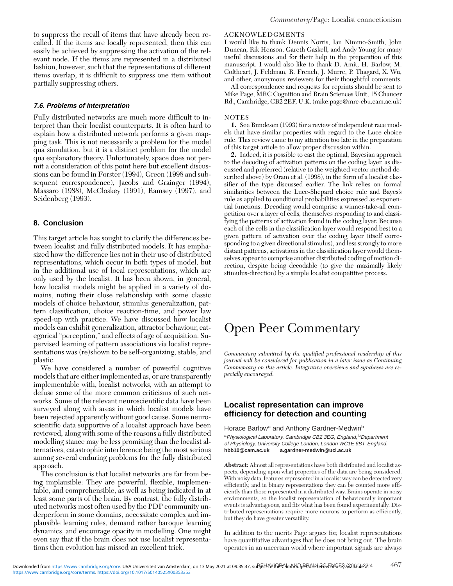to suppress the recall of items that have already been recalled. If the items are locally represented, then this can easily be achieved by suppressing the activation of the relevant node. If the items are represented in a distributed fashion, however, such that the representations of different items overlap, it is difficult to suppress one item without partially suppressing others.

## **7.6. Problems of interpretation**

Fully distributed networks are much more difficult to interpret than their localist counterparts. It is often hard to explain how a distributed network performs a given mapping task. This is not necessarily a problem for the model qua simulation, but it is a distinct problem for the model qua explanatory theory. Unfortunately, space does not permit a consideration of this point here but excellent discussions can be found in Forster (1994), Green (1998 and subsequent correspondence), Jacobs and Grainger (1994), Massaro (1988), McCloskey (1991), Ramsey (1997), and Seidenberg (1993).

## **8. Conclusion**

This target article has sought to clarify the differences between localist and fully distributed models. It has emphasized how the difference lies not in their use of distributed representations, which occur in both types of model, but in the additional use of local representations, which are only used by the localist. It has been shown, in general, how localist models might be applied in a variety of domains, noting their close relationship with some classic models of choice behaviour, stimulus generalization, pattern classification, choice reaction-time, and power law speed-up with practice. We have discussed how localist models can exhibit generalization, attractor behaviour, categorical "perception," and effects of age of acquisition. Supervised learning of pattern associations via localist representations was (re)shown to be self-organizing, stable, and plastic.

We have considered a number of powerful cognitive models that are either implemented as, or are transparently implementable with, localist networks, with an attempt to defuse some of the more common criticisms of such networks. Some of the relevant neuroscientific data have been surveyed along with areas in which localist models have been rejected apparently without good cause. Some neuroscientific data supportive of a localist approach have been reviewed, along with some of the reasons a fully distributed modelling stance may be less promising than the localist alternatives, catastrophic interference being the most serious among several enduring problems for the fully distributed approach.

The conclusion is that localist networks are far from being implausible: They are powerful, flexible, implementable, and comprehensible, as well as being indicated in at least some parts of the brain. By contrast, the fully distributed networks most often used by the PDP community underperform in some domains, necessitate complex and implausible learning rules, demand rather baroque learning dynamics, and encourage opacity in modelling. One might even say that if the brain does not use localist representations then evolution has missed an excellent trick.

#### ACKNOWLEDGMENTS

I would like to thank Dennis Norris, Ian Nimmo-Smith, John Duncan, Rik Henson, Gareth Gaskell, and Andy Young for many useful discussions and for their help in the preparation of this manuscript. I would also like to thank D. Amit, H. Barlow, M. Coltheart, J. Feldman, R. French, J. Murre, P. Thagard, X. Wu, and other, anonymous reviewers for their thoughtful comments.

All correspondence and requests for reprints should be sent to Mike Page, MRC Cognition and Brain Sciences Unit, 15 Chaucer Rd., Cambridge, CB2 2EF, U.K. (mike.page@mrc-cbu.cam.ac.uk)

#### NOTES

**1.** See Bundesen (1993) for a review of independent race models that have similar properties with regard to the Luce choice rule. This review came to my attention too late in the preparation of this target article to allow proper discussion within.

**2.** Indeed, it is possible to cast the optimal, Bayesian approach to the decoding of activation patterns on the coding layer, as discussed and preferred (relative to the weighted vector method described above) by Oram et al. (1998), in the form of a localist classifier of the type discussed earlier. The link relies on formal similarities between the Luce-Shepard choice rule and Bayes's rule as applied to conditional probabilities expressed as exponential functions. Decoding would comprise a winner-take-all competition over a layer of cells, themselves responding to and classifying the patterns of activation found in the coding layer. Because each of the cells in the classification layer would respond best to a given pattern of activation over the coding layer (itself corresponding to a given directional stimulus), and less strongly to more distant patterns, activations in the classification layer would themselves appear to comprise another distributed coding of motion direction, despite being decodable (to give the maximally likely stimulus-direction) by a simple localist competitive process.

## Open Peer Commentary

*Commentary submitted by the qualified professional readership of this journal will be considered for publication in a later issue as Continuing Commentary on this article. Integrative overviews and syntheses are especially encouraged.*

## **Localist representation can improve efficiency for detection and counting**

Horace Barlow<sup>a</sup> and Anthony Gardner-Medwin<sup>b</sup>

a Physiological Laboratory, Cambridge CB2 3EG, England; bDepartment of Physiology, University College London, London WC1E 6BT, England. **hbb10@cam.ac.uk a.gardner-medwin@ucl.ac.uk**

**Abstract:** Almost all representations have both distributed and localist aspects, depending upon what properties of the data are being considered. With noisy data, features represented in a localist way can be detected very efficiently, and in binary representations they can be counted more efficiently than those represented in a distributed way. Brains operate in noisy environments, so the localist representation of behaviourally important events is advantageous, and fits what has been found experimentally. Distributed representations require more neurons to perform as efficiently, but they do have greater versatility.

In addition to the merits Page argues for, localist representations have quantitative advantages that he does not bring out. The brain operates in an uncertain world where important signals are always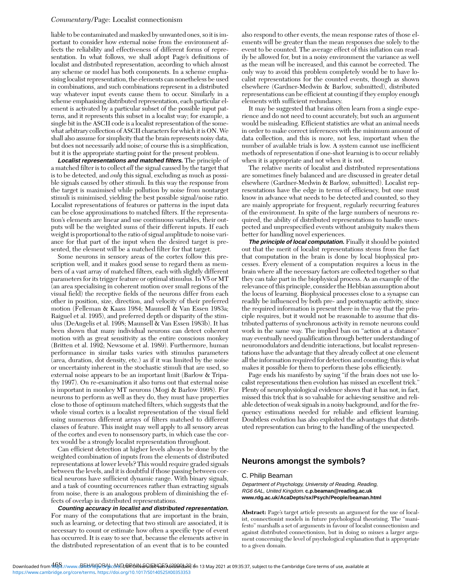#### *Commentary/*Page: Localist connectionism

liable to be contaminated and masked by unwanted ones, so it is important to consider how external noise from the environment affects the reliability and effectiveness of different forms of representation. In what follows, we shall adopt Page's definitions of localist and distributed representation, according to which almost any scheme or model has both components. In a scheme emphasising localist representation, the elements can nonetheless be used in combinations, and such combinations represent in a distributed way whatever input events cause them to occur. Similarly in a scheme emphasising distributed representation, each particular element is activated by a particular subset of the possible input patterns, and it represents this subset in a localist way; for example, a single bit in the ASCII code is a localist representation of the somewhat arbitrary collection of ASCII characters for which it is ON. We shall also assume for simplicity that the brain represents noisy data, but does not necessarily add noise; of course this is a simplification, but it is the appropriate starting point for the present problem.

**Localist representations and matched filters.** The principle of a matched filter is to collect *all* the signal caused by the target that is to be detected, and *only* this signal, excluding as much as possible signals caused by other stimuli. In this way the response from the target is maximised while pollution by noise from nontarget stimuli is minimised, yielding the best possible signal/noise ratio. Localist representations of features or patterns in the input data can be close approximations to matched filters. If the representation's elements are linear and use continuous variables, their outputs will be the weighted sums of their different inputs. If each weight is proportional to the ratio of signal amplitude to noise variance for that part of the input when the desired target is presented, the element will be a matched filter for that target.

Some neurons in sensory areas of the cortex follow this prescription well, and it makes good sense to regard them as members of a vast array of matched filters, each with slightly different parameters for its trigger feature or optimal stimulus. In V5 or MT (an area specialising in coherent motion over small regions of the visual field) the receptive fields of the neurons differ from each other in position, size, direction, and velocity of their preferred motion (Felleman & Kaass 1984; Maunsell & Van Essen 1983a; Raiguel et al. 1995), and preferred depth or disparity of the stimulus (DeAngelis et al. 1998; Maunsell & Van Essen 1983b). It has been shown that many individual neurons can detect coherent motion with as great sensitivity as the entire conscious monkey (Britten et al. 1992; Newsome et al. 1989). Furthermore, human performance in similar tasks varies with stimulus parameters (area, duration, dot density, etc.) as if it was limited by the noise or uncertainty inherent in the stochastic stimuli that are used, so external noise appears to be an important limit (Barlow & Tripathy 1997). On re-examination it also turns out that external noise is important in monkey MT neurons (Mogi & Barlow 1998). For neurons to perform as well as they do, they must have properties close to those of optimum matched filters, which suggests that the whole visual cortex is a localist representation of the visual field using numerous different arrays of filters matched to different classes of feature. This insight may well apply to all sensory areas of the cortex and even to nonsensory parts, in which case the cortex would be a strongly localist representation throughout.

Can efficient detection at higher levels always be done by the weighted combination of inputs from the elements of distributed representations at lower levels? This would require graded signals between the levels, and it is doubtful if those passing between cortical neurons have sufficient dynamic range. With binary signals, and a task of counting occurrences rather than extracting signals from noise, there is an analogous problem of diminishing the effects of overlap in distributed representations.

**Counting accuracy in localist and distributed representation.** For many of the computations that are important in the brain, such as learning, or detecting that two stimuli are associated, it is necessary to count or estimate how often a specific type of event has occurred. It is easy to see that, because the elements active in the distributed representation of an event that is to be counted also respond to other events, the mean response rates of those elements will be greater than the mean responses due solely to the event to be counted. The average effect of this inflation can readily be allowed for, but in a noisy environment the variance as well as the mean will be increased, and this cannot be corrected. The only way to avoid this problem completely would be to have localist representations for the counted events, though as shown elsewhere (Gardner-Medwin & Barlow, submitted), distributed representations can be efficient at counting if they employ enough elements with sufficient redundancy.

It may be suggested that brains often learn from a single experience and do not need to count accurately, but such an argument would be misleading. Efficient statistics are what an animal needs in order to make correct inferences with the minimum amount of data collection, and this is more, not less, important when the number of available trials is low. A system cannot use inefficient methods of representation if one-shot learning is to occur reliably when it is appropriate and not when it is not.

The relative merits of localist and distributed representations are sometimes finely balanced and are discussed in greater detail elsewhere (Gardner-Medwin & Barlow, submitted). Localist representations have the edge in terms of efficiency, but one must know in advance what needs to be detected and counted, so they are mainly appropriate for frequent, regularly recurring features of the environment. In spite of the large numbers of neurons required, the ability of distributed representations to handle unexpected and unprespecified events without ambiguity makes them better for handling novel experiences.

**The principle of local computation.** Finally it should be pointed out that the merit of localist representations stems from the fact that computation in the brain is done by local biophysical processes. Every element of a computation requires a locus in the brain where all the necessary factors are collected together so that they can take part in the biophysical process. As an example of the relevance of this principle, consider the Hebbian assumption about the locus of learning. Biophysical processes close to a synapse can readily be influenced by both pre- and postsynaptic activity, since the required information is present there in the way that the principle requires, but it would not be reasonable to assume that distributed patterns of synchronous activity in remote neurons could work in the same way. The implied ban on "action at a distance" may eventually need qualification through better understanding of neuromodulators and dendritic interactions, but localist representations have the advantage that they already collect at one element all the information required for detection and counting; this is what makes it possible for them to perform these jobs efficiently.

Page ends his manifesto by saying "if the brain does not use localist representations then evolution has missed an excellent trick." Plenty of neurophysiological evidence shows that it has not, in fact, missed this trick that is so valuable for achieving sensitive and reliable detection of weak signals in a noisy background, and for the frequency estimations needed for reliable and efficient learning. Doubtless evolution has also exploited the advantages that distributed representation can bring to the handling of the unexpected.

## **Neurons amongst the symbols?**

#### C. Philip Beaman

Department of Psychology, University of Reading, Reading, RG6 6AL, United Kingdom. **c.p.beaman@reading.ac.uk www.rdg.ac.uk/AcaDepts/sx/Psych/People/beaman.html**

**Abstract:** Page's target article presents an argument for the use of localist, connectionist models in future psychological theorising. The "manifesto" marshalls a set of arguments in favour of localist connectionism and against distributed connectionism, but in doing so misses a larger argument concerning the level of psychological explanation that is appropriate to a given domain.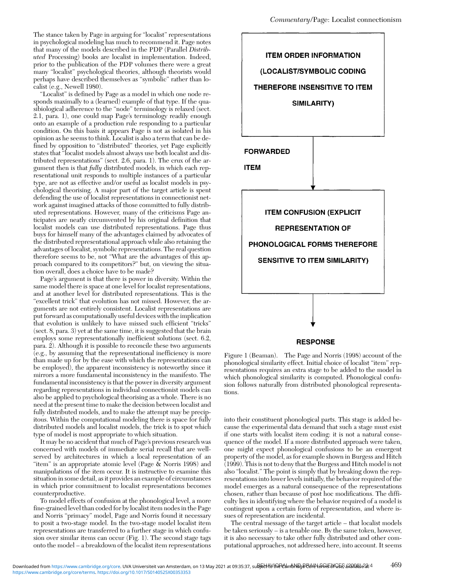The stance taken by Page in arguing for "localist" representations in psychological modeling has much to recommend it. Page notes that many of the models described in the PDP (Parallel *Distributed* Processing) books are localist in implementation. Indeed, prior to the publication of the PDP volumes there were a great many "localist" psychological theories, although theorists would perhaps have described themselves as "symbolic" rather than localist (e.g., Newell 1980).

"Localist" is defined by Page as a model in which one node responds maximally to a (learned) example of that type. If the quasibiological adherence to the "node" terminology is relaxed (sect. 2.1, para. 1), one could map Page's terminology readily enough onto an example of a production rule responding to a particular condition. On this basis it appears Page is not as isolated in his opinion as he seems to think. Localist is also a term that can be defined by opposition to "distributed" theories, yet Page explicitly states that "localist models almost always use both localist and distributed representations" (sect. 2.6, para. 1). The crux of the argument then is that *fully* distributed models, in which each representational unit responds to multiple instances of a particular type, are not as effective and/or useful as localist models in psychological theorising. A major part of the target article is spent defending the use of localist representations in connectionist network against imagined attacks of those committed to fully distributed representations. However, many of the criticisms Page anticipates are neatly circumvented by his original definition that localist models can use distributed representations. Page thus buys for himself many of the advantages claimed by advocates of the distributed representational approach while also retaining the advantages of localist, symbolic representations. The real question therefore seems to be, not "What are the advantages of this approach compared to its competitors?" but, on viewing the situation overall, does a choice have to be made?

Page's argument is that there is power in diversity. Within the same model there is space at one level for localist representations, and at another level for distributed representations. This is the "excellent trick" that evolution has not missed. However, the arguments are not entirely consistent. Localist representations are put forward as computationally useful devices with the implication that evolution is unlikely to have missed such efficient "tricks" (sect. 8, para. 3) yet at the same time, it is suggested that the brain employs some representationally inefficient solutions (sect. 6.2, para. 2). Although it is possible to reconcile these two arguments (e.g., by assuming that the representational inefficiency is more than made up for by the ease with which the representations can be employed), the apparent inconsistency is noteworthy since it mirrors a more fundamental inconsistency in the manifesto. The fundamental inconsistency is that the power in diversity argument regarding representations in individual connectionist models can also be applied to psychological theorising as a whole. There is no need at the present time to make the decision between localist and fully distributed models, and to make the attempt may be precipitous. Within the computational modeling there is space for fully distributed models and localist models, the trick is to spot which type of model is most appropriate to which situation.

It may be no accident that much of Page's previous research was concerned with models of immediate serial recall that are wellserved by architectures in which a local representation of an "item" is an appropriate atomic level (Page & Norris 1998) and manipulations of the item occur. It is instructive to examine this situation in some detail, as it provides an example of circumstances in which prior commitment to localist representations becomes counterproductive.

To model effects of confusion at the phonological level, a more fine-grained level than coded for by localist item nodes in the Page and Norris "primacy" model, Page and Norris found it necessary to posit a two-stage model. In the two-stage model localist item representations are transferred to a further stage in which confusion over similar items can occur (Fig. 1). The second stage tags onto the model – a breakdown of the localist item representations



Figure 1 (Beaman). The Page and Norris (1998) account of the phonological similarity effect. Initial choice of localist "item" representations requires an extra stage to be added to the model in which phonological similarity is computed. Phonological confusion follows naturally from distributed phonological representations.

into their constituent phonological parts. This stage is added because the experimental data demand that such a stage must exist if one starts with localist item coding: it is not a natural consequence of the model. If a more distributed approach were taken, one might expect phonological confusions to be an emergent property of the model, as for example shown in Burgess and Hitch (1999). This is not to deny that the Burgess and Hitch model is not also "localist." The point is simply that by breaking down the representations into lower levels initially, the behavior required of the model emerges as a natural consequence of the representations chosen, rather than because of post hoc modifications. The difficulty lies in identifying where the behavior required of a model is contingent upon a certain form of representation, and where issues of representation are incidental.

The central message of the target article – that localist models be taken seriously – is a tenable one. By the same token, however, it is also necessary to take other fully distributed and other computational approaches, not addressed here, into account. It seems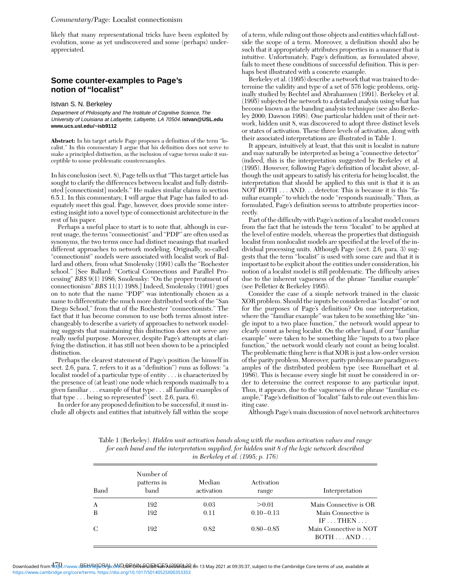#### *Commentary/*Page: Localist connectionism

likely that many representational tricks have been exploited by evolution, some as yet undiscovered and some (perhaps) underappreciated.

## **Some counter-examples to Page's notion of "localist"**

#### Istvan S. N. Berkeley

Department of Philosophy and The Institute of Cognitive Science, The University of Louisiana at Lafayette, Lafayette, LA 70504. **istvan@USL.edu www.ucs.usl.edu/~isb9112**

**Abstract:** In his target article Page proposes a definition of the term "localist." In this commentary I argue that his definition does not serve to make a principled distinction, as the inclusion of vague terms make it susceptible to some problematic counterexamples.

In his conclusion (sect. 8), Page tells us that "This target article has sought to clarify the differences between localist and fully distributed [connectionist] models." He makes similar claims in section 6.5.1. In this commentary, I will argue that Page has failed to adequately meet this goal. Page, however, does provide some interesting insight into a novel type of connectionist architecture in the rest of his paper.

Perhaps a useful place to start is to note that, although in current usage, the terms "connectionist" and "PDP" are often used as synonyms, the two terms once had distinct meanings that marked different approaches to network modeling. Originally, so-called "connectionist" models were associated with localist work of Ballard and others, from what Smolensky (1991) calls the "Rochester school." [See Ballard: "Cortical Connections and Parallel Processing" *BBS* 9(1) 1986; Smolensky: "On the proper treatment of connectionism" *BBS* 11(1) 1988.] Indeed, Smolensky (1991) goes on to note that the name "PDP" was intentionally chosen as a name to differentiate the much more distributed work of the "San Diego School," from that of the Rochester "connectionists." The fact that it has become common to use both terms almost interchangeably to describe a variety of approaches to network modeling suggests that maintaining this distinction does not serve any really useful purpose. Moreover, despite Page's attempts at clarifying the distinction, it has still not been shown to be a principled distinction.

Perhaps the clearest statement of Page's position (he himself in sect. 2.6, para. 7, refers to it as a "definition") runs as follows: "a localist model of a particular type of entity . . . is characterized by the presence of (at least) one node which responds maximally to a given familiar . . . example of that type . . . all familiar examples of that type  $\ldots$  being so represented" (sect. 2.6, para. 6).

In order for any proposed definition to be successful, it must include all objects and entities that intuitively fall within the scope

of a term, while ruling out those objects and entities which fall outside the scope of a term. Moreover, a definition should also be such that it appropriately attributes properties in a manner that is intuitive. Unfortunately, Page's definition, as formulated above, fails to meet these conditions of successful definition. This is perhaps best illustrated with a concrete example.

Berkeley et al. (1995) describe a network that was trained to determine the validity and type of a set of 576 logic problems, originally studied by Bechtel and Abrahamsen (1991). Berkeley et al. (1995) subjected the network to a detailed analysis using what has become known as the banding analysis technique (see also Berkeley 2000; Dawson 1998). One particular hidden unit of their network, hidden unit 8, was discovered to adopt three distinct levels or states of activation. These three levels of activation, along with their associated interpretations are illustrated in Table 1.

It appears, intuitively at least, that this unit is localist in nature and may naturally be interpreted as being a "connective detector" (indeed, this is the interpretation suggested by Berkeley et al. (1995). However, following Page's definition of localist above, although the unit appears to satisfy his criteria for being localist, the interpretation that should be applied to this unit is that it is an NOT BOTH . . . AND. . . detector. This is because it is this "familiar example" to which the node "responds maximally." Thus, as formulated, Page's definition seems to attribute properties incorrectly.

Part of the difficulty with Page's notion of a localist model comes from the fact that he intends the term "localist" to be applied at the level of entire models, whereas the properties that distinguish localist from nonlocalist models are specified at the level of the individual processing units. Although Page (sect. 2.6, para. 3) suggests that the term "localist" is used with some care and that it is important to be explicit about the entities under consideration, his notion of a localist model is still problematic. The difficulty arises due to the inherent vagueness of the phrase "familiar example" (see Pelletier & Berkeley 1995).

Consider the case of a simple network trained in the classic XOR problem. Should the inputs be considered as "localist" or not for the purposes of Page's definition? On one interpretation, where the "familiar example" was taken to be something like "single input to a two place function," the network would appear to clearly count as being localist. On the other hand, if our "familiar example" were taken to be something like "inputs to a two place function," the network would clearly not count as being localist. The problematic thing here is that XOR is just a low-order version of the parity problem. Moreover, parity problems are paradigm examples of the distributed problem type (see Rumelhart et al. 1986). This is because every single bit must be considered in order to determine the correct response to any particular input. Thus, it appears, due to the vagueness of the phrase "familiar example," Page's definition of "localist" fails to rule out even this limiting case.

Although Page's main discussion of novel network architectures

Table 1 (Berkeley). *Hidden unit activation bands along with the median activation values and range for each band and the interpretation supplied, for hidden unit 8 of the logic network described in Berkeley et al. (1995; p. 176)*

| Band         | Number of<br>patterns in<br>band | Median<br>activation | Activation<br>range | Interpretation                                   |
|--------------|----------------------------------|----------------------|---------------------|--------------------------------------------------|
| $\mathbf{A}$ | 192                              | 0.03                 | > 0.01              | Main Connective is OR                            |
| B            | 192                              | 0.11                 | $0.10 - 0.13$       | Main Connective is<br>$IF \dots THEN \dots$      |
| C            | 192                              | 0.82                 | $0.80 - 0.85$       | Main Connective is NOT<br>$BOTH \dots AND \dots$ |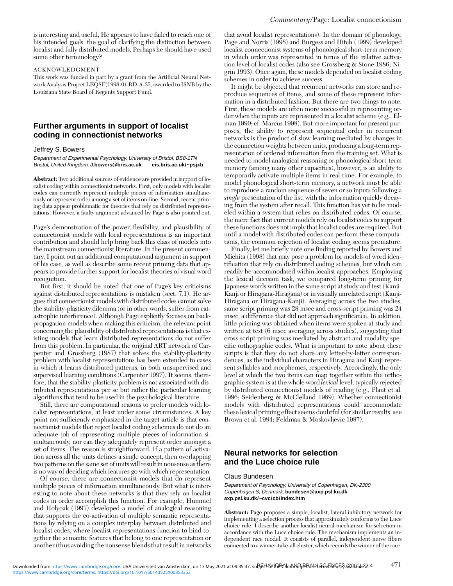is interesting and useful, He appears to have failed to reach one of his intended goals: the goal of clarifying the distinction between localist and fully distributed models. Perhaps he should have used some other terminology?

#### ACKNOWLEDGMENT

This work was funded in part by a grant from the Artificial Neural Network Analysis Project LEQSF(1998-0)-RD-A-35, awarded to ISNB by the Louisiana State Board of Regents Support Fund.

## **Further arguments in support of localist coding in connectionist networks**

#### Jeffrey S. Bowers

Department of Experimental Psychology, University of Bristol, BS8-1TN Bristol, United Kingdom. **J.bowers@bris.ac.uk eis.bris.ac.uk/~psjxb**

**Abstract:** Two additional sources of evidence are provided in support of localist coding within connectionist networks. First, only models with localist codes can currently represent multiple pieces of information simultaneously or represent order among a set of items on-line. Second, recent priming data appear problematic for theories that rely on distributed representations. However, a faulty argument advanced by Page is also pointed out.

Page's demonstration of the power, flexibility, and plausibility of connectionist models with local representations is an important contribution and should help bring back this class of models into the mainstream connectionist literature. In the present commentary, I point out an additional computational argument in support of his case, as well as describe some recent priming data that appears to provide further support for localist theories of visual word recognition.

But first, it should be noted that one of Page's key criticisms against distributed representations is mistaken (sect. 7.1). He argues that connectionist models with distributed codes cannot solve the stability-plasticity dilemma (or in other words, suffer from catastrophic interference). Although Page explicitly focuses on backpropagation models when making this criticism, the relevant point concerning the plausibility of distributed representations is that existing models that learn distributed representations do not suffer from this problem. In particular, the original ART network of Carpenter and Grossberg (1987) that solves the stability-plasticity problem with localist representations has been extended to cases in which it learns distributed patterns, in both unsupervised and supervised learning conditions (Carpenter 1997). It seems, therefore, that the stability-plasticity problem is not associated with distributed representations per se but rather the particular learning algorithms that tend to be used in the psychological literature.

Still, there are computational reasons to prefer models with localist representations, at least under some circumstances. A key point not sufficiently emphasized in the target article is that connectionist models that reject localist coding schemes do not do an adequate job of representing multiple pieces of information simultaneously, nor can they adequately represent order amongst a set of items. The reason is straightforward. If a pattern of activation across all the units defines a single concept, then overlapping two patterns on the same set of units will result in nonsense as there is no way of deciding which features go with which representation.

Of course, there are connectionist models that do represent multiple pieces of information simultaneously. But what is interesting to note about these networks is that they rely on localist codes in order accomplish this function. For example, Hummel and Holyoak (1997) developed a model of analogical reasoning that supports the co-activation of multiple semantic representations by relying on a complex interplay between distributed and localist codes, where localist representations function to bind together the semantic features that belong to one representation or another (thus avoiding the nonsense blends that result in networks

that avoid localist representations). In the domain of phonology, Page and Norris (1998) and Burgess and Hitch (1999) developed localist connectionist systems of phonological short-term memory in which order was represented in terms of the relative activation level of localist codes (also see Grossberg & Stone 1986; Nigrin 1993). Once again, these models depended on localist coding schemes in order to achieve success.

It might be objected that recurrent networks can store and reproduce sequences of items, and some of these represent information in a distributed fashion. But there are two things to note. First, these models are often more successful in representing order when the inputs are represented in a localist scheme (e.g., Elman 1990; cf. Marcus 1998). But more important for present purposes, the ability to represent sequential order in recurrent networks is the product of slow learning mediated by changes in the connection weights between units, producing a long-term representation of ordered information from the training set. What is needed to model analogical reasoning or phonological short-term memory (among many other capacities), however, is an ability to temporarily activate multiple items in real-time. For example, to model phonological short-term memory, a network must be able to reproduce a random sequence of seven or so inputs following a *single* presentation of the list, with the information quickly decaying from the system after recall. This function has yet to be modeled within a system that relies on distributed codes. Of course, the mere fact that current models rely on localist codes to support these functions does not imply that localist codes are required. But until a model with distributed codes can perform these computations, the common rejection of localist coding seems premature.

Finally, let me briefly note one finding reported by Bowers and Michita (1998) that may pose a problem for models of word identification that rely on distributed coding schemes, but which can readily be accommodated within localist approaches. Employing the lexical decision task, we compared long-term priming for Japanese words written in the same script at study and test (Kanji-Kanji or Hiragana-Hiragana) or in visually unrelated script (Kanji-Hiragana or Hiragana-Kanji). Averaging across the two studies, same script priming was 28 msec and cross-script priming was 24 msec, a difference that did not approach significance. In addition, little priming was obtained when items were spoken at study and written at test (6 msec averaging across studies), suggesting that cross-script priming was mediated by abstract and modality-specific orthographic codes. What is important to note about these scripts is that they do not share any letter-by-letter correspondences, as the individual characters in Hiragana and Kanji represent syllables and morphemes, respectively. Accordingly, the only level at which the two items can map together within the orthographic system is at the whole word *lexical* level, typically rejected by distributed connectionist models of reading (e.g., Plaut et al. 1996; Seidenberg & McClelland 1989). Whether connectionist models with distributed representations could accommodate these lexical priming effect seems doubtful (for similar results, see Brown et al. 1984; Feldman & Moskovljevic 1987).

## **Neural networks for selection and the Luce choice rule**

#### Claus Bundesen

Department of Psychology, University of Copenhagen, DK-2300 Copenhagen S, Denmark. **bundesen@axp.psl.ku.dk axp.psl.ku.dk/~cvc/cb/index.htm**

**Abstract:** Page proposes a simple, localist, lateral inhibitory network for implementing a selection process that approximately conforms to the Luce choice rule. I describe another localist neural mechanism for selection in accordance with the Luce choice rule. The mechanism implements an independent race model. It consists of parallel, independent nerve fibers connected to a winner-take-all cluster, which records the winner of the race.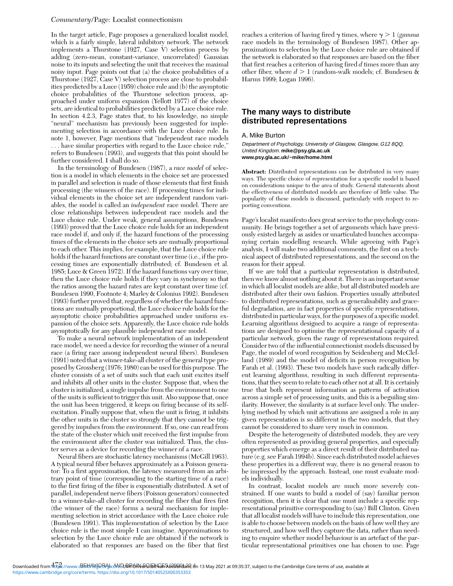#### *Commentary/*Page: Localist connectionism

In the target article, Page proposes a generalized localist model, which is a fairly simple, lateral inhibitory network. The network implements a Thurstone (1927, Case V) selection process by adding (zero-mean, constant-variance, uncorrelated) Gaussian noise to its inputs and selecting the unit that receives the maximal noisy input. Page points out that (a) the choice probabilities of a Thurstone (1927, Case V) selection process are close to probabilities predicted by a Luce (1959) choice rule and (b) the asymptotic choice probabilities of the Thurstone selection process, approached under uniform expansion (Yellott 1977) of the choice sets, are identical to probabilities predicted by a Luce choice rule. In section 4.2.3, Page states that, to his knowledge, no simple "neural" mechanism has previously been suggested for implementing selection in accordance with the Luce choice rule. In note 1, however, Page mentions that "independent race models . . . have similar properties with regard to the Luce choice rule," refers to Bundesen (1993), and suggests that this point should be further considered. I shall do so.

In the terminology of Bundesen (1987), a *race model* of selection is a model in which elements in the choice set are processed in parallel and selection is made of those elements that first finish processing (the winners of the race). If processing times for individual elements in the choice set are independent random variables, the model is called an *independent* race model. There are close relationships between independent race models and the Luce choice rule. Under weak, general assumptions, Bundesen (1993) proved that the Luce choice rule holds for an independent race model if, and only if, the hazard functions of the processing times of the elements in the choice sets are mutually proportional to each other. This implies, for example, that the Luce choice rule holds if the hazard functions are constant over time (i.e., if the processing times are exponentially distributed; cf. Bundesen et al. 1985; Luce & Green 1972). If the hazard functions vary over time, then the Luce choice rule holds if they vary in synchrony so that the ratios among the hazard rates are kept constant over time (cf. Bundesen 1990, Footnote 4; Marley & Colonius 1992). Bundesen (1993) further proved that, regardless of whether the hazard functions are mutually proportional, the Luce choice rule holds for the asymptotic choice probabilities approached under uniform expansion of the choice sets. Apparently, the Luce choice rule holds asymptotically for any plausible independent race model.

To make a neural network implementation of an independent race model, we need a device for recording the winner of a neural race (a firing race among independent neural fibers). Bundesen (1991) noted that a winner-take-all cluster of the general type proposed by Grossberg (1976; 1980) can be used for this purpose. The cluster consists of a set of units such that each unit excites itself and inhibits all other units in the cluster. Suppose that, when the cluster is initialized, a single impulse from the environment to one of the units is sufficient to trigger this unit. Also suppose that, once the unit has been triggered, it keeps on firing because of its selfexcitation. Finally suppose that, when the unit is firing, it inhibits the other units in the cluster so strongly that they cannot be triggered by impulses from the environment. If so, one can read from the state of the cluster which unit received the first impulse from the environment after the cluster was initialized. Thus, the cluster serves as a device for recording the winner of a race.

Neural fibers are stochastic latency mechanisms (McGill 1963). A typical neural fiber behaves approximately as a Poisson generator: To a first approximation, the latency measured from an arbitrary point of time (corresponding to the starting time of a race) to the first firing of the fiber is exponentially distributed. A set of parallel, independent nerve fibers (Poisson generators) connected to a winner-take-all cluster for recording the fiber that fires first (the winner of the race) forms a neural mechanism for implementing selection in strict accordance with the Luce choice rule (Bundesen 1991). This implementation of selection by the Luce choice rule is the most simple I can imagine. Approximations to selection by the Luce choice rule are obtained if the network is elaborated so that responses are based on the fiber that first

reaches a criterion of having fired  $\gamma$  times, where  $\gamma > 1$  (*gamma* race models in the terminology of Bundesen 1987). Other approximations to selection by the Luce choice rule are obtained if the network is elaborated so that responses are based on the fiber that first reaches a criterion of having fired *d* times more than any other fiber, where  $d > 1$  (random-walk models; cf. Bundesen  $\&$ Harms 1999; Logan 1996).

## **The many ways to distribute distributed representations**

#### A. Mike Burton

Department of Psychology, University of Glasgow, Glasgow, G12 8QQ, United Kingdom. **mike@psy.gla.ac.uk www.psy.gla.ac.uk/~mike/home.html**

**Abstract:** Distributed representations can be distributed in very many ways. The specific choice of representation for a specific model is based on considerations unique to the area of study. General statements about the effectiveness of distributed models are therefore of little value. The popularity of these models is discussed, particularly with respect to reporting conventions.

Page's localist manifesto does great service to the psychology community. He brings together a set of arguments which have previously existed largely as asides or unarticulated hunches accompanying certain modelling research. While agreeing with Page's analysis, I will make two additional comments, the first on a technical aspect of distributed representations, and the second on the reason for their appeal.

If we are told that a particular representation is distributed, then we know almost nothing about it. There is an important sense in which all localist models are alike, but all distributed models are distributed after their own fashion. Properties usually attributed to distributed representations, such as generalisability and graceful degradation, are in fact properties of specific representations, distributed in particular ways, for the purposes of a specific model. Learning algorithms designed to acquire a range of representations are designed to optimise the representational capacity of a particular network, given the range of representations required. Consider two of the influential connectionist models discussed by Page, the model of word recognition by Seidenberg and McClelland (1989) and the model of deficits in person recognition by Farah et al. (1993). These two models have such radically different learning algorithms, resulting in such different representations, that they seem to relate to each other not at all. It is certainly true that both represent information as patterns of activation across a simple set of processing units, and this is a beguiling similarity. However, the similarity is at surface level only. The underlying method by which unit activations are assigned a role in any given representation is so different in the two models, that they cannot be considered to share very much in common.

Despite the heterogeneity of distributed models, they are very often represented as providing general properties, and especially properties which emerge as a direct result of their distributed nature (e.g. see Farah 1994b). Since each distributed model achieves these properties in a different way, there is no general reason to be impressed by the approach. Instead, one must evaluate models individually.

In contrast, localist models are much more severely constrained. If one wants to build a model of (say) familiar person recognition, then it is clear that one must include a specific representational primitive corresponding to (say) Bill Clinton. Given that all localist models will have to include this representation, one is able to choose between models on the basis of how well they are structured, and how well they capture the data, rather than needing to enquire whether model behaviour is an artefact of the particular representational primitives one has chosen to use. Page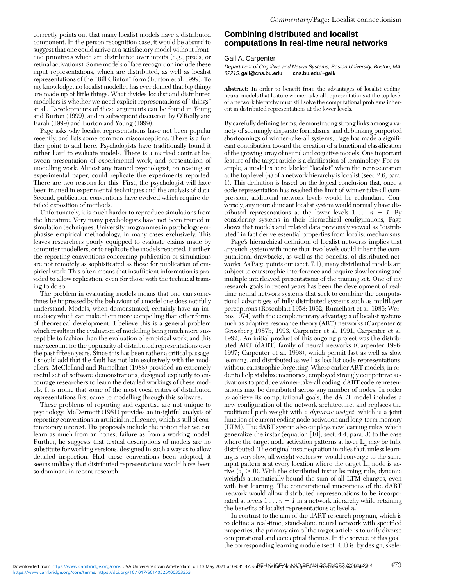correctly points out that many localist models have a distributed component. In the person recognition case, it would be absurd to suggest that one could arrive at a satisfactory model without frontend primitives which are distributed over inputs (e.g., pixels, or retinal activations). Some models of face recognition include these input representations, which are distributed, as well as localist representations of the "Bill Clinton" form (Burton et al. 1999). To my knowledge, no localist modeller has ever denied that big things are made up of little things. What divides localist and distributed modellers is whether we need explicit representations of "things" at all. Developments of these arguments can be found in Young and Burton (1999), and in subsequent discussion by O'Reilly and Farah (1999) and Burton and Young (1999).

Page asks why localist representations have not been popular recently, and lists some common misconceptions. There is a further point to add here. Psychologists have traditionally found it rather hard to evaluate models. There is a marked contrast between presentation of experimental work, and presentation of modelling work. Almost any trained psychologist, on reading an experimental paper, could replicate the experiments reported. There are two reasons for this. First, the psychologist will have been trained in experimental techniques and the analysis of data. Second, publication conventions have evolved which require detailed exposition of methods.

Unfortunately, it is much harder to reproduce simulations from the literature. Very many psychologists have not been trained in simulation techniques. University programmes in psychology emphasise empirical methodology, in many cases exclusively. This leaves researchers poorly equipped to evaluate claims made by computer modellers, or to replicate the models reported. Further, the reporting conventions concerning publication of simulations are not remotely as sophisticated as those for publication of empirical work. This often means that insufficient information is provided to allow replication, even for those with the technical training to do so.

The problem in evaluating models means that one can sometimes be impressed by the behaviour of a model one does not fully understand. Models, when demonstrated, certainly have an immediacy which can make them more compelling than other forms of theoretical development. I believe this is a general problem which results in the evaluation of modelling being much more susceptible to fashion than the evaluation of empirical work, and this may account for the popularity of distributed representations over the past fifteen years. Since this has been rather a critical passage, I should add that the fault has not lain exclusively with the modellers. McClelland and Rumelhart (1988) provided an extremely useful set of software demonstrations, designed explicitly to encourage researchers to learn the detailed workings of these models. It is ironic that some of the most vocal critics of distributed representations first came to modelling through this software.

These problems of reporting and expertise are not unique to psychology. McDermott (1981) provides an insightful analysis of reporting conventions in artificial intelligence, which is still of contemporary interest. His proposals include the notion that we can learn as much from an honest failure as from a working model. Further, he suggests that textual descriptions of models are no substitute for working versions, designed in such a way as to allow detailed inspection. Had these conventions been adopted, it seems unlikely that distributed representations would have been so dominant in recent research.

## **Combining distributed and localist computations in real-time neural networks**

#### Gail A. Carpenter

Department of Cognitive and Neural Systems, Boston University, Boston, MA 02215. **gail@cns.bu.edu cns.bu.edu/~gail/**

**Abstract:** In order to benefit from the advantages of localist coding, neural models that feature winner-take-all representations at the top level of a network hierarchy must still solve the computational problems inherent in distributed representations at the lower levels.

By carefully defining terms, demonstrating strong links among a variety of seemingly disparate formalisms, and debunking purported shortcomings of winner-take-all systems, Page has made a significant contribution toward the creation of a functional classification of the growing array of neural and cognitive models. One important feature of the target article is a clarification of terminology. For example, a model is here labeled "localist" when the representation at the top level (*n*) of a network hierarchy is localist (sect. 2.6, para. 1). This definition is based on the logical conclusion that, once a code representation has reached the limit of winner-take-all compression, additional network levels would be redundant. Conversely, any nonredundant localist system would normally have distributed representations at the lower levels  $1 \ldots n - 1$ . By considering systems in their hierarchical configurations, Page shows that models and related data previously viewed as "distributed" in fact derive essential properties from localist mechanisms.

Page's hierarchical definition of localist networks implies that any such system with more than two levels could inherit the computational drawbacks, as well as the benefits, of distributed networks. As Page points out (sect. 7.1), many distributed models are subject to catastrophic interference and require slow learning and multiple interleaved presentations of the training set. One of my research goals in recent years has been the development of realtime neural network systems that seek to combine the computational advantages of fully distributed systems such as multilayer perceptrons (Rosenblatt 1958; 1962; Rumelhart et al. 1986; Werbos 1974) with the complementary advantages of localist systems such as adaptive resonance theory (ART) networks (Carpenter & Grossberg 1987b; 1993; Carpenter et al. 1991; Carpenter et al. 1992). An initial product of this ongoing project was the distributed ART (dART) family of neural networks (Carpenter 1996; 1997; Carpenter et al. 1998), which permit fast as well as slow learning, and distributed as well as localist code representations, without catastrophic forgetting. Where earlier ART models, in order to help stabilize memories, employed strongly competitive activations to produce winner-take-all coding, dART code representations may be distributed across any number of nodes. In order to achieve its computational goals, the dART model includes a new configuration of the network architecture, and replaces the traditional path weight with a *dynamic weight,* which is a joint function of current coding node activation and long-term memory (LTM). The dART system also employs new learning rules, which generalize the instar (equation [10], sect. 4.4, para. 3) to the case where the target node activation patterns at layer  $L_2$  may be fully distributed. The original instar equation implies that, unless learning is very slow, all weight vectors  $\mathbf{w}_i$  would converge to the same input pattern **a** at every location where the target  $L_2$  node is active  $(a_i > 0)$ . With the distributed instar learning rule, dynamic weights automatically bound the sum of all LTM changes, even with fast learning. The computational innovations of the dART network would allow distributed representations to be incorporated at levels  $1 \ldots n - 1$  in a network hierarchy while retaining the benefits of localist representations at level *n.*

In contrast to the aim of the dART research program, which is to define a real-time, stand-alone neural network with specified properties, the primary aim of the target article is to unify diverse computational and conceptual themes. In the service of this goal, the corresponding learning module (sect. 4.1) is, by design, skele-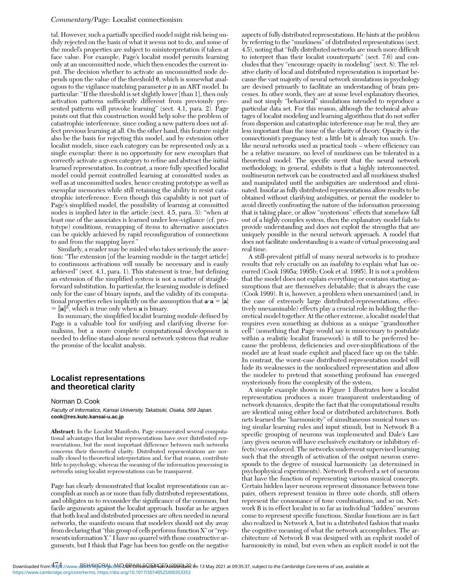#### *Commentary/*Page: Localist connectionism

tal. However, such a partially specified model might risk being unduly rejected on the basis of what it seems not to do, and some of the model's properties are subject to misinterpretation if taken at face value. For example, Page's localist model permits learning only at an uncommitted node, which then encodes the current input. The decision whether to activate an uncommitted node depends upon the value of the threshold  $\theta$ , which is somewhat analogous to the vigilance matching parameter  $\rho$  in an ART model. In particular: "If the threshold is set slightly lower [than 1], then only activation patterns sufficiently different from previously presented patterns will provoke learning" (sect. 4.1, para. 2). Page points out that this construction would help solve the problem of catastrophic interference, since coding a new pattern does not affect previous learning at all. On the other hand, this feature might also be the basis for rejecting this model, and by extension other localist models, since each category can be represented only as a single exemplar: there is no opportunity for new exemplars that correctly activate a given category to refine and abstract the initial learned representation. In contrast, a more fully specified localist model could permit controlled learning at committed nodes as well as at uncommitted nodes, hence creating prototype as well as exemplar memories while still retaining the ability to resist catastrophic interference. Even though this capability is not part of Page's simplified model, the possibility of learning at committed nodes is implied later in the article (sect. 4.5, para. 3): "when at least one of the associates is learned under low-vigilance (cf. prototype) conditions, remapping of items to alternative associates can be quickly achieved by rapid reconfiguration of connections to and from the mapping layer."

Similarly, a reader may be misled who takes seriously the assertion: "The extension [of the learning module in the target article] to continuous activations will usually be necessary and is easily achieved" (sect. 4.1, para. 1). This statement is true, but defining an extension of the simplified system is not a matter of straightforward substitution. In particular, the learning module is defined only for the case of binary inputs, and the validity of its computational properties relies implicitly on the assumption that  $\mathbf{a} \cdot \mathbf{a} = |\mathbf{a}|$  $= \|\mathbf{a}\|^2$ , which is true only when **a** is binary.

In summary, the simplified localist learning module defined by Page is a valuable tool for unifying and clarifying diverse formalisms, but a more complete computational development is needed to define stand-alone neural network systems that realize the promise of the localist analysis.

## **Localist representations and theoretical clarity**

#### Norman D. Cook

Faculty of Informatics, Kansai University, Takatsuki, Osaka, 569 Japan. **cook@res.kutc.kansai-u.ac.jp**

**Abstract:** In the Localist Manifesto, Page enumerated several computational advantages that localist representations have over distributed representations, but the most important difference between such networks concerns their theoretical clarity. Distributed representations are normally closed to theoretical interpretation and, for that reason, contribute little to psychology, whereas the meaning of the information processing in networks using localist representations can be transparent.

Page has clearly demonstrated that localist representations can accomplish as much as or more than fully distributed representations, and obligates us to reconsider the significance of the common, but facile arguments against the localist approach. Insofar as he argues that both local and distributed processes are often needed in neural networks, the manifesto means that modelers should not shy away from declaring that "this group of cells performs function X" or "represents information Y." I have no quarrel with those constructive arguments, but I think that Page has been too gentle on the negative aspects of fully distributed representations. He hints at the problem by referring to the "murkiness" of distributed representations (sect. 4.5), noting that "fully distributed networks are much more difficult to interpret than their localist counterparts" (sect. 7.6) and concludes that they "encourage opacity in modeling" (sect. 8). The relative clarity of local and distributed representation is important because the vast majority of neural network simulations in psychology are devised primarily to facilitate an understanding of brain processes. In other words, they are at some level explanatory theories, and not simply "behavioral" simulations intended to reproduce a particular data set. For this reason, although the technical advantages of localist modeling and learning algorithms that do not suffer from dispersion and catastrophic interference may be real, they are less important than the issue of the clarity of theory. Opacity is the connectionist's pregnancy test: a little bit is already too much. Unlike neural networks used as practical tools – where efficiency can be a relative measure, no level of murkiness can be tolerated in a theoretical model. The specific merit that the neural network methodology, in general, exhibits is that a highly interconnected, multineuron network can be constructed and all murkiness studied and manipulated until the ambiguities are understood and eliminated. Insofar as fully distributed representations allow results to be obtained without clarifying ambiguities, or permit the modeler to avoid directly confronting the nature of the information processing that is taking place, or allow "mysterious" effects that somehow fall out of a highly complex system, then the explanatory model fails to provide understanding and does not exploit the strengths that are uniquely possible in the neural network approach. A model that does not facilitate understanding is a waste of virtual processing and real time.

A still-prevalent pitfall of many neural networks is to produce results that rely crucially on an *inability* to explain what has occurred (Cook 1995a; 1995b; Cook et al. 1995). It is not a problem that the model does not explain everything or contains starting assumptions that are themselves debatable; that is always the case (Cook 1999). It is, however, a problem when unexamined (and, in the case of extremely large distributed-representations, effectively unexaminable) effects play a crucial role in holding the theoretical model together. At the other extreme, a localist model that requires even something as dubious as a unique "grandmother cell" (something that Page would say is unnecessary to postulate within a realistic localist framework) is still to be preferred because the problems, deficiencies and over-simplifications of the model are at least made explicit and placed face up on the table. In contrast, the worst-case distributed representation model will hide its weaknesses in the nonlocalized representation and allow the modeler to pretend that something profound has emerged mysteriously from the complexity of the system.

A simple example shown in Figure 1 illustrates how a localist representation produces a more transparent understanding of network dynamics, despite the fact that the computational results are identical using either local or distributed architectures. Both nets learned the "harmonicity" of simultaneous musical tones using similar learning rules and input stimuli, but in Network B a specific grouping of neurons was implemented and Dale's Law (any given neuron will have exclusively excitatory or inhibitory effects) was enforced. The networks underwent supervised learning such that the strength of activation of the output neuron corresponds to the degree of musical harmonicity (as determined in psychophysical experiments). Network B evolved a set of neurons that have the function of representing various musical concepts. Certain hidden layer neurons represent dissonance between tone pairs, others represent tension in three note chords, still others represent the consonance of tone combinations, and so on. Network B is in effect localist in so far as individual "hidden" neurons come to represent specific functions. Similar functions are in fact also realized in Network A, but in a distributed fashion that masks the cognitive meaning of what the network accomplishes. The architecture of Network B was designed with an explicit model of harmonicity in mind, but even when an explicit model is not the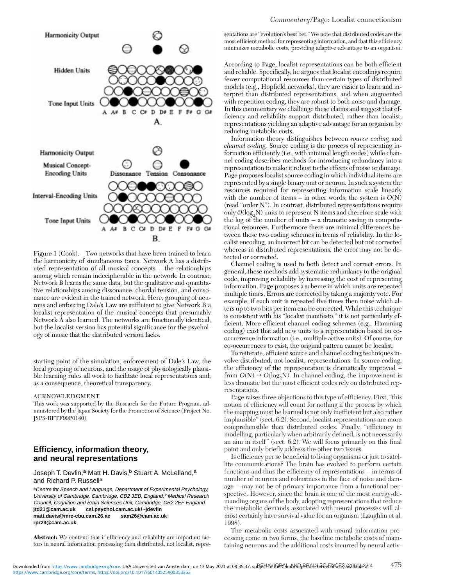

Figure 1 (Cook). Two networks that have been trained to learn the harmonicity of simultaneous tones. Network A has a distributed representation of all musical concepts – the relationships among which remain indecipherable in the network. In contrast, Network B learns the same data, but the qualitative and quantitative relationships among dissonance, chordal tension, and consonance are evident in the trained network. Here, grouping of neurons and enforcing Dale's Law are sufficient to give Network B a localist representation of the musical concepts that presumably Network A also learned. The networks are functionally identical, but the localist version has potential significance for the psychology of music that the distributed version lacks.

starting point of the simulation, enforcement of Dale's Law, the local grouping of neurons, and the usage of physiologically plausible learning rules all work to facilitate local representations and, as a consequence, theoretical transparency.

#### ACKNOWLEDGMENT

This work was supported by the Research for the Future Program, administered by the Japan Society for the Promotion of Science (Project No. JSPS-RFTF99P0140).

## **Efficiency, information theory, and neural representations**

## Joseph T. Devlin,<sup>a</sup> Matt H. Davis,<sup>b</sup> Stuart A. McLelland,<sup>a</sup> and Richard P. Russell<sup>a</sup>

aCentre for Speech and Language, Department of Experimental Psychology, University of Cambridge, Cambridge, CB2 3EB, England; <sup>b</sup>Medical Research Council, Cognition and Brain Sciences Unit, Cambridge, CB2 2EF England. **jtd21@cam.ac.uk csl.psychol.cam.ac.uk/~jdevlin** matt.davis@mrc-cbu.cam.26.ac **rpr23@cam.ac.uk**

Abstract: We contend that if efficiency and reliability are important factors in neural information processing then distributed, not localist, repre-

## *Commentary/*Page: Localist connectionism

sentations are "evolution's best bet." We note that distributed codes are the most efficient method for representing information, and that this efficiency minimizes metabolic costs, providing adaptive advantage to an organism.

According to Page, localist representations can be both efficient and reliable. Specifically, he argues that localist encodings require fewer computational resources than certain types of distributed models (e.g., Hopfield networks), they are easier to learn and interpret than distributed representations, and when augmented with repetition coding, they are robust to both noise and damage. In this commentary we challenge these claims and suggest that efficiency and reliability support distributed, rather than localist, representations yielding an adaptive advantage for an organism by reducing metabolic costs.

Information theory distinguishes between *source coding* and *channel coding.* Source coding is the process of representing information efficiently (i.e., with minimal length codes) while channel coding describes methods for introducing redundancy into a representation to make it robust to the effects of noise or damage. Page proposes localist source coding in which individual items are represented by a single binary unit or neuron. In such a system the resources required for representing information scale linearly with the number of items – in other words, the system is  $O(N)$ (read "order N"). In contrast, distributed representations require only  $O(log_{2}N)$  units to represent N items and therefore scale with the log of the number of units – a dramatic saving in computational resources. Furthermore there are minimal differences between these two coding schemes in terms of reliability. In the localist encoding, an incorrect bit can be detected but not corrected whereas in distributed representations, the error may not be detected or corrected.

Channel coding is used to both detect and correct errors. In general, these methods add systematic redundancy to the original code, improving reliability by increasing the cost of representing information. Page proposes a scheme in which units are repeated multiple times. Errors are corrected by taking a majority vote. For example, if each unit is repeated five times then noise which alters up to two bits per item can be corrected. While this technique is consistent with his "localist manifesto," it is not particularly efficient. More efficient channel coding schemes (e.g., Hamming coding) exist that add new units to a representation based on cooccurrence information (i.e., multiple active units). Of course, for co-occurrences to exist, the original pattern cannot be localist.

To reiterate, efficient source and channel coding techniques involve distributed, not localist, representations. In source coding, the efficiency of the representation is dramatically improved – from  $O(N) \rightarrow O(log_2 N)$ . In channel coding, the improvement is less dramatic but the most efficient codes rely on distributed representations.

Page raises three objections to this type of efficiency. First, "this notion of efficiency will count for nothing if the process by which the mapping must be learned is not only inefficient but also rather implausible" (sect. 6.2). Second, localist representations are more comprehensible than distributed codes. Finally, "efficiency in modelling, particularly when arbitrarily defined, is not necessarily an aim in itself" (sect. 6.2). We will focus primarily on this final point and only briefly address the other two issues.

Is efficiency per se beneficial to living organisms or just to satellite communications? The brain has evolved to perform certain functions and thus the efficiency of representations – in terms of number of neurons and robustness in the face of noise and damage – may not be of primary importance from a functional perspective. However, since the brain is one of the most energy-demanding organs of the body, adopting representations that reduce the metabolic demands associated with neural processes will almost certainly have survival value for an organism (Laughlin et al. 1998).

The metabolic costs associated with neural information processing come in two forms, the baseline metabolic costs of maintaining neurons and the additional costs incurred by neural activ-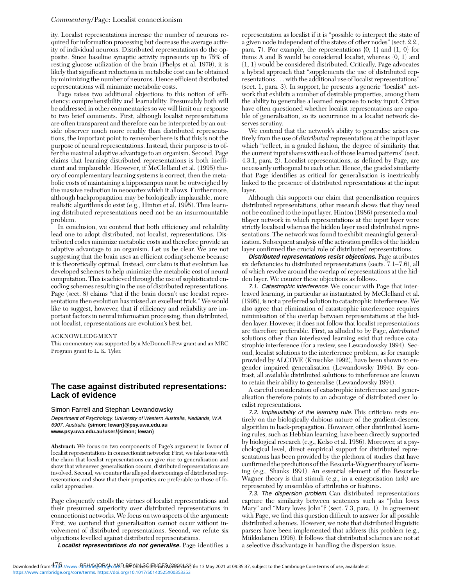#### *Commentary/*Page: Localist connectionism

ity. Localist representations increase the number of neurons required for information processing but decrease the average activity of individual neurons. Distributed representations do the opposite. Since baseline synaptic activity represents up to 75% of resting glucose utilization of the brain (Phelps et al. 1979), it is likely that significant reductions in metabolic cost can be obtained by minimizing the number of neurons. Hence efficient distributed representations will minimize metabolic costs.

Page raises two additional objections to this notion of efficiency: comprehensibility and learnability. Presumably both will be addressed in other commentaries so we will limit our response to two brief comments. First, although localist representations are often transparent and therefore can be interpreted by an outside observer much more readily than distributed representations, the important point to remember here is that this is not the purpose of neural representations. Instead, their purpose is to offer the maximal adaptive advantage to an organism. Second, Page claims that learning distributed representations is both inefficient and implausible. However, if McClelland et al. (1995) theory of complementary learning systems is correct, then the metabolic costs of maintaining a hippocampus must be outweighed by the massive reduction in neocortex which it allows. Furthermore, although backpropagation may be biologically implausible, more realistic algorithms do exist (e.g., Hinton et al. 1995). Thus learning distributed representations need not be an insurmountable problem.

In conclusion, we contend that both efficiency and reliability lead one to adopt distributed, not localist, representations. Distributed codes minimize metabolic costs and therefore provide an adaptive advantage to an organism. Let us be clear. We are not suggesting that the brain uses an efficient coding scheme because it is theoretically optimal. Instead, our claim is that evolution has developed schemes to help minimize the metabolic cost of neural computation. This is achieved through the use of sophisticated encoding schemes resulting in the use of distributed representations. Page (sect. 8) claims "that if the brain doesn't use localist representations then evolution has missed an excellent trick." We would like to suggest, however, that if efficiency and reliability are important factors in neural information processing, then distributed, not localist, representations are evolution's best bet.

#### ACKNOWLEDGMENT

This commentary was supported by a McDonnell-Pew grant and an MRC Program grant to L. K. Tyler.

## **The case against distributed representations: Lack of evidence**

Simon Farrell and Stephan Lewandowsky Department of Psychology, University of Western Australia, Nedlands, W.A. 6907, Australia. **{simon; lewan}@psy.uwa.edu.au www.psy.uwa.edu.au/user/{simon; lewan}**

**Abstract:** We focus on two components of Page's argument in favour of localist representations in connectionist networks: First, we take issue with the claim that localist representations can give rise to generalisation and show that whenever generalisation occurs, distributed representations are involved. Second, we counter the alleged shortcomings of distributed representations and show that their properties are preferable to those of localist approaches.

Page eloquently extolls the virtues of localist representations and their presumed superiority over distributed representations in connectionist networks. We focus on two aspects of the argument: First, we contend that generalisation cannot occur without involvement of distributed representations. Second, we refute six objections levelled against distributed representations.

**Localist representations do not generalise.** Page identifies a

representation as localist if it is "possible to interpret the state of a given node independent of the states of other nodes" (sect. 2.2., para. 7). For example, the representations  $\{0, 1\}$  and  $\{1, 0\}$  for items A and B would be considered localist, whereas {0, 1} and {1, 1} would be considered distributed. Critically, Page advocates a hybrid approach that "supplements the use of distributed representations . . . with the additional use of localist representations" (sect. 1, para. 3). In support, he presents a generic "localist" network that exhibits a number of desirable properties, among them the ability to generalise a learned response to noisy input. Critics have often questioned whether localist representations are capable of generalisation, so its occurrence in a localist network deserves scrutiny.

We contend that the network's ability to generalise arises entirely from the use of *distributed* representations at the input layer which "reflect, in a graded fashion, the degree of similarity that the current input shares with each of those learned patterns" (sect. 4.3.1, para. 2). Localist representations, as defined by Page, are necessarily orthogonal to each other. Hence, the graded similarity that Page identifies as critical for generalisation is inextricably linked to the presence of distributed representations at the input layer.

Although this supports our claim that generalisation requires distributed representations, other research shows that they need not be confined to the input layer. Hinton (1986) presented a multilayer network in which representations at the input layer were strictly localised whereas the hidden layer used distributed representations. The network was found to exhibit meaningful generalization. Subsequent analysis of the activation profiles of the hidden layer confirmed the crucial role of distributed representations.

**Distributed representations resist objections.** Page attributes six deficiencies to distributed representations (sects. 7.1–7.6), all of which revolve around the overlap of representations at the hidden layer. We counter these objections as follows.

7.1. Catastrophic interference. We concur with Page that interleaved learning, in particular as instantiated by McClelland et al. (1995), is not a preferred solution to catastrophic interference. We also agree that elimination of catastrophic interference requires minimisation of the overlap between representations at the hidden layer. However, it does not follow that localist representations are therefore preferable. First, as alluded to by Page, *distributed* solutions other than interleaved learning exist that reduce catastrophic interference (for a review, see Lewandowsky 1994). Second, localist solutions to the interference problem, as for example provided by ALCOVE (Kruschke 1992), have been shown to engender impaired generalisation (Lewandowsky 1994). By contrast, all available distributed solutions to interference are known to retain their ability to generalise (Lewandowsky 1994).

A careful consideration of catastrophic interference and generalisation therefore points to an advantage of distributed over localist representations.

7.2. Implausibility of the learning rule. This criticism rests entirely on the biologically dubious nature of the gradient-descent algorithm in back-propagation. However, other distributed learning rules, such as Hebbian learning, have been directly supported by biological research (e.g., Kelso et al. 1986). Moreover, at a psychological level, direct empirical support for distributed representations has been provided by the plethora of studies that have confirmed the predictions of the Rescorla-Wagner theory of learning (e.g., Shanks 1991). An essential element of the Rescorla-Wagner theory is that stimuli (e.g., in a categorisation task) are represented by ensembles of attributes or features.

7.3. The dispersion problem. Can distributed representations capture the similarity between sentences such as "John loves Mary" and "Mary loves John"? (sect. 7.3, para. 1). In agreement with Page, we find this question difficult to answer for all possible distributed schemes. However, we note that distributed linguistic parsers have been implemented that address this problem (e.g., Miikkulainen 1996). It follows that distributed schemes are not at a selective disadvantage in handling the dispersion issue.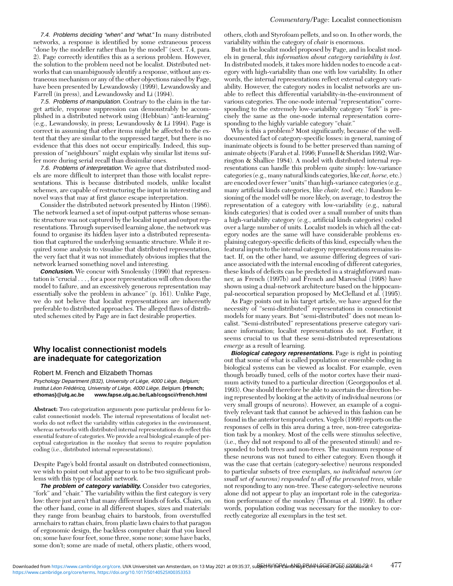7.4. Problems deciding "when" and "what." In many distributed networks, a response is identified by some extraneous process "done by the modeller rather than by the model" (sect. 7.4, para. 2). Page correctly identifies this as a serious problem. However, the solution to the problem need not be localist. Distributed networks that can unambiguously identify a response, without any extraneous mechanism or any of the other objections raised by Page, have been presented by Lewandowsky (1999), Lewandowsky and Farrell (in press), and Lewandowsky and Li (1994).

7.5. Problems of manipulation. Contrary to the claim in the target article, response suppression can demonstrably be accomplished in a distributed network using (Hebbian) "anti-learning" (e.g., Lewandowsky, in press; Lewandowsky & Li 1994). Page is correct in assuming that other items might be affected to the extent that they are similar to the suppressed target, but there is no evidence that this does not occur empirically. Indeed, this suppression of "neighbours" might explain why similar list items suffer more during serial recall than dissimilar ones.

7.6. Problems of interpretation. We agree that distributed models are more difficult to interpret than those with localist representations. This is because distributed models, unlike localist schemes, are capable of restructuring the input in interesting and novel ways that may at first glance escape interpretation.

Consider the distributed network presented by Hinton (1986). The network learned a set of input-output patterns whose semantic structure was not captured by the localist input and output representations. Through supervised learning alone, the network was found to organise its hidden layer into a distributed representation that captured the underlying semantic structure. While it required some analysis to visualise that distributed representation, the very fact that it was not immediately obvious implies that the network learned something novel and interesting.

**Conclusion.** We concur with Smolensky (1990) that representation is "crucial . . . , for a poor representation will often doom the model to failure, and an excessively generous representation may essentially solve the problem in advance" (p. 161). Unlike Page, we do not believe that localist representations are inherently preferable to distributed approaches. The alleged flaws of distributed schemes cited by Page are in fact desirable properties.

## **Why localist connectionist models are inadequate for categorization**

#### Robert M. French and Elizabeth Thomas

Psychology Department (B32), University of Liège, 4000 Liège, Belgium; Institut Léon Frédéricq, University of Liège, 4000 Liège, Belgium. **{rfrench; ethomas}@ulg.ac.be www.fapse.ulg.ac.be/Lab/cogsci/rfrench.html**

**Abstract:** Two categorization arguments pose particular problems for localist connectionist models. The internal representations of localist networks do not reflect the variability within categories in the environment, whereas networks with distributed internal representations do reflect this essential feature of categories. We provide a real biological example of perceptual categorization in the monkey that seems to require population coding (i.e., distributed internal representations).

Despite Page's bold frontal assault on distributed connectionism, we wish to point out what appear to us to be two significant problems with this type of localist network.

**The problem of category variability.** Consider two categories, "fork" and "chair." The variability within the first category is very low: there just aren't that many different kinds of forks. Chairs, on the other hand, come in all different shapes, sizes and materials: they range from beanbag chairs to barstools, from overstuffed armchairs to rattan chairs, from plastic lawn chairs to that paragon of ergonomic design, the backless computer chair that you kneel on; some have four feet, some three, some none; some have backs, some don't; some are made of metal, others plastic, others wood, others, cloth and Styrofoam pellets, and so on. In other words, the variability within the category of *chair* is enormous.

But in the localist model proposed by Page, and in localist models in general, *this information about category variability is lost.* In distributed models, it takes more hidden nodes to encode a category with high-variability than one with low variability. In other words, the internal representations reflect external category variability. However, the category nodes in localist networks are unable to reflect this differential variability-in-the-environment of various categories. The one-node internal "representation" corresponding to the extremely low-variability category "fork" is precisely the same as the one-node internal representation corresponding to the highly variable category "chair."

Why is this a problem? Most significantly, because of the welldocumented fact of category-specific losses: in general, naming of inanimate objects is found to be better preserved than naming of animate objects (Farah et al. 1996; Funnell & Sheridan 1992; Warrington & Shallice 1984). A model with distributed internal representations can handle this problem quite simply: low-variance categories (e.g., many natural kinds categories, like *cat, horse,* etc.) are encoded over fewer "units" than high-variance categories (e.g., many artificial kinds categories, like *chair, tool,* etc.) Random lesioning of the model will be more likely, on average, to destroy the representation of a category with low-variability (e.g., natural kinds categories) that is coded over a small number of units than a high-variability category (e.g., artificial kinds categories) coded over a large number of units. Localist models in which all the category nodes are the same will have considerable problems explaining category-specific deficits of this kind, especially when the featural inputs to the internal category representations remains intact. If, on the other hand, we assume differing degrees of variance associated with the internal encoding of different categories, these kinds of deficits can be predicted in a straightforward manner, as French (1997b) and French and Mareschal (1998) have shown using a dual-network architecture based on the hippocampal-neocortical separation proposed by McClelland et al. (1995).

As Page points out in his target article, we have argued for the necessity of "semi-distributed" representations in connectionist models for many years. But "semi-distributed" does not mean localist. "Semi-distributed" representations preserve category variance information; localist representations do not. Further, it seems crucial to us that these semi-distributed representations *emerge* as a result of learning.

**Biological category representations.** Page is right in pointing out that some of what is called population or ensemble coding in biological systems can be viewed as localist. For example, even though broadly tuned, cells of the motor cortex have their maximum activity tuned to a particular direction (Georgopoulos et al. 1993). One should therefore be able to ascertain the direction being represented by looking at the activity of individual neurons (or very small groups of neurons). However, an example of a cognitively relevant task that cannot be achieved in this fashion can be found in the anterior temporal cortex. Vogels (1999) reports on the responses of cells in this area during a tree, non-tree categorization task by a monkey. Most of the cells were stimulus selective, (i.e., they did not respond to all of the presented stimuli) and responded to both trees and non-trees. The maximum response of these neurons was not tuned to either category. Even though it was the case that certain (category-selective) neurons responded to particular subsets of tree exemplars, *no individual neuron (or small set of neurons) responded to all of the presented trees,* while not responding to any non-tree. These category-selective neurons alone did not appear to play an important role in the categorization performance of the monkey (Thomas et al. 1999). In other words, population coding was necessary for the monkey to correctly categorize all exemplars in the test set.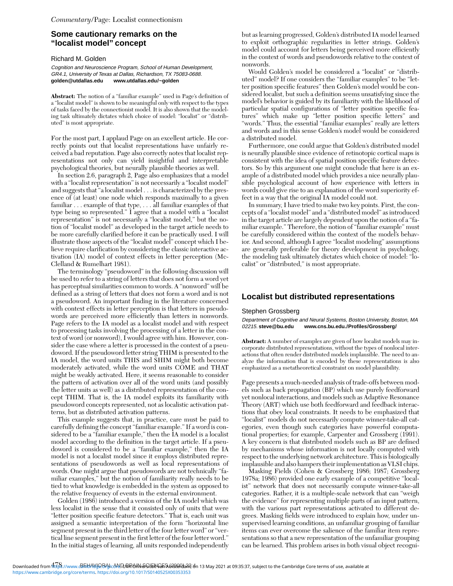## **Some cautionary remarks on the "localist model" concept**

#### Richard M. Golden

Cognition and Neuroscience Program, School of Human Development, GR4.1, University of Texas at Dallas, Richardson, TX 75083-0688. **golden@utdallas.edu www.utdallas.edu/~golden**

**Abstract:** The notion of a "familiar example" used in Page's definition of a "localist model" is shown to be meaningful only with respect to the types of tasks faced by the connectionist model. It is also shown that the modeling task ultimately dictates which choice of model: "localist" or "distributed" is most appropriate.

For the most part, I applaud Page on an excellent article. He correctly points out that localist representations have unfairly received a bad reputation. Page also correctly notes that localist representations not only can yield insightful and interpretable psychological theories, but neurally plausible theories as well.

In section 2.6, paragraph 2, Page also emphasizes that a model with a "localist representation" is not necessarily a "localist model" and suggests that "a localist model . . . is characterized by the presence of (at least) one node which responds maximally to a given familiar . . . example of that type, . . . all familiar examples of that type being so represented." I agree that a model with a "localist representation" is not necessarily a "localist model," but the notion of "localist model" as developed in the target article needs to be more carefully clarified before it can be practically used. I will illustrate those aspects of the "localist model" concept which I believe require clarification by considering the classic interactive activation (IA) model of context effects in letter perception (Mc-Clelland & Rumelhart 1981).

The terminology "pseudoword" in the following discussion will be used to refer to a string of letters that does not form a word yet has perceptual similarities common to words. A "nonword" will be defined as a string of letters that does not form a word and is not a pseudoword. An important finding in the literature concerned with context effects in letter perception is that letters in pseudowords are perceived more efficiently than letters in nonwords. Page refers to the IA model as a localist model and with respect to processing tasks involving the processing of a letter in the context of word (or nonword), I would agree with him. However, consider the case where a letter is processed in the context of a pseudoword. If the pseudoword letter string THIM is presented to the IA model, the word units THIS and SHIM might both become moderately activated, while the word units COME and THAT might be weakly activated. Here, it seems reasonable to consider the pattern of activation over all of the word units (and possibly the letter units as well) as a distributed representation of the concept THIM. That is, the IA model exploits its familiarity with pseudoword concepts represented, not as localistic activation patterns, but as distributed activation patterns.

This example suggests that, in practice, care must be paid to carefully defining the concept "familiar example." If a word is considered to be a "familiar example," then the IA model is a localist model according to the definition in the target article. If a pseudoword is considered to be a "familiar example," then the IA model is not a localist model since it employs distributed representations of pseudowords as well as local representations of words. One might argue that pseudowords are not technically "familiar examples," but the notion of familiarity really needs to be tied to what knowledge is embedded in the system as opposed to the relative frequency of events in the external environment.

Golden (1986) introduced a version of the IA model which was less localist in the sense that it consisted only of units that were "letter position specific feature detectors." That is, each unit was assigned a semantic interpretation of the form "horizontal line segment present in the third letter of the four letter word" or "vertical line segment present in the first letter of the four letter word." In the initial stages of learning, all units responded independently but as learning progressed, Golden's distributed IA model learned to exploit orthographic regularities in letter strings. Golden's model could account for letters being perceived more efficiently in the context of words and pseudowords relative to the context of nonwords.

Would Golden's model be considered a "localist" or "distributed" model? If one considers the "familiar examples" to be "letter position specific features" then Golden's model would be considered localist, but such a definition seems unsatisfying since the model's behavior is guided by its familiarity with the likelihood of particular spatial configurations of "letter position specific features" which make up "letter position specific letters" and "words." Thus, the essential "familiar examples" really are letters and words and in this sense Golden's model would be considered a distributed model.

Furthermore, one could argue that Golden's distributed model is neurally plausible since evidence of retinotopic cortical maps is consistent with the idea of spatial position specific feature detectors. So by this argument one might conclude that here is an example of a distributed model which provides a nice neurally plausible psychological account of how experience with letters in words could give rise to an explanation of the word superiority effect in a way that the original IA model could not.

In summary, I have tried to make two key points. First, the concepts of a "localist model" and a "distributed model" as introduced in the target article are largely dependent upon the notion of a "familiar example." Therefore, the notion of "familiar example" must be carefully considered within the context of the model's behavior. And second, although I agree "localist modeling" assumptions are generally preferable for theory development in psychology, the modeling task ultimately dictates which choice of model: "localist" or "distributed," is most appropriate.

## **Localist but distributed representations**

#### Stephen Grossberg

Department of Cognitive and Neural Systems, Boston University, Boston, MA 02215. **steve@bu.edu www.cns.bu.edu./Profiles/Grossberg/**

**Abstract:** A number of examples are given of how localist models may incorporate distributed representations, without the types of nonlocal interactions that often render distributed models implausible. The need to analyze the information that is encoded by these representations is also emphasized as a metatheoretical constraint on model plausibility.

Page presents a much-needed analysis of trade-offs between models such as back propagation (BP) which use purely feedforward yet nonlocal interactions, and models such as Adaptive Resonance Theory (ART) which use both feedforward and feedback interactions that obey local constraints. It needs to be emphasized that "localist" models do not necessarily compute winner-take-all categories, even though such categories have powerful computational properties; for example, Carpenter and Grossberg (1991). A key concern is that distributed models such as BP are defined by mechanisms whose information is not locally computed with respect to the underlying network architecture. This is biologically implausible and also hampers their implementation as VLSI chips.

Masking Fields (Cohen & Grossberg 1986; 1987; Grossberg 1978a; 1986) provided one early example of a competitive "localist" network that does not necessarily compute winner-take-all categories. Rather, it is a multiple-scale network that can "weigh the evidence" for representing multiple parts of an input pattern, with the various part representations activated to different degrees. Masking fields were introduced to explain how, under unsupervised learning conditions, an unfamiliar grouping of familiar items can ever overcome the salience of the familiar item representations so that a new representation of the unfamiliar grouping can be learned. This problem arises in both visual object recogni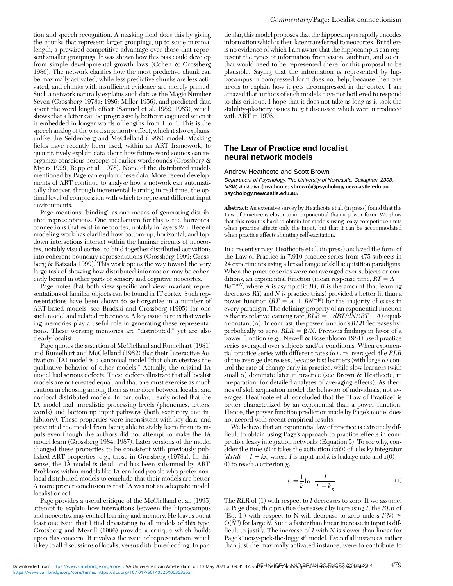tion and speech recognition. A masking field does this by giving the chunks that represent larger groupings, up to some maximal length, a prewired competitive advantage over those that represent smaller groupings. It was shown how this bias could develop from simple developmental growth laws (Cohen & Grossberg 1986). The network clarifies how the most predictive chunk can be maximally activated, while less predictive chunks are less activated, and chunks with insufficient evidence are merely primed. Such a network naturally explains such data as the Magic Number Seven (Grossberg 1978a; 1986; Miller 1956), and predicted data about the word length effect (Samuel et al. 1982; 1983), which shows that a letter can be progressively better recognized when it is embedded in longer words of lengths from 1 to 4. This is the speech analog of the word superiority effect, which it also explains, unlike the Seidenberg and McClelland (1989) model. Masking fields have recently been used, within an ART framework, to quantitatively explain data about how future word sounds can reorganize conscious percepts of earlier word sounds (Grossberg & Myers 1999; Repp et al. 1978). None of the distributed models mentioned by Page can explain these data. More recent developments of ART continue to analyse how a network can automatically discover, through incremental learning in real time, the optimal level of compression with which to represent different input environments.

Page mentions "binding" as one means of generating distributed representations. One mechanism for this is the horizontal connections that exist in neocortex, notably in layers 2/3. Recent modeling work has clarified how bottom-up, horizontal, and topdown interactions interact within the laminar circuits of neocortex, notably visual cortex, to bind together distributed activations into coherent boundary representations (Grossberg 1999; Grossberg & Raizada 1999). This work opens the way toward the very large task of showing how distributed information may be coherently bound in other parts of sensory and cognitive neocortex.

Page notes that both view-specific and view-invariant representations of familiar objects can be found in IT cortex. Such representations have been shown to self-organize in a number of ART-based models; see Bradski and Grossberg (1995) for one such model and related references. A key issue here is that working memories play a useful role in generating these representations. These working memories are "distributed," yet are also clearly localist.

Page quotes the assertion of McClelland and Rumelhart (1981) and Rumelhart and McClelland (1982) that their Interactive Activation (IA) model is a canonical model "that characterizes the qualitative behavior of other models." Actually, the original IA model had serious defects. These defects illustrate that all localist models are not created equal, and that one must exercise as much caution in choosing among them as one does between localist and nonlocal distributed models. In particular, I early noted that the IA model had unrealistic processing levels (phonemes, letters, words) and bottom-up input pathways (both excitatory and inhibitory). These properties were inconsistent with key data, and prevented the model from being able to stably learn from its inputs-even though the authors did not attempt to make the IA model learn (Grossberg 1984; 1987). Later versions of the model changed these properties to be consistent with previously published ART properties; e.g., those in Grossberg (1978a). In this sense, the IA model is dead, and has been subsumed by ART. Problems within models like IA can lead people who prefer nonlocal distributed models to conclude that their models are better. A more proper conclusion is that IA was not an adequate model, localist or not.

Page provides a useful critique of the McClelland et al. (1995) attempt to explain how interactions between the hippocampus and neocortex may control learning and memory. He leaves out at least one issue that I find devastating to all models of this type. Grossberg and Merrill (1996) provide a critique which builds upon this concern. It involves the issue of representation, which is key to all discussions of localist versus distributed coding. In par-

ticular, this model proposes that the hippocampus rapidly encodes information which is then later transferred to neocortex. But there is no evidence of which I am aware that the hippocampus can represent the types of information from vision, audition, and so on, that would need to be represented there for this proposal to be plausible. Saying that the information is represented by hippocampus in compressed form does not help, because then one needs to explain how it gets decompressed in the cortex. I am amazed that authors of such models have not bothered to respond to this critique. I hope that it does not take as long as it took the stability-plasticity issues to get discussed which were introduced with ART in 1976.

## **The Law of Practice and localist neural network models**

## Andrew Heathcote and Scott Brown

Department of Psychology, The University of Newcastle, Callaghan, 2308, NSW, Australia. **{heathcote; sbrown}@psychology.newcastle.edu.au psychology.newcastle.edu.au/**

**Abstract:** An extensive survey by Heathcote et al. (in press) found that the Law of Practice is closer to an exponential than a power form. We show that this result is hard to obtain for models using leaky competitive units when practice affects only the input, but that it can be accommodated when practice affects shunting self-excitation.

In a recent survey, Heathcote et al. (in press) analyzed the form of the Law of Practice in 7,910 practice series from 475 subjects in 24 experiments using a broad range of skill acquisition paradigms. When the practice series were not averaged over subjects or conditions, an exponential function (mean response time,  $RT = A +$  $Be^{-\alpha N}$ , where *A* is asymptotic *RT*, *B* is the amount that learning decreases *RT,* and *N* is practice trials) provided a better fit than a power function  $(RT = A + BN^{-\beta})$  for the majority of cases in every paradigm. The defining property of an exponential function is that its relative learning rate,  $RLR = -dRT/dN/(RT - A)$  equals a constant  $(\alpha)$ . In contrast, the power function's *RLR* decreases hyperbolically to zero,  $RLR = \hat{\beta}/N$ . Previous findings in favor of a power function (e.g., Newell & Rosenbloom 1981) used practice series averaged over subjects and/or conditions. When exponential practice series with different rates  $(\alpha)$  are averaged, the *RLR* of the average decreases, because fast learners (with large  $\alpha$ ) control the rate of change early in practice, while slow learners (with small  $\alpha$ ) dominate later in practice (see Brown & Heathcote, in preparation, for detailed analyses of averaging effects). As theories of skill acquisition model the behavior of individuals, not averages, Heathcote et al. concluded that the "Law of Practice" is better characterized by an exponential than a power function. Hence, the power function prediction made by Page's model does not accord with recent empirical results.

We believe that an exponential law of practice is extremely difficult to obtain using Page's approach to practice effects in competitive leaky integration networks (Equation 5). To see why, consider the time  $(t)$  it takes the activation  $(x(t))$  of a leaky integrator  $\frac{dx}{dt} = I - kx$ , where *I* is input and *k* is leakage rate and  $x(0) =$ 0) to reach a criterion  $\chi$ .

$$
t = \frac{1}{k} \ln \left( \frac{I}{I - k_{\chi}} \right) \tag{1}
$$

The *RLR* of (1) with respect to *I* decreases to zero. If we assume, as Page does, that practice decreases *t* by increasing *I,* the *RLR* of (Eq. 1.) with respect to N will decrease to zero unless  $I(N) \geq$  $O(N^2)$  for large *N*. Such a faster than linear increase in input is difficult to justify. The increase of *I* with *N* is slower than linear for Page's "noisy-pick-the-biggest" model. Even if all instances, rather than just the maximally activated instance, were to contribute to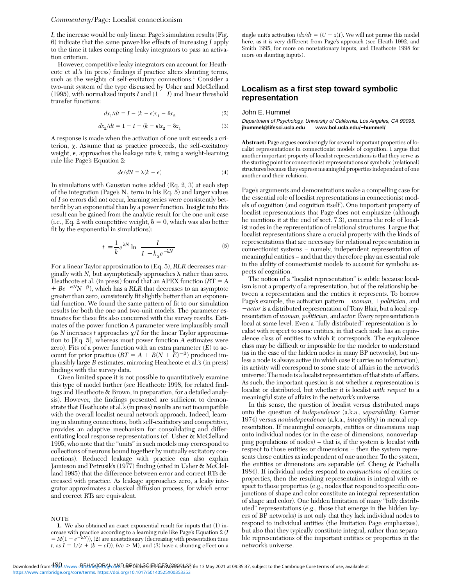*I,* the increase would be only linear. Page's simulation results (Fig. 6) indicate that the same power-like effects of increasing *I* apply to the time it takes competing leaky integrators to pass an activation criterion.

However, competitive leaky integrators can account for Heathcote et al.'s (in press) findings if practice alters shunting terms, such as the weights of self-excitatory connections.<sup>1</sup> Consider a two-unit system of the type discussed by Usher and McClelland (1995), with normalized inputs  $I$  and  $(1 - I)$  and linear threshold transfer functions:

$$
dx_1/dt=I-(k-\epsilon)x_1-\delta x_2 \eqno(2)
$$

$$
dx_2/dt = 1 - I - (k - \epsilon)x_2 - \delta x_1 \tag{3}
$$

A response is made when the activation of one unit exceeds a criterion,  $\chi$ . Assume that as practice proceeds, the self-excitatory weight, e, approaches the leakage rate *k,* using a weight-learning rule like Page's Equation 2:

$$
d\epsilon/dN = \lambda(k - \epsilon)
$$
 (4)

In simulations with Gaussian noise added (Eq. 2, 3) at each step of the integration (Page's  $N_1$  term in his Eq. 5) and larger values of *I* so errors did not occur, learning series were consistently better fit by an exponential than by a power function. Insight into this result can be gained from the analytic result for the one unit case (i.e., Eq. 2 with competitive weight,  $\delta = 0$ , which was also better fit by the exponential in simulations):

$$
t = \frac{1}{k} e^{\lambda N} \ln \left( \frac{I}{I - k_{\chi} e^{-\lambda N}} \right)
$$
 (5)

For a linear Taylor approximation to (Eq. 5), *RLR* decreases marginally with  $N$ , but asymptotically approaches  $\lambda$  rather than zero. Heathcote et al. (in press) found that an APEX function  $(RT = A)$  $+$   $Be^{-\alpha N}N^{-\beta}),$  which has a  $RLR$  that decreases to an asymptote greater than zero, consistently fit slightly better than an exponential function. We found the same pattern of fit to our simulation results for both the one and two-unit models. The parameter estimates for these fits also concurred with the survey results. Estimates of the power function *A* parameter were implausibly small (as *N* increases *t* approaches  $\chi$ /*I* for the linear Taylor approximation to [Eq. 5], whereas most power function *A* estimates were zero). Fits of a power function with an extra parameter (*E*) to account for prior practice  $(RT = A + B(N + \mathbf{\tilde{E}})^{-\beta})$  produced implausibly large *B* estimates, mirroring Heathcote et al.'s (in press) findings with the survey data.

Given limited space it is not possible to quantitatively examine this type of model further (see Heathcote 1998, for related findings and Heathcote & Brown, in preparation, for a detailed analysis). However, the findings presented are sufficient to demonstrate that Heathcote et al.'s (in press) results are not incompatible with the overall localist neural network approach. Indeed, learning in shunting connections, both self-excitatory and competitive, provides an adaptive mechanism for consolidating and differentiating local response representations (cf. Usher & McClelland 1995, who note that the "units" in such models may correspond to collections of neurons bound together by mutually excitatory connections). Reduced leakage with practice can also explain Jamieson and Petrusik's (1977) finding (cited in Usher & McClelland 1995) that the difference between error and correct RTs decreased with practice. As leakage approaches zero, a leaky integrator approximates a classical diffusion process, for which error and correct RTs are equivalent.

#### NOTE

**1.** We also obtained an exact exponential result for inputs that (1) increase with practice according to a learning rule like Page's Equation 2 (*I*  $= M(1 - e^{-\lambda N})),$   $(2)$  are nonstationary (decreasing with presentation time *t*, as  $I = 1/(t + (b - cI))$ ,  $b/c > M$ ), and (3) have a shunting effect on a single unit's activation  $\left(\frac{dx}{dt} = (U - x)I\right)$ . We will not pursue this model here, as it is very different from Page's approach (see Heath 1992, and Smith 1995, for more on nonstationary inputs, and Heathcote 1998 for more on shunting inputs).

## **Localism as a first step toward symbolic representation**

#### John E. Hummel

Department of Psychology, University of California, Los Angeles, CA 90095. **jhummel@lifesci.ucla.edu www.bol.ucla.edu/~hummel/**

**Abstract:** Page argues convincingly for several important properties of localist representations in connectionist models of cognition. I argue that another important property of localist representations is that they serve as the starting point for connectionist representations of symbolic (relational) structures because they express meaningful properties independent of one another and their relations.

Page's arguments and demonstrations make a compelling case for the essential role of localist representations in connectionist models of cognition (and cognition itself). One important property of localist representations that Page does not emphasize (although he mentions it at the end of sect. 7.3), concerns the role of localist nodes in the representation of relational structures. I argue that localist representations share a crucial property with the kinds of representations that are necessary for relational representation in connectionist systems – namely, independent representation of meaningful entities – and that they therefore play an essential role in the ability of connectionist models to account for symbolic aspects of cognition.

The notion of a "localist representation" is subtle because localism is not a property of a representation, but of the relationship between a representation and the entities it represents. To borrow Page's example, the activation pattern  $-voman$ , +politician, and 2*actor* is a distributed representation of Tony Blair, but a local representation of *woman, politician,* and *actor.* Every representation is local at some level. Even a "fully distributed" representation is localist with respect to some entities, in that each node has an equivalence class of entities to which it corresponds. The equivalence class may be difficult or impossible for the modeler to understand (as in the case of the hidden nodes in many BP networks), but unless a node is always active (in which case it carries no information), its activity will correspond to some state of affairs in the network's universe: The node is a localist representation of that state of affairs. As such, the important question is not whether a representation is localist or distributed, but whether it is localist *with respect* to a meaningful state of affairs in the network's universe.

In this sense, the question of localist versus distributed maps onto the question of *independence* (a.k.a., *separability;* Garner 1974) versus *nonindependence* (a.k.a., *integrality*) in mental representation. If meaningful concepts, entities or dimensions map onto individual nodes (or in the case of dimensions, nonoverlapping populations of nodes) – that is, if the system is localist with respect to those entities or dimensions – then the system represents those entities as independent of one another. To the system, the entities or dimensions are separable (cf. Cheng & Pachella 1984). If individual nodes respond to *conjunctions* of entities or properties, then the resulting representation is integral with respect to those properties (e.g., nodes that respond to specific conjunctions of shape and color constitute an integral representation of shape and color). One hidden limitation of many "fully distributed" representations (e.g., those that emerge in the hidden layers of BP networks) is not only that they lack individual nodes to respond to individual entities (the limitation Page emphasizes), but also that they typically constitute integral, rather than separable representations of the important entities or properties in the network's universe.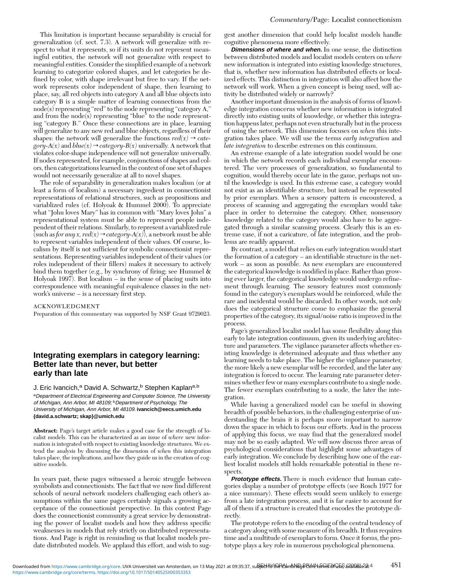This limitation is important because separability is crucial for generalization (cf. sect. 7.3). A network will generalize with respect to what it represents, so if its units do not represent meaningful entities, the network will not generalize with respect to meaningful entities. Consider the simplified example of a network learning to categorize colored shapes, and let categories be defined by color, with shape irrelevant but free to vary. If the network represents color independent of shape, then learning to place, say, all red objects into category A and all blue objects into category B is a simple matter of learning connections from the node(s) representing "red" to the node representing "category A," and from the node(s) representing "blue" to the node representing "category B." Once these connections are in place, learning will generalize to any new red and blue objects, regardless of their shapes: the network will generalize the functions  $red(x) \rightarrow cate$ *gory-A(x)* and  $blue(x) \rightarrow category-B(x)$  universally. A network that violates color-shape independence will not generalize universally. If nodes represented, for example, conjunctions of shapes and colors, then categorizations learned in the context of one set of shapes would not necessarily generalize at all to novel shapes.

The role of separability in generalization makes localism (or at least a form of localism) a necessary ingredient in connectionist representations of relational structures, such as propositions and variablized rules (cf. Holyoak & Hummel 2000). To appreciate what "John loves Mary" has in common with "Mary loves John" a representational system must be able to represent people independent of their relations. Similarly, to represent a variablized rule (such as *for any x, red*(*x*)  $\rightarrow$  *category-A*(*x*)), a network must be able to represent variables independent of their values. Of course, localism by itself is not sufficient for symbolic connectionist representations. Representing variables independent of their values (or roles independent of their fillers) makes it necessary to actively bind them together (e.g., by synchrony of firing; see Hummel & Holyoak 1997). But localism – in the sense of placing units into correspondence with meaningful equivalence classes in the network's universe – is a necessary first step.

#### ACKNOWLEDGMENT

Preparation of this commentary was supported by NSF Grant 9729023.

## **Integrating exemplars in category learning: Better late than never, but better early than late**

J. Eric Ivancich,<sup>a</sup> David A. Schwartz,<sup>b</sup> Stephen Kaplan<sup>a,b</sup> aDepartment of Electrical Engineering and Computer Science, The University of Michigan, Ann Arbor, MI 48109; **bDepartment of Psychology**, The University of Michigan, Ann Arbor, MI 48109. **ivancich@eecs.umich.edu {david.a.schwartz; skap}@umich.edu**

**Abstract:** Page's target article makes a good case for the strength of localist models. This can be characterized as an issue of *where* new information is integrated with respect to existing knowledge structures. We extend the analysis by discussing the dimension of *when* this integration takes place, the implications, and how they guide us in the creation of cognitive models.

In years past, these pages witnessed a heroic struggle between symbolists and connectionists. The fact that we now find different schools of neural network modelers challenging each other's assumptions within the same pages certainly signals a growing acceptance of the connectionist perspective. In this context Page does the connectionist community a great service by demonstrating the power of localist models and how they address specific weaknesses in models that rely strictly on distributed representations. And Page is right in reminding us that localist models predate distributed models. We applaud this effort, and wish to suggest another dimension that could help localist models handle cognitive phenomena more effectively.

**Dimensions of where and when.** In one sense, the distinction between distributed models and localist models centers on *where* new information is integrated into existing knowledge structures, that is, whether new information has distributed effects or localized effects. This distinction in integration will also affect how the network will work. When a given concept is being used, will activity be distributed widely or narrowly?

Another important dimension in the analysis of forms of knowledge integration concerns whether new information is integrated directly into existing units of knowledge, or whether this integration happens later, perhaps not even structurally but in the process of using the network. This dimension focuses on *when* this integration takes place. We will use the terms *early integration* and *late integration* to describe extremes on this continuum.

An extreme example of a late integration model would be one in which the network records each individual exemplar encountered. The very processes of generalization, so fundamental to cognition, would thereby occur late in the game, perhaps not until the knowledge is used. In this extreme case, a category would not exist as an identifiable structure, but instead be represented by prior exemplars. When a sensory pattern is encountered, a process of scanning and aggregating the exemplars would take place in order to determine the category. Other, nonsensory knowledge related to the category would also have to be aggregated through a similar scanning process. Clearly this is an extreme case, if not a caricature, of late integration, and the problems are readily apparent.

By contrast, a model that relies on early integration would start the formation of a category – an identifiable structure in the network – as soon as possible. As new exemplars are encountered the categorical knowledge is modified in place. Rather than growing ever larger, the categorical knowledge would undergo refinement through learning. The sensory features most commonly found in the category's exemplars would be reinforced, while the rare and incidental would be discarded. In other words, not only does the categorical structure come to emphasize the general properties of the category, its signal/noise ratio is improved in the process.

Page's generalized localist model has some flexibility along this early to late integration continuum, given its underlying architecture and parameters. The vigilance parameter affects whether existing knowledge is determined adequate and thus whether any learning needs to take place. The higher the vigilance parameter, the more likely a new exemplar will be recorded, and the later any integration is forced to occur. The learning rate parameter determines whether few or many exemplars contribute to a single node. The fewer exemplars contributing to a node, the later the integration.

While having a generalized model can be useful in showing breadth of possible behaviors, in the challenging enterprise of understanding the brain it is perhaps more important to narrow down the space in which to focus our efforts. And in the process of applying this focus, we may find that the generalized model may not be so easily adapted. We will now discuss three areas of psychological considerations that highlight some advantages of early integration. We conclude by describing how one of the earliest localist models still holds remarkable potential in these respects.

**Prototype effects.** There is much evidence that human categories display a number of prototype effects (see Rosch 1977 for a nice summary). These effects would seem unlikely to emerge from a late integration process, and it is far easier to account for all of them if a structure is created that encodes the prototype directly.

The prototype refers to the encoding of the central tendency of a category along with some measure of its breadth. It thus requires time and a multitude of exemplars to form. Once it forms, the prototype plays a key role in numerous psychological phenomena.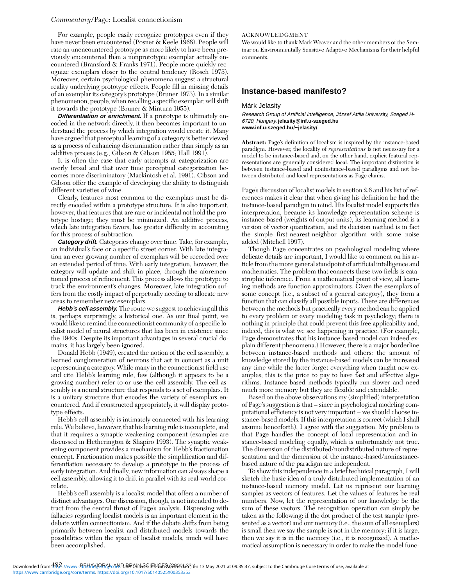## *Commentary/*Page: Localist connectionism

For example, people easily recognize prototypes even if they have never been encountered (Posner & Keele 1968). People will rate an unencountered prototype as more likely to have been previously encountered than a nonprototypic exemplar actually encountered (Bransford & Franks 1971). People more quickly recognize exemplars closer to the central tendency (Rosch 1975). Moreover, certain psychological phenomena suggest a structural reality underlying prototype effects. People fill in missing details of an exemplar its category's prototype (Bruner 1973). In a similar phenomenon, people, when recalling a specific exemplar, will shift it towards the prototype (Bruner & Minturn 1955).

**Differentiation or enrichment.** If a prototype is ultimately encoded in the network directly, it then becomes important to understand the process by which integration would create it. Many have argued that perceptual learning of a category is better viewed as a process of enhancing discrimination rather than simply as an additive process (e.g., Gibson & Gibson 1955; Hall 1991).

It is often the case that early attempts at categorization are overly broad and that over time perceptual categorization becomes more discriminatory (Mackintosh et al. 1991). Gibson and Gibson offer the example of developing the ability to distinguish different varieties of wine.

Clearly, features most common to the exemplars must be directly encoded within a prototype structure. It is also important, however, that features that are rare or incidental not hold the prototype hostage; they must be minimized. An additive process, which late integration favors, has greater difficulty in accounting for this process of subtraction.

**Category drift.** Categories change over time. Take, for example, an individual's face or a specific street corner. With late integration an ever growing number of exemplars will be recorded over an extended period of time. With early integration, however, the category will update and shift in place, through the aforementioned process of refinement. This process allows the prototype to track the environment's changes. Moreover, late integration suffers from the costly impact of perpetually needing to allocate new areas to remember new exemplars.

**Hebb's cell assembly.** The route we suggest to achieving all this is, perhaps surprisingly, a historical one. As our final point, we would like to remind the connectionist community of a specific localist model of neural structures that has been in existence since the 1940s. Despite its important advantages in several crucial domains, it has largely been ignored.

Donald Hebb (1949), created the notion of the cell assembly, a learned conglomeration of neurons that act in concert as a unit representing a category. While many in the connectionist field use and cite Hebb's learning rule, few (although it appears to be a growing number) refer to or use the cell assembly. The cell assembly is a neural structure that responds to a set of exemplars. It is a unitary structure that encodes the variety of exemplars encountered. And if constructed appropriately, it will display prototype effects.

Hebb's cell assembly is intimately connected with his learning rule. We believe, however, that his learning rule is incomplete, and that it requires a synaptic weakening component (examples are discussed in Hetherington & Shapiro 1993). The synaptic weakening component provides a mechanism for Hebb's fractionation concept. Fractionation makes possible the simplification and differentiation necessary to develop a prototype in the process of early integration. And finally, new information can always shape a cell assembly, allowing it to drift in parallel with its real-world correlate.

Hebb's cell assembly is a localist model that offers a number of distinct advantages. Our discussion, though, is not intended to detract from the central thrust of Page's analysis. Dispensing with fallacies regarding localist models is an important element in the debate within connectionism. And if the debate shifts from being primarily between localist and distributed models towards the possibilities within the space of localist models, much will have been accomplished.

#### ACKNOWLEDGMENT

We would like to thank Mark Weaver and the other members of the Seminar on Environmentally Sensitive Adaptive Mechanisms for their helpful comments.

## **Instance-based manifesto?**

#### Márk Jelasity

Research Group of Artificial Intelligence, József Attila University, Szeged H-6720, Hungary. **jelasity@inf.u-szeged.hu www.inf.u-szeged.hu/~jelasity/**

**Abstract:** Page's definition of localism is inspired by the instance-based paradigm. However, the locality of *representations* is not necessary for a model to be instance-based and, on the other hand, explicit featural representations are generally considered local. The important distinction is between instance-based and noninstance-based paradigms and not between distributed and local representations as Page claims.

Page's discussion of localist models in section 2.6 and his list of references makes it clear that when giving his definition he had the instance-based paradigm in mind. His localist model supports this interpretation, because its knowledge representation scheme is instance-based (weights of output units), its learning method is a version of vector quantization, and its decision method is in fact the simple first-nearest-neighbor algorithm with some noise added (Mitchell 1997).

Though Page concentrates on psychological modeling where delicate details are important, I would like to comment on his article from the more general standpoint of artificial intelligence and mathematics. The problem that connects these two fields is catastrophic inference. From a mathematical point of view, all learning methods are function approximators. Given the exemplars of some concept (i.e., a subset of a general category), they form a function that can classify all possible inputs. There are differences between the methods but practically every method can be applied to every problem or every modeling task in psychology; there is nothing in principle that could prevent this free applicability and, indeed, this is what we see happening in practice. (For example, Page demonstrates that his instance-based model can indeed explain different phenomena.) However, there is a major borderline between instance-based methods and others: the amount of knowledge stored by the instance-based models can be increased any time while the latter forget everything when taught new examples; this is the price to pay to have fast and effective algorithms. Instance-based methods typically run slower and need much more memory but they are flexible and extendable.

Based on the above observations my (simplified) interpretation of Page's suggestion is that – since in psychological modeling computational efficiency is not very important – we should choose instance-based models. If this interpretation is correct (which I shall assume henceforth), I agree with the suggestion. My problem is that Page handles the concept of local representation and instance-based modeling equally, which is unfortunately not true. The dimension of the distributed/nondistributed nature of representation and the dimension of the instance-based/noninstancebased nature of the paradigm are independent.

To show this independence in a brief technical paragraph, I will sketch the basic idea of a truly distributed implementation of an instance-based memory model. Let us represent our learning samples as vectors of features. Let the values of features be real numbers. Now, let the representation of our knowledge be the sum of these vectors. The recognition operation can simply be taken as the following: if the dot product of the test sample (presented as a vector) and our memory (i.e., the sum of all exemplars) is small then we say the sample is not in the memory; if it is large, then we say it is in the memory (i.e., it is recognized). A mathematical assumption is necessary in order to make the model func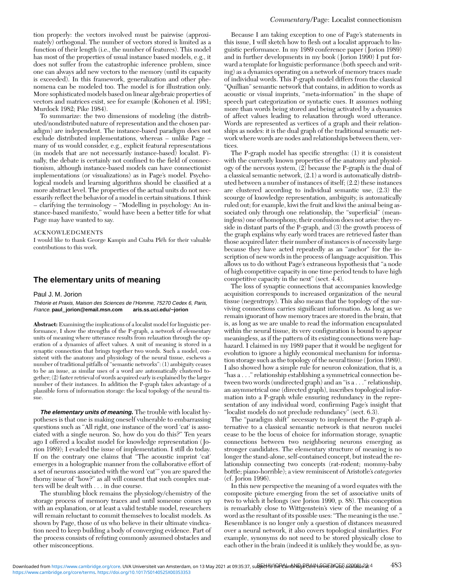tion properly: the vectors involved must be pairwise (approximately) orthogonal. The number of vectors stored is limited as a function of their length (i.e., the number of features). This model has most of the properties of usual instance based models, e.g., it does not suffer from the catastrophic inference problem, since one can always add new vectors to the memory (until its capacity is exceeded). In this framework, generalization and other phenomena can be modeled too. The model is for illustration only. More sophisticated models based on linear algebraic properties of vectors and matrices exist, see for example (Kohonen et al. 1981; Murdock 1982; Pike 1984).

To summarize: the two dimensions of modeling (the distributed/nondistributed nature of representation and the chosen paradigm) are independent. The instance-based paradigm does not exclude distributed implementations, whereas – unlike Page – many of us would consider, e.g., explicit featural representations (in models that are not necessarily instance-based) localist. Finally, the debate is certainly not confined to the field of connectionism, although instance-based models can have connectionist implementations (or visualizations) as in Page's model. Psychological models and learning algorithms should be classified at a more abstract level. The properties of the actual units do not necessarily reflect the behavior of a model in certain situations. I think – clarifying the terminology – "Modelling in psychology: An instance-based manifesto," would have been a better title for what Page may have wanted to say.

#### ACKNOWLEDGMENTS

I would like to thank George Kampis and Csaba Pléh for their valuable contributions to this work.

## **The elementary units of meaning**

#### Paul J. M. Jorion

Théorie et Praxis, Maison des Sciences de l'Homme, 75270 Cedex 6, Paris, France. **paul jorion@email.msn.com aris.ss.uci.edu/~jorion**

**Abstract:** Examining the implications of a localist model for linguistic performance, I show the strengths of the P-graph, a network of elementary units of meaning where utterance results from relaxation through the operation of a dynamics of affect values. A unit of meaning is stored in a synaptic connection that brings together two words. Such a model, consistent with the anatomy and physiology of the neural tissue, eschews a number of traditional pitfalls of "semantic networks": (1) ambiguity ceases to be an issue, as similar uses of a word are automatically clustered together; (2) faster retrieval of words acquired early is explained by the larger number of their instances. In addition the P-graph takes advantage of a plausible form of information storage: the local topology of the neural tissue.

**The elementary units of meaning.** The trouble with localist hypotheses is that one is making oneself vulnerable to embarrassing questions such as "All right, one instance of the word 'cat' is associated with a single neuron. So, how do you do this?" Ten years ago I offered a localist model for knowledge representation (Jorion 1989); I evaded the issue of implementation. I still do today. If on the contrary one claims that "The acoustic imprint 'cat' emerges in a holographic manner from the collaborative effort of a set of neurons associated with the word 'cat'" you are spared the thorny issue of "how?" as all will consent that such complex matters will be dealt with . . . in due course.

The stumbling block remains the physiology/chemistry of the storage process of memory traces and until someone comes up with an explanation, or at least a valid testable model, researchers will remain reluctant to commit themselves to localist models. As shown by Page, those of us who believe in their ultimate vindication need to keep building a body of converging evidence. Part of the process consists of refuting commonly assumed obstacles and other misconceptions.

Because I am taking exception to one of Page's statements in this issue, I will sketch how to flesh out a localist approach to linguistic performance. In my 1989 conference paper (Jorion 1989) and in further developments in my book (Jorion 1990) I put forward a template for linguistic performance (both speech and writing) as a dynamics operating on a network of memory traces made of individual words. This P-graph model differs from the classical "Quillian" semantic network that contains, in addition to words as acoustic or visual imprints, "meta-information" in the shape of speech part categorization or syntactic cues. It assumes nothing more than words being stored and being activated by a dynamics of affect values leading to relaxation through word utterance. Words are represented as vertices of a graph and their relationships as nodes: it is the dual graph of the traditional semantic network where words are nodes and relationships between them, vertices.

The P-graph model has specific strengths: (1) it is consistent with the currently known properties of the anatomy and physiology of the nervous system, (2) because the P-graph is the dual of a classical semantic network, (2.1) a word is automatically distributed between a number of instances of itself; (2.2) these instances are clustered according to individual semantic use, (2.3) the scourge of knowledge representation, ambiguity, is automatically ruled out; for example, kiwi the fruit and kiwi the animal being associated only through one relationship, the "superficial" (meaningless) one of homophony, their confusion does not arise: they reside in distant parts of the P-graph, and (3) the growth process of the graph explains why early word traces are retrieved faster than those acquired later: their number of instances is of necessity large because they have acted repeatedly as an "anchor" for the inscription of new words in the process of language acquisition. This allows us to do without Page's extraneous hypothesis that "a node of high competitive capacity in one time period tends to have high competitive capacity in the next" (sect. 4.4).

The loss of synaptic connections that accompanies knowledge acquisition corresponds to increased organization of the neural tissue (negentropy). This also means that the topology of the surviving connections carries significant information. As long as we remain ignorant of how memory traces are stored in the brain, that is, as long as we are unable to read the information encapsulated within the neural tissue, its very configuration is bound to appear meaningless, as if the pattern of its existing connections were haphazard. I claimed in my 1989 paper that it would be negligent for evolution to ignore a highly economical mechanism for information storage such as the topology of the neural tissue (Jorion 1989). I also showed how a simple rule for neuron colonization, that is, a "has a . . ." relationship establishing a symmetrical connection between two words (undirected graph) and an "is a . . ." relationship, an asymmetrical one (directed graph), inscribes topological information into a P-graph while ensuring redundancy in the representation of any individual word, confirming Page's insight that "localist models do not preclude redundancy" (sect. 6.3).

The "paradigm shift" necessary to implement the P-graph alternative to a classical semantic network is that neuron nuclei cease to be the locus of choice for information storage, synaptic connections between two neighboring neurons emerging as stronger candidates. The elementary structure of meaning is no longer the stand-alone, self-contained concept, but instead the relationship connecting two concepts (rat-rodent; mommy-baby bottle; piano-horrible); a view reminiscent of Aristotle's *categories* (cf. Jorion 1996).

In this new perspective the meaning of a word equates with the composite picture emerging from the set of associative units of two to which it belongs (see Jorion 1990, p. 88). This conception is remarkably close to Wittgenstein's view of the meaning of a word as the resultant of its possible uses: "The meaning is the use." Resemblance is no longer only a question of distances measured over a neural network, it also covers topological similarities. For example, synonyms do not need to be stored physically close to each other in the brain (indeed it is unlikely they would be, as syn-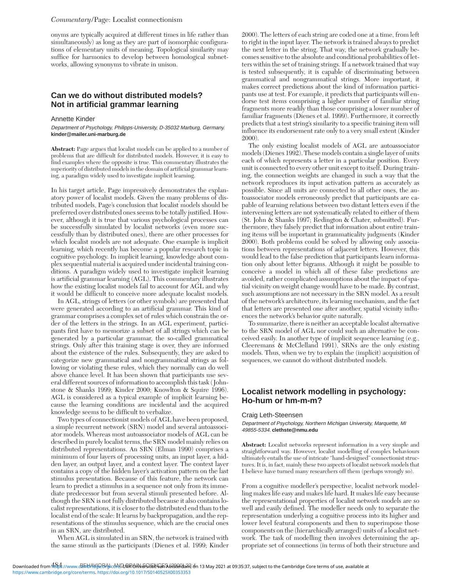#### *Commentary/*Page: Localist connectionism

onyms are typically acquired at different times in life rather than simultaneously) as long as they are part of isomorphic configurations of elementary units of meaning. Topological similarity may suffice for harmonics to develop between homological subnetworks, allowing synonyms to vibrate in unison.

## **Can we do without distributed models? Not in artificial grammar learning**

#### Annette Kinder

Department of Psychology, Philipps-University, D-35032 Marburg, Germany. **kinder@mailer.uni-marburg.de**

**Abstract:** Page argues that localist models can be applied to a number of problems that are difficult for distributed models. However, it is easy to find examples where the opposite is true. This commentary illustrates the superiority of distributed models in the domain of artificial grammar learning, a paradigm widely used to investigate implicit learning.

In his target article, Page impressively demonstrates the explanatory power of localist models. Given the many problems of distributed models, Page's conclusion that localist models should be preferred over distributed ones seems to be totally justified. However, although it is true that various psychological processes can be successfully simulated by localist networks (even more successfully than by distributed ones), there are other processes for which localist models are not adequate. One example is implicit learning, which recently has become a popular research topic in cognitive psychology. In implicit learning, knowledge about complex sequential material is acquired under incidental training conditions. A paradigm widely used to investigate implicit learning is artificial grammar learning (AGL). This commentary illustrates how the existing localist models fail to account for AGL and why it would be difficult to conceive more adequate localist models.

In AGL, strings of letters (or other symbols) are presented that were generated according to an artificial grammar. This kind of grammar comprises a complex set of rules which constrain the order of the letters in the strings. In an AGL experiment, participants first have to memorize a subset of all strings which can be generated by a particular grammar, the so-called grammatical strings. Only after this training stage is over, they are informed about the existence of the rules. Subsequently, they are asked to categorize new grammatical and nongrammatical strings as following or violating these rules, which they normally can do well above chance level. It has been shown that participants use several different sources of information to accomplish this task (Johnstone & Shanks 1999; Kinder 2000; Knowlton & Squire 1996). AGL is considered as a typical example of implicit learning because the learning conditions are incidental and the acquired knowledge seems to be difficult to verbalize.

Two types of connectionist models of AGL have been proposed, a simple recurrent network (SRN) model and several autoassociator models. Whereas most autoassociator models of AGL can be described in purely localist terms, the SRN model mainly relies on distributed representations. An SRN (Elman 1990) comprises a minimum of four layers of processing units, an input layer, a hidden layer, an output layer, and a context layer. The context layer contains a copy of the hidden layer's activation pattern on the last stimulus presentation. Because of this feature, the network can learn to predict a stimulus in a sequence not only from its immediate predecessor but from several stimuli presented before. Although the SRN is not fully distributed because it also contains localist representations, it is closer to the distributed end than to the localist end of the scale: It learns by backpropagation, and the representations of the stimulus sequence, which are the crucial ones in an SRN, are distributed.

When AGL is simulated in an SRN, the network is trained with the same stimuli as the participants (Dienes et al. 1999; Kinder

2000). The letters of each string are coded one at a time, from left to right in the input layer. The network is trained always to predict the next letter in the string. That way, the network gradually becomes sensitive to the absolute and conditional probabilities of letters within the set of training strings. If a network trained that way is tested subsequently, it is capable of discriminating between grammatical and nongrammatical strings. More important, it makes correct predictions about the kind of information participants use at test. For example, it predicts that participants will endorse test items comprising a higher number of familiar string fragments more readily than those comprising a lower number of familiar fragments (Dienes et al. 1999). Furthermore, it correctly predicts that a test string's similarity to a specific training item will influence its endorsement rate only to a very small extent (Kinder 2000).

The only existing localist models of AGL are autoassociator models (Dienes 1992). These models contain a single layer of units each of which represents a letter in a particular position. Every unit is connected to every other unit except to itself. During training, the connection weights are changed in such a way that the network reproduces its input activation pattern as accurately as possible. Since all units are connected to all other ones, the autoassociator models erroneously predict that participants are capable of learning relations between two distant letters even if the intervening letters are not systematically related to either of them (St. John & Shanks 1997; Redington & Chater, submitted). Furthermore, they falsely predict that information about entire training items will be important in grammaticality judgments (Kinder 2000). Both problems could be solved by allowing only associations between representations of adjacent letters. However, this would lead to the false prediction that participants learn information only about letter bigrams. Although it might be possible to conceive a model in which all of these false predictions are avoided, rather complicated assumptions about the impact of spatial vicinity on weight change would have to be made. By contrast, such assumptions are not necessary in the SRN model. As a result of the network's architecture, its learning mechanism, and the fact that letters are presented one after another, spatial vicinity influences the network's behavior quite naturally.

To summarize, there is neither an acceptable localist alternative to the SRN model of AGL nor could such an alternative be conceived easily. In another type of implicit sequence learning (e.g., Cleeremans & McClelland 1991), SRNs are the only existing models. Thus, when we try to explain the (implicit) acquisition of sequences, we cannot do without distributed models.

## **Localist network modelling in psychology: Ho-hum or hm-m-m?**

#### Craig Leth-Steensen

Department of Psychology, Northern Michigan University, Marquette, MI 49855-5334. **clethste@nmu.edu**

**Abstract:** Localist networks represent information in a very simple and straightforward way. However, localist modelling of complex behaviours ultimately entails the use of intricate "hand-designed" connectionist structures. It is, in fact, mainly these two aspects of localist network models that I believe have turned many researchers off them (perhaps wrongly so).

From a cognitive modeller's perspective, localist network modelling makes life easy and makes life hard. It makes life easy because the representational properties of localist network models are so well and easily defined. The modeller needs only to separate the representation underlying a cognitive process into its higher and lower level featural components and then to superimpose those components on the (hierarchically arranged) units of a localist network. The task of modelling then involves determining the appropriate set of connections (in terms of both their structure and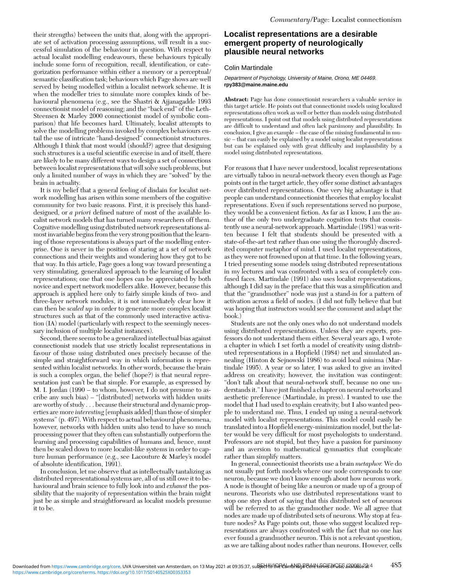their strengths) between the units that, along with the appropriate set of activation processing assumptions, will result in a successful simulation of the behaviour in question. With respect to actual localist modelling endeavours, these behaviours typically include some form of recognition, recall, identification, or categorization performance within either a memory or a perceptual/ semantic classification task; behaviours which Page shows are well served by being modelled within a localist network scheme. It is when the modeller tries to simulate more complex kinds of behavioural phenomena (e.g., see the Shastri & Ajjanagadde 1993 connectionist model of reasoning; and the "back end" of the Leth-Steensen & Marley 2000 connectionist model of symbolic comparison) that life becomes hard. Ultimately, localist attempts to solve the modelling problems invoked by complex behaviours entail the use of intricate "hand-designed" connectionist structures. Although I think that most would (should?) agree that designing such structures is a useful scientific exercise in and of itself, there are likely to be many different ways to design a set of connections between localist representations that will solve such problems, but only a limited number of ways in which they are "solved" by the brain in actuality.

It is my belief that a general feeling of disdain for localist network modelling has arisen within some members of the cognitive community for two basic reasons. First, it is precisely this handdesigned, or *a priori* defined nature of most of the available localist network models that has turned many researchers off them. Cognitive modelling using distributed network representations almost invariable begins from the very strong position that the learning of those representations is always part of the modelling enterprise. One is never in the position of staring at a set of network connections and their weights and wondering how they got to be that way. In this article, Page goes a long way toward presenting a very stimulating, generalized approach to the learning of localist representations; one that one hopes can be appreciated by both novice and expert network modellers alike. However, because this approach is applied here only to fairly simple kinds of two- and three-layer network modules, it is not immediately clear how it can then be *scaled up* in order to generate more complex localist structures such as that of the commonly used interactive activation (IA) model (particularly with respect to the seemingly necessary inclusion of multiple localist instances).

Second, there seems to be a generalized intellectual bias against connectionist models that use strictly localist representations in favour of those using distributed ones precisely because of the simple and straightforward way in which information is represented within localist networks. In other words, because the brain is such a complex organ, the belief (hope?) is that neural representation just can't be that simple. For example, as expressed by M. I. Jordan (1990 – to whom, however, I do not presume to ascribe any such bias) – "[distributed] networks with hidden units are worthy of study . . . because their structural and dynamic properties are more *interesting* [emphasis added] than those of simpler systems" (p. 497). With respect to actual behavioural phenomena, however, networks with hidden units also tend to have so much processing power that they often can substantially outperform the learning and processing capabilities of humans and, hence, must then be scaled down to more localist-like systems in order to capture human performance (e.g., see Lacouture & Marley's model of absolute identification, 1991).

In conclusion, let me observe that as intellectually tantalizing as distributed representational systems are, all of us still owe it to behavioural and brain science to fully look into and *exhaust* the possibility that the majority of representation within the brain might just be as simple and straightforward as localist models presume it to be.

## **Localist representations are a desirable emergent property of neurologically plausible neural networks**

#### Colin Martindale

Department of Psychology, University of Maine, Orono, ME 04469. **rpy383@maine.maine.edu**

Abstract: Page has done connectionist researchers a valuable service in this target article. He points out that connectionist models using localized representations often work as well or better than models using distributed representations. I point out that models using distributed representations are difficult to understand and often lack parsimony and plausibility. In conclusion, I give an example – the case of the missing fundamental in music – that can easily be explained by a model using localist representations but can be explained only with great difficulty and implausibility by a model using distributed representations.

For reasons that I have never understood, localist representations are virtually taboo in neural-network theory even though as Page points out in the target article, they offer some distinct advantages over distributed representations. One very big advantage is that people can understand connectionist theories that employ localist representations. Even if such representations served no purpose, they would be a convenient fiction. As far as I know, I am the author of the only two undergraduate cognition texts that consistently use a neural-network approach. Martindale (1981) was written because I felt that students should be presented with a state-of-the-art text rather than one using the thoroughly discredited computer metaphor of mind. I used localist representations, as they were not frowned upon at that time. In the following years, I tried presenting some models using distributed representations in my lectures and was confronted with a sea of completely confused faces. Martindale (1991) also uses localist representations, although I did say in the preface that this was a simplification and that the "grandmother" node was just a stand-in for a pattern of activation across a field of nodes. (I did not fully believe that but was hoping that instructors would see the comment and adapt the book.)

Students are not the only ones who do not understand models using distributed representations. Unless they are experts, professors do not understand them either. Several years ago, I wrote a chapter in which I set forth a model of creativity using distributed representations in a Hopfield (1984) net and simulated annealing (Hinton & Sejnowski 1986) to avoid local minima (Martindale 1995). A year or so later, I was asked to give an invited address on creativity; however, the invitation was contingent: "don't talk about that neural-network stuff, because no one understands it." I have just finished a chapter on neural networks and aesthetic preference (Martindale, in press). I wanted to use the model that I had used to explain creativity, but I also wanted people to understand me. Thus, I ended up using a neural-network model with localist representations. This model could easily be translated into a Hopfield energy-minimization model, but the latter would be very difficult for most psychologists to understand. Professors are not stupid, but they have a passion for parsimony and an aversion to mathematical gymnastics that complicate rather than simplify matters.

In general, connectionist theorists use a brain *metaphor.* We do not usually put forth models where one node corresponds to one neuron, because we don't know enough about how neurons work. A node is thought of being like a neuron or made up of a group of neurons. Theorists who use distributed representations want to stop one step short of saying that this distributed set of neurons will be referred to as the grandmother node. We all agree that nodes are made up of distributed sets of neurons. Why stop at feature nodes? As Page points out, those who suggest localized representations are always confronted with the fact that no one has ever found a grandmother neuron. This is not a relevant question, as we are talking about nodes rather than neurons. However, cells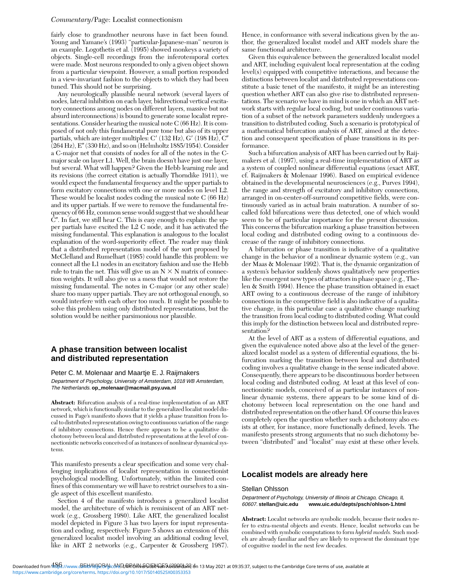## *Commentary/*Page: Localist connectionism

fairly close to grandmother neurons have in fact been found. Young and Yamane's (1993) "particular-Japanese-man" neuron is an example. Logothetis et al. (1995) showed monkeys a variety of objects. Single-cell recordings from the inferotemporal cortex were made. Most neurons responded to only a given object shown from a particular viewpoint. However, a small portion responded in a view-invariant fashion to the objects to which they had been tuned. This should not be surprising.

Any neurologically plausible neural network (several layers of nodes, lateral inhibition on each layer, bidirectional vertical excitatory connections among nodes on different layers, massive but not absurd interconnections) is bound to generate some localist representations. Consider hearing the musical note C (66 Hz). It is composed of not only this fundamental pure tone but also of its upper partials, which are integer multiples:  $C'$  (132 Hz),  $G'$  (198 Hz),  $C''$ (264 Hz), E" (330 Hz), and so on (Helmholtz 1885/1954). Consider a C-major net that consists of nodes for all of the notes in the Cmajor scale on layer L1. Well, the brain doesn't have just one layer, but several. What will happen? Given the Hebb learning rule and its revisions (the correct citation is actually Thorndike 1911), we would expect the fundamental frequency and the upper partials to form excitatory connections with one or more nodes on level L2. These would be localist nodes coding the musical note C (66 Hz) and its upper partials. If we were to remove the fundamental frequency of 66 Hz, common sense would suggest that we should hear C". In fact, we still hear C. This is easy enough to explain: the upper partials have excited the L2 C node, and it has activated the missing fundamental. This explanation is analogous to the localist explanation of the word-superiority effect. The reader may think that a distributed representation model of the sort proposed by McClelland and Rumelhart (1985) could handle this problem: we connect all the L1 nodes in an excitatory fashion and use the Hebb rule to train the net. This will give us an  $N \times N$  matrix of connection weights. It will also give us a mess that would not restore the missing fundamental. The notes in C-major (or any other scale) share too many upper partials. They are not orthogonal enough, so would interfere with each other too much. It might be possible to solve this problem using only distributed representations, but the solution would be neither parsimonious nor plausible.

## **A phase transition between localist and distributed representation**

Peter C. M. Molenaar and Maartje E. J. Raijmakers Department of Psychology, University of Amsterdam, 1018 WB Amsterdam, The Netherlands. **op–molenaar@macmail.psy.uva.nl**

**Abstract:** Bifurcation analysis of a real-time implementation of an ART network, which is functionally similar to the generalized localist model discussed in Page's manifesto shows that it yields a phase transition from local to distributed representation owing to continuous variation of the range of inhibitory connections. Hence there appears to be a qualitative dichotomy between local and distributed representations at the level of connectionistic networks conceived of as instances of nonlinear dynamical systems.

This manifesto presents a clear specification and some very challenging implications of localist representation in connectionist psychological modelling. Unfortunately, within the limited confines of this commentary we will have to restrict ourselves to a single aspect of this excellent manifesto.

Section 4 of the manifesto introduces a generalized localist model, the architecture of which is reminiscent of an ART network (e.g., Grossberg 1980). Like ART, the generalized localist model depicted in Figure 3 has two layers for input representation and coding, respectively. Figure 5 shows an extension of this generalized localist model involving an additional coding level, like in ART 2 networks (e.g., Carpenter & Grossberg 1987).

Hence, in conformance with several indications given by the author, the generalized localist model and ART models share the same functional architecture.

Given this equivalence between the generalized localist model and ART, including equivalent local representation at the coding level(s) equipped with competitive interactions, and because the distinctions between localist and distributed representations constitute a basic tenet of the manifesto, it might be an interesting question whether ART can also give rise to distributed representations. The scenario we have in mind is one in which an ART network starts with regular local coding, but under continuous variation of a subset of the network parameters suddenly undergoes a transition to distributed coding. Such a scenario is prototypical of a mathematical bifurcation analysis of ART, aimed at the detection and consequent specification of phase transitions in its performance.

Such a bifurcation analysis of ART has been carried out by Raijmakers et al. (1997), using a real-time implementation of ART as a system of coupled nonlinear differential equations (exact ART, cf. Raijmakers & Molenaar 1996). Based on empirical evidence obtained in the developmental neurosciences (e.g., Purves 1994), the range and strength of excitatory and inhibitory connections, arranged in on-center-off-surround competitive fields, were continuously varied as in actual brain maturation. A number of socalled fold bifurcations were thus detected, one of which would seem to be of particular importance for the present discussion. This concerns the bifurcation marking a phase transition between local coding and distributed coding owing to a continuous decrease of the range of inhibitory connections.

A bifurcation or phase transition is indicative of a qualitative change in the behavior of a nonlinear dynamic system (e.g., van der Maas & Molenaar 1992). That is, the dynamic organization of a system's behavior suddenly shows qualitatively new properties like the emergent new types of attractors in phase space (e.g., Thelen & Smith 1994). Hence the phase transition obtained in exact ART owing to a continuous decrease of the range of inhibitory connections in the competitive field is also indicative of a qualitative change, in this particular case a qualitative change marking the transition from local coding to distributed coding. What could this imply for the distinction between local and distributed representation?

At the level of ART as a system of differential equations, and given the equivalence noted above also at the level of the generalized localist model as a system of differential equations, the bifurcation marking the transition between local and distributed coding involves a qualitative change in the sense indicated above. Consequently, there appears to be discontinuous border between local coding and distributed coding. At least at this level of connectionistic models, conceived of as particular instances of nonlinear dynamic systems, there appears to be some kind of dichotomy between local representation on the one hand and distributed representation on the other hand. Of course this leaves completely open the question whether such a dichotomy also exists at other, for instance, more functionally defined, levels. The manifesto presents strong arguments that no such dichotomy between "distributed" and "localist" may exist at these other levels.

## **Localist models are already here**

## Stellan Ohlsson

Department of Psychology, University of Illinois at Chicago, Chicago, IL 60607. **stellan@uic.edu www.uic.edu/depts/psch/ohlson-1.html**

**Abstract:** Localist networks are symbolic models, because their nodes refer to extra-mental objects and events. Hence, localist networks can be combined with symbolic computations to form *hybrid models.* Such models are already familiar and they are likely to represent the dominant type of cognitive model in the next few decades.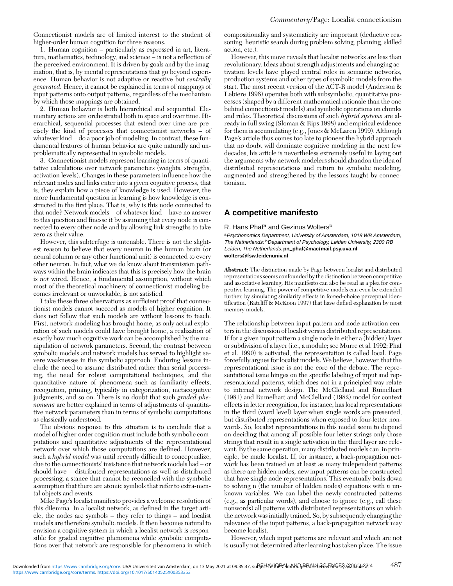Connectionist models are of limited interest to the student of higher-order human cognition for three reasons.

1. Human cognition – particularly as expressed in art, literature, mathematics, technology, and science – is not a reflection of the perceived environment. It is driven by goals and by the imagination, that is, by mental representations that go beyond experience. Human behavior is not adaptive or reactive but *centrally generated.* Hence, it cannot be explained in terms of mappings of input patterns onto output patterns, regardless of the mechanism by which those mappings are obtained.

2. Human behavior is both hierarchical and sequential. Elementary actions are orchestrated both in space and over time. Hierarchical, sequential processes that extend over time are precisely the kind of processes that connectionist networks – of whatever kind – do a poor job of modeling. In contrast, these fundamental features of human behavior are quite naturally and unproblematically represented in symbolic models.

3. Connectionist models represent learning in terms of quantitative calculations over network parameters (weights, strengths, activation levels). Changes in these parameters influence how the relevant nodes and links enter into a given cognitive process, that is, they explain how a piece of knowledge is used. However, the more fundamental question in learning is how knowledge is constructed in the first place. That is, why is this node connected to that node? Network models – of whatever kind – have no answer to this question and finesse it by assuming that every node is connected to every other node and by allowing link strengths to take zero as their value.

However, this subterfuge is untenable. There is not the slightest reason to believe that every neuron in the human brain (or neural column or any other functional unit) is connected to every other neuron. In fact, what we do know about transmission pathways within the brain indicates that this is precisely how the brain is *not* wired. Hence, a fundamental assumption, without which most of the theoretical machinery of connectionist modeling becomes irrelevant or unworkable, is not satisfied.

I take these three observations as sufficient proof that connectionist models cannot succeed as models of higher cognition. It does not follow that such models are without lessons to teach. First, network modeling has brought home, as only actual exploration of such models could have brought home, a realization of exactly how much cognitive work can be accomplished by the manipulation of network parameters. Second, the contrast between symbolic models and network models has served to highlight severe weaknesses in the symbolic approach. Enduring lessons include the need to assume distributed rather than serial processing, the need for robust computational techniques, and the quantitative nature of phenomena such as familiarity effects, recognition, priming, typicality in categorization, metacognitive judgments, and so on. There is no doubt that such *graded phenomena* are better explained in terms of adjustments of quantitative network parameters than in terms of symbolic computations as classically understood.

The obvious response to this situation is to conclude that a model of higher-order cognition must include both symbolic computations and quantitative adjustments of the representational network over which those computations are defined. However, such a *hybrid model* was until recently difficult to conceptualize, due to the connectionists' insistence that network models had – or should have – distributed representations as well as distributed processing, a stance that cannot be reconciled with the symbolic assumption that there are atomic symbols that refer to extra-mental objects and events.

Mike Page's localist manifesto provides a welcome resolution of this dilemma. In a localist network, as defined in the target article, the nodes are symbols – they refer to things – and localist models are therefore symbolic models. It then becomes natural to envision a cognitive system in which a localist network is responsible for graded cognitive phenomena while symbolic computations over that network are responsible for phenomena in which

compositionality and systematicity are important (deductive reasoning, heuristic search during problem solving, planning, skilled action, etc.).

However, this move reveals that localist networks are less than revolutionary. Ideas about strength adjustments and changing activation levels have played central roles in semantic networks, production systems and other types of symbolic models from the start. The most recent version of the ACT-R model (Anderson & Lebiere 1998) operates both with subsymbolic, quantitative processes (shaped by a different mathematical rationale than the one behind connectionist models) and symbolic operations on chunks and rules. Theoretical discussions of such *hybrid systems* are already in full swing (Sloman & Rips 1998) and empirical evidence for them is accumulating (e.g., Jones & McLaren 1999). Although Page's article thus comes too late to pioneer the hybrid approach that no doubt will dominate cognitive modeling in the next few decades, his article is nevertheless extremely useful in laying out the arguments why network modelers should abandon the idea of distributed representations and return to symbolic modeling, augmented and strengthened by the lessons taught by connectionism.

## **A competitive manifesto**

#### R. Hans Phaf<sup>a</sup> and Gezinus Wolters<sup>b</sup>

aPsychonomics Department, University of Amsterdam, 1018 WB Amsterdam, The Netherlands; **bDepartment of Psychology, Leiden University, 2300 RB** Leiden, The Netherlands. **pn–phaf@mac/mail.psy.uva.nl wolters@fsw.leidenuniv.nl**

**Abstract:** The distinction made by Page between localist and distributed representations seems confounded by the distinction between competitive and associative learning. His manifesto can also be read as a plea for competitive learning. The power of competitive models can even be extended further, by simulating similarity effects in forced-choice perceptual identification (Ratcliff & McKoon 1997) that have defied explanation by most memory models.

The relationship between input pattern and node activation centers in the discussion of localist versus distributed representations. If for a given input pattern a single node in either a (hidden) layer or subdivision of a layer (i.e., a module; see Murre et al. 1992; Phaf et al. 1990) is activated, the representation is called local. Page forcefully argues for localist models. We believe, however, that the representational issue is not the core of the debate. The representational issue hinges on the specific labeling of input and representational patterns, which does not in a principled way relate to internal network design. The McClelland and Rumelhart (1981) and Rumelhart and McClelland (1982) model for context effects in letter recognition, for instance, has local representations in the third (word level) layer when single words are presented, but distributed representations when exposed to four-letter nonwords. So, localist representations in this model seem to depend on deciding that among all possible four-letter strings only those strings that result in a single activation in the third layer are relevant. By the same operation, many distributed models can, in principle, be made localist. If, for instance, a back-propagation network has been trained on at least as many independent patterns as there are hidden nodes, new input patterns can be constructed that have single node representations. This eventually boils down to solving n (the number of hidden nodes) equations with *n* unknown variables. We can label the newly constructed patterns (e.g., as particular words), and choose to ignore (e.g., call these nonwords) all patterns with distributed representations on which the network was initially trained. So, by subsequently changing the relevance of the input patterns, a back-propagation network may become localist.

However, which input patterns are relevant and which are not is usually not determined after learning has taken place. The issue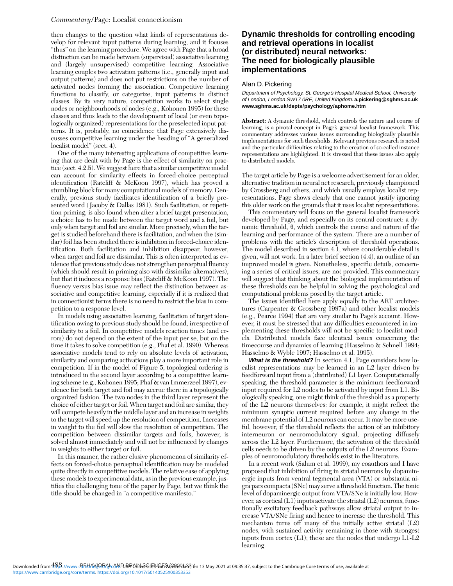## *Commentary/*Page: Localist connectionism

then changes to the question what kinds of representations develop for relevant input patterns during learning, and it focuses "thus" on the learning procedure. We agree with Page that a broad distinction can be made between (supervised) associative learning and (largely unsupervised) competitive learning. Associative learning couples two activation patterns (i.e., generally input and output patterns) and does not put restrictions on the number of activated nodes forming the association. Competitive learning functions to classify, or categorize, input patterns in distinct classes. By its very nature, competition works to select single nodes or neighbourhoods of nodes (e.g., Kohonen 1995) for these classes and thus leads to the development of local (or even topologically organized) representations for the preselected input patterns. It is, probably, no coincidence that Page extensively discusses competitive learning under the heading of "A generalized localist model" (sect. 4).

One of the many interesting applications of competitive learning that are dealt with by Page is the effect of similarity on practice (sect. 4.2.5). We suggest here that a similar competitive model can account for similarity effects in forced-choice perceptual identification (Ratcliff & McKoon 1997), which has proved a stumbling block for many computational models of memory. Generally, previous study facilitates identification of a briefly presented word (Jacoby & Dallas 1981). Such facilitation, or repetition priming, is also found when after a brief target presentation, a choice has to be made between the target word and a foil, but only when target and foil are similar. More precisely, when the target is studied beforehand there is facilitation, and when the (similar) foil has been studied there is inhibition in forced-choice identification. Both facilitation and inhibition disappear, however, when target and foil are dissimilar. This is often interpreted as evidence that previous study does not strengthen perceptual fluency (which should result in priming also with dissimilar alternatives), but that it induces a response bias (Ratcliff & McKoon 1997). The fluency versus bias issue may reflect the distinction between associative and competitive learning, especially if it is realized that in connectionist terms there is no need to restrict the bias in competition to a response level.

In models using associative learning, facilitation of target identification owing to previous study should be found, irrespective of similarity to a foil. In competitive models reaction times (and errors) do not depend on the extent of the input per se, but on the time it takes to solve competition (e.g., Phaf et al. 1990). Whereas associative models tend to rely on absolute levels of activation, similarity and comparing activations play a more important role in competition. If in the model of Figure 5, topological ordering is introduced in the second layer according to a competitive learning scheme (e.g., Kohonen 1995; Phaf & van Immerzeel 1997), evidence for both target and foil may accrue there in a topologically organized fashion. The two nodes in the third layer represent the choice of either target or foil. When target and foil are similar, they will compete heavily in the middle layer and an increase in weights to the target will speed up the resolution of competition. Increases in weight to the foil will slow the resolution of competition. The competition between dissimilar targets and foils, however, is solved almost immediately and will not be influenced by changes in weights to either target or foil.

In this manner, the rather elusive phenomenon of similarity effects on forced-choice perceptual identification may be modeled quite directly in competitive models. The relative ease of applying these models to experimental data, as in the previous example, justifies the challenging tone of the paper by Page, but we think the title should be changed in "a competitive manifesto."

## **Dynamic thresholds for controlling encoding and retrieval operations in localist (or distributed) neural networks: The need for biologically plausible implementations**

#### Alan D. Pickering

Department of Psychology, St. George's Hospital Medical School, University of London, London SW17 0RE, United Kingdom. **a.pickering@sghms.ac.uk www.sghms.ac.uk/depts/psychology/aphome.htm**

**Abstract:** A dynamic threshold, which controls the nature and course of learning, is a pivotal concept in Page's general localist framework. This commentary addresses various issues surrounding biologically plausible implementations for such thresholds. Relevant previous research is noted and the particular difficulties relating to the creation of so-called instance representations are highlighted. It is stressed that these issues also apply to distributed models.

The target article by Page is a welcome advertisement for an older, alternative tradition in neural net research, previously championed by Grossberg and others, and which usually employs localist representations. Page shows clearly that one cannot justify ignoring this older work on the grounds that it uses localist representations.

This commentary will focus on the general localist framework developed by Page, and especially on its central construct: a dynamic threshold,  $\theta$ , which controls the course and nature of the learning and performance of the system. There are a number of problems with the article's description of threshold operations. The model described in section 4.1, where considerable detail is given, will not work. In a later brief section (4.4), an outline of an improved model is given. Nonetheless, specific details, concerning a series of critical issues, are not provided. This commentary will suggest that thinking about the biological implementation of these thresholds can be helpful in solving the psychological and computational problems posed by the target article.

The issues identified here apply equally to the ART architectures (Carpenter & Grossberg 1987a) and other localist models (e.g., Pearce 1994) that are very similar to Page's account. However, it must be stressed that any difficulties encountered in implementing these thresholds will not be specific to localist models. Distributed models face identical issues concerning the timecourse and dynamics of learning (Hasselmo & Schnell 1994; Hasselmo & Wyble 1997; Hasselmo et al. 1995).

**What is the threshold?** In section 4.1, Page considers how localist representations may be learned in an L2 layer driven by feedforward input from a (distributed) L1 layer. Computationally speaking, the threshold parameter is the minimum feedforward input required for L2 nodes to be activated by input from L1. Biologically speaking, one might think of the threshold as a property of the L2 neurons themselves: for example, it might reflect the minimum synaptic current required before any change in the membrane potential of L2 neurons can occur. It may be more useful, however, if the threshold reflects the action of an inhibitory interneuron or neuromodulatory signal, projecting diffusely across the L2 layer. Furthermore, the activation of the threshold cells needs to be driven by the outputs of the L2 neurons. Examples of neuromodulatory thresholds exist in the literature.

In a recent work (Salum et al. 1999), my coauthors and I have proposed that inhibition of firing in striatal neurons by dopaminergic inputs from ventral tegmental area (VTA) or substantia nigra pars compacta (SNc) may serve a threshold function. The tonic level of dopaminergic output from VTA/SNc is initially low. However, as cortical (L1) inputs activate the striatal (L2) neurons, functionally excitatory feedback pathways allow striatal output to increase VTA/SNc firing and hence to increase the threshold. This mechanism turns off many of the initially active striatal (L2) nodes, with sustained activity remaining in those with strongest inputs from cortex (L1); these are the nodes that undergo L1-L2 learning.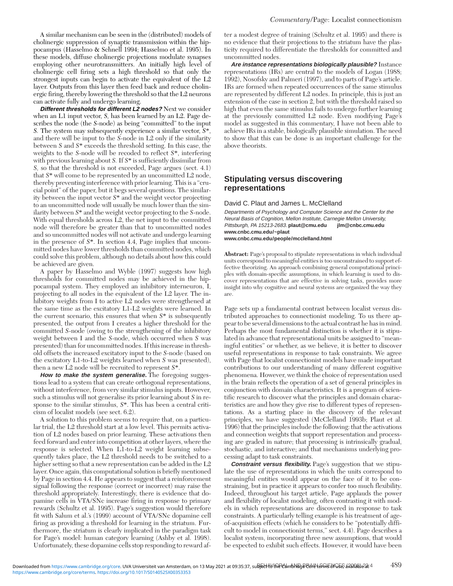A similar mechanism can be seen in the (distributed) models of cholinergic suppression of synaptic transmission within the hippocampus (Hasselmo & Schnell 1994; Hasselmo et al. 1995). In these models, diffuse cholinergic projections modulate synapses employing other neurotransmitters. An initially high level of cholinergic cell firing sets a high threshold so that only the strongest inputs can begin to activate the equivalent of the L2 layer. Outputs from this layer then feed back and reduce cholinergic firing, thereby lowering the threshold so that the L2 neurons can activate fully and undergo learning.

**Different thresholds for different L2 nodes?** Next we consider when an L1 input vector, *S,* has been learned by an L2. Page describes the node (the *S*-node) as being "committed" to the input *S.* The system may subsequently experience a similar vector, *S*\*, and there will be input to the *S*-node in L2 only if the similarity between *S* and *S*\* exceeds the threshold setting. In this case, the weights to the *S*-node will be recoded to reflect *S*\*, interfering with previous learning about *S.* If *S*\* is sufficiently dissimilar from *S,* so that the threshold is not exceeded, Page argues (sect. 4.1) that *S*\* will come to be represented by an uncommitted L2 node, thereby preventing interference with prior learning. This is a "crucial point" of the paper, but it begs several questions. The similarity between the input vector *S*\* and the weight vector projecting to an uncommitted node will usually be much lower than the similarity between *S*\* and the weight vector projecting to the *S*-node. With equal thresholds across L2, the net input to the committed node will therefore be greater than that to uncommitted nodes and so uncommitted nodes will not activate and undergo learning in the presence of *S*\*. In section 4.4, Page implies that uncommitted nodes have lower thresholds than committed nodes, which could solve this problem, although no details about how this could be achieved are given.

A paper by Hasselmo and Wyble (1997) suggests how high thresholds for committed nodes may be achieved in the hippocampal system. They employed an inhibitory interneuron, I, projecting to all nodes in the equivalent of the L2 layer. The inhibitory weights from I to active L2 nodes were strengthened at the same time as the excitatory L1-L2 weights were learned. In the current scenario, this ensures that when *S*\* is subsequently presented, the output from I creates a higher threshold for the committed *S*-node (owing to the strengthening of the inhibitory weight between I and the *S*-node, which occurred when *S* was presented) than for uncommitted nodes. If this increase in threshold offsets the increased excitatory input to the *S*-node (based on the excitatory L1-to-L2 weights learned when *S* was presented), then a new L2 node will be recruited to represent *S*\*.

How to make the system generalise. The foregoing suggestions lead to a system that can create orthogonal representations, without interference, from very similar stimulus inputs. However, such a stimulus will not generalise its prior learning about *S* in response to the similar stimulus, *S*\*. This has been a central criticism of localist models (see sect. 6.2).

A solution to this problem seems to require that, on a particular trial, the L2 threshold start at a low level. This permits activation of L2 nodes based on prior learning. These activations then feed forward and enter into competition at other layers, where the response is selected. When L1-to-L2 weight learning subsequently takes place, the L2 threshold needs to be switched to a higher setting so that a new representation can be added in the L2 layer. Once again, this computational solution is briefly mentioned by Page in section 4.4. He appears to suggest that a reinforcement signal following the response (correct or incorrect) may raise the threshold appropriately. Interestingly, there is evidence that dopamine cells in VTA/SNc increase firing in response to primary rewards (Schultz et al. 1995). Page's suggestion would therefore fit with Salum et al.'s (1999) account of VTA/SNc dopamine cell firing as providing a threshold for learning in the striatum. Furthermore, the striatum is clearly implicated in the paradigm task for Page's model: human category learning (Ashby et al. 1998). Unfortunately, these dopamine cells stop responding to reward after a modest degree of training (Schultz et al. 1995) and there is no evidence that their projections to the striatum have the plasticity required to differentiate the thresholds for committed and uncommitted nodes.

**Are instance representations biologically plausible?** Instance representations (IRs) are central to the models of Logan (1988; 1992), Nosofsky and Palmeri (1997), and to parts of Page's article. IRs are formed when repeated occurrences of the same stimulus are represented by different L2 nodes. In principle, this is just an extension of the case in section 2, but with the threshold raised so high that even the same stimulus fails to undergo further learning at the previously committed L2 node. Even modifying Page's model as suggested in this commentary, I have not been able to achieve IRs in a stable, biologically plausible simulation. The need to show that this can be done is an important challenge for the above theorists.

## **Stipulating versus discovering representations**

David C. Plaut and James L. McClelland

Departments of Psychology and Computer Science and the Center for the Neural Basis of Cognition, Mellon Institute, Carnegie Mellon University, Pittsburgh, PA 15213-2683. **plaut@cmu.edu jlm@cnbc.cmu.edu www.cnbc.cmu.edu/~plaut www.cnbc.cmu.edu/people/mcclelland.html**

**Abstract:** Page's proposal to stipulate representations in which individual units correspond to meaningful entities is too unconstrained to support effective theorizing. An approach combining general computational principles with domain-specific assumptions, in which learning is used to discover representations that are effective in solving tasks, provides more insight into why cognitive and neural systems are organized the way they are.

Page sets up a fundamental contrast between localist versus distributed approaches to connectionist modeling. To us there appear to be several dimensions to the actual contrast he has in mind. Perhaps the most fundamental distinction is whether it is stipulated in advance that representational units be assigned to "meaningful entities" or whether, as we believe, it is better to discover useful representations in response to task constraints. We agree with Page that localist connectionist models have made important contributions to our understanding of many different cognitive phenomena. However, we think the choice of representation used in the brain reflects the operation of a set of general principles in conjunction with domain characteristics. It is a program of scientific research to discover what the principles and domain characteristics are and how they give rise to different types of representations. As a starting place in the discovery of the relevant principles, we have suggested (McClelland 1993b; Plaut et al. 1996) that the principles include the following: that the activations and connection weights that support representation and processing are graded in nature; that processing is intrinsically gradual, stochastic, and interactive; and that mechanisms underlying processing adapt to task constraints.

**Constraint versus flexibility.** Page's suggestion that we stipulate the use of representations in which the units correspond to meaningful entities would appear on the face of it to be constraining, but in practice it appears to confer too much flexibility. Indeed, throughout his target article, Page applauds the power and flexibility of localist modeling, often contrasting it with models in which representations are discovered in response to task constraints. A particularly telling example is his treatment of ageof-acquisition effects (which he considers to be "potentially difficult to model in connectionist terms," sect. 4.4). Page describes a localist system, incorporating three new assumptions, that would be expected to exhibit such effects. However, it would have been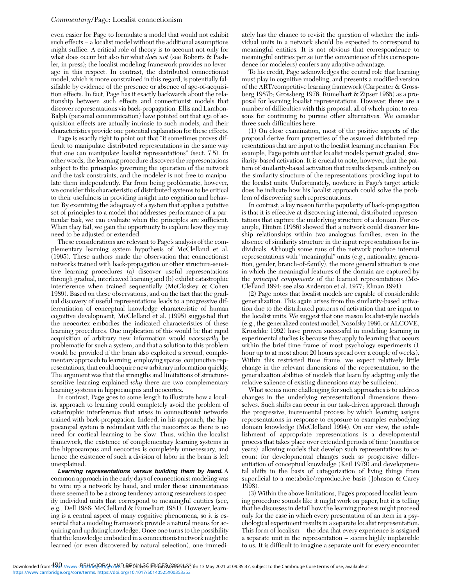#### *Commentary/*Page: Localist connectionism

even easier for Page to formulate a model that would not exhibit such effects – a localist model without the additional assumptions might suffice. A critical role of theory is to account not only for what does occur but also for what *does not* (see Roberts & Pashler, in press); the localist modeling framework provides no leverage in this respect. In contrast, the distributed connectionist model, which is more constrained in this regard, is potentially falsifiable by evidence of the presence or absence of age-of-acquisition effects. In fact, Page has it exactly backwards about the relationship between such effects and connectionist models that discover representations via back-propagation. Ellis and Lambon-Ralph (personal communication) have pointed out that age of acquisition effects are actually intrinsic to such models, and their characteristics provide one potential explanation for these effects.

Page is exactly right to point out that "it sometimes proves difficult to manipulate distributed representations in the same way that one can manipulate localist representations" (sect. 7.5). In other words, the learning procedure discovers the representations subject to the principles governing the operation of the network and the task constraints, and the modeler is not free to manipulate them independently. Far from being problematic, however, we consider this characteristic of distributed systems to be critical to their usefulness in providing insight into cognition and behavior. By examining the adequacy of a system that applies a putative set of principles to a model that addresses performance of a particular task, we can evaluate when the principles are sufficient. When they fail, we gain the opportunity to explore how they may need to be adjusted or extended.

These considerations are relevant to Page's analysis of the complementary learning system hypothesis of McClelland et al. (1995). These authors made the observation that connectionist networks trained with back-propagation or other structure-sensitive learning procedures (a) discover useful representations through gradual, interleaved learning and (b) exhibit catastrophic interference when trained sequentially (McCloskey & Cohen 1989). Based on these observations, and on the fact that the gradual discovery of useful representations leads to a progressive differentiation of conceptual knowledge characteristic of human cognitive development, McClelland et al. (1995) suggested that the neocortex embodies the indicated characteristics of these learning procedures. One implication of this would be that rapid acquisition of arbitrary new information would *necessarily* be problematic for such a system, and that a solution to this problem would be provided if the brain also exploited a second, complementary approach to learning, employing sparse, conjunctive representations, that could acquire new arbitrary information quickly. The argument was that the strengths and limitations of structuresensitive learning explained *why* there are two complementary learning systems in hippocampus and neocortex.

In contrast, Page goes to some length to illustrate how a localist approach to learning could completely avoid the problem of catastrophic interference that arises in connectionist networks trained with back-propagation. Indeed, in his approach, the hippocampal system is redundant with the neocortex as there is no need for cortical learning to be slow. Thus, within the localist framework, the existence of complementary learning systems in the hippocampus and neocortex is completely unnecessary, and hence the existence of such a division of labor in the brain is left unexplained.

**Learning representations versus building them by hand.** A common approach in the early days of connectionist modeling was to wire up a network by hand, and under these circumstances there seemed to be a strong tendency among researchers to specify individual units that correspond to meaningful entities (see, e.g., Dell 1986; McClelland & Rumelhart 1981). However, learning is a central aspect of many cognitive phenomena, so it is essential that a modeling framework provide a natural means for acquiring and updating knowledge. Once one turns to the possibility that the knowledge embodied in a connectionist network might be learned (or even discovered by natural selection), one immediately has the chance to revisit the question of whether the individual units in a network should be expected to correspond to meaningful entities. It is not obvious that correspondence to meaningful entities per se (or the convenience of this correspondence for modelers) confers any adaptive advantage.

To his credit, Page acknowledges the central role that learning must play in cognitive modeling, and presents a modified version of the ART/competitive learning framework (Carpenter & Grossberg 1987b; Grossberg 1976; Rumelhart & Zipser 1985) as a proposal for learning localist representations. However, there are a number of difficulties with this proposal, all of which point to reasons for continuing to pursue other alternatives. We consider three such difficulties here.

(1) On close examination, most of the positive aspects of the proposal derive from properties of the assumed distributed representations that are input to the localist learning mechanism. For example, Page points out that localist models permit graded, similarity-based activation. It is crucial to note, however, that the pattern of similarity-based activation that results depends entirely on the similarity structure of the representations providing input to the localist units. Unfortunately, nowhere in Page's target article does he indicate how his localist approach could solve the problem of discovering such representations.

In contrast, a key reason for the popularity of back-propagation is that it is effective at discovering internal, distributed representations that capture the underlying structure of a domain. For example, Hinton (1986) showed that a network could discover kinship relationships within two analogous families, even in the absence of similarity structure in the input representations for individuals. Although some runs of the network produce internal representations with "meaningful" units (e.g., nationality, generation, gender, branch-of-family), the more general situation is one in which the meaningful features of the domain are captured by the *principal components* of the learned representations (Mc-Clelland 1994; see also Anderson et al. 1977; Elman 1991).

(2) Page notes that localist models are capable of considerable generalization. This again arises from the similarity-based activation due to the distributed patterns of activation that are input to the localist units. We suggest that one reason localist-style models (e.g., the generalized context model, Nosofsky 1986, or ALCOVE, Kruschke 1992) have proven successful in modeling learning in experimental studies is because they apply to learning that occurs within the brief time frame of most psychology experiments (1 hour up to at most about 20 hours spread over a couple of weeks). Within this restricted time frame, we expect relatively little change in the relevant dimensions of the representation, so the generalization abilities of models that learn by adapting only the relative salience of existing dimensions may be sufficient.

What seems more challenging for such approaches is to address changes in the underlying representational dimensions themselves. Such shifts can occur in our task-driven approach through the progressive, incremental process by which learning assigns representations in response to exposure to examples embodying domain knowledge (McClelland 1994). On our view, the establishment of appropriate representations is a developmental process that takes place over extended periods of time (months or years), allowing models that develop such representations to account for developmental changes such as progressive differentiation of conceptual knowledge (Keil 1979) and developmental shifts in the basis of categorization of living things from superficial to a metabolic/reproductive basis (Johnson & Carey 1998).

(3) Within the above limitations, Page's proposed localist learning procedure sounds like it might work on paper, but it is telling that he discusses in detail how the learning process might proceed only for the case in which every presentation of an item in a psychological experiment results in a separate localist representation. This form of localism – the idea that every experience is assigned a separate unit in the representation – seems highly implausible to us. It is difficult to imagine a separate unit for every encounter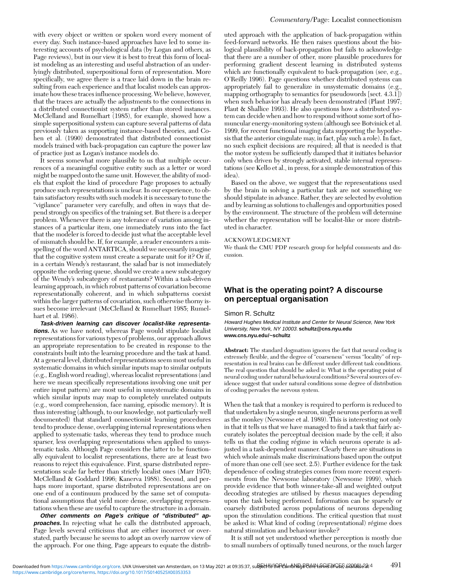with every object or written or spoken word every moment of every day. Such instance-based approaches have led to some interesting accounts of psychological data (by Logan and others, as Page reviews), but in our view it is best to treat this form of localist modeling as an interesting and useful abstraction of an underlyingly distributed, superpositional form of representation. More specifically, we agree there is a trace laid down in the brain resulting from each experience and that localist models can approximate how these traces influence processing. We believe, however, that the traces are actually the adjustments to the connections in a distributed connectionist system rather than stored instances. McClelland and Rumelhart (1985), for example, showed how a simple superpositional system can capture several patterns of data previously taken as supporting instance-based theories, and Cohen et al. (1990) demonstrated that distributed connectionist models trained with back-propagation can capture the power law of practice just as Logan's instance models do.

It seems somewhat more plausible to us that multiple occurrences of a meaningful cognitive entity such as a letter or word might be mapped onto the same unit. However, the ability of models that exploit the kind of procedure Page proposes to actually produce such representations is unclear. In our experience, to obtain satisfactory results with such models it is necessary to tune the "vigilance" parameter very carefully, and often in ways that depend strongly on specifics of the training set. But there is a deeper problem. Whenever there is any tolerance of variation among instances of a particular item, one immediately runs into the fact that the modeler is forced to decide just what the acceptable level of mismatch should be. If, for example, a reader encounters a misspelling of the word ANTARTICA, should we necessarily imagine that the cognitive system must create a separate unit for it? Or if, in a certain Wendy's restaurant, the salad bar is not immediately opposite the ordering queue, should we create a new subcategory of the Wendy's subcategory of restaurants? Within a task-driven learning approach, in which robust patterns of covariation become representationally coherent, and in which subpatterns coexist within the larger patterns of covariation, such otherwise thorny issues become irrelevant (McClelland & Rumelhart 1985; Rumelhart et al. 1986).

**Task-driven learning can discover localist-like representations.** As we have noted, whereas Page would stipulate localist representations for various types of problems, our approach allows an appropriate representation to be created in response to the constraints built into the learning procedure and the task at hand. At a general level, distributed representations seem most useful in systematic domains in which similar inputs map to similar outputs (e.g., English word reading), whereas localist representations (and here we mean specifically representations involving one unit per entire input pattern) are most useful in unsystematic domains in which similar inputs may map to completely unrelated outputs (e.g., word comprehension, face naming, episodic memory). It is thus interesting (although, to our knowledge, not particularly well documented) that standard connectionist learning procedures tend to produce dense, overlapping internal representations when applied to systematic tasks, whereas they tend to produce much sparser, less overlapping representations when applied to unsystematic tasks. Although Page considers the latter to be functionally equivalent to localist representations, there are at least two reasons to reject this equivalence. First, sparse distributed representations scale far better than strictly localist ones (Marr 1970; McClelland & Goddard 1996; Kanerva 1988). Second, and perhaps more important, sparse distributed representations are on one end of a continuum produced by the same set of computational assumptions that yield more dense, overlapping representations when these are useful to capture the structure in a domain.

**Other comments on Page's critique of "distributed" approaches.** In rejecting what he calls the distributed approach, Page levels several criticisms that are either incorrect or overstated, partly because he seems to adopt an overly narrow view of the approach. For one thing, Page appears to equate the distrib-

uted approach with the application of back-propagation within feed-forward networks. He then raises questions about the biological plausibility of back-propagation but fails to acknowledge that there are a number of other, more plausible procedures for performing gradient descent learning in distributed systems which are functionally equivalent to back-propagation (see, e.g., O'Reilly 1996). Page questions whether distributed systems can appropriately fail to generalize in unsystematic domains (e.g., mapping orthography to semantics for pseudowords [sect. 4.3.1]) when such behavior has already been demonstrated (Plaut 1997; Plaut & Shallice 1993). He also questions how a distributed system can decide when and how to respond without some sort of homuncular energy-monitoring system (although see Botvinick et al. 1999, for recent functional imaging data supporting the hypothesis that the anterior cingulate may, in fact, play such a role). In fact, no such explicit decisions are required; all that is needed is that the motor system be sufficiently damped that it initiates behavior only when driven by strongly activated, stable internal representations (see Kello et al., in press, for a simple demonstration of this idea).

Based on the above, we suggest that the representations used by the brain in solving a particular task are not something we should stipulate in advance. Rather, they are selected by evolution and by learning as solutions to challenges and opportunities posed by the environment. The structure of the problem will determine whether the representation will be localist-like or more distributed in character.

#### ACKNOWLEDGMENT

We thank the CMU PDP research group for helpful comments and discussion.

## **What is the operating point? A discourse on perceptual organisation**

#### Simon R. Schultz

Howard Hughes Medical Institute and Center for Neural Science, New York University, New York, NY 10003. **schultz@cns.nyu.edu www.cns.nyu.edu/~schultz**

**Abstract:** The standard dogmatism ignores the fact that neural coding is extremely flexible, and the degree of "coarseness" versus "locality" of representation in real brains can be different under different task conditions. The real question that should be asked is: What is the operating point of neural coding under natural behavioural conditions? Several sources of evidence suggest that under natural conditions some degree of distribution of coding pervades the nervous system.

When the task that a monkey is required to perform is reduced to that undertaken by a single neuron, single neurons perform as well as the monkey (Newsome et al. 1989). This is interesting not only in that it tells us that we have managed to find a task that fairly accurately isolates the perceptual decision made by the cell; it also tells us that the coding régime in which neurons operate is adjusted in a task-dependent manner. Clearly there are situations in which whole animals make discriminations based upon the output of more than one cell (see sect. 2.5). Further evidence for the task dependence of coding strategies comes from more recent experiments from the Newsome laboratory (Newsome 1999), which provide evidence that both winner-take-all and weighted output decoding strategies are utilised by rhesus macaques depending upon the task being performed. Information can be sparsely or coarsely distributed across populations of neurons depending upon the stimulation conditions. The critical question that must be asked is: What kind of coding (representational) régime does natural stimulation and behaviour invoke?

It is still not yet understood whether perception is mostly due to small numbers of optimally tuned neurons, or the much larger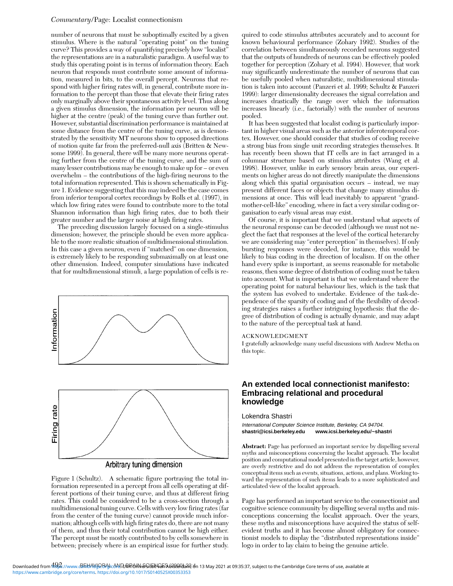## *Commentary/*Page: Localist connectionism

number of neurons that must be suboptimally excited by a given stimulus. Where is the natural "operating point" on the tuning curve? This provides a way of quantifying precisely how "localist" the representations are in a naturalistic paradigm. A useful way to study this operating point is in terms of information theory. Each neuron that responds must contribute some amount of information, measured in bits, to the overall percept. Neurons that respond with higher firing rates will, in general, contribute more information to the percept than those that elevate their firing rates only marginally above their spontaneous activity level. Thus along a given stimulus dimension, the information per neuron will be higher at the centre (peak) of the tuning curve than further out. However, substantial discrimination performance is maintained at some distance from the centre of the tuning curve, as is demonstrated by the sensitivity MT neurons show to opposed directions of motion quite far from the preferred-null axis (Britten & Newsome 1999). In general, there will be many more neurons operating further from the centre of the tuning curve, and the sum of many lesser contributions may be enough to make up for – or even overwhelm – the contributions of the high-firing neurons to the total information represented. This is shown schematically in Figure 1. Evidence suggesting that this may indeed be the case comes from inferior temporal cortex recordings by Rolls et al. (1997), in which low firing rates were found to contribute more to the total Shannon information than high firing rates, due to both their greater number and the larger noise at high firing rates.

The preceding discussion largely focused on a single-stimulus dimension; however, the principle should be even more applicable to the more realistic situation of multidimensional stimulation. In this case a given neuron, even if "matched" on one dimension, is extremely likely to be responding submaximally on at least one other dimension. Indeed, computer simulations have indicated that for multidimensional stimuli, a large population of cells is re-





Arbitrary tuning dimension

Figure 1 (Schultz). A schematic figure portraying the total information represented in a percept from all cells operating at different portions of their tuning curve, and thus at different firing rates. This could be considered to be a cross-section through a multidimensional tuning curve. Cells with very low firing rates (far from the center of the tuning curve) cannot provide much information; although cells with high firing rates do, there are not many of them, and thus their total contribution cannot be high either. The percept must be mostly contributed to by cells somewhere in between; precisely where is an empirical issue for further study.

quired to code stimulus attributes accurately and to account for known behavioural performance (Zohary 1992). Studies of the correlation between simultaneously recorded neurons suggested that the outputs of hundreds of neurons can be effectively pooled together for perception (Zohary et al. 1994). However, that work may significantly underestimate the number of neurons that can be usefully pooled when naturalistic, multidimensional stimulation is taken into account (Panzeri et al. 1999; Schultz & Panzeri 1999): larger dimensionality decreases the signal correlation and increases drastically the range over which the information increases linearly (i.e., factorially) with the number of neurons pooled.

It has been suggested that localist coding is particularly important in higher visual areas such as the anterior inferotemporal cortex. However, one should consider that studies of coding receive a strong bias from single unit recording strategies themselves. It has recently been shown that IT cells are in fact arranged in a columnar structure based on stimulus attributes (Wang et al. 1998). However, unlike in early sensory brain areas, our experiments on higher areas do not directly manipulate the dimensions along which this spatial organisation occurs – instead, we may present different faces or objects that change many stimulus dimensions at once. This will lead inevitably to apparent "grandmother-cell-like" encoding, where in fact a very similar coding organisation to early visual areas may exist.

Of course, it is important that we understand what aspects of the neuronal response can be decoded (although we must not neglect the fact that responses at the level of the cortical heterarchy we are considering may "enter perception" in themselves). If only bursting responses were decoded, for instance, this would be likely to bias coding in the direction of localism. If on the other hand every spike is important, as seems reasonable for metabolic reasons, then some degree of distribution of coding must be taken into account. What is important is that we understand where the operating point for natural behaviour lies, which is the task that the system has evolved to undertake. Evidence of the task-dependence of the sparsity of coding and of the flexibility of decoding strategies raises a further intriguing hypothesis: that the degree of distribution of coding is actually dynamic, and may adapt to the nature of the perceptual task at hand.

## ACKNOWLEDGMENT

I gratefully acknowledge many useful discussions with Andrew Metha on this topic.

## **An extended local connectionist manifesto: Embracing relational and procedural knowledge**

Lokendra Shastri

International Computer Science Institute, Berkeley, CA 94704. **shastri@icsi.berkeley.edu www.icsi.berkeley.edu/~shastri**

**Abstract:** Page has performed an important service by dispelling several myths and misconceptions concerning the localist approach. The localist position and computational model presented in the target article, however, are overly restrictive and do not address the representation of complex conceptual items such as events, situations, actions, and plans. Working toward the representation of such items leads to a more sophisticated and articulated view of the localist approach.

Page has performed an important service to the connectionist and cognitive science community by dispelling several myths and misconceptions concerning the localist approach. Over the years, these myths and misconceptions have acquired the status of selfevident truths and it has become almost obligatory for connectionist models to display the "distributed representations inside" logo in order to lay claim to being the genuine article.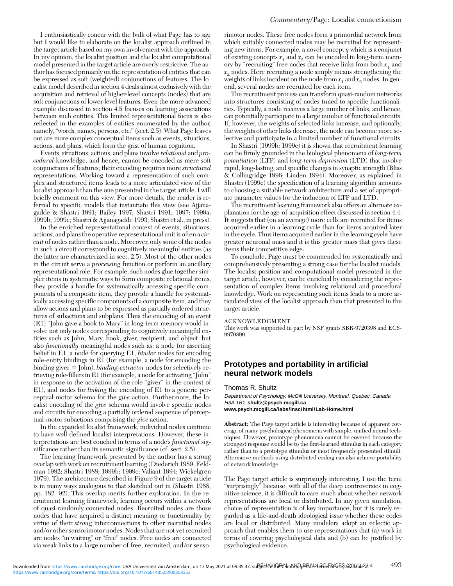I enthusiastically concur with the bulk of what Page has to say, but I would like to elaborate on the localist approach outlined in the target article based on my own involvement with the approach. In my opinion, the localist position and the localist computational model presented in the target article are overly restrictive. The author has focused primarily on the representation of entities that can be expressed as soft (weighted) conjunctions of features. The localist model described in section 4 deals almost exclusively with the acquisition and retrieval of higher-level concepts (nodes) that are soft conjunctions of lower-level features. Even the more advanced example discussed in section 4.5 focuses on learning associations between such entities. This limited representational focus is also reflected in the examples of entities enumerated by the author, namely, "words, names, persons, etc." (sect. 2.5). What Page leaves out are more complex conceptual items such as events, situations, actions, and plans, which form the grist of human cognition.

Events, situations, actions, and plans involve *relational* and *procedural* knowledge, and hence, cannot be encoded as mere soft conjunctions of features; their encoding requires more *structured* representations. Working toward a representation of such complex and structured items leads to a more articulated view of the localist approach than the one presented in the target article. I will briefly comment on this view. For more details, the reader is referred to specific models that instantiate this view (see Ajjanagadde & Shastri 1991; Bailey 1997; Shastri 1991; 1997; 1999a; 1999b; 1999c; Shastri & Ajjanagadde 1993; Shastri et al., in press).

In the enriched representational context of events, situations, actions, and plans the operative representational unit is often a *circuit* of nodes rather than a node. Moreover, only some of the nodes in such a circuit correspond to cognitively meaningful entities (as the latter are characterized in sect. 2.5). Most of the other nodes in the circuit serve a *processing* function or perform an ancillary representational role. For example, such nodes glue together simpler items in systematic ways to form composite relational items, they provide a handle for systematically accessing specific components of a composite item, they provide a handle for systematically accessing specific components of a composite item, and they allow actions and plans to be expressed as partially ordered structures of subactions and subplans. Thus the encoding of an event (E1) "John gave a book to Mary" in long-term memory would involve not only nodes corresponding to cognitively meaningful entities such as John, Mary, book, giver, recipient, and object, but also *functionally* meaningful nodes such as: a node for asserting belief in E1, a node for querying E1, *binder* nodes for encoding role-entity bindings in E1 (for example, a node for encoding the binding giver = John), *binding-extractor* nodes for selectively retrieving role-fillers in E1 (for example, a node for activating "John" in response to the activation of the role "giver" in the context of E1), and nodes for *linking* the encoding of E1 to a generic perceptual-motor schema for the *give* action. Furthermore, the localist encoding of the *give* schema would involve specific nodes and circuits for encoding a partially ordered sequence of perceptual-motor subactions comprising the *give* action.

In the expanded localist framework, individual nodes continue to have well-defined localist interpretations. However, these interpretations are best couched in terms of a node's *functional* significance rather than its semantic significance (cf. sect. 2.5).

The learning framework presented by the author has a strong overlap with work on recruitment learning (Diederich 1989; Feldman 1982; Shastri 1988; 1999b; 1999c; Valiant 1994; Wickelgren 1979). The architecture described in Figure 9 of the target article is in many ways analogous to that sketched out in (Shastri 1988, pp. 182–92). This overlap merits further exploration. In the recruitment learning framework, learning occurs within a network of quasi-randomly connected nodes. Recruited nodes are those nodes that have acquired a distinct meaning or functionality by virtue of their *strong* interconnections to other recruited nodes and/or other sensorimotor nodes. Nodes that are not yet recruited are nodes "in waiting" or "free" nodes. Free nodes are connected via weak links to a large number of free, recruited, and/or senso-

rimotor nodes. These free nodes form a primordial network from which suitably connected nodes may be recruited for representing new items. For example, a novel concept *y* which is a conjunct of existing concepts  $x_1$  and  $x_2$  can be encoded in long-term memory by "recruiting" free nodes that receive links from both  $x_1$  and  $x<sub>2</sub>$  nodes. Here recruiting a node simply means strengthening the weights of links incident on the node from  $x_1$  and  $x_2$  nodes. In general, several nodes are recruited for each item.

The recruitment process can transform quasi-random networks into structures consisting of nodes tuned to specific functionalities. Typically, a node receives a large number of links, and hence, can potentially participate in a large number of functional circuits. If, however, the weights of selected links increase, and optionally, the weights of other links decrease, the node can become more selective and participate in a limited number of functional circuits.

In Shastri (1999b; 1999c) it is shown that recruitment learning can be firmly grounded in the biological phenomena of *long-term potentiation* (LTP) and *long-term depression* (LTD) that involve rapid, long-lasting, and specific changes in synaptic strength (Bliss & Collingridge 1996; Linden 1994). Moreover, as explained in Shastri (1999c) the specification of a learning algorithm amounts to choosing a suitable network architecture and a set of appropriate parameter values for the induction of LTP and LTD.

The recruitment learning framework also offers an alternate explanation for the age-of-acquisition effect discussed in section 4.4. It suggests that (on an average) more cells are recruited for items acquired earlier in a learning cycle than for items acquired later in the cycle. Thus items acquired earlier in the learning cycle have greater neuronal mass and it is this greater mass that gives these items their competitive edge.

To conclude, Page must be commended for systematically and comprehensively presenting a strong case for the localist models. The localist position and computational model presented in the target article, however, can be enriched by considering the representation of complex items involving relational and procedural knowledge. Work on representing such items leads to a more articulated view of the localist approach than that presented in the target article.

#### ACKNOWLEDGMENT

This work was supported in part by NSF grants SBR-9720398 and ECS-9970890.

## **Prototypes and portability in artificial neural network models**

#### Thomas R. Shultz

Department of Psychology, McGill University, Montreal, Quebec, Canada H3A 1B1. **shultz@psych.mcgill.ca www.psych.mcgill.ca/labs/lnsc/html/Lab-Home.html**

**Abstract:** The Page target article is interesting because of apparent coverage of many psychological phenomena with simple, unified neural techniques. However, prototype phenomena cannot be covered because the strongest response would be to the first-learned stimulus in each category rather than to a prototype stimulus or most frequently presented stimuli. Alternative methods using distributed coding can also achieve portability of network knowledge.

The Page target article is surprisingly interesting. I use the term "surprisingly" because, with all of the deep controversies in cognitive science, it is difficult to care much about whether network representations are local or distributed. In any given simulation, choice of representation is of key importance, but it is rarely regarded as a life-and-death ideological issue whether these codes are local or distributed. Many modelers adopt an eclectic approach that enables them to use representations that (a) work in terms of covering psychological data and (b) can be justified by psychological evidence.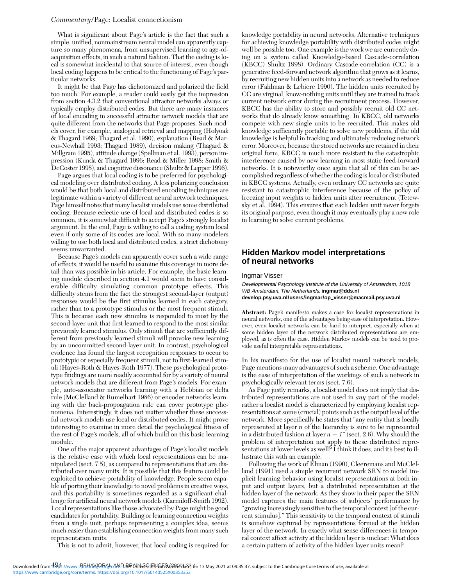## *Commentary/*Page: Localist connectionism

What is significant about Page's article is the fact that such a simple, unified, nonmainstream neural model can apparently capture so many phenomena, from unsupervised learning to age-ofacquisition effects, in such a natural fashion. That the coding is local is somewhat incidental to that source of interest, even though local coding happens to be critical to the functioning of Page's particular networks.

It might be that Page has dichotomized and polarized the field too much. For example, a reader could easily get the impression from section 4.3.2 that conventional attractor networks always or typically employ distributed codes. But there are many instances of local encoding in successful attractor network models that are quite different from the networks that Page proposes. Such models cover, for example, analogical retrieval and mapping (Holyoak & Thagard 1989; Thagard et al. 1990), explanation (Read & Marcus-Newhall 1993; Thagard 1989), decision making (Thagard & Millgram 1995), attitude change (Spellman et al. 1993), person impression (Kunda & Thagard 1996; Read & Miller 1998; Smith & DeCoster 1998), and cognitive dissonance (Shultz & Lepper 1996).

Page argues that local coding is to be preferred for psychological modeling over distributed coding. A less polarizing conclusion would be that both local and distributed encoding techniques are legitimate within a variety of different neural network techniques. Page himself notes that many localist models use some distributed coding. Because eclectic use of local and distributed codes is so common, it is somewhat difficult to accept Page's strongly localist argument. In the end, Page is willing to call a coding system local even if only some of its codes are local. With so many modelers willing to use both local and distributed codes, a strict dichotomy seems unwarranted.

Because Page's models can apparently cover such a wide range of effects, it would be useful to examine this coverage in more detail than was possible in his article. For example, the basic learning module described in section 4.1 would seem to have considerable difficulty simulating common prototype effects. This difficulty stems from the fact the strongest second-layer (output) responses would be the first stimulus learned in each category, rather than to a prototype stimulus or the most frequent stimuli. This is because each new stimulus is responded to most by the second-layer unit that first learned to respond to the most similar previously learned stimulus. Only stimuli that are sufficiently different from previously learned stimuli will provoke new learning by an uncommitted second-layer unit. In contrast, psychological evidence has found the largest recognition responses to occur to prototypic or especially frequent stimuli, not to first-learned stimuli (Hayes-Roth & Hayes-Roth 1977). These psychological prototype findings are more readily accounted for by a variety of neural network models that are different from Page's models. For example, auto-associator networks learning with a Hebbian or delta rule (McClelland & Rumelhart 1986) or encoder networks learning with the back-propoagation rule can cover prototype phenomena. Interestingly, it does not matter whether these successful network models use local or distributed codes. It might prove interesting to examine in more detail the psychological fitness of the rest of Page's models, all of which build on this basic learning module.

One of the major apparent advantages of Page's localist models is the relative ease with which local representations can be manipulated (sect. 7.5), as compared to representations that are distributed over many units. It is possible that this feature could be exploited to achieve portability of knowledge. People seem capable of porting their knowledge to novel problems in creative ways, and this portability is sometimes regarded as a significant challenge for artificial neural network models (Karmiloff-Smith 1992). Local representations like those advocated by Page might be good candidates for portability. Building or learning connection weights from a single unit, perhaps representing a complex idea, seems much easier than establishing connection weights from many such representation units.

This is not to admit, however, that local coding is required for

knowledge portability in neural networks. Alternative techniques for achieving knowledge portability with distributed codes might well be possible too. One example is the work we are currently doing on a system called Knowledge-based Cascade-correlation (KBCC) Shultz 1998). Ordinary Cascade-correlation (CC) is a generative feed-forward network algorithm that grows as it learns, by recruiting new hidden units into a network as needed to reduce error (Fahlman & Lebiere 1990). The hidden units recruited by CC are virginal, know-nothing units until they are trained to track current network error during the recruitment process. However, KBCC has the ability to store and possibly recruit old CC networks that do already know something. In KBCC, old networks compete with new single units to be recruited. This makes old knowledge sufficiently portable to solve new problems, if the old knowledge is helpful in tracking and ultimately reducing network error. Moreover, because the stored networks are retained in their original form, KBCC is much more resistant to the catastrophic interference caused by new learning in most static feed-forward networks. It is noteworthy once again that all of this can be accomplished regardless of whether the coding is local or distributed in KBCC systems. Actually, even ordinary CC networks are quite resistant to catastrophic interference because of the policy of freezing input weights to hidden units after recruitment (Tetewsky et al. 1994). This ensures that each hidden unit never forgets its original purpose, even though it may eventually play a new role in learning to solve current problems.

## **Hidden Markov model interpretations of neural networks**

#### Ingmar Visser

Developmental Psychology Institute of the University of Amsterdam, 1018 WB Amsterdam, The Netherlands. **ingmar@dds.nl develop.psy.uva.nl/users/ingmar/op–visser@macmail.psy.uva.nl**

**Abstract:** Page's manifesto makes a case for localist representations in neural networks, one of the advantages being ease of interpretation. However, even localist networks can be hard to interpret, especially when at some hidden layer of the network distributed representations are employed, as is often the case. Hidden Markov models can be used to provide useful interpretable representations.

In his manifesto for the use of localist neural network models, Page mentions many advantages of such a scheme. One advantage is the ease of interpretation of the workings of such a network in psychologically relevant terms (sect. 7.6).

As Page justly remarks, a localist model does not imply that distributed representations are not used in *any* part of the model; rather a localist model is characterized by employing localist representations at some (crucial) points such as the output level of the network. More specifically he states that "any entity that is locally represented at layer *n* of the hierarchy is sure to be represented in a distributed fashion at layer  $n - 1$ " (sect. 2.6). Why should the problem of interpretation not apply to these distributed representations at lower levels as well? I think it does, and it's best to illustrate this with an example.

Following the work of Elman (1990), Cleeremans and McClelland (1991) used a simple recurrent network SRN to model implicit learning behavior using localist representations at both input and output layers, but a distributed representation at the hidden layer of the network. As they show in their paper the SRN model captures the main features of subjects' performance by "growing increasingly sensitive to the temporal context [of the current stimulus]." This sensitivity to the temporal context of stimuli is somehow captured by representations formed at the hidden layer of the network. In exactly what sense differences in temporal context affect activity at the hidden layer is unclear: What does a certain pattern of activity of the hidden layer units mean?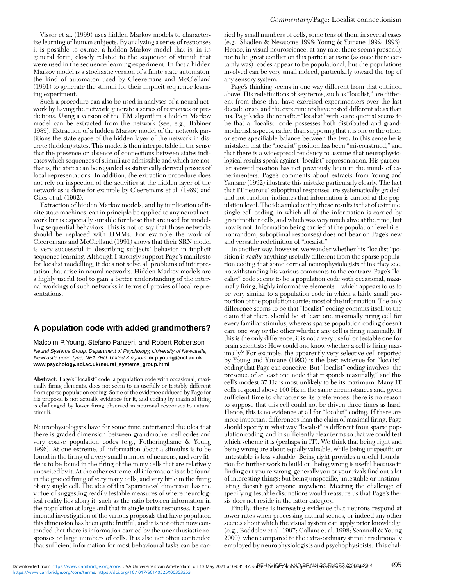Visser et al. (1999) uses hidden Markov models to characterize learning of human subjects. By analyzing a series of responses it is possible to extract a hidden Markov model that is, in its general form, closely related to the sequence of stimuli that were used in the sequence learning experiment. In fact a hidden Markov model is a stochastic version of a finite state automaton, the kind of automaton used by Cleeremans and McClelland (1991) to generate the stimuli for their implicit sequence learning experiment.

Such a procedure can also be used in analyses of a neural network by having the network generate a series of responses or predictions. Using a version of the EM algorithm a hidden Markov model can be extracted from the network (see, e.g., Rabiner 1989). Extraction of a hidden Markov model of the network partitions the state space of the hidden layer of the network in discrete (hidden) states. This model is then interpretable in the sense that the presence or absence of connections between states indicates which sequences of stimuli are admissible and which are not; that is, the states can be regarded as statistically derived proxies of local representations. In addition, the extraction procedure does not rely on inspection of the activities at the hidden layer of the network as is done for example by Cleeremans et al. (1989) and Giles et al. (1992).

Extraction of hidden Markov models, and by implication of finite state machines, can in principle be applied to any neural network but is especially suitable for those that are used for modelling sequential behaviors. This is not to say that those networks should be replaced with HMMs. For example the work of Cleeremans and McClelland (1991) shows that their SRN model is very successful in describing subjects' behavior in implicit sequence learning. Although I strongly support Page's manifesto for localist modelling, it does not solve all problems of interpretation that arise in neural networks. Hidden Markov models are a highly useful tool to gain a better understanding of the internal workings of such networks in terms of proxies of local representations.

## **A population code with added grandmothers?**

Malcolm P.Young, Stefano Panzeri, and Robert Robertson Neural Systems Group, Department of Psychology, University of Newcastle, Newcastle upon Tyne, NE1 7RU, United Kingdom. **m.p.young@ncl.ac.uk www.psychology.ncl.ac.uk/neural–systems–group.html**

**Abstract:** Page's "localist" code, a population code with occasional, maximally firing elements, does not seem to us usefully or testably different from sparse population coding. Some of the evidence adduced by Page for his proposal is not actually evidence for it, and coding by maximal firing is challenged by lower firing observed in neuronal responses to natural stimuli.

Neurophysiologists have for some time entertained the idea that there is graded dimension between grandmother cell codes and very coarse population codes (e.g., Fotheringhame & Young 1996). At one extreme, all information about a stimulus is to be found in the firing of a very small number of neurons, and very little is to be found in the firing of the many cells that are relatively unexcited by it. At the other extreme, all information is to be found in the graded firing of very many cells, and very little in the firing of any single cell. The idea of this "sparseness" dimension has the virtue of suggesting readily testable measures of where neurological reality lies along it, such as the ratio between information in the population at large and that in single unit's responses. Experimental investigation of the various proposals that have populated this dimension has been quite fruitful, and it is not often now contended that there is information carried by the unenthusiastic responses of large numbers of cells. It is also not often contended that sufficient information for most behavioural tasks can be car-

ried by small numbers of cells, some tens of them in several cases (e.g., Shadlen & Newsome 1998; Young & Yamane 1992; 1993). Hence, in visual neuroscience, at any rate, there seems presently not to be great conflict on this particular issue (as once there certainly was): codes appear to be populational, but the populations involved can be very small indeed, particularly toward the top of any sensory system.

Page's thinking seems in one way different from that outlined above. His redefinitions of key terms, such as "localist," are different from those that have exercised experimenters over the last decade or so, and the experiments have tested different ideas than his. Page's idea (hereinafter "localist" with scare quotes) seems to be that a "localist" code possesses both distributed and grandmotherish aspects, rather than supposing that it is one or the other, or some specifiable balance between the two. In this sense he is mistaken that the "localist" position has been "misconstrued," and that there is a widespread tendency to assume that neurophysiological results speak against "localist" representation. His particular avowed position has not previously been in the minds of experimenters. Page's comments about extracts from Young and Yamane (1992) illustrate this mistake particularly clearly. The fact that IT neurons' suboptimal responses are systematically graded, and not random, indicates that information is carried at the population level. The idea ruled out by these results is that of extreme, single-cell coding, in which all of the information is carried by grandmother cells, and which was very much alive at the time, but now is not. Information being carried at the population level (i.e., nonrandom, suboptimal responses) does not bear on Page's new and versatile redefinition of "localist."

In another way, however, we wonder whether his "localist" position is *really* anything usefully different from the sparse population coding that some cortical neurophysiologists think they see, notwithstanding his various comments to the contrary. Page's "localist" code seems to be a population code with occasional, maximally firing, highly informative elements – which appears to us to be very similar to a population code in which a fairly small proportion of the population carries most of the information. The only difference seems to be that "localist" coding commits itself to the claim that there should be at least one maximally firing cell for every familiar stimulus, whereas sparse population coding doesn't care one way or the other whether any cell is firing maximally. If this is the only difference, it is not a very useful or testable one for brain scientists: How could one know whether a cell is firing maximally? For example, the apparently very selective cell reported by Young and Yamane (1993) is the best evidence for "localist" coding that Page can conceive. But "localist" coding involves "the presence of at least one node that responds maximally," and this cell's modest 37 Hz is most unlikely to be its maximum. Many IT cells respond above 100 Hz in the same circumstances and, given sufficient time to characterise its preferences, there is no reason to suppose that this cell could not be driven three times as hard. Hence, this is no evidence at all for "localist" coding. If there are more important differences than the claim of maximal firing, Page should specify in what way "localist" is different from sparse population coding, and in sufficiently clear terms so that we could test which scheme it is (perhaps in IT). We think that being right and being wrong are about equally valuable, while being unspecific or untestable is less valuable. Being right provides a useful foundation for further work to build on; being wrong is useful because in finding out you're wrong, generally you or your rivals find out a lot of interesting things; but being unspecific, untestable or unstimulating doesn't get anyone anywhere. Meeting the challenge of specifying testable distinctions would reassure us that Page's thesis does not reside in the latter category.

Finally, there is increasing evidence that neurons respond at lower rates when processing natural scenes, or indeed any other scenes about which the visual system can apply prior knowledge (e.g., Baddeley et al. 1997; Gallant et al. 1998; Scannell & Young 2000), when compared to the extra-ordinary stimuli traditionally employed by neurophysiologists and psychophysicists. This chal-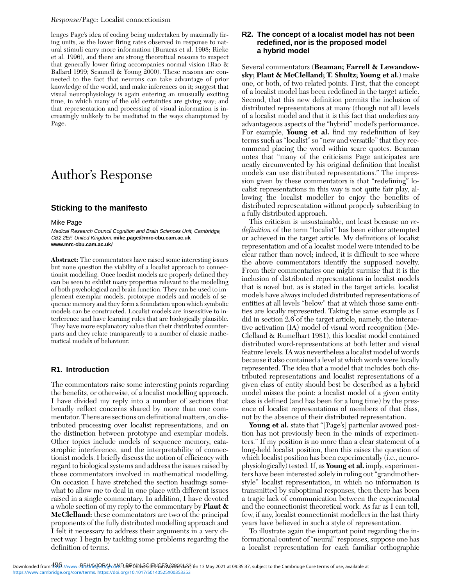#### *Response/*Page: Localist connectionism

lenges Page's idea of coding being undertaken by maximally firing units, as the lower firing rates observed in response to natural stimuli carry more information (Buracas et al. 1998; Rieke et al. 1996), and there are strong theoretical reasons to suspect that generally lower firing accompanies normal vision (Rao & Ballard 1999; Scannell & Young 2000). These reasons are connected to the fact that neurons can take advantage of prior knowledge of the world, and make inferences on it; suggest that visual neurophysiology is again entering an unusually exciting time, in which many of the old certainties are giving way; and that representation and processing of visual information is increasingly unlikely to be mediated in the ways championed by Page.

## Author's Response

## **Sticking to the manifesto**

Mike Page

Medical Research Council Cognition and Brain Sciences Unit, Cambridge, CB2 2EF, United Kingdom. **mike.page@mrc-cbu.cam.ac.uk www.mrc-cbu.cam.ac.uk/**

**Abstract:** The commentators have raised some interesting issues but none question the viability of a localist approach to connectionist modelling. Once localist models are properly defined they can be seen to exhibit many properties relevant to the modelling of both psychological and brain function. They can be used to implement exemplar models, prototype models and models of sequence memory and they form a foundation upon which symbolic models can be constructed. Localist models are insensitive to interference and have learning rules that are biologically plausible. They have more explanatory value than their distributed counterparts and they relate transparently to a number of classic mathematical models of behaviour.

## **R1. Introduction**

The commentators raise some interesting points regarding the benefits, or otherwise, of a localist modelling approach. I have divided my reply into a number of sections that broadly reflect concerns shared by more than one commentator. There are sections on definitional matters, on distributed processing over localist representations, and on the distinction between prototype and exemplar models. Other topics include models of sequence memory, catastrophic interference, and the interpretability of connectionist models. I briefly discuss the notion of efficiency with regard to biological systems and address the issues raised by those commentators involved in mathematical modelling. On occasion I have stretched the section headings somewhat to allow me to deal in one place with different issues raised in a single commentary. In addition, I have devoted a whole section of my reply to the commentary by **Plaut & McClelland:** these commentators are two of the principal proponents of the fully distributed modelling approach and I felt it necessary to address their arguments in a very direct way. I begin by tackling some problems regarding the definition of terms.

## **R2. The concept of a localist model has not been redefined, nor is the proposed model a hybrid model**

Several commentators (**Beaman; Farrell & Lewandowsky; Plaut & McClelland; T. Shultz; Young et al.**) make one, or both, of two related points. First, that the concept of a localist model has been redefined in the target article. Second, that this new definition permits the inclusion of distributed representations at many (though not all) levels of a localist model and that it is this fact that underlies any advantageous aspects of the "hybrid" model's performance. For example, **Young et al.** find my redefinition of key terms such as "localist" so "new and versatile" that they recommend placing the word within scare quotes. Beaman notes that "many of the criticisms Page anticipates are neatly circumvented by his original definition that localist models can use distributed representations." The impression given by these commentators is that "redefining" localist representations in this way is not quite fair play, allowing the localist modeller to enjoy the benefits of distributed representation without properly subscribing to a fully distributed approach.

This criticism is unsustainable, not least because no *redefinition* of the term "localist" has been either attempted or achieved in the target article. My definitions of localist representation and of a localist model were intended to be clear rather than novel; indeed, it is difficult to see where the above commentators identify the supposed novelty. From their commentaries one might surmise that it is the inclusion of distributed representations in localist models that is novel but, as is stated in the target article, localist models have always included distributed representations of entities at all levels "below" that at which those same entities are locally represented. Taking the same example as I did in section 2.6 of the target article, namely, the interactive activation (IA) model of visual word recognition (Mc-Clelland & Rumelhart 1981), this localist model contained distributed word-representations at both letter and visual feature levels. IA was nevertheless a localist model of words because it also contained a level at which words were locally represented. The idea that a model that includes both distributed representations and localist representations of a given class of entity should best be described as a hybrid model misses the point: a localist model of a given entity class is defined (and has been for a long time) by the presence of localist representations of members of that class, not by the absence of their distributed representation.

**Young et al.** state that "[Page's] particular avowed position has not previously been in the minds of experimenters." If my position is no more than a clear statement of a long-held localist position, then this raises the question of which localist position has been experimentally (i.e., neurophysiologically) tested. If, as **Young et al.** imply, experimenters have been interested solely in ruling out "grandmotherstyle" localist representation, in which no information is transmitted by suboptimal responses, then there has been a tragic lack of communication between the experimental and the connectionist theoretical work. As far as I can tell, few, if any, localist connectionist modellers in the last thirty years have believed in such a style of representation.

To illustrate again the important point regarding the informational content of "neural" responses, suppose one has a localist representation for each familiar orthographic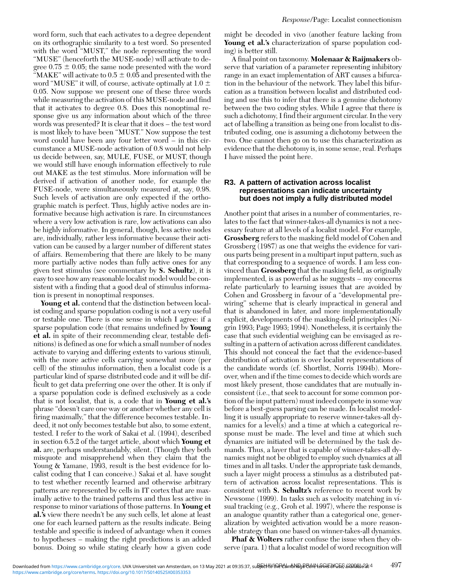word form, such that each activates to a degree dependent on its orthographic similarity to a test word. So presented with the word "MUST," the node representing the word "MUSE" (henceforth the MUSE-node) will activate to degree  $0.75 \pm 0.05$ ; the same node presented with the word "MAKE" will activate to  $0.5 \pm 0.05$  and presented with the word "MUSE" it will, of course, activate optimally at  $1.0 \pm$ 0.05. Now suppose we present one of these three words while measuring the activation of this MUSE-node and find that it activates to degree 0.8. Does this nonoptimal response give us any information about which of the three words was presented? It is clear that it does – the test word is most likely to have been "MUST." Now suppose the test word could have been any four letter word – in this circumstance a MUSE-node activation of 0.8 would not help us decide between, say, MULE, FUSE, or MUST, though we would still have enough information effectively to rule out MAKE as the test stimulus. More information will be derived if activation of another node, for example the FUSE-node, were simultaneously measured at, say, 0.98. Such levels of activation are only expected if the orthographic match is perfect. Thus, highly active nodes are informative because high activation is rare. In circumstances where a very low activation is rare, low activations can also be highly informative. In general, though, less active nodes are, individually, rather less informative because their activation can be caused by a larger number of different states of affairs. Remembering that there are likely to be many more partially active nodes than fully active ones for any given test stimulus (see commentary by **S. Schultz**), it is easy to see how any reasonable localist model would be consistent with a finding that a good deal of stimulus information is present in nonoptimal responses.

Young et al. contend that the distinction between localist coding and sparse population coding is not a very useful or testable one. There is one sense in which I agree: if a sparse population code (that remains undefined by **Young et al.** in spite of their recommending clear, testable definitions) is defined as one for which a small number of nodes activate to varying and differing extents to various stimuli, with the more active cells carrying somewhat more (per cell) of the stimulus information, then a localist code is a particular kind of sparse distributed code and it will be difficult to get data preferring one over the other. It is only if a sparse population code is defined exclusively as a code that is not localist, that is, a code that in **Young et al.'s** phrase "doesn't care one way or another whether any cell is firing maximally," that the difference becomes testable. Indeed, it not only becomes testable but also, to some extent, tested. I refer to the work of Sakai et al. (1994), described in section 6.5.2 of the target article, about which **Young et al.** are, perhaps understandably, silent. (Though they both misquote and misapprehend when they claim that the Young & Yamane, 1993, result is the best evidence for localist coding that I can conceive.) Sakai et al. have sought to test whether recently learned and otherwise arbitrary patterns are represented by cells in IT cortex that are maximally active to the trained patterns and thus less active in response to minor variations of those patterns. In **Young et al.'s** view there needn't be any such cells, let alone at least one for each learned pattern as the results indicate. Being testable and specific is indeed of advantage when it comes to hypotheses – making the right predictions is an added bonus. Doing so while stating clearly how a given code

might be decoded in vivo (another feature lacking from Young et al.'s characterization of sparse population coding) is better still.

A final point on taxonomy. **Molenaar & Raijmakers** observe that variation of a parameter representing inhibitory range in an exact implementation of ART causes a bifurcation in the behaviour of the network. They label this bifurcation as a transition between localist and distributed coding and use this to infer that there is a genuine dichotomy between the two coding styles. While I agree that there is such a dichotomy, I find their argument circular. In the very act of labelling a transition as being one from localist to distributed coding, one is assuming a dichotomy between the two. One cannot then go on to use this characterization as evidence that the dichotomy is, in some sense, real. Perhaps I have missed the point here.

## **R3. A pattern of activation across localist representations can indicate uncertainty but does not imply a fully distributed model**

Another point that arises in a number of commentaries, relates to the fact that winner-takes-all dynamics is not a necessary feature at all levels of a localist model. For example, **Grossberg** refers to the masking field model of Cohen and Grossberg (1987) as one that weighs the evidence for various parts being present in a multipart input pattern, such as that corresponding to a sequence of words. I am less convinced than **Grossberg** that the masking field, as originally implemented, is as powerful as he suggests – my concerns relate particularly to learning issues that are avoided by Cohen and Grossberg in favour of a "developmental prewiring" scheme that is clearly impractical in general and that is abandoned in later, and more implementationally explicit, developments of the masking-field principles (Nigrin 1993; Page 1993; 1994). Nonetheless, it is certainly the case that such evidential weighing can be envisaged as resulting in a pattern of activation across different candidates. This should not conceal the fact that the evidence-based distribution of activation is over localist representations of the candidate words (cf. Shortlist, Norris 1994b). Moreover, when and if the time comes to decide which words are most likely present, those candidates that are mutually inconsistent (i.e., that seek to account for some common portion of the input pattern) must indeed compete in some way before a best-guess parsing can be made. In localist modelling it is usually appropriate to reserve winner-takes-all dynamics for a level(s) and a time at which a categorical response must be made. The level and time at which such dynamics are initiated will be determined by the task demands. Thus, a layer that is capable of winner-takes-all dynamics might not be obliged to employ such dynamics at all times and in all tasks. Under the appropriate task demands, such a layer might process a stimulus as a distributed pattern of activation across localist representations. This is consistent with **S. Schultz's** reference to recent work by Newsome (1999). In tasks such as velocity matching in visual tracking (e.g., Groh et al. 1997), where the response is an analogue quantity rather than a categorical one, generalization by weighted activation would be a more reasonable strategy than one based on winner-takes-all dynamics.

**Phaf & Wolters** rather confuse the issue when they observe (para. 1) that a localist model of word recognition will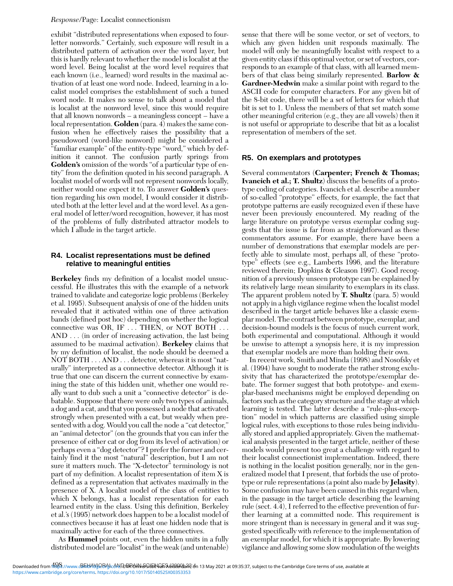## *Response/*Page: Localist connectionism

exhibit "distributed representations when exposed to fourletter nonwords." Certainly, such exposure will result in a distributed pattern of activation over the word layer, but this is hardly relevant to whether the model is localist at the word level. Being localist at the word level requires that each known (i.e., learned) word results in the maximal activation of at least one word node. Indeed, learning in a localist model comprises the establishment of such a tuned word node. It makes no sense to talk about a model that is localist at the nonword level, since this would require that all known nonwords – a meaningless concept – have a local representation. **Golden** (para. 4) makes the same confusion when he effectively raises the possibility that a pseudoword (word-like nonword) might be considered a "familiar example" of the entity-type "word," which by definition it cannot. The confusion partly springs from **Golden's** omission of the words "of a particular type of entity" from the definition quoted in his second paragraph. A localist model of words will not represent nonwords locally, neither would one expect it to. To answer **Golden's** question regarding his own model, I would consider it distributed both at the letter level and at the word level. As a general model of letter/word recognition, however, it has most of the problems of fully distributed attractor models to which I allude in the target article.

## **R4. Localist representations must be defined relative to meaningful entities**

**Berkeley** finds my definition of a localist model unsuccessful. He illustrates this with the example of a network trained to validate and categorize logic problems (Berkeley et al. 1995). Subsequent analysis of one of the hidden units revealed that it activated within one of three activation bands (defined post hoc) depending on whether the logical connective was OR, IF  $\ldots$  THEN, or NOT BOTH  $\ldots$ AND . . . (in order of increasing activation, the last being assumed to be maximal activation). **Berkeley** claims that by my definition of localist, the node should be deemed a NOT BOTH . . . AND . . . detector, whereas it is most "naturally" interpreted as a connective detector. Although it is true that one can discern the current connective by examining the state of this hidden unit, whether one would really want to dub such a unit a "connective detector" is debatable. Suppose that there were only two types of animals, a dog and a cat, and that you possessed a node that activated strongly when presented with a cat, but weakly when presented with a dog. Would you call the node a "cat detector," an "animal detector" (on the grounds that you can infer the presence of either cat or dog from its level of activation) or perhaps even a "dog detector"? I prefer the former and certainly find it the most "natural" description, but I am not sure it matters much. The "X-detector" terminology is not part of my definition. A localist representation of item X is defined as a representation that activates maximally in the presence of X. A localist model of the class of entities to which X belongs, has a localist representation for each learned entity in the class. Using this definition, Berkeley et al.'s (1995) network does happen to be a localist model of connectives because it has at least one hidden node that is maximally active for each of the three connectives.

As **Hummel** points out, even the hidden units in a fully distributed model are "localist" in the weak (and untenable)

sense that there will be some vector, or set of vectors, to which any given hidden unit responds maximally. The model will only be meaningfully localist with respect to a given entity class if this optimal vector, or set of vectors, corresponds to an example of that class, with all learned members of that class being similarly represented. **Barlow & Gardner-Medwin** make a similar point with regard to the ASCII code for computer characters. For any given bit of the 8-bit code, there will be a set of letters for which that bit is set to 1. Unless the members of that set match some other meaningful criterion (e.g., they are all vowels) then it is not useful or appropriate to describe that bit as a localist representation of members of the set.

## **R5. On exemplars and prototypes**

Several commentators (**Carpenter; French & Thomas; Ivancich et al.; T. Shultz**) discuss the benefits of a prototype coding of categories. Ivancich et al. describe a number of so-called "prototype" effects, for example, the fact that prototype patterns are easily recognized even if these have never been previously encountered. My reading of the large literature on prototype versus exemplar coding suggests that the issue is far from as straightforward as these commentators assume. For example, there have been a number of demonstrations that exemplar models are perfectly able to simulate most, perhaps all, of these "prototype" effects (see e.g., Lamberts 1996, and the literature reviewed therein; Dopkins & Gleason 1997). Good recognition of a previously unseen prototype can be explained by its relatively large mean similarity to exemplars in its class. The apparent problem noted by **T. Shultz** (para. 5) would not apply in a high vigilance regime when the localist model described in the target article behaves like a classic exemplar model. The contrast between prototype, exemplar, and decision-bound models is the focus of much current work, both experimental and computational. Although it would be unwise to attempt a synopsis here, it is my impression that exemplar models are more than holding their own.

In recent work, Smith and Minda (1998) and Nosofsky et al. (1994) have sought to moderate the rather strong exclusivity that has characterized the prototype/exemplar debate. The former suggest that both prototype- and exemplar-based mechanisms might be employed depending on factors such as the category structure and the stage at which learning is tested. The latter describe a "rule-plus-exception" model in which patterns are classified using simple logical rules, with exceptions to those rules being individually stored and applied appropriately. Given the mathematical analysis presented in the target article, neither of these models would present too great a challenge with regard to their localist connectionist implementation. Indeed, there is nothing in the localist position generally, nor in the generalized model that I present, that forbids the use of prototype or rule representations (a point also made by **Jelasity**). Some confusion may have been caused in this regard when, in the passage in the target article describing the learning rule (sect. 4.4), I referred to the effective prevention of further learning at a committed node. This requirement is more stringent than is necessary in general and it was suggested specifically with reference to the implementation of an exemplar model, for which it is appropriate. By lowering vigilance and allowing some slow modulation of the weights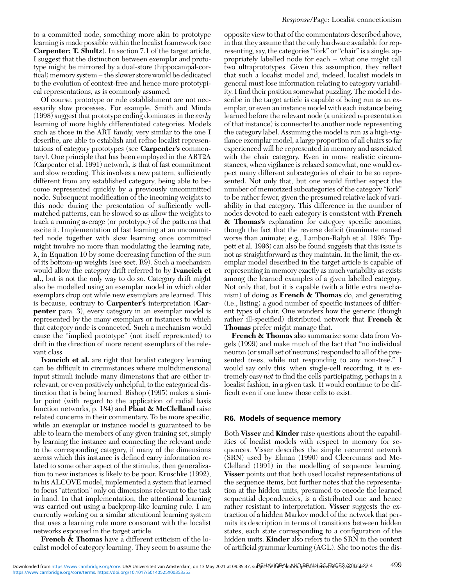to a committed node, something more akin to prototype learning is made possible within the localist framework (see **Carpenter; T. Shultz**). In section 7.1 of the target article, I suggest that the distinction between exemplar and prototype might be mirrored by a dual-store (hippocampal-cortical) memory system – the slower store would be dedicated to the evolution of context-free and hence more prototypical representations, as is commonly assumed.

Of course, prototype or rule establishment are not necessarily slow processes. For example, Smith and Minda (1998) suggest that prototype coding dominates in the *early* learning of more highly differentiated categories. Models such as those in the ART family, very similar to the one I describe, are able to establish and refine localist representations of category prototypes (see **Carpenter's** commentary). One principle that has been employed in the ART2A (Carpenter et al. 1991) network, is that of fast commitment and slow recoding. This involves a new pattern, sufficiently different from any established category, being able to become represented quickly by a previously uncommitted node. Subsequent modification of the incoming weights to this node during the presentation of sufficiently wellmatched patterns, can be slowed so as allow the weights to track a running average (or prototype) of the patterns that excite it. Implementation of fast learning at an uncommitted node together with slow learning once committed might involve no more than modulating the learning rate,  $\lambda$ , in Equation 10 by some decreasing function of the sum of its bottom-up weights (see sect. R9). Such a mechanism would allow the category drift referred to by **Ivancich et al.,** but is not the only way to do so. Category drift might also be modelled using an exemplar model in which older exemplars drop out while new exemplars are learned. This is because, contrary to **Carpenter's** interpretation (**Carpenter** para. 3), every category in an exemplar model is represented by the many exemplars or instances to which that category node is connected. Such a mechanism would cause the "implied prototype" (not itself represented) to drift in the direction of more recent exemplars of the relevant class.

**Ivancich et al.** are right that localist category learning can be difficult in circumstances where multidimensional input stimuli include many dimensions that are either irrelevant, or even positively unhelpful, to the categorical distinction that is being learned. Bishop (1995) makes a similar point (with regard to the application of radial basis function networks, p. 184) and **Plaut & McClelland** raise related concerns in their commentary. To be more specific, while an exemplar or instance model is guaranteed to be able to learn the members of any given training set, simply by learning the instance and connecting the relevant node to the corresponding category, if many of the dimensions across which this instance is defined carry information related to some other aspect of the stimulus, then generalization to new instances is likely to be poor. Kruschke (1992), in his ALCOVE model, implemented a system that learned to focus "attention" only on dimensions relevant to the task in hand. In that implementation, the attentional learning was carried out using a backprop-like learning rule. I am currently working on a similar attentional learning system that uses a learning rule more consonant with the localist networks espoused in the target article.

**French & Thomas** have a different criticism of the localist model of category learning. They seem to assume the

opposite view to that of the commentators described above, in that they assume that the only hardware available for representing, say, the categories "fork" or "chair" is a single, appropriately labelled node for each – what one might call two ultraprototypes. Given this assumption, they reflect that such a localist model and, indeed, localist models in general must lose information relating to category variability. I find their position somewhat puzzling. The model I describe in the target article is capable of being run as an exemplar, or even an instance model with each instance being learned before the relevant node (a unitized representation of that instance) is connected to another node representing the category label. Assuming the model is run as a high-vigilance exemplar model, a large proportion of all chairs so far experienced will be represented in memory and associated with the chair category. Even in more realistic circumstances, when vigilance is relaxed somewhat, one would expect many different subcategories of chair to be so represented. Not only that, but one would further expect the number of memorized subcategories of the category "fork" to be rather fewer, given the presumed relative lack of variability in that category. This difference in the number of nodes devoted to each category is consistent with **French & Thomas's** explanation for category specific anomias, though the fact that the reverse deficit (inanimate named worse than animate; e.g., Lambon-Ralph et al. 1998; Tippett et al. 1996) can also be found suggests that this issue is not as straightforward as they maintain. In the limit, the exemplar model described in the target article is capable of representing in memory exactly as much variability as exists among the learned examples of a given labelled category. Not only that, but it is capable (with a little extra mechanism) of doing as **French & Thomas** do, and generating (i.e., listing) a good number of specific instances of different types of chair. One wonders how the generic (though rather ill-specified) distributed network that **French & Thomas** prefer might manage that.

**French & Thomas** also summarize some data from Vogels (1999) and make much of the fact that "no individual neuron (or small set of neurons) responded to all of the presented trees, while not responding to any non-tree." I would say only this: when single-cell recording, it is extremely easy *not* to find the cells participating, perhaps in a localist fashion, in a given task. It would continue to be difficult even if one knew those cells to exist.

## **R6. Models of sequence memory**

Both **Visser** and **Kinder** raise questions about the capabilities of localist models with respect to memory for sequences. Visser describes the simple recurrent network (SRN) used by Elman (1990) and Cleeremans and Mc-Clelland (1991) in the modelling of sequence learning. **Visser** points out that both used localist representations of the sequence items, but further notes that the representation at the hidden units, presumed to encode the learned sequential dependencies, is a distributed one and hence rather resistant to interpretation. **Visser** suggests the extraction of a hidden Markov model of the network that permits its description in terms of transitions between hidden states, each state corresponding to a configuration of the hidden units. **Kinder** also refers to the SRN in the context of artificial grammar learning (AGL). She too notes the dis-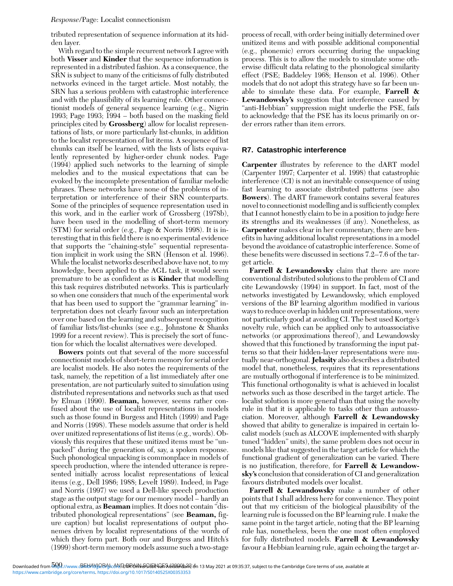#### *Response/*Page: Localist connectionism

tributed representation of sequence information at its hidden layer.

With regard to the simple recurrent network I agree with both **Visser** and **Kinder** that the sequence information is represented in a distributed fashion. As a consequence, the SRN is subject to many of the criticisms of fully distributed networks evinced in the target article. Most notably, the SRN has a serious problem with catastrophic interference and with the plausibility of its learning rule. Other connectionist models of general sequence learning (e.g., Nigrin 1993; Page 1993; 1994 – both based on the masking field principles cited by **Grossberg**) allow for localist representations of lists, or more particularly list-chunks, in addition to the localist representation of list items. A sequence of list chunks can itself be learned, with the lists of lists equivalently represented by higher-order chunk nodes. Page (1994) applied such networks to the learning of simple melodies and to the musical expectations that can be evoked by the incomplete presentation of familiar melodic phrases. These networks have none of the problems of interpretation or interference of their SRN counterparts. Some of the principles of sequence representation used in this work, and in the earlier work of Grossberg (1978b), have been used in the modelling of short-term memory (STM) for serial order (e.g., Page & Norris 1998). It is interesting that in this field there is no experimental evidence that supports the "chaining-style" sequential representation implicit in work using the SRN (Henson et al. 1996). While the localist networks described above have not, to my knowledge, been applied to the AGL task, it would seem premature to be as confident as is **Kinder** that modelling this task requires distributed networks. This is particularly so when one considers that much of the experimental work that has been used to support the "grammar learning" interpretation does not clearly favour such an interpretation over one based on the learning and subsequent recognition of familiar lists/list-chunks (see e.g., Johnstone & Shanks 1999 for a recent review). This is precisely the sort of function for which the localist alternatives were developed.

**Bowers** points out that several of the more successful connectionist models of short-term memory for serial order are localist models. He also notes the requirements of the task, namely, the repetition of a list immediately after one presentation, are not particularly suited to simulation using distributed representations and networks such as that used by Elman (1990). **Beaman,** however, seems rather confused about the use of localist representations in models such as those found in Burgess and Hitch (1999) and Page and Norris (1998). These models assume that order is held over unitized representations of list items (e.g., words). Obviously this requires that these unitized items must be "unpacked" during the generation of, say, a spoken response. Such phonological unpacking is commonplace in models of speech production, where the intended utterance is represented initially across localist representations of lexical items (e.g., Dell 1986; 1988; Levelt 1989). Indeed, in Page and Norris (1997) we used a Dell-like speech production stage as the output stage for our memory model – hardly an optional extra, as **Beaman** implies. It does not contain "distributed phonological representations" (see **Beaman,** figure caption) but localist representations of output phonemes driven by localist representations of the words of which they form part. Both our and Burgess and Hitch's (1999) short-term memory models assume such a two-stage

process of recall, with order being initially determined over unitized items and with possible additional componential (e.g., phonemic) errors occurring during the unpacking process. This is to allow the models to simulate some otherwise difficult data relating to the phonological similarity effect (PSE; Baddeley 1968; Henson et al. 1996). Other models that do not adopt this strategy have so far been unable to simulate these data. For example, **Farrell & Lewandowsky's** suggestion that interference caused by "anti-Hebbian" suppression might underlie the PSE, fails to acknowledge that the PSE has its locus primarily on order errors rather than item errors.

## **R7. Catastrophic interference**

**Carpenter** illustrates by reference to the dART model (Carpenter 1997; Carpenter et al. 1998) that catastrophic interference (CI) is not an inevitable consequence of using fast learning to associate distributed patterns (see also **Bowers**). The dART framework contains several features novel to connectionist modelling and is sufficiently complex that I cannot honestly claim to be in a position to judge here its strengths and its weaknesses (if any). Nonetheless, as **Carpenter** makes clear in her commentary, there are benefits in having additional localist representations in a model beyond the avoidance of catastrophic interference. Some of these benefits were discussed in sections 7.2–7.6 of the target article.

**Farrell & Lewandowsky** claim that there are more conventional distributed solutions to the problem of CI and cite Lewandowsky (1994) in support. In fact, most of the networks investigated by Lewandowsky, which employed versions of the BP learning algorithm modified in various ways to reduce overlap in hidden unit representations, were not particularly good at avoiding CI. The best used Kortge's novelty rule, which can be applied only to autoassociative networks (or approximations thereof), and Lewandowsky showed that this functioned by transforming the input patterns so that their hidden-layer representations were mutually near-orthogonal. **Jelasity** also describes a distributed model that, nonetheless, requires that its representations are mutually orthogonal if interference is to be minimized. This functional orthogonality is what is achieved in localist networks such as those described in the target article. The localist solution is more general than that using the novelty rule in that it is applicable to tasks other than autoassociation. Moreover, although **Farrell & Lewandowsky** showed that ability to generalize is impaired in certain localist models (such as ALCOVE implemented with sharply tuned "hidden" units), the same problem does not occur in models like that suggested in the target article for which the functional gradient of generalization can be varied. There is no justification, therefore, for **Farrell & Lewandowsky's** conclusion that consideration of CI and generalization favours distributed models over localist.

**Farrell & Lewandowsky** make a number of other points that I shall address here for convenience. They point out that my criticism of the biological plausibility of the learning rule is focussed on the BP learning rule. I make the same point in the target article, noting that the BP learning rule has, nonetheless, been the one most often employed for fully distributed models. **Farrell & Lewandowsky** favour a Hebbian learning rule, again echoing the target ar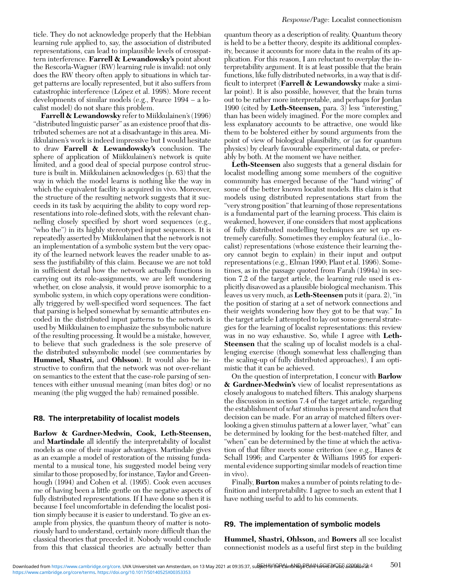ticle. They do not acknowledge properly that the Hebbian learning rule applied to, say, the association of distributed representations, can lead to implausible levels of crosspattern interference. **Farrell & Lewandowsky's** point about the Rescorla-Wagner (RW) learning rule is invalid: not only does the RW theory often apply to situations in which target patterns are locally represented, but it also suffers from catastrophic interference (López et al. 1998). More recent developments of similar models (e.g., Pearce 1994 – a localist model) do not share this problem.

**Farrell & Lewandowsky** refer to Miikkulainen's (1996) "distributed linguistic parser" as an existence proof that distributed schemes are not at a disadvantage in this area. Miikkulainen's work is indeed impressive but I would hesitate to draw **Farrell & Lewandowsky's** conclusion. The sphere of application of Miikkulainen's network is quite limited, and a good deal of special purpose control structure is built in. Miikkulainen acknowledges (p. 63) that the way in which the model learns is nothing like the way in which the equivalent facility is acquired in vivo. Moreover, the structure of the resulting network suggests that it succeeds in its task by acquiring the ability to copy word representations into role-defined slots, with the relevant channelling closely specified by short word sequences (e.g., "who the") in its highly stereotyped input sequences. It is repeatedly asserted by Miikkulainen that the network is not an implementation of a symbolic system but the very opacity of the learned network leaves the reader unable to assess the justifiability of this claim. Because we are not told in sufficient detail how the network actually functions in carrying out its role-assignments, we are left wondering whether, on close analysis, it would prove isomorphic to a symbolic system, in which copy operations were conditionally triggered by well-specified word sequences. The fact that parsing is helped somewhat by semantic attributes encoded in the distributed input patterns to the network is used by Miikkulainen to emphasize the subsymbolic nature of the resulting processing. It would be a mistake, however, to believe that such gradedness is the sole preserve of the distributed subsymbolic model (see commentaries by **Hummel, Shastri,** and **Ohlsson**). It would also be instructive to confirm that the network was not over-reliant on semantics to the extent that the case-role parsing of sentences with either unusual meaning (man bites dog) or no meaning (the plig wugged the hab) remained possible.

## **R8. The interpretability of localist models**

**Barlow & Gardner-Medwin, Cook, Leth-Steensen,** and **Martindale** all identify the interpretability of localist models as one of their major advantages. Martindale gives as an example a model of restoration of the missing fundamental to a musical tone, his suggested model being very similar to those proposed by, for instance, Taylor and Greenhough (1994) and Cohen et al. (1995). Cook even accuses me of having been a little gentle on the negative aspects of fully distributed representations. If I have done so then it is because I feel uncomfortable in defending the localist position simply because it is easier to understand. To give an example from physics, the quantum theory of matter is notoriously hard to understand, certainly more difficult than the classical theories that preceded it. Nobody would conclude from this that classical theories are actually better than

quantum theory as a description of reality. Quantum theory is held to be a better theory, despite its additional complexity, because it accounts for more data in the realm of its application. For this reason, I am reluctant to overplay the interpretability argument. It is at least possible that the brain functions, like fully distributed networks, in a way that is difficult to interpret (**Farrell & Lewandowsky** make a similar point). It is also possible, however, that the brain turns out to be rather more interpretable, and perhaps for Jordan 1990 (cited by **Leth-Steensen,** para. 3) less "interesting," than has been widely imagined. For the more complex and less explanatory accounts to be attractive, one would like them to be bolstered either by sound arguments from the point of view of biological plausibility, or (as for quantum physics) by clearly favourable experimental data, or preferably by both. At the moment we have neither.

**Leth-Steensen** also suggests that a general disdain for localist modelling among some members of the cognitive community has emerged because of the "hand wiring" of some of the better known localist models. His claim is that models using distributed representations start from the "very strong position" that learning of those representations is a fundamental part of the learning process. This claim is weakened, however, if one considers that most applications of fully distributed modelling techniques are set up extremely carefully. Sometimes they employ featural (i.e., localist) representations (whose existence their learning theory cannot begin to explain) in their input and output representations (e.g., Elman 1990; Plaut et al. 1996). Sometimes, as in the passage quoted from Farah (1994a) in section 7.2 of the target article, the learning rule used is explicitly disavowed as a plausible biological mechanism. This leaves us very much, as **Leth-Steensen** puts it (para. 2), "in the position of staring at a set of network connections and their weights wondering how they got to be that way." In the target article I attempted to lay out some general strategies for the learning of localist representations: this review was in no way exhaustive. So, while I agree with **Leth-Steensen** that the scaling up of localist models is a challenging exercise (though somewhat less challenging than the scaling-up of fully distributed approaches), I am optimistic that it can be achieved.

On the question of interpretation, I concur with **Barlow & Gardner-Medwin's** view of localist representations as closely analogous to matched filters. This analogy sharpens the discussion in section 7.4 of the target article, regarding the establishment of *what*stimulus is present and *when* that decision can be made. For an array of matched filters overlooking a given stimulus pattern at a lower layer, "what" can be determined by looking for the best-matched filter, and "when" can be determined by the time at which the activation of that filter meets some criterion (see e.g., Hanes & Schall 1996; and Carpenter & Williams 1995 for experimental evidence supporting similar models of reaction time in vivo).

Finally, **Burton** makes a number of points relating to definition and interpretability. I agree to such an extent that I have nothing useful to add to his comments.

## **R9. The implementation of symbolic models**

**Hummel, Shastri, Ohlsson,** and **Bowers** all see localist connectionist models as a useful first step in the building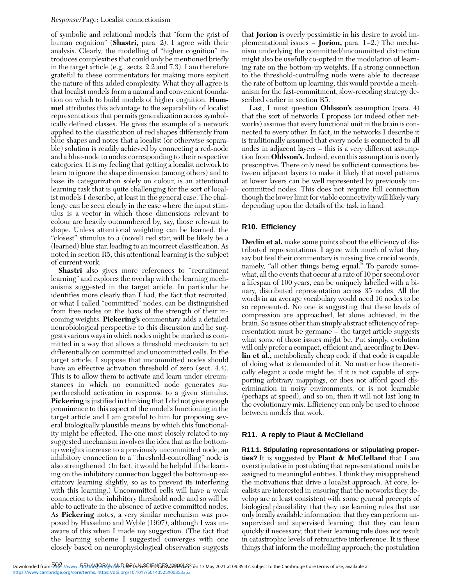## *Response/*Page: Localist connectionism

of symbolic and relational models that "form the grist of human cognition" (**Shastri,** para. 2). I agree with their analysis. Clearly, the modelling of "higher cognition" introduces complexities that could only be mentioned briefly in the target article (e.g., sects. 2.2 and 7.3). I am therefore grateful to these commentators for making more explicit the nature of this added complexity. What they all agree is that localist models form a natural and convenient foundation on which to build models of higher cognition. **Hummel** attributes this advantage to the separability of localist representations that permits generalization across symbolically defined classes. He gives the example of a network applied to the classification of red shapes differently from blue shapes and notes that a localist (or otherwise separable) solution is readily achieved by connecting a red-node and a blue-node to nodes corresponding to their respective categories. It is my feeling that getting a localist network to learn to ignore the shape dimension (among others) and to base its categorization solely on colour, is an attentional learning task that is quite challenging for the sort of localist models I describe, at least in the general case. The challenge can be seen clearly in the case where the input stimulus is a vector in which those dimensions relevant to colour are heavily outnumbered by, say, those relevant to shape. Unless attentional weighting can be learned, the "closest" stimulus to a (novel) red star, will be likely be a (learned) blue star, leading to an incorrect classification. As noted in section R5, this attentional learning is the subject of current work.

**Shastri** also gives more references to "recruitment learning" and explores the overlap with the learning mechanisms suggested in the target article. In particular he identifies more clearly than I had, the fact that recruited, or what I called "committed" nodes, can be distinguished from free nodes on the basis of the strength of their incoming weights. **Pickering's** commentary adds a detailed neurobiological perspective to this discussion and he suggests various ways in which nodes might be marked as committed in a way that allows a threshold mechanism to act differentially on committed and uncommitted cells. In the target article, I suppose that uncommitted nodes should have an effective activation threshold of zero (sect. 4.4). This is to allow them to activate and learn under circumstances in which no committed node generates superthreshold activation in response to a given stimulus. **Pickering** is justified in thinking that I did not give enough prominence to this aspect of the model's functioning in the target article and I am grateful to him for proposing several biologically plausible means by which this functionality might be effected. The one most closely related to my suggested mechanism involves the idea that as the bottomup weights increase to a previously uncommitted node, an inhibitory connection to a "threshold-controlling" node is also strengthened. (In fact, it would be helpful if the learning on the inhibitory connection lagged the bottom-up excitatory learning slightly, so as to prevent its interfering with this learning.) Uncommitted cells will have a weak connection to the inhibitory threshold node and so will be able to activate in the absence of active committed nodes. As **Pickering** notes, a very similar mechanism was proposed by Hasselmo and Wyble (1997), although I was unaware of this when I made my suggestion. (The fact that the learning scheme I suggested converges with one closely based on neurophysiological observation suggests

that **Jorion** is overly pessimistic in his desire to avoid implementational issues – **Jorion,** para. 1–2.) The mechanism underlying the committed/uncommitted distinction might also be usefully co-opted in the modulation of learning rate on the bottom-up weights. If a strong connection to the threshold-controlling node were able to decrease the rate of bottom up learning, this would provide a mechanism for the fast-commitment, slow-recoding strategy described earlier in section R5.

Last, I must question **Ohlsson's** assumption (para. 4) that the sort of networks I propose (or indeed other networks) assume that every functional unit in the brain is connected to every other. In fact, in the networks I describe it is traditionally assumed that every node is connected to all nodes in adjacent layers – this is a very different assumption from **Ohlsson's.**Indeed, even this assumption is overly prescriptive. There only need be sufficient connections between adjacent layers to make it likely that novel patterns at lower layers can be well represented by previously uncommitted nodes. This does not require full connection though the lower limit for viable connectivity will likely vary depending upon the details of the task in hand.

## **R10. Efficiency**

**Devlin et al.** make some points about the efficiency of distributed representations. I agree with much of what they say but feel their commentary is missing five crucial words, namely, "all other things being equal." To parody somewhat, all the events that occur at a rate of 10 per second over a lifespan of 100 years, can be uniquely labelled with a binary, distributed representation across 35 nodes. All the words in an average vocabulary would need 16 nodes to be so represented. No one is suggesting that these levels of compression are approached, let alone achieved, in the brain. So issues other than simply abstract efficiency of representation must be germane – the target article suggests what some of those issues might be. Put simply, evolution will only prefer a compact, efficient and, according to **Devlin et al.,** metabolically cheap code if that code is capable of doing what is demanded of it. No matter how theoretically elegant a code might be, if it is not capable of supporting arbitrary mappings, or does not afford good discrimination in noisy environments, or is not learnable (perhaps at speed), and so on, then it will not last long in the evolutionary mix. Efficiency can only be used to choose between models that work.

## **R11. A reply to Plaut & McClelland**

**R11.1. Stipulating representations or stipulating properties?** It is suggested by **Plaut & McClelland** that I am overstipulative in postulating that representational units be assigned to meaningful entities. I think they misapprehend the motivations that drive a localist approach. At core, localists are interested in ensuring that the networks they develop are at least consistent with some general precepts of biological plausibility: that they use learning rules that use only locally available information; that they can perform unsupervised and supervised learning; that they can learn quickly if necessary; that their learning rule does not result in catastrophic levels of retroactive interference. It is these things that inform the modelling approach; the postulation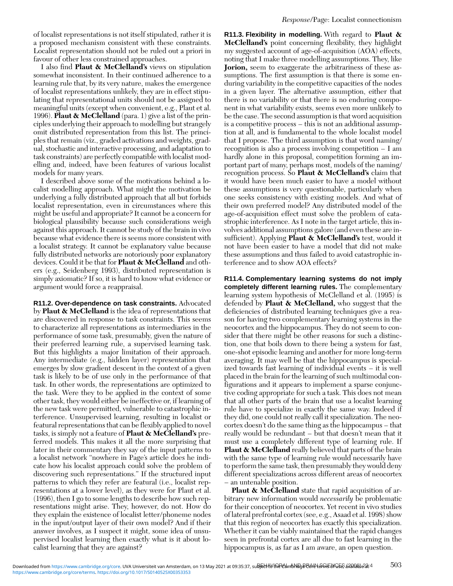of localist representations is not itself stipulated, rather it is a proposed mechanism consistent with these constraints. Localist representation should not be ruled out a priori in favour of other less constrained approaches.

I also find **Plaut & McClelland's** views on stipulation somewhat inconsistent. In their continued adherence to a learning rule that, by its very nature, makes the emergence of localist representations unlikely, they are in effect stipulating that representational units should not be assigned to meaningful units (except when convenient, e.g., Plaut et al. 1996). **Plaut & McClelland** (para. 1) give a list of the principles underlying their approach to modelling but strangely omit distributed representation from this list. The principles that remain (viz., graded activations and weights, gradual, stochastic and interactive processing, and adaptation to task constraints) are perfectly compatible with localist modelling and, indeed, have been features of various localist models for many years.

I described above some of the motivations behind a localist modelling approach. What might the motivation be underlying a fully distributed approach that all but forbids localist representation, even in circumstances where this might be useful and appropriate? It cannot be a concern for biological plausibility because such considerations weigh against this approach. It cannot be study of the brain in vivo because what evidence there is seems more consistent with a localist strategy. It cannot be explanatory value because fully distributed networks are notoriously poor explanatory devices. Could it be that for **Plaut & McClelland** and others (e.g., Seidenberg 1993), distributed representation is simply axiomatic? If so, it is hard to know what evidence or argument would force a reappraisal.

**R11.2. Over-dependence on task constraints.** Advocated by **Plaut & McClelland** is the idea of representations that are discovered in response to task constraints. This seems to characterize all representations as intermediaries in the performance of some task, presumably, given the nature of their preferred learning rule, a supervised learning task. But this highlights a major limitation of their approach. Any intermediate (e.g., hidden layer) representation that emerges by slow gradient descent in the context of a given task is likely to be of use only in the performance of that task. In other words, the representations are optimized to the task. Were they to be applied in the context of some other task, they would either be ineffective or, if learning of the new task were permitted, vulnerable to catastrophic interference. Unsupervised learning, resulting in localist or featural representations that can be flexibly applied to novel tasks, is simply not a feature of **Plaut & McClelland's** preferred models. This makes it all the more surprising that later in their commentary they say of the input patterns to a localist network "nowhere in Page's article does he indicate how his localist approach could solve the problem of discovering such representations." If the structured input patterns to which they refer are featural (i.e., localist representations at a lower level), as they were for Plaut et al. (1996), then I go to some lengths to describe how such representations might arise. They, however, do not. How do they explain the existence of localist letter/phoneme nodes in the input/output layer of their own model? And if their answer involves, as I suspect it might, some idea of unsupervised localist learning then exactly what is it about localist learning that they are against?

**R11.3. Flexibility in modelling.** With regard to **Plaut & McClelland's** point concerning flexibility, they highlight my suggested account of age-of-acquisition (AOA) effects, noting that I make three modelling assumptions. They, like **Jorion,** seem to exaggerate the arbitrariness of these assumptions. The first assumption is that there is some enduring variability in the competitive capacities of the nodes in a given layer. The alternative assumption, either that there is no variability or that there is no enduring component in what variability exists, seems even more unlikely to be the case. The second assumption is that word acquisition is a competitive process – this is not an additional assumption at all, and is fundamental to the whole localist model that I propose. The third assumption is that word naming/ recognition is also a process involving competition – I am hardly alone in this proposal, competition forming an important part of many, perhaps most, models of the naming/ recognition process. So **Plaut & McClelland's** claim that it would have been much easier to have a model without these assumptions is very questionable, particularly when one seeks consistency with existing models. And what of their own preferred model? Any distributed model of the age-of-acquisition effect must solve the problem of catastrophic interference. As I note in the target article, this involves additional assumptions galore (and even these are insufficient). Applying **Plaut & McClelland's** test, would it not have been easier to have a model that did not make these assumptions and thus failed to avoid catastrophic interference and to show AOA effects?

**R11.4. Complementary learning systems do not imply completely different learning rules.** The complementary learning system hypothesis of McClelland et al. (1995) is defended by **Plaut & McClelland,** who suggest that the deficiencies of distributed learning techniques give a reason for having two complementary learning systems in the neocortex and the hippocampus. They do not seem to consider that there might be other reasons for such a distinction, one that boils down to there being a system for fast, one-shot episodic learning and another for more long-term averaging. It may well be that the hippocampus is specialized towards fast learning of individual events – it is well placed in the brain for the learning of such multimodal configurations and it appears to implement a sparse conjunctive coding appropriate for such a task. This does not mean that all other parts of the brain that use a localist learning rule have to specialize in exactly the same way. Indeed if they did, one could not really call it specialization. The neocortex doesn't do the same thing as the hippocampus – that really would be redundant – but that doesn't mean that it must use a completely different type of learning rule. If **Plaut & McClelland** really believed that parts of the brain with the same type of learning rule would necessarily have to perform the same task, then presumably they would deny different specializations across different areas of neocortex – an untenable position.

**Plaut & McClelland** state that rapid acquisition of arbitrary new information would *necessarily* be problematic for their conception of neocortex. Yet recent in vivo studies of lateral prefrontal cortex (see, e.g., Asaad et al. 1998) show that this region of neocortex has exactly this specialization. Whether it can be viably maintained that the rapid changes seen in prefrontal cortex are all due to fast learning in the hippocampus is, as far as I am aware, an open question.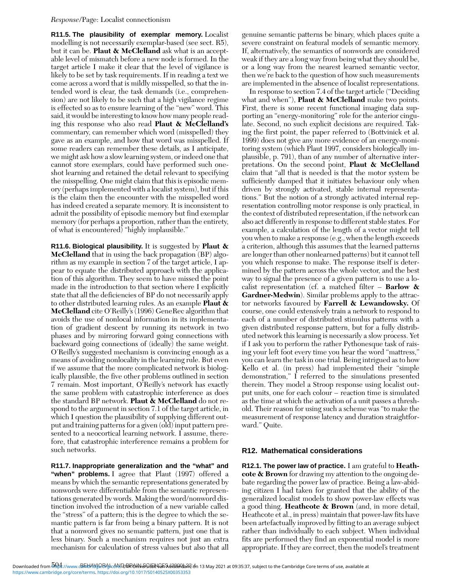## *Response/*Page: Localist connectionism

**R11.5. The plausibility of exemplar memory.** Localist modelling is not necessarily exemplar-based (see sect. R5), but it can be. **Plaut & McClelland** ask what is an acceptable level of mismatch before a new node is formed. In the target article I make it clear that the level of vigilance is likely to be set by task requirements. If in reading a text we come across a word that is mildly misspelled, so that the intended word is clear, the task demands (i.e., comprehension) are not likely to be such that a high vigilance regime is effected so as to ensure learning of the "new" word. This said, it would be interesting to know how many people reading this response who also read **Plaut & McClelland's** commentary, can remember which word (misspelled) they gave as an example, and how that word was misspelled. If some readers can remember these details, as I anticipate, we might ask how a slow learning system, or indeed one that cannot store exemplars, could have performed such oneshot learning and retained the detail relevant to specifying the misspelling. One might claim that this is episodic memory (perhaps implemented with a localist system), but if this is the claim then the encounter with the misspelled word has indeed created a separate memory. It is inconsistent to admit the possibility of episodic memory but find exemplar memory (for perhaps a proportion, rather than the entirety, of what is encountered) "highly implausible."

**R11.6. Biological plausibility.** It is suggested by **Plaut & McClelland** that in using the back propagation (BP) algorithm as my example in section 7 of the target article, I appear to equate the distributed approach with the application of this algorithm. They seem to have missed the point made in the introduction to that section where I explicitly state that all the deficiencies of BP do not necessarily apply to other distributed learning rules. As an example **Plaut & McClelland** cite O'Reilly's (1996) GeneRec algorithm that avoids the use of nonlocal information in its implementation of gradient descent by running its network in two phases and by mirroring forward going connections with backward going connections of (ideally) the same weight. O'Reilly's suggested mechanism is convincing enough as a means of avoiding nonlocality in the learning rule. But even if we assume that the more complicated network is biologically plausible, the five other problems outlined in section 7 remain. Most important, O'Reilly's network has exactly the same problem with catastrophic interference as does the standard BP network. **Plaut & McClelland** do not respond to the argument in section 7.1 of the target article, in which I question the plausibility of supplying different output and training patterns for a given (old) input pattern presented to a neocortical learning network. I assume, therefore, that catastrophic interference remains a problem for such networks.

**R11.7. Inappropriate generalization and the "what" and "when" problems.** I agree that Plaut (1997) offered a means by which the semantic representations generated by nonwords were differentiable from the semantic representations generated by words. Making the word/nonword distinction involved the introduction of a new variable called the "stress" of a pattern; this is the degree to which the semantic pattern is far from being a binary pattern. It is not that a nonword gives no semantic pattern, just one that is less binary. Such a mechanism requires not just an extra mechanism for calculation of stress values but also that all genuine semantic patterns be binary, which places quite a severe constraint on featural models of semantic memory. If, alternatively, the semantics of nonwords are considered weak if they are a long way from being what they should be, or a long way from the nearest learned semantic vector, then we're back to the question of how such measurements are implemented in the absence of localist representations.

In response to section 7.4 of the target article ("Deciding what and when"), **Plaut & McClelland** make two points. First, there is some recent functional imaging data supporting an "energy-monitoring" role for the anterior cingulate. Second, no such explicit decisions are required. Taking the first point, the paper referred to (Bottvinick et al. 1999) does not give any more evidence of an energy-monitoring system (which Plaut 1997, considers biologically implausible, p. 791), than of any number of alternative interpretations. On the second point, **Plaut & McClelland** claim that "all that is needed is that the motor system be sufficiently damped that it initiates behaviour only when driven by strongly activated, stable internal representations." But the notion of a strongly activated internal representation controlling motor response is only practical, in the context of distributed representation, if the network can also act differently in response to different stable states. For example, a calculation of the length of a vector might tell you when to make a response (e.g., when the length exceeds a criterion, although this assumes that the learned patterns are longer than other nonlearned patterns) but it cannot tell you which response to make. The response itself is determined by the pattern across the whole vector, and the best way to signal the presence of a given pattern is to use a localist representation (cf. a matched filter – **Barlow & Gardner-Medwin**). Similar problems apply to the attractor networks favoured by **Farrell & Lewandowsky.** Of course, one could extensively train a network to respond to each of a number of distributed stimulus patterns with a given distributed response pattern, but for a fully distributed network this learning is necessarily a slow process. Yet if I ask you to perform the rather Pythonesque task of raising your left foot every time you hear the word "mattress," you can learn the task in one trial. Being intrigued as to how Kello et al. (in press) had implemented their "simple demonstration," I referred to the simulations presented therein. They model a Stroop response using localist output units, one for each colour – reaction time is simulated as the time at which the activation of a unit passes a threshold. Their reason for using such a scheme was "to make the measurement of response latency and duration straightforward." Quite.

## **R12. Mathematical considerations**

**R12.1. The power law of practice.** I am grateful to **Heathcote & Brown** for drawing my attention to the ongoing debate regarding the power law of practice. Being a law-abiding citizen I had taken for granted that the ability of the generalized localist models to show power-law effects was a good thing. **Heathcote & Brown** (and, in more detail, Heathcote et al., in press) maintain that power-law fits have been artefactually improved by fitting to an average subject rather than individually to each subject. When individual fits are performed they find an exponential model is more appropriate. If they are correct, then the model's treatment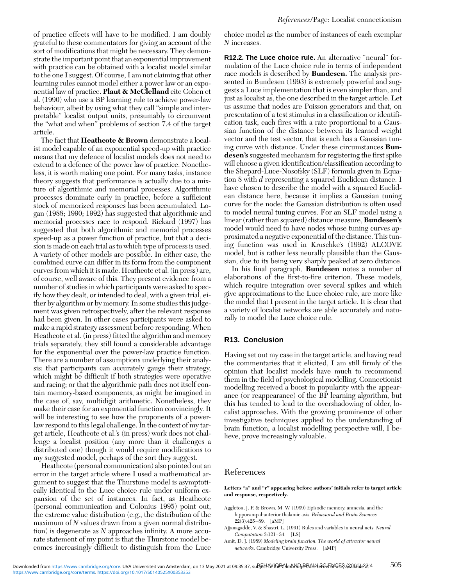Downloaded from [https://www.cambridge.org/core.](https://www.cambridge.org/core) UVA Universiteit van Amsterdam, on 13 May 2021 at 09:35:37, su<del>bject NY InPelanBNagBRoILVeFnJEMGES රැනි!ඔඩ</del>ළෙදි රුක්ස්විමේ අත [https://www.cambridge.org/core/terms.](https://www.cambridge.org/core/terms) <https://doi.org/10.1017/S0140525X00353353>

of practice effects will have to be modified. I am doubly grateful to these commentators for giving an account of the sort of modifications that might be necessary. They demonstrate the important point that an exponential improvement with practice can be obtained with a localist model similar to the one I suggest. Of course, I am not claiming that other learning rules cannot model either a power law or an exponential law of practice. **Plaut & McClelland** cite Cohen et al. (1990) who use a BP learning rule to achieve power-law behaviour, albeit by using what they call "simple and interpretable" localist output units, presumably to circumvent the "what and when" problems of section 7.4 of the target article.

The fact that **Heathcote & Brown** demonstrate a localist model capable of an exponential speed-up with practice means that my defence of localist models does not need to extend to a defence of the power law of practice. Nonetheless, it is worth making one point. For many tasks, instance theory suggests that performance is actually due to a mixture of algorithmic and memorial processes. Algorithmic processes dominate early in practice, before a sufficient stock of memorized responses has been accumulated. Logan (1988; 1990; 1992) has suggested that algorithmic and memorial processes race to respond. Rickard (1997) has suggested that both algorithmic and memorial processes speed-up as a power function of practice, but that a decision is made on each trial as to which type of process is used. A variety of other models are possible. In either case, the combined curve can differ in its form from the component curves from which it is made. Heathcote et al. (in press) are, of course, well aware of this. They present evidence from a number of studies in which participants were asked to specify how they dealt, or intended to deal, with a given trial, either by algorithm or by memory. In some studies this judgement was given retrospectively, after the relevant response had been given. In other cases participants were asked to make a rapid strategy assessment before responding. When Heathcote et al. (in press) fitted the algorithm and memory trials separately, they still found a considerable advantage for the exponential over the power-law practice function. There are a number of assumptions underlying their analysis: that participants can accurately gauge their strategy, which might be difficult if both strategies were operative and racing; or that the algorithmic path does not itself contain memory-based components, as might be imagined in the case of, say, multidigit arithmetic. Nonetheless, they make their case for an exponential function convincingly. It will be interesting to see how the proponents of a powerlaw respond to this legal challenge. In the context of my target article, Heathcote et al.'s (in press) work does not challenge a localist position (any more than it challenges a distributed one) though it would require modifications to my suggested model, perhaps of the sort they suggest.

Heathcote (personal communication) also pointed out an error in the target article where I used a mathematical argument to suggest that the Thurstone model is asymptotically identical to the Luce choice rule under uniform expansion of the set of instances. In fact, as Heathcote (personal communication and Colonius 1995) point out, the extreme value distribution (e.g., the distribution of the maximum of *N* values drawn from a given normal distribution) is degenerate as *N* approaches infinity. A more accurate statement of my point is that the Thurstone model becomes increasingly difficult to distinguish from the Luce

choice model as the number of instances of each exemplar *N* increases.

**R12.2. The Luce choice rule.** An alternative "neural" formulation of the Luce choice rule in terms of independent race models is described by **Bundesen.** The analysis presented in Bundesen (1993) is extremely powerful and suggests a Luce implementation that is even simpler than, and just as localist as, the one described in the target article. Let us assume that nodes are Poisson generators and that, on presentation of a test stimulus in a classification or identification task, each fires with a rate proportional to a Gaussian function of the distance between its learned weight vector and the test vector, that is each has a Gaussian tuning curve with distance. Under these circumstances **Bundesen's** suggested mechanism for registering the first spike will choose a given identification/classification according to the Shepard-Luce-Nosofsky (SLF) formula given in Equation 8 with *d* representing a squared Euclidean distance. I have chosen to describe the model with a squared Euclidean distance here, because it implies a Gaussian tuning curve for the node: the Gaussian distribution is often used to model neural tuning curves. For an SLF model using a linear (rather than squared) distance measure, **Bundesen's** model would need to have nodes whose tuning curves approximated a negative exponential of the distance. This tuning function was used in Kruschke's (1992) ALCOVE model, but is rather less neurally plausible than the Gaussian, due to its being very sharply peaked at zero distance.

In his final paragraph, **Bundesen** notes a number of elaborations of the first-to-fire criterion. These models, which require integration over several spikes and which give approximations to the Luce choice rule, are more like the model that I present in the target article. It is clear that a variety of localist networks are able accurately and naturally to model the Luce choice rule.

## **R13. Conclusion**

Having set out my case in the target article, and having read the commentaries that it elicited, I am still firmly of the opinion that localist models have much to recommend them in the field of psychological modelling. Connectionist modelling received a boost in popularity with the appearance (or reappearance) of the BP learning algorithm, but this has tended to lead to the overshadowing of older, localist approaches. With the growing prominence of other investigative techniques applied to the understanding of brain function, a localist modelling perspective will, I believe, prove increasingly valuable.

## References

**Letters "a" and "r" appearing before authors' initials refer to target article and response, respectively.**

Aggleton, J. P. & Brown, M. W. (1999) Episodic memory, amnesia, and the hippocampal-anterior thalamic axis. *Behavioral and Brain Sciences* 22(3):425–89. [aMP]

- Ajjanagadde, V. & Shastri, L. (1991) Rules and variables in neural nets. *Neural Computation* 3:121–34. [LS]
- Amit, D. J. (1989) *Modeling brain function: The world of attractor neural networks.* Cambridge University Press. [aMP]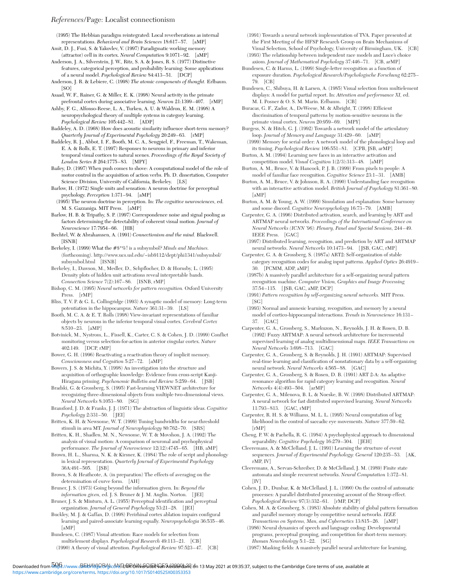#### *References/*Page: Localist connectionism

(1995) The Hebbian paradigm reintegrated: Local reverberations as internal representations. *Behavioral and Brain Sciences* 18:617–57. [aMP]

- Amit, D. J., Fusi, S. & Yakovlev, V. (1997) Paradigmatic working memory (attractor) cell in its cortex. *Neural Computation* 9:1071–92. [aMP]
- Anderson, J. A., Silverstein, J. W., Ritz, S. A. & Jones, R. S. (1977) Distinctive features, categorical perception, and probability learning: Some applications of a neural model. *Psychological Review* 84:413–51. [DCP]
- Anderson, J. R. & Lebiere, C. (1998) *The atomic components of thought.* Erlbaum.  $[SO]$
- Asaad, W. F., Rainer, G. & Miller, E. K. (1998) Neural activity in the primate prefrontal cortex during associative learning. *Neuron* 21:1399–407. [rMP]
- Ashby, F. G., Alfonso-Reese, L. A., Turken, A. U. & Waldron, E. M. (1998) A neuropsychological theory of multiple systems in category learning. *Psychological Review* 105:442–81. [ADP]
- Baddeley, A. D. (1968) How does acoustic similarity influence short-term memory? *Quarterly Journal of Experimental Psychology* 20:249–63. [rMP]
- Baddeley, R. J., Abbot, I. F., Booth, M. C. A., Sengpiel, F., Freeman, T., Wakeman, E. A. & Rolls, E. T. (1997) Responses to neurons in primary and inferior temporal visual cortices to natural scenes. *Proceedings of the Royal Society of London Series B* 264:1775–83. [MPY]

Bailey, D. (1997) When push comes to shove: A computational model of the role of motor control in the acquisition of action verbs. Ph. D. dissertation, Computer Science Division, University of California, Berkeley. [LS]

- Barlow, H. (1972) Single units and sensation: A neuron doctrine for perceptual psychology. *Perception* 1:371–94. [aMP]
- (1995) The neuron doctrine in perception. In: *The cognitive neurosciences,* ed. M. S. Gazzaniga. MIT Press. [aMP]
- Barlow, H. B. & Tripathy, S. P. (1997) Correspondence noise and signal pooling as factors determining the detectability of coherent visual motion. *Journal of Neuroscience* 17:7954–66. [HB]
- Bechtel, W. & Abrahamsen, A. (1991) *Connectionism and the mind.* Blackwell. [ISNB]
- Berkeley, I. (1999) What the  $#$ <sup>\*</sup>%! is a subsymbol? *Minds and Machines*. (forthcoming). http://www.ucs.usl.edu/~isb9112/dept/phi1341/subsymbol/ subsymbol.html [ISNB]
- Berkeley, I., Dawson, M., Medler, D., Schpflocher, D. & Hornsby, L. (1995) Density plots of hidden unit activations reveal interpretable bands. *Connection Science* 7(2):167–86. [ISNB, rMP]
- Bishop, C. M. (1995) *Neural networks for pattern recognition.* Oxford University Press. [rMP]
- Bliss, T. V. P. & G. L. Collingridge (1993) A synaptic model of memory: Long-term potentiation in the hippocampus. *Nature* 361:31–39. [LS]
- Booth, M. C. A. & E. T. Rolls (1998) View-invariant representations of familiar objects by neurons in the inferior temporal visual cortex. *Cerebral Cortex* 8:510–23. [aMP]
- Botvinick, M., Nystrom, L., Fissell, K., Carter, C. S. & Cohen, J. D. (1999) Conflict monitoring versus selection-for-action in anterior cingular cortex. *Nature* 402:149. [DCP, rMP]
- Bower, G. H. (1996) Reactivating a reactivation theory of implicit memory. *Consciousness and Cognition* 5:27–72. [aMP]
- Bowers, J. S. & Michita, Y. (1998) An investigation into the structure and acquisition of orthographic knowledge: Evidence from cross-script Kanji-Hiragana priming. *Psychonomic Bulletin and Review* 5:259–64. [JSB]
- Bradski, G. & Grossberg, S. (1995) Fast-learning VIEWNET architecture for recognizing three-dimensional objects from multiple two-dimensional views. *Neural Networks* 8:1053–80. [SG]
- Bransford, J. D. & Franks, J. J. (1971) The abstraction of linguistic ideas. *Cognitive Psychology* 2:331–50. [JEI]
- Britten, K. H. & Newsome, W. T. (1999) Tuning bandwidths for near-threshold stimuli in area MT. *Journal of Neurophysiology* 80:762–70. [SRS]
- Britten, K. H., Shadlen, M. N., Newsome, W. T. & Movshon, J. A. (1992) The analysis of visual motion: A comparison of neuronal and psychophysical performance. *The Journal of Neuroscience* 12(12):4745–65. [HB, aMP]
- Brown, H. L., Sharma, N. K. & Kirsner, K. (1984) The role of script and phonology in lexical representation. *Quarterly Journal of Experimental Psychology* 36A:491–505. [JSB]
- Brown, S. & Heathcote, A. (in preparation) The effects of averaging on the determination of curve form. [AH]
- Bruner, J. S. (1973) Going beyond the information given. In: *Beyond the information given,* ed. J. S. Bruner & J. M. Anglin. Norton. [JEI]
- Bruner, J. S. & Minturn, A. L. (1955) Perceptual identification and perceptual organization. *Journal of General Psychology* 53:21–28. [JEI]
- Buckley, M. J. & Gaffan, D. (1998) Perirhinal cortex ablation impairs configural learning and paired-associate learning equally. *Neuropsychologia* 36:535–46. [aMP]
- Bundesen, C. (1987) Visual attention: Race models for selection from multielement displays. *Psychological Research* 49:113–21. [CB] (1990) A theory of visual attention. *Psychological Review* 97:523–47. [CB]
- (1991) Towards a neural network implementation of TVA. Paper presented at the First Meeting of the HFSP Research Group on Brain Mechanisms of Visual Selection, School of Psychology, University of Birmingham, UK. [CB]
- (1993) The relationship between independent race models and Luce's choice axiom. *Journal of Mathematical Psychology* 37:446–71. [CB, arMP]
- Bundesen, C. & Harms, L. (1999) Single-letter recognition as a function of exposure duration. *Psychological Research/Psychologische Forschung* 62:275– 79. [CB]
- Bundesen, C., Shibuya, H. & Larsen, A. (1985) Visual selection from multielement displays: A model for partial report. In: *Attention and performance XI,* ed. M. I. Posner & O. S. M. Marin. Erlbaum. [CB]
- Buracas, G. F., Zador, A., DeWeese, M. & Albright, T. (1998) Efficient discrimination of temporal patterns by motion-sensitive neurons in the primate visual cortex. *Neuron* 20:959–69. [MPY]
- Burgess, N. & Hitch, G. J. (1992) Towards a network model of the articulatory loop. *Journal of Memory and Language* 31:429–60. [aMP]
- (1999) Memory for serial order: A network model of the phonological loop and its timing. *Psychological Review* 106:551–81. [CPB, JSB, arMP]
- Burton, A. M. (1994) Learning new faces in an interactive activation and competition model. *Visual Cognition* 1(2/3):313–48. [aMP]
- Burton, A. M., Bruce, V. & Hancock, P. J. B. (1999) From pixels to people: A model of familiar face recognition. *Cognitive Science* 23:1–31. [AMB]
- Burton, A. M., Bruce, V. & Johnson, R. A. (1990) Understanding face recognition with an interactive activation model. *British Journal of Psychology* 81:361–80. [aMP]
- Burton, A. M. & Young, A. W. (1999) Simulation and explanation: Some harmony and some discord. *Cognitive Neuropychology* 16:73–79. [AMB]
- Carpenter, G. A. (1996) Distributed activation, search, and learning by ART and ARTMAP neural networks. *Proceedings of the International Conference on Neural Networks (ICNN '96): Plenary, Panel and Special Sessions,* 244–49. IEEE Press. [GAC]
- (1997) Distributed learning, recognition, and prediction by ART and ARTMAP neural networks. *Neural Networks* 10:1473–94. [JSB, GAC, rMP]
- Carpenter, G. A. & Grossberg, S. (1987a) ART2: Self-organization of stable category recognition codes for analog input patterns. *Applied Optics* 26:4919– 30. [PCMM, ADP, aMP]
	- (1987b) A massively parallel architecture for a self-organizing neural pattern recognition machine. *Computer Vision, Graphics and Image Processing* 37:54–115. [JSB, GAC, aMP, DCP]
- (1991) *Pattern recognition by self-organizing neural networks.* MIT Press. [SG]
- (1993) Normal and amnesic learning, recognition, and memory by a neural model of cortico-hippocampal interactions. *Trends in Neuroscience* 16:131– 37. [GAC]
- Carpenter, G. A., Grossberg, S., Markuzon, N., Reynolds, J. H. & Rosen, D. B. (1992) Fuzzy ARTMAP: A neural network architecture for incremental supervised learning of analog multidimensional maps. *IEEE Transactions on Neural Networks* 3:698–713. [GAC]
- Carpenter, G. A., Grossberg, S. & Reynolds, J. H. (1991) ARTMAP: Supervised real-time learning and classification of nonstationary data by a self-organizing neural network. *Neural Networks* 4:565–88. [GAC]
- Carpenter, G. A., Grossberg, S. & Rosen, D. B. (1991) ART 2-A: An adaptive resonance algorithm for rapid category learning and recognition. *Neural Networks* 4(4):493–504. [arMP]
- Carpenter, G. A., Milenova, B. L. & Noeske, B. W. (1998) Distributed ARTMAP: A neural network for fast distributed supervised learning. *Neural Networks* 11:793–813. [GAC, rMP]
- Carpenter, R. H. S. & Williams, M. L. L. (1995) Neural computation of log likelihood in the control of saccadic eye movements. *Nature* 377:59–62.  $\vert$ rMP $\vert$
- Cheng, P. W. & Pachella, R. G. (1984) A psychophysical approach to dimensional separability. *Cognitive Psychology* 16:279–304. [JEH]
- Cleeremans, A. & McClelland, J. L. (1991) Learning the structure of event sequences. *Journal of Experimental Psychology: General* 120:235–53. [AK, rMP, IV]
- Cleeremans, A., Servan-Schreiber, D. & McClelland, J. M. (1989) Finite state automata and simple recurrent networks. *Neural Computation* 1:372–81. [IV]
- Cohen, J. D., Dunbar, K. & McClelland, J. L. (1990) On the control of automatic processes: A parallel distributed processing account of the Stroop effect. *Psychological Review* 97(3):332–61. [rMP, DCP]
- Cohen, M. A. & Grossberg, S. (1983) Absolute stability of global pattern formation and parallel memory storage by competitive neural networks. *IEEE Transactions on Systems, Man, and Cybernetics* 13:815–26. [aMP]
- (1986) Neural dynamics of speech and language coding: Developmental programs, perceptual grouping, and competition for short-term memory. *Human Neurobiology* 5:1–22. [SG]
- (1987) Masking fields: A massively parallel neural architecture for learning,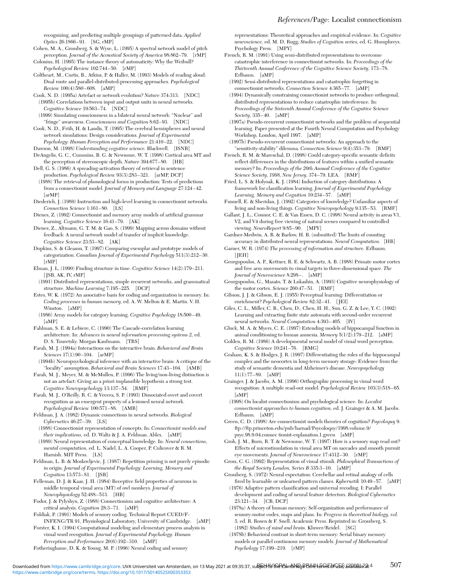recognizing, and predicting multiple groupings of patterned data. *Applied Optics* 26:1866–91. [SG, rMP]

Cohen, M. A., Grossberg, S. & Wyse, L. (1995) A spectral network model of pitch perception. *Journal of the Acoustical Society of America* 98:862–79. [rMP]

Colonius, H. (1995) The instance theory of automaticity: Why the Weibull? *Psychological Review* 102:744–50. [rMP]

Coltheart, M., Curtis, B., Atkins, P. & Haller, M. (1993) Models of reading aloud: Dual route and parallel-distributed-processing approaches. *Psychological Review* 100(4):580–608. [aMP]

Cook, N. D. (1995a) Artefact or network evolution? *Nature* 374:313. [NDC] (1995b) Correlations between input and output units in neural networks. *Cognitive Science* 19:563–74. [NDC]

(1999) Simulating consciousness in a bilateral neural network: "Nuclear" and "fringe" awareness. *Consciousness and Cognition* 8:62–93. [NDC]

Cook, N. D., Früh, H. & Landis, T. (1995) The cerebral hemispheres and neural network simulations: Design considerations. *Journal of Experimental Psychology: Human Perception and Performance* 21:410–22. [NDC]

Dawson, M. (1998) *Understanding cognitive science.* Blackwell. [ISNB] DeAngelis, G. C., Cummins, B. G. & Newsome, W. T. (1998) Cortical area MT and the perception of stereoscopic depth. *Nature* 394:677–80. [HB]

Dell, G. S. (1986) A spreading-activation theory of retrieval in sentence production. *Psychological Review* 93(3):283–321. [arMP, DCP] (1988) The retrieval of phonological forms in production: Tests of predictions from a connectionist model. *Journal of Memory and Language* 27:124–42. [arMP]

Diederich, J. (1989) Instruction and high-level learning in connectionist networks. *Connection Science* 1:161–80. [LS]

Dienes, Z. (1992) Connectionist and memory array models of artificial grammar learning. *Cognitive Science* 16:41–79. [AK]

Dienes, Z., Altmann, G. T. M. & Gao, S. (1999) Mapping across domains without feedback: A neural network model of transfer of implicit knowledge. *Cognitive Science* 23:53–82. [AK]

Dopkins, S. & Gleason, T. (1997) Comparing exemplar and prototype models of categorization. *Canadian Journal of Experimental Psychology* 511(3):212–30. [rMP]

Elman, J. L. (1990) Finding structure in time. *Cognitive Science* 14(2):179–211. [JSB, AK, IV, rMP]

(1991) Distributed representations, simple recurrent networks, and grammatical structure. *Machine Learning* 7:195–225. [DCP]

Estes, W. K. (1972) An associative basis for coding and organization in memory. In: *Coding processes in human memory,* ed. A. W. Melton & E. Martin. V. H. Winston. [aMP]

(1986) Array models for category learning. *Cognitive Psychology* 18:500–49. [aMP]

Fahlman, S. E. & Lebiere, C. (1990) The Cascade-correlation learning architecture. In: *Advances in neural information processing systems 2,* ed. D. S. Touretsky. Morgan Kaufmann. [TRS]

Farah, M. J. (1994a) Interactions on the interactive brain. *Behavioral and Brain Sciences* 17(1):90–104. [arMP]

(1994b) Neuropsychological inference with an interactive brain: A critique of the "locality" assumption. *Behavioral and Brain Sciences* 17:43–104. [AMB]

Farah, M. J., Meyer, M. & McMullen, P. (1996) The living/non-living distinction is not an artefact: Giving an a priori implausible hypothesis a strong test. *Cognitive Neuropsychology* 13:137–54. [RMF]

Farah, M. J., O'Reilly, R. C. & Vecera, S. P. (1993) Dissociated overt and covert recognition as an emergent property of a lesioned neural network. *Psychological Review* 100:571–88. [AMB]

Feldman, J. A. (1982) Dynamic connections in neural networks. *Biological Cybernetics* 46:27–39. [LS]

(1988) Connectionist representation of concepts. In: *Connectionist models and their implications,* ed. D. Waltz & J. A. Feldman. Ablex. [aMP]

(1989) Neural representation of conceptual knowledge. In: *Neural connections, mental computation,* ed. L. Nadel, L. A. Cooper, P. Culicover & R. M. Harnish. MIT Press. [LS]

Feldman, L. B. & Moskovljevic, J. (1987) Repetition priming is not purely episodic in origin. *Journal of Experimental Psychology: Learning, Memory and Cognition* 13:573–81. [JSB]

Felleman, D. J. & Kaas, J. H. (1984) Receptive field properties of neurons in middle temporal visual area (MT) of owl monkeys. *Journal of Neurophysiology* 52:488–513. [HB]

Fodor, J. & Pylyshyn, Z. (1988) Connectionism and cognitive architecture: A critical analysis. *Cognition* 28:3–71. [aMP]

Foldiak, P. (1991) Models of sensory coding. Technical Report CUED/F-INFENG/TR 91, Physiological Laboratory, University of Cambridge. [aMP]

Forster, K. I. (1994) Computational modeling and elementary process analysis in visual word recognition. *Journal of Experimental Psychology: Human Perception and Performance* 20(6):192–310. [aMP]

Fotheringhame, D. K. & Young, M. P. (1996) Neural coding and sensory

representations: Theoretical approaches and empirical evidence. In: *Cognitive neuroscience,* ed. M. D. Rugg; *Studies of Cognition* series, ed. G. Humphreys. Psychology Press. [MPY]

French, R. M. (1991) Using semi-distributed representations to overcome catastrophic interference in connectionist networks. In: *Proceedings of the Thirteenth Annual Conference of the Cognitive Science Society,* 173–78. Erlbaum. [aMP]

(1992) Semi-distributed representations and catastrophic forgetting in connectionist networks. *Connection Science* 4:365–77. [aMP]

(1994) Dynamically constraining connectionist networks to produce orthogonal, distributed representations to reduce catastrophic interference. In: *Proceedings of the Sixteenth Annual Conference of the Cognitive Science Society,* 335–40. [aMP]

(1997a) Pseudo-recurrent connectionist networks and the problem of sequential learning. Paper presented at the Fourth Neural Computation and Psychology Workshop, London, April 1997. [aMP]

(1997b) Pseudo-recurrent connectionist networks: An approach to the "sensitivity-stability" dilemma. *Connection Science* 9(4):353–79. [RMF]

French, R. M. & Mareschal, D. (1998) Could category-specific semantic deficits reflect differences in the distributions of features within a unified semantic memory? In: *Proceedings of the 20th Annual Conference of the Cognitive Science Society, 1998, New Jersey,* 374–79. LEA. [RMF]

Fried, L. S. & Holyoak, K. J. (1984) Induction of category distributions: A framework for classification learning. *Journal of Experimental Psychology: Learning, Memory and Cognition* 10:234–57. [aMP]

Funnell, E. & Sheridan, J. (1992) Categories of knowledge? Unfamiliar aspects of living and non-living things. *Cognitive Neuropsychology* 9:135–53. [RMF]

Gallant, J. L., Connor, C. E. & Van Essen, D. C. (1998) Neural activity in areas V1, V2, and V4 during free viewing of natural scenes compared to controlled viewing. *NeuroReport* 9:85–90. [MPY]

Gardner-Medwin, A. R. & Barlow, H. B. (submitted) The limits of counting accuracy in distributed neural representations. *Neural Computation.* [HB]

Garner, W. R. (1974) *The processing of information and structure.* Erlbaum. [JEH]

Georgopoulos, A. P., Kettner, R. E. & Schwartz, A. B. (1988) Primate motor cortex and free arm movements to visual targets in three-dimensional space. *The Journal of Neuroscience* 8:298–. [aMP]

Georgopoulos, G., Masato, T. & Lukashin, A. (1993) Cognitive neurophysiology of the motor cortex. *Science* 260:47–51. [RMF]

Gibson, J. J. & Gibson, E. J. (1955) Perceptual learning: Differentiation or enrichment? *Psychological Review* 62:32–41. [JEI]

Giles, C. L., Miller, C. B., Chen, D., Chen, H. H., Sun, G. Z. & Lee, Y. C. (1992) Learning and extracting finite state automata with second-order recurrent neural networks. *Neural Computation* 4:393–405. [IV]

Gluck, M. A. & Myers, C. E. (1997) Extending models of hippocampal function in animal conditioning to human amnesia. *Memory* 5(1/2):179–212. [aMP]

Golden, R. M. (1986) A developmental neural model of visual word perception. *Cognitive Science* 10:241–76. [RMG]

Graham, K. S. & Hodges, J. R. (1997) Differentiating the roles of the hippocampal complex and the neocortex in long-term memory storage: Evidence from the study of semantic dementia and Alzheimer's disease. *Neuropsychology* 11(1):77–89. [aMP]

Grainger, J. & Jacobs, A. M. (1996) Orthographic processing in visual word recognition: A multiple read-out model. *Psychological Review* 103(3):518–65. [aMP]

(1998) On localist connectionism and psychological science. In: *Localist connectionist approaches to human cognition,* ed. J. Grainger & A. M. Jacobs. Erlbaum. [aMP]

Green, C. D. (1998) Are connectionist models theories of cognition? *Psycoloquy* 9. ftp://ftp.princeton.edu/pub/harnad/Psycoloquy/1998.volume.9/ psyc.98.9.04.connec tionist-explanation.1.green [aMP]

Groh, J. M., Born, R. T. & Newsome, W. T. (1997) How is a sensory map read out? Effects of microstimulation in visual area MT on saccades and smooth pursuit eye movements. *Journal of Neuroscience* 17:4312–30. [rMP]

Gross, C. G. (1992) Representation of visual stimuli. *Philosophical Transactions of the Royal Society London, Series B* 335:3–10. [aMP]

Grossberg, S. (1972) Neural expectation: Cerebellar and retinal analogy of cells fired by learnable or unlearned pattern classes. *Kybernetik* 10:49–57. [aMP]

(1976) Adaptive pattern classification and universal recoding. I: Parallel development and coding of neural feature detectors. *Biological Cybernetics* 23:121–34. [CB, DCP]

(1978a) A theory of human memory: Self-organization and performance of sensory-motor codes, maps and plans. In: *Progress in theoretical biology, vol. 5,* ed. R. Rosen & F. Snell. Academic Press. Reprinted in: Grossberg, S. (1982) *Studies of mind and brain.* Kluwer/Reidel. [SG]

(1978b) Behavioral contrast in short-term memory: Serial binary memory models or parallel continuous memory models. *Journal of Mathematical Psychology* 17:199–219. [rMP]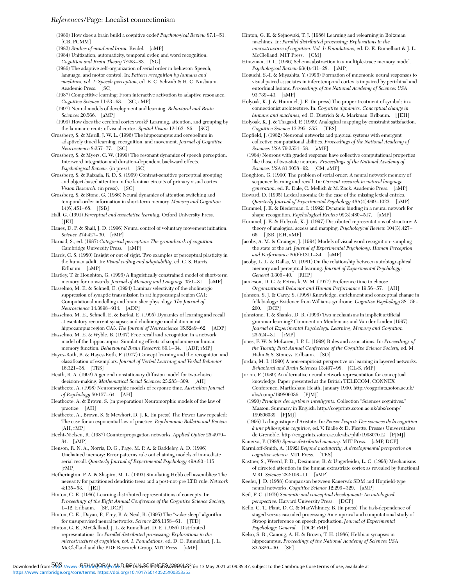## *References/*Page: Localist connectionism

- (1980) How does a brain build a cognitive code? *Psychological Review* 87:1–51. [CB, PCMM]
- (1982) *Studies of mind and brain.* Reidel. [aMP]

(1984) Unitization, automaticity, temporal order, and word recognition. *Cognition and Brain Theory* 7:263–83. [SG]

- (1986) The adaptive self-organization of serial order in behavior: Speech, language, and motor control. In: *Pattern recognition by humans and machines, vol. 1: Speech perception,* ed. E. C. Schwab & H. C. Nusbaum. Academic Press. [SG]
- (1987) Competitive learning: From interactive activation to adaptive resonance. *Cognitive Science* 11:23–63. [SG, aMP]
- (1997) Neural models of development and learning. *Behavioral and Brain Sciences* 20:566. [aMP]
- (1999) How does the cerebral cortex work? Learning, attention, and grouping by the laminar circuits of visual cortex. *Spatial Vision* 12:163–86. [SG]
- Grossberg, S. & Merill, J. W. L. (1996) The hippocampus and cerebellum in adaptively timed learning, recognition, and movement. *Journal of Cognitive Neuroscience* 8:257–77. [SG]
- Grossberg, S. & Myers, C. W. (1999) The resonant dynamics of speech perception: Interword integration and duration-dependent backward effects. *Psychological Review.* (in press). [SG]
- Grossberg, S. & Raizada, R. D. S. (1999) Contrast-sensitive perceptual grouping and object-based attention in the laminar circuits of primary visual cortex. *Vision Research.* (in press). [SG]

Grossberg, S. & Stone, G. (1986) Neural dynamics of attention switching and temporal-order information in short-term memory. *Memory and Cognition* 14(6):451–68. [JSB]

- Hall, G. (1991) *Perceptual and associative learning.* Oxford University Press. [JEI]
- Hanes, D. P. & Shall, J. D. (1996) Neural control of voluntary movement initiation. *Science* 274:427–30. [rMP]
- Harnad, S., ed. (1987) *Categorical perception: The groundwork of cognition.* Cambridge University Press. [aMP]

Harris, C. S. (1980) Insight or out of sight: Two examples of perceptual plasticity in the human adult. In: *Visual coding and adaptability,* ed. C. S. Harris. Erlbaum. [aMP]

Hartley, T. & Houghton, G. (1996) A linguistically constrained model of short-term memory for nonwords. *Journal of Memory and Language* 35:1–31. [aMP]

Hasselmo, M. E. & Schnell, E. (1994) Laminar selectivity of the cholinergic suppression of synaptic transmission in rat hippocampal region CA1: Computational modelling and brain slice physiology. *The Journal of Neuroscience* 14:3898–914. [ADP]

Hasselmo, M. E., Schnell, E. & Barkai, E. (1995) Dynamics of learning and recall at excitatory recurrent synapses and cholinergic modulation in rat hippocampus region CA3. *The Journal of Neuroscience* 15:5249–62. [ADP]

Hasselmo, M. E. & Wyble, B. (1997) Free recall and recognition in a network model of the hippocampus: Simulating effects of scopolamine on human memory function. *Behavioural Brain Research* 89:1–34. [ADP, rMP]

Hayes-Roth, B. & Hayes-Roth, F. (1977) Concept learning and the recognition and classification of exemplars. *Journal of Verbal Learning and Verbal Behavior* 16:321–38. [TRS]

- Heath, R. A. (1992) A general nonstationary diffusion model for two-choice decision-making. *Mathematical Social Sciences* 23:283–309. [AH]
- Heathcote, A. (1998) Neuromorphic models of response time. *Australian Journal of Psychology* 50:157–64. [AH]

Heathcote, A. & Brown, S. (in preparation) Neuromorphic models of the law of practice. [AH]

Heathcote, A., Brown, S. & Mewhort, D. J. K. (in press) The Power Law repealed: The case for an exponential law of practice. *Psychonomic Bulletin and Review.*  $|AH, rMP|$ 

Hecht-Nielsen, R. (1987) Counterpropagation networks. *Applied Optics* 26:4979– 84. [aMP]

Henson, R. N. A., Norris, D. G., Page, M. P. A. & Baddeley, A. D. (1996) Unchained memory: Error patterns rule out chaining models of immediate serial recall. *Quarterly Journal of Experimental Psychology* 49A:80–115. [rMP]

Hetherington, P. A. & Shapiro, M. L. (1993) Simulating Hebb cell assemblies: The necessity for partitioned dendritic trees and a post-not-pre LTD rule. *Network* 4:135–53. [JEI]

Hinton, G. E. (1986) Learning distributed representations of concepts. In: *Proceedings of the Eight Annual Conference of the Cognitive Science Society,* 1–12. Erlbaum. [SF, DCP]

Hinton, G. E., Dayan, P., Frey, B. & Neal, R. (1995) The "wake-sleep" algorithm for unsupervised neural networks. *Science* 268:1158–61. [JTD]

Hinton, G. E., McClelland, J. L. & Rumelhart, D. E. (1986) Distributed representations. In: *Parallel distributed processing: Explorations in the microstructure of cognition, vol. 1: Foundations,* ed. D. E. Rumelhart, J. L. McClelland and the PDP Research Group. MIT Press. [aMP]

- Hinton, G. E. & Sejnowski, T. J. (1986) Learning and relearning in Boltzman machines. In: *Parallel distributed processing: Explorations in the microstructure of cognition. Vol. 1: Foundations,* ed. D. E. Rumelhart & J. L. McClelland. MIT Press. [CM]
- Hintzman, D. L. (1986) Schema abstraction in a multiple-trace memory model. *Psychological Review* 93(4):411–28. [aMP]
- Hoguchi, S.-I. & Miyashita, Y. (1996) Formation of mnemonic neural responses to visual paired associates in inferotemporal cortex is impaired by perirhinal and entorhinal lesions. *Proceedings of the National Academy of Sciences USA* 93:739–43. [aMP]
- Holyoak, K. J. & Hummel, J. E. (in press) The proper treatment of symbols in a connectionist architecture. In: *Cognitive dynamics: Conceptual change in humans and machines,* ed. E. Dietrich & A. Markman. Erlbaum. [JEH]

Holyoak, K. J. & Thagard, P. (1989) Analogical mapping by constraint satisfaction. *Cognitive Science* 13:295–355. [TRS]

Hopfield, J. (1982) Neuronal networks and physical systems with emergent collective computational abilities. *Proceedings of the National Academy of Sciences USA* 79:2554–58. [aMP]

(1984) Neurons with graded response have collective computational properties like those of two-state neurons. *Proceedings of the National Academy of Sciences USA* 81:3058–92. [CM, aMP]

Houghton, G. (1990) The problem of serial order: A neural network memory of sequence learning and recall. In: *Current research in natural language generation,* ed. R. Dale, C. Mellish & M. Zock. Academic Press. [aMP]

Howard, D. (1995) Lexical anomia: Or the case of the missing lexical entries. *Quarterly Journal of Experimental Psychology* 48A(4):999–1023. [aMP]

- Hummel, J. E. & Biederman, I. (1992) Dynamic binding in a neural network for shape recognition. *Psychological Review* 99(3):480–517. [aMP]
- Hummel, J. E. & Holyoak, K. J. (1997) Distributed representations of structure: A theory of analogical access and mapping. *Psychological Review* 104(3):427– 66. [JSB, JEH, aMP]

Jacobs, A. M. & Grainger, J. (1994) Models of visual word recognition–sampling the state of the art. *Journal of Experimental Psychology: Human Perception and Performance* 20(6):1311–34. [aMP]

Jacoby, L. L. & Dallas, M. (1981) On the relationship between autobiographical memory and perceptual learning. *Journal of Experimental Psychology: General* 3:306–40. [RHP]

Jamieson, D. G. & Petrusik, W. M. (1977) Preference time to choose. *Organizational Behavior and Human Performance* 19:56–57. [AH]

Johnson, S. J. & Carey, S. (1998) Knowledge, enrichment and conceptual change in folk biology: Evidence from Williams syndrome. *Cognitive Psychology* 38:156– 200. [DCP]

Johnstone, T. & Shanks, D. R. (1999) Two mechanisms in implicit artificial grammar learning? Comment on Meulemans and Van der Linden (1997). *Journal of Experimental Psychology: Learning, Memory and Cognition* 25:524–31. [rMP]

- Jones, F. W. & McLaren, I. P. L. (1999) Rules and associations. In: *Proceedings of the Twenty First Annual Conference of the Cognitive Science Society,* ed. M. Hahn & S. Stoness. Erlbaum. [SO]
- Jordan, M. I. (1990) A non-empiricist perspective on learning in layered networks. *Behavioral and Brain Sciences* 13:497–98. [CL-S, rMP]

Jorion, P. (1989) An alternative neural network representation for conceptual knowledge. Paper presented at the British TELECOM, CONNEX Conference, Martlesham Heath, January 1990. http://cogprints.soton.ac.uk/ abs/comp/199806036 [PJMJ]

(1990) *Principes des systèmes intelligents.* Collection "Sciences cognitives." Masson. Summary in English: http://cogprints.soton.ac.uk/abs/comp/ 199806039 [PJMJ]

(1996) La linguistique d'Aristote. In: *Penser l'esprit: Des sciences de la cognition à une philosophie cognitive,* ed. V. Rialle & D. Fisette. Presses Universitaires de Grenoble. http://cogprints.soton.ac.uk/abs/phil/199807012 [PJMJ]

Kanerva, P. (1988) *Sparse distributed memory.* MIT Press. [aMP, DCP]

- Karmiloff-Smith, A. (1992) *Beyond modularity: A developmental perspective on cognitive science.* MIT Press. [TRS]
- Kastner, S., Weerd, P. D., Desimone, R. & Ungerleider, L. G. (1998) Mechanisms of directed attention in the human extrastriate cortex as revealed by functional MRI. *Science* 282:108–11. [aMP]
- Keeler, J. D. (1988) Comparison between Kanerva's SDM and Hopfield-type neural networks. *Cognitive Science* 12:299–329. [aMP]
- Keil, F. C. (1979) *Semantic and conceptual development: An ontological perspective.* Harvard University Press. [DCP]
- Kello, C. T., Plaut, D. C. & MacWhinney, B. (in press) The task-dependence of staged versus cascaded processing: An empirical and computational study of Stroop interference on speech production. *Journal of Experimental Psychology: General.* [DCP, rMP]
- Kelso, S. R., Ganong, A. H. & Brown, T. H. (1986) Hebbian synapses in hippocampus. *Proceedings of the National Academy of Sciences USA* 83:5326–30. [SF]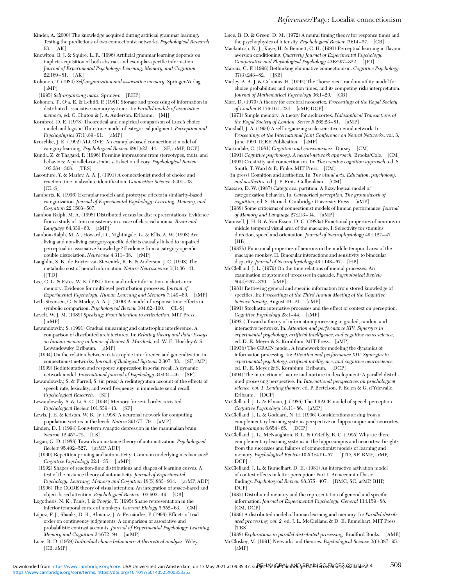- Kinder, A. (2000) The knowledge acquired during artificial grammar learning: Testing the predictions of two connectionist networks. *Psychological Research* 63. [AK]
- Knowlton, B. J. & Squire, L. R. (1996) Artificial grammar learning depends on implicit acquisition of both abstract and exemplar-specific information. *Journal of Experimental Psychology: Learning, Memory, and Cognition* 22:169–81. [AK]
- Kohonen, T. (1984) *Self-organization and associative memory.* Springer-Verlag. [aMP]
- (1995) *Self-organizing maps.* Springer. [RHP]

Kohonen, T., Oja, E. & Lehtiö, P. (1981) Storage and processing of information in distributed associative memory systems. In: *Parallel models of associative memory,* ed. G. Hinton & J. A. Anderson. Erlbaum. [MJ]

Kornbrot, D. E. (1978) Theoretical and empirical comparison of Luce's choice model and logistic Thurstone model of categorical judgment. *Perception and Psychophysics* 37(1):89–91. [aMP]

- Kruschke, J. K. (1992) ALCOVE: An examplar-based connectionist model of category learning. *Psychological Review* 99(1):22–44. [SF, arMP, DCP]
- Kunda, Z. & Thagard, P. (1996) Forming impressions from stereotypes, traits, and behaviors: A parallel-constraint satisfaction theory. *Psychological Review* 103:284–308. [TRS]

Lacouture, Y. & Marley, A. A. J. (1991) A connectionist model of choice and reaction time in absolute identification. *Connection Science* 3:401–33.  $[CL-S]$ 

Lamberts, K. (1996) Exemplar models and prototype effects in similarity-based categorization. *Journal of Experimental Psychology: Learning, Memory, and Cognition* 22:1503–507.

Lambon Ralph, M. A. (1998) Distributed versus localist representations: Evidence from a study of item consistency in a case of classical anomia. *Brain and Language* 64:339–60. [aMP]

Lambon-Ralph, M. A., Howard, D., Nightingale, G. & Ellis, A. W. (1998) Are living and non-living category-specific deficits causally linked to impaired perceptual or associative knowledge? Evidence from a category-specific double dissociation. *Neurocase* 4:311–38. [rMP]

Laughlin, S. B., de Ruyter van Stevenick, R. R. & Anderson, J. C. (1998) The metabolic cost of neural information. *Nature Neuroscience* 1(1):36–41. [JTD]

Lee, C. L. & Estes, W. K. (1981) Item and order information in short-term memory: Evidence for multilevel perturbation processes. *Journal of Experimental Psychology: Human Learning and Memory* 7:149–69. [aMP]

Leth-Steensen, C. & Marley, A. A. J. (2000) A model of response time effects in symbolic comparison. *Psychological Review* 104:62–100. [CL-S]

Levelt, W. J. M. (1989) *Speaking: From intention to articulation.* MIT Press. [arMP]

Lewandowsky, S. (1991) Gradual unlearning and catastrophic interference: A comparison of distributed architectures. In: *Relating theory and data: Essays on human memory in honor of Bennet B. Murdock,* ed. W. E. Hockley & S. Lewandowsky. Erlbaum. [aMP]

(1994) On the relation between catastrophic interference and generalization in connectionist networks. *Journal of Biological Systems* 2:307–33. [SF, rMP] (1999) Redintegration and response suppression in serial recall: A dynamic network model. *International Journal of Psychology* 34:434–46. [SF]

Lewandowsky, S. & Farrell, S. (in press) A redintegration account of the effects of speech rate, lexicality, and word frequency in immediate serial recall. *Psychological Research.* [SF]

Lewandowsky, S. & Li, S.-C. (1994) Memory for serial order revisited. *Psychological Review* 101:539–43. [SF]

Lewis, J. E. & Kristan, W. B., Jr. (1998) A neuronal network for computing population vectors in the leech. *Nature* 391:77–79. [aMP]

Linden, D. J. (1994) Long-term synaptic depression in the mammalian brain. *Neuron* 12:457–72. [LS]

Logan, G. D. (1988) Towards an instance theory of automatization. *Psychological Review* 95:492–527. [arMP, ADP]

(1990) Repetition priming and automaticity: Common underlying mechanisms? *Cognitive Psychology* 22:1–35. [arMP]

(1992) Shapes of reaction-time distributions and shapes of learning curves: A test of the instance theory of automaticity. *Journal of Experimental Psychology: Learning, Memory and Cognition* 18(5):883–914. [arMP, ADP]

(1996) The CODE theory of visual attention: An integration of space-based and object-based attention. *Psychological Review* 103:603–49. [CB]

Logothesis, N. K., Pauls, J. & Poggio, T. (1995) Shape representation in the inferior temporal cortex of monkeys. *Current Biology* 5:552–63. [CM]

López, F. J., Shanks, D. R., Almaraz, J. & Fernández, P. (1998) Effects of trial order on contingency judgements: A comparison of associative and probabilistic contrast accounts. *Journal of Experimental Psychology: Learning, Memory and Cognition* 24:672–94. [arMP]

Luce, R. D. (1959) *Individual choice behaviour: A theoretical analysis.* Wiley. [CB, aMP]

Luce, R. D. & Green, D. M. (1972) A neural timing theory for response times and the psychophysics of intensity. *Psychological Review* 79:14–57. [CB]

Mackintosh, N. J., Kaye, H. & Bennett, C. H. (1991) Perceptual learning in flavour aversion conditioning. *Quarterly Journal of Experimental Psychology: Comparative and Physiological Psychology* 43B:297–322. [JEI]

Marcus, G. F. (1998) Rethinking eliminative connectionism. *Cognitive Psychology* 37(3):243–82. [JSB]

Marley, A. A. J. & Colonius, H. (1992) The "horse race" random utility model for choice probabilities and reaction times, and its competing risks interpretation. *Journal of Mathematical Psychology* 36:1–20. [CB]

Marr, D. (1970) A theory for cerebral neocortex. *Proceedings of the Royal Society of London B* 176:161–234. [aMP, DCP]

(1971) Simple memory: A theory for archicortex. *Philosophical Transactions of the Royal Society of London, Series B* 262:23–81. [aMP]

Marshall, J. A. (1990) A self-organizing scale-sensitive neural network. In: *Proceedings of the International Joint Conference on Neural Networks,* vol. 3, June 1990. IEEE Publication. [aMP]

Martindale, C. (1981) *Cognition and consciousness.* Dorsey. [CM]

(1991) *Cognitive psychology: A neural-network approach.* Brooks/Cole. [CM] (1995) Creativity and connectionism. In: *The creative cognition approach,* ed. S. Smith, T. Ward & R. Finke. MIT Press. [CM]

(in press) Cognition and aesthetics. In: *The visual arts: Education, psychology, and aesthetics,* ed. J. P. Frois. Gulbenkian. [CM]

Massaro, D. W. (1987) Categorical partition: A fuzzy logical model of categorization behavior. In: *Categorical perception: The groundwork of cognition,* ed. S. Harnad. Cambridge University Press. [aMP]

(1988) Some criticisms of connectionist models of human performance. *Journal of Memory and Language* 27:213–34. [aMP]

Maunsell, J. H. R. & Van Essen, D. C. (1983a) Functional properties of neurons in middle temporal visual area of the macaque. I. Selectivity for stimulus direction, speed and orientation. *Journal of Neurophysiology* 49:1127–47. [HB]

(1983b) Functional properties of neurons in the middle temporal area of the macaque monkey. II. Binocular interactions and sensitivity to binocular disparity. *Journal of Neurophysiology* 49:1148–67. [HB]

McClelland, J. L. (1979) On the time relations of mental processes: An examination of systems of processes in cascade. *Psychological Review* 86(4):287–330. [aMP]

(1981) Retrieving general and specific information from stored knowledge of specifics. In: *Proceedings of the Third Annual Meeting of the Cognitive Science Society,* August 19– 21. [aMP]

(1991) Stochastic interactive processes and the effect of context on perception. *Cognitive Psychology* 23:1–44. [aMP]

(1993a) Toward a theory of information processing in graded, random and interactive networks. In: *Attention and performance XIV: Synergies in experimental psychology, artificial intelligence, and cognitive neuroscience,* ed. D. E. Meyer & S. Kornblum. MIT Press. [aMP]

(1993b) The GRAIN model: A framework for modeling the dynamics of information processing. In: *Attention and performance XIV: Synergies in experimental psychology, artificial intelligence, and cognitive neuroscience,* ed. D. E. Meyer & S. Kornblum. Erlbaum. [DCP]

(1994) The interaction of nature and nurture in development: A parallel distributed processing perspective. In: *International perspectives on psychological science, vol. 1: Leading themes,* ed. P. Bertelson, P. Eelen & G. d'Ydewalle. Erlbaum. [DCP]

McClelland, J. L. & Elman, J. (1986) The TRACE model of speech perception. *Cognitive Psychology* 18:11–86. [aMP]

McClelland, J. L. & Goddard, N. H. (1996) Considerations arising from a complementary learning systems perspective on hippocampus and neocortex. *Hippocampus* 6:654–65. [DCP]

McClelland, J. L., McNaughton, B. L. & O'Reilly, R. C. (1995) Why are there complementary learning systems in the hippocampus and neocortex: Insights from the successes and failures of connectionist models of learning and memory. *Psychological Review* 102(3):419–57. [JTD, SF, RMF, arMP, DCP]

McClelland, J. L. & Rumelhart, D. E. (1981) An interactive activation model of context effects in letter perception: Part 1. An account of basic findings. *Psychological Review* 88:375–407. [RMG, SG, arMP, RHP, DCP]

(1985) Distributed memory and the representation of general and specific information. *Journal of Experimental Psychology: General* 114:159–88. [CM, DCP]

(1986) A distributed model of human learning and memory. In: *Parallel distributed processing, vol. 2,* ed. J. L. McClelland & D. E. Rumelhart. MIT Press. [TRS]

(1988) *Explorations in parallel distributed processing.* Bradford Books. [AMB] McCloskey, M. (1991) Networks and theories. *Psychological Science* 2(6):387–95. [aMP]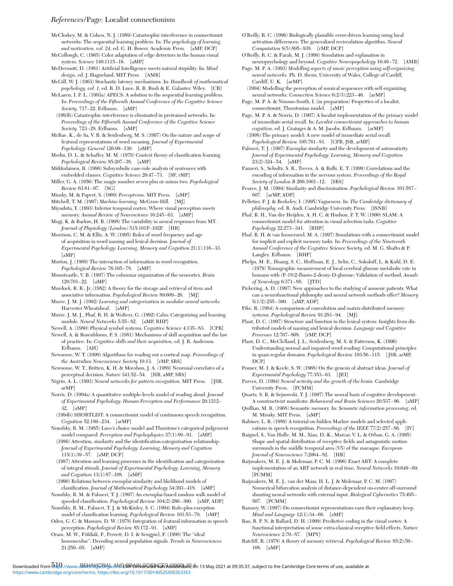#### *References/*Page: Localist connectionism

- McCloskey, M. & Cohen, N. J. (1989) Catastrophic interference in connectionist networks: The sequential learning problem. In: *The psychology of learning and motivation, vol. 24,* ed. G. H. Bower. Academic Press. [aMP, DCP]
- McCollough, C. (1965) Color adaptation of edge detectors in the human visual system. *Science* 149:1115–16. [aMP]
- McDermott, D. (1981) Artificial Intelligence meets natural stupidity. In: *Mind design,* ed. J. Hagueland. MIT Press. [AMB]
- McGill, W. J. (1963) Stochastic latency mechanisms. In: *Handbook of mathematical psychology, vol. 1,* ed. R. D. Luce, R. R. Bush & E. Galanter. Wiley. [CB]
- McLaren, I. P. L. (1993a) APECS: A solution to the sequential learning problem. In: *Proceedings of the Fifteenth Annual Conference of the Cognitive Science Society,* 717–22. Erlbaum. [aMP]
- (1993b) Catastrophic interference is eliminated in pretrained networks. In: *Proceedings of the Fifteenth Annual Conference of the Cognitive Science Society,* 723–28. Erlbaum. [aMP]
- McRae, K., de Sa, V. R. & Seidenberg, M. S. (1997) On the nature and scope of featural representations of word meaning. *Journal of Experimental Psychology: General* 126:99–130. [aMP]
- Medin, D. L. & Schaffer, M. M. (1978) Context theory of classification learning. *Psychological Review* 85:207–38. [aMP]
- Miikkulainen, R. (1996) Subsymbolic case-role analysis of sentences with embedded clauses. *Cognitive Science* 20:47–73. [SF, rMP]
- Miller, G. A. (1956) The magic number seven plus or minus two. *Psychological Review* 63:81–97. [SG]
- Minsky, M. & Papert, S. (1969) *Perceptrons.* MIT Press. [aMP]
- Mitchell, T. M. (1997) *Machine learning.* McGraw-Hill. [MJ]
- Miyashita, Y. (1993) Inferior temporal cortex: Where visual perception meets memory. *Annual Review of Neuroscience* 16:245–63. [aMP]
- Mogi, K. & Barlow, H. B. (1998) The variability in neural responses from MT. *Journal of Physiology (London)* 515:101P–102P. [HB]
- Morrison, C. M. & Ellis, A. W. (1995) Roles of word frequency and age of acquisition in word naming and lexical decision. *Journal of Experimental Psychology: Learning, Memory and Cognition* 21(1):116–33. [aMP]
- Morton, J. (1969) The interaction of information in word recognition. *Psychological Review* 76:165–78. [aMP]
- Mountcastle, V. B. (1997) The columnar organization of the neocortex. *Brain* 120:701–22. [aMP]
- Murdock, B. B., Jr. (1982) A theory for the storage and retrieval of item and associative information. *Psychological Review* 89:609–26. [MJ]
- Murre, J. M. J. (1992) *Learning and categorization in modular neural networks.* Harvester Wheatsheaf. [aMP]
- Murre, J. M. J., Phaf, R. H. & Wolters, G. (1992) Calm: Categorizing and learning module. *Neural Networks* 5:55–82. [aMP, RHP]
- Newell, A. (1980) Physical symbol systems. *Cognitive Science* 4:135–83. [CPB]
- Newell, A. & Rosenbloom, P. S. (1981) Mechanisms of skill acquisition and the law of practice. In: *Cognitive skills and their acquisition,* ed. J. R. Anderson. Erlbaum. [AH]
- Newsome, W. T. (1999) Algorithms for reading out a cortical map. *Proceedings of the Australian Neuroscience Society* 10:13. [rMP, SRS]
- Newsome, W. T., Britten, K. H. & Movshon, J. A. (1989) Neuronal correlates of a perceptual decision. *Nature* 341:52–54. [HB, aMP, SRS]
- Nigrin, A. L. (1993) *Neural networks for pattern recognition.* MIT Press. [JSB, arMP]
- Norris, D. (1994a) A quantitative multiple-levels model of reading aloud. *Journal of Experimental Psychology: Human Perception and Performance* 20:1212– 32. [aMP]
- (1994b) SHORTLIST: A connectionist model of continuous speech recognition. *Cognition* 52:189–234. [arMP]
- Nosofsky, R. M. (1985) Luce's choice model and Thurstone's categorical judgement model compared. *Perception and Psychophysics* 37(1):89–91. [aMP]
- (1986) Attention, similarity and the identification-categorization relationship. *Journal of Experimental Psychology: Learning, Memory and Cognition* 115(1):39–57. [aMP, DCP]
- (1987) Attention and learning processes in the identification and categorization of integral stimuli. *Journal of Experimental Psychology: Learning, Memory and Cognition* 13(1):87–108. [aMP]
- (1990) Relations between exemplar-similarity and likelihood models of classification. *Journal of Mathematical Psychology* 34:393–418. [aMP]
- Nosofsky, R. M. & Palmeri, T. J. (1997) An exemplar-based random walk model of speeded classification. *Psychological Review* 104(2):266–300. [aMP, ADP]
- Nosofsky, R. M., Palmeri, T. J. & McKinley, S. C. (1994) Rule-plus-exception model of classification learning. *Psychological Review* 101:53–79. [rMP] Oden, G. C. & Massaro, D. W. (1978) Integration of featural information in speech
- perception. *Psychological Review* 85:172–91. [aMP]
- Oram, M. W., Földiák, P., Perrett, D. I. & Sengpiel, F. (1998) The "ideal homunculus": Decoding neural population signals. *Trends in Neurosciences* 21:259–65. [aMP]
- O'Reilly, R. C. (1996) Biologically plausible error-driven learning using local activation differences: The generalized recirculation algorithm. *Neural Computation* 8(5):895–938. [rMP, DCP]
- O'Reilly, R. C. & Farah, M. J. (1999) Simulation and explanation in neuropsychology and beyond. *Cognitive Neuropsychology* 16:49–72. [AMB]
- Page, M. P. A. (1993) *Modelling aspects of music perception using self-organizing neural networks.* Ph. D. thesis, University of Wales, College of Cardiff, Cardiff, U. K. [arMP]
	- (1994) Modelling the perception of musical sequences with self-organizing neural networks. *Connection Science* 6(2/3):223–46. [arMP]
- Page, M. P. A. & Nimmo-Smith, I. (in preparation) Properties of a localist, connectionist, Thurstonian model. [aMP]
- Page, M. P. A. & Norris, D. (1997) A localist implementation of the primacy model of immediate serial recall. In: *Localist connectionist approaches to human cognition,* ed. J. Grainger & A. M. Jacobs. Erlbaum. [arMP]
- (1998) The primacy model: A new model of immediate serial recall. *Psychological Review* 105:761–81. [CPB, JSB, arMP]
- Palmeri, T. J. (1997) Exemplar similarity and the development of automaticity. *Journal of Experimental Psychology: Learning, Memory and Cognition* 23(2):324–54. [aMP]
- Panzeri, S., Schultz, S. R., Treves, A. & Rolls, E. T. (1999) Correlations and the encoding of information in the nervous system. *Proceedings of the Royal Society of London B* 266:1001–12. [SRS]
- Pearce, J. M. (1994) Similarity and discrimination. *Psychological Review* 101:587– 607. [arMP, ADP]
- Pelletier, F. J. & Berkeley, I. (1995) Vagueness. In: *The Cambridge dictionary of philosophy,* ed. R. Audi. Cambridge University Press. [ISNB]
- Phaf, R. H., Van der Heijden, A. H. C. & Hudson, P. T. W. (1990) SLAM: A connectionist model for attention in visual selection tasks. *Cognitive Psychology* 22:273–341. [RHP]
- Phaf, R. H. & van Immerzeel, M. A. (1997) Simulations with a connectionist model for implicit and explicit memory tasks. In: *Proceedings of the Nineteenth Annual Conference of the Cognitive Science Society,* ed. M. G. Shafto & P. Langley. Erlbaum. [RHP]
- Phelps, M. E., Huang, S. C., Hoffman, E. J., Selin, C., Sokoloff, L. & Kuhl, D. E. (1979) Tomographic measurement of local cerebral glucose metabolic rate in humans with (F-18)2-fluoro-2-deoxy-D-glucose: Validation of method. *Annals of Neurology* 6:371–88. [JTD]
- Pickering, A. D. (1997) New approaches to the studying of amnesic patients: What can a neurofunctional philosophy and neural network methods offer? *Memory* 5(1/2):255–300. [aMP, ADP]
- Pike, R. (1984) A comparison of convolution and matrix-distributed memory systems. *Psychological Review* 91:281–94. [MJ]
- Plaut, D. C. (1997) Structure and function in the lexical system: Insights from distributed models of naming and lexical decision. *Language and Cognitive Processes* 12:767–808. [rMP, DCP]
- Plaut, D. C., McClelland, J. L., Seidenberg, M. S. & Patterson, K. (1996) Understanding normal and impaired word reading: Computational principles in quasi-regular domains. *Psychological Review* 103:56–115. [JSB, arMP, DCP]
- Posner, M. I. & Keele, S. W. (1968) On the genesis of abstract ideas. *Journal of Experimental Psychology* 77:353–63. [JEI]
- Purves, D. (1994) *Neural activity and the growth of the brain.* Cambridge University Press. [PCMM]
- Quartz, S. R. & Sejnowski, T. J. (1997) The neural basis of cognitive development: A constructivist manifesto. *Behavioral and Brain Sciences* 20:537–96. [aMP]
- Quillian, M. R. (1968) Semantic memory. In: *Semantic information processing,* ed. M. Minsky. MIT Press. [aMP]
- Rabiner, L. R. (1989) A tutorial on hidden Markov models and selected applications in speech recognition. *Proceedings of the IEEE* 77(2):257–86. [IV]
- Raiguel, S., Van Hulle, M. M., Xiao, D.-K., Marcar, V. L. & Orban, G. A. (1995) Shape and spatial distribution of receptive fields and antagonistic motion surrounds in the middle temporal area (V5) of the macaque. *European Journal of Neuroscience* 7:2064–82. [HB]
- Raijmakers, M. E. J. & Molenaar, P. C. M. (1996) Exact ART: A complete implementation of an ART network in real time. *Neural Networks* 10:649–69. [PCMM]
- Raijmakers, M. E. J., van der Maas, H. L. J. & Molenaar, P. C. M. (1997) Numerical bifurcation analysis of distance-dependent on-center off-surround shunting neural networks with external input. *Biological Cybernetics* 75:495– 507. [PCMM]
- Ramsey, W. (1997) Do connectionist representations earn their explanatory keep. *Mind and Language* 12(1):34–66. [aMP]
- Rao, R. P. N. & Ballard, D. H. (1999) Predictive coding in the visual cortex: A functional interpretation of some extra-classical receptive field effects. *Nature Neuroscience* 2:79–87. [MPY]
- Ratcliff, R. (1978) A theory of memory retrieval. *Psychological Review* 85(2):59– 108. [aMP]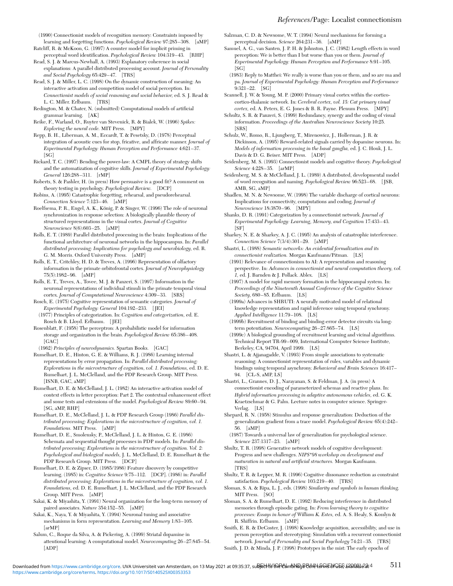(1990) Connectionist models of recognition memory: Constraints imposed by learning and forgetting functions. *Psychological Review* 97:285–308. [aMP]

Ratcliff, R. & McKoon, G. (1997) A counter model for implicit priming in perceptual word identification. *Psychological Review* 104:319–43. [RHP]

Read, S. J. & Marcus-Newhall, A. (1993) Explanatory coherence in social explanations: A parallel distributed processing account. *Journal of Personality and Social Psychology* 65:429–47. [TRS]

Read, S. J. & Miller, L. C. (1998) On the dynamic construction of meaning: An interactive activation and competition model of social perception. In: *Connectionist models of social reasoning and social behavior,* ed. S. J. Read & L. C. Miller. Erlbaum. [TRS]

Redington, M. & Chater, N. (submitted) Computational models of artificial grammar learning. [AK]

- Reike, F., Warland, O., Ruyter van Stevenick, R. & Bialek, W. (1996) *Spikes: Exploring the neural code.* MIT Press. [MPY]
- Repp, B. H., Liberman, A. M., Eccardt, T. & Pesetsky, D. (1978) Perceptual integration of acoustic cues for stop, fricative, and affricate manner. *Journal of Experimental Psychology: Human Perception and Performance* 4:621–37. [SG]
- Rickard, T. C. (1997) Bending the power-law: A CMPL theory of strategy shifts and the automatization of cognitive skills. *Journal of Experimental Psychology: General* 126:288–311. [rMP]

Roberts, S. & Pashler, H. (in press) How persuasive is a good fit? A comment on theory testing in psychology. *Psychological Review.* [DCP]

Robins, A. (1995) Catastrophic forgetting, rehearsal, and pseudorehearsal. *Connection Science* 7:123–46. [aMP]

- Roelfsema, P. R., Engel, A. K., König, P. & Singer, W. (1996) The role of neuronal synchronization in response selection: A biologically plausible theory of structured representations in the visual cortex. *Journal of Cognitive Neuroscience* 8(6):603–25. [aMP]
- Rolls, E. T. (1989) Parallel distributed processing in the brain: Implications of the functional architecture of neuronal networks in the hippocampus. In: *Parallel distributed processing: Implications for psychology and neurobiology,* ed. R. G. M. Morris. Oxford University Press. [aMP]
- Rolls, E. T., Critchley, H. D. & Treves, A. (1996) Representation of olfactory information in the primate orbitofrontal cortex. *Journal of Neurophysiology* 75(5):1982–96. [aMP]
- Rolls, E. T., Treves, A., Tovee, M. J. & Panzeri, S. (1997) Information in the neuronal representations of individual stimuli in the primate temporal visual cortex. *Journal of Computational Neuroscience* 4:309–33. [SRS]
- Rosch, E. (1975) Cognitive representation of semantic categories. *Journal of Experimental Psychology: General* 104:192–233. [JEI] (1977) Principles of categorization. In: *Cognition and categorization,* ed. E.
- Rosch & B. Lloyd. Erlbaum. [JEI]

Rosenblatt, F. (1958) The perceptron: A probabilistic model for information storage and organization in the brain. *Psychological Review* 65:386–408. [GAC]

(1962) *Principles of neurodynamics.* Spartan Books. [GAC]

Rumelhart, D. E., Hinton, G. E. & Williams, R. J. (1986) Learning internal representations by error propagation. In: *Parallel distributed processing: Explorations in the microstructure of cognition, vol. 1. Foundations,* ed. D. E. Rumelhart, J. L. McClelland, and the PDP Research Group. MIT Press. [ISNB, GAC, aMP]

Rumelhart, D. E. & McClelland, J. L. (1982) An interactive activation model of context effects in letter perception: Part 2. The contextual enhancement effect and some tests and extensions of the model. *Psychological Review* 89:60–94. [SG, aMP, RHP]

Rumelhart, D. E., McClelland, J. L. & PDP Research Group (1986) *Parallel distributed processing: Explorations in the microstructure of cognition, vol. 1. Foundations.* MIT Press. [aMP]

Rumelhart, D. E., Smolensky, P., McClelland, J. L. & Hinton, G. E. (1986) Schemata and sequential thought processes in PDP models. In: *Parallel distributed processing: Explorations in the microstructure of cognition. Vol. 2: Psychological and biological models,* J. L. McClelland, D. E. Rumelhart & the PDP Research Group. MIT Press. [DCP]

Rumelhart, D. E. & Zipser, D. (1985/1986) Feature discovery by competitive learning. (1985) in: *Cognitive Science* 9:75–112. [DCP]. (1986) in: *Parallel distributed processing: Explorations in the microstructure of cognition, vol. 1. Foundations,* ed. D. E. Rumelhart, J. L. McClelland, and the PDP Research Group. MIT Press. [aMP]

Sakai, K. & Miyashita, Y. (1991) Neural organization for the long-term memory of paired associates. *Nature* 354:152–55. [aMP]

Sakai, K., Naya, Y. & Miyashita, Y. (1994) Neuronal tuning and associative mechanisms in form representation. *Learning and Memory* 1:83–105. [arMP]

Salum, C., Roque da Silva, A. & Pickering, A. (1999) Striatal dopamine in attentional learning: A computational model. *Neurocomputing* 26–27:845–54. [ADP]

Salzman, C. D. & Newsome, W. T. (1994) Neural mechanisms for forming a perceptual decision. *Science* 264:231–36. [aMP]

- Samuel, A. G., van Santen, J. P. H. & Johnston, J. C. (1982) Length effects in word perception: We is better than I but worse than you or them. *Journal of Experimental Psychology: Human Perception and Performance* 8:91–105.  $[SG]$
- (1983) Reply to Matthei: We really is worse than you or them, and so are ma and pa. *Journal of Experimental Psychology: Human Perception and Performance* 9:321–22. [SG]
- Scannell, J. W. & Young, M. P. (2000) Primary visual cortex within the corticocortico-thalamic network. In: *Cerebral cortex, vol. 15: Cat primary visual cortex,* ed. A. Peters, E. G. Jones & B. R. Payne. Plenum Press. [MPY]

Schultz, S. R. & Panzeri, S. (1999) Redundancy, synergy and the coding of visual information. *Proceedings of the Australian Neuroscience Society* 10:25. [SRS]

Schulz, W., Romo, R., Ljungberg, T., Mirenowicz, J., Hollerman, J. R. & Dickinson, A. (1995) Reward-related signals carried by dopamine neurons. In: *Models of information processing in the basal ganglia,* ed. J. C. Houk, J. L. Davis & D. G. Beiser. MIT Press. [ADP]

- Seidenberg, M. S. (1993) Connectionist models and cognitive theory. *Psychological Science* 4:228–35. [arMP]
- Seidenberg, M. S. & McClelland, J. L. (1989) A distributed, developmental model of word recognition and naming. *Psychological Review* 96:523–68. [JSB, AMB, SG, aMP]

Shadlen, M. N. & Newsome, W. (1998) The variable discharge of cortical neurons: Implications for connectivity, computations and coding. *Journal of Neuroscience* 18:3870–96. [MPY]

Shanks, D. R. (1991) Categorization by a connectionist network. *Journal of Experimental Psychology: Learning, Memory, and Cognition* 17:433–43.  $[SF]$ 

Sharkey, N. E. & Sharkey, A. J. C. (1995) An analysis of catastrophic interference. *Connection Science* 7(3/4):301–29. [aMP]

Shastri, L. (1988) *Semantic networks: An evidential formalization and its connectionist realization.* Morgan Kaufmann/Pitman. [LS]

(1991) Relevance of connectionism to AI: A representation and reasoning perspective. In: *Advances in connectionist and neural computation theory, vol. 1,* ed. J. Barnden & J. Pollack. Ablex. [LS]

(1997) A model for rapid memory formation in the hippocampal system. In: *Proceedings of the Nineteenth Annual Conference of the Cognitive Science Society,* 680–85. Erlbaum. [LS]

- (1999a) Advances in SHRUTI: A neurally motivated model of relational knowledge representation and rapid inference using temporal synchrony. *Applied Intelligence* 11:79–108. [LS]
- (1999b) Recruitment of binding and binding-error detector circuits via longterm potentiation. *Neurocomputing* 26–27:865–74. [LS]
- (1999c) A biological grounding of recruitment learning and vicinal algorithms. Technical Report TR-99–009, International Computer Science Institute, Berkeley, CA, 94704, April 1999. [LS]

Shastri, L. & Ajjanagadde, V. (1993) From simple associations to systematic reasoning: A connectionist representation of rules, variables and dynamic bindings using temporal asynchrony. *Behavioral and Brain Sciences* 16:417– 94. [CL-S, aMP, LS]

Shastri, L., Grannes, D. J., Narayanan, S. & Feldman, J. A. (in press) A connectionist encoding of parameterized schemas and reactive plans. In: *Hybrid information processing in adaptive autonomous vehicles,* ed. G. K. Kraetzschmar & G. Palm. Lecture notes in computer science. Springer-Verlag. [LS]

Shepard, R. N. (1958) Stimulus and response generalization: Deduction of the generalization gradient from a trace model. *Psychological Review* 65(4):242– 56. [aMP]

- (1987) Towards a universal law of generalization for psychological science. *Science* 237:1317–23. [aMP]
- Shultz, T. R. (1998) Generative network models of cognitive development: Progress and new challenges. *NIPS\*98 workshop on development and maturation in natural and artificial structures.* Morgan Kaufmann. [TRS]
- Shultz, T. R. & Lepper, M. R. (1996) Cognitive dissonance reduction as constraint satisfaction. *Psychological Review* 103:219–40. [TRS]
- Sloman, S. A. & Ripa, L. J., eds. (1998) *Similarity and symbols in human thinking.* MIT Press. [SO]
- Sloman, S. A. & Rumelhart, D. E. (1992) Reducing interference in distributed memories through episodic gating. In: *From learning theory to cognitive processes: Essays in honor of William K. Estes,* ed. A. S. Healy, S. Kosslyn & R. Shiffrin. Erlbaum. [aMP]

Smith, E. R. & DeCoster, J. (1998) Knowledge acquisition, accessibility, and use in person perception and stereotyping: Simulation with a recurrent connectionist network. *Journal of Personality and Social Psychology* 74:21–35. [TRS]

Smith, J. D. & Minda, J. P. (1998) Prototypes in the mist: The early epochs of